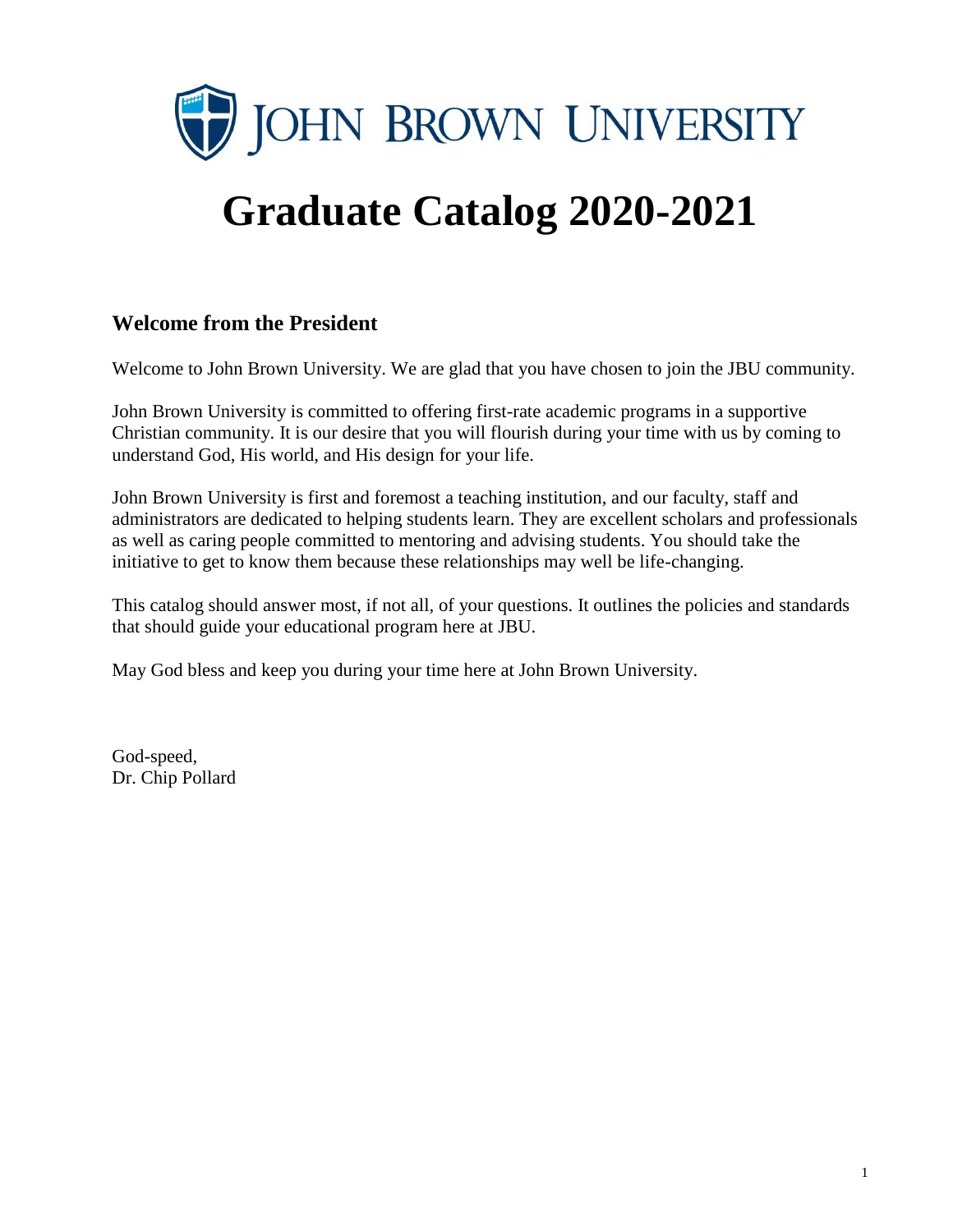

# **Graduate Catalog 2020-2021**

#### **Welcome from the President**

Welcome to John Brown University. We are glad that you have chosen to join the JBU community.

John Brown University is committed to offering first-rate academic programs in a supportive Christian community. It is our desire that you will flourish during your time with us by coming to understand God, His world, and His design for your life.

John Brown University is first and foremost a teaching institution, and our faculty, staff and administrators are dedicated to helping students learn. They are excellent scholars and professionals as well as caring people committed to mentoring and advising students. You should take the initiative to get to know them because these relationships may well be life-changing.

This catalog should answer most, if not all, of your questions. It outlines the policies and standards that should guide your educational program here at JBU.

May God bless and keep you during your time here at John Brown University.

God-speed, Dr. Chip Pollard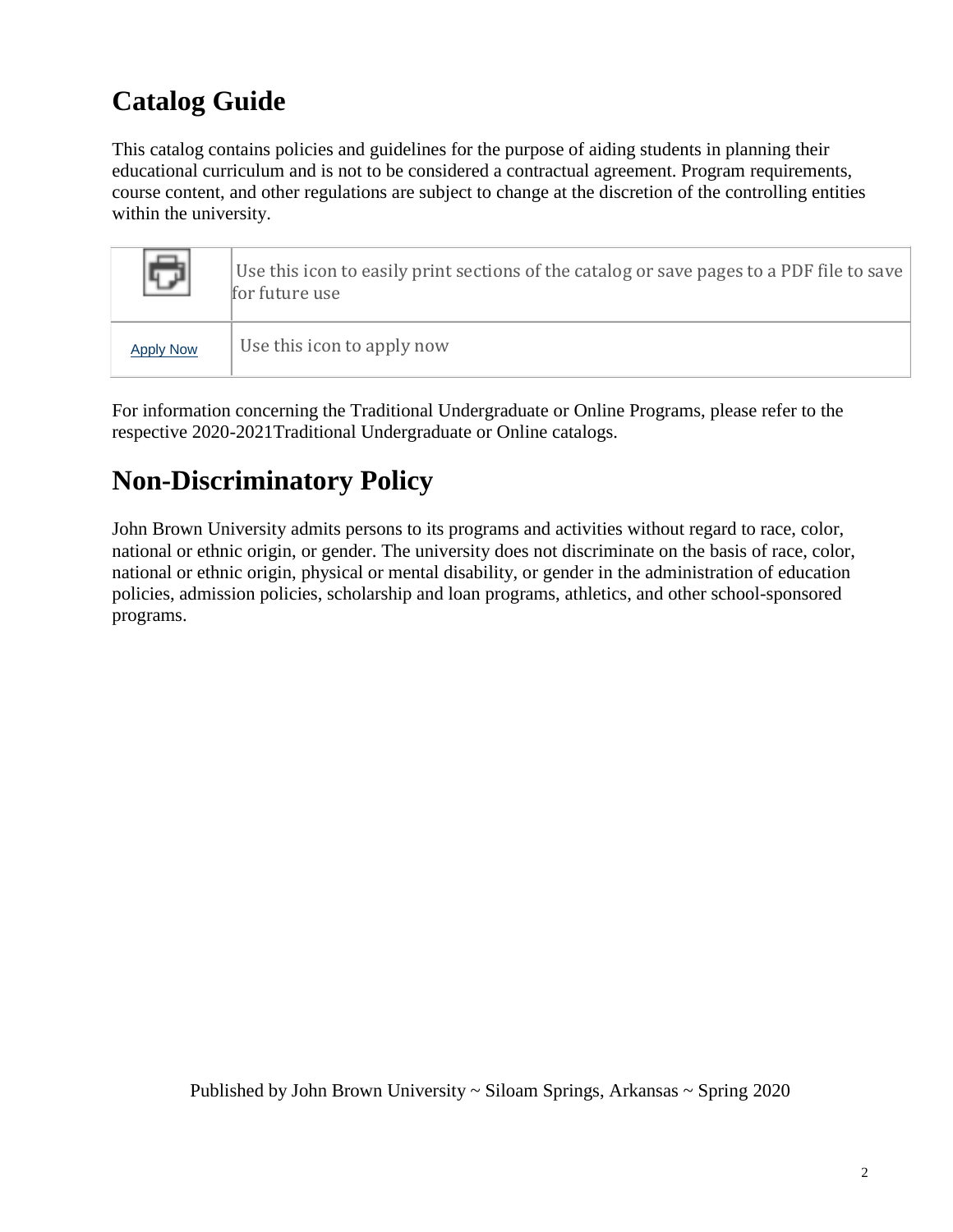## **Catalog Guide**

This catalog contains policies and guidelines for the purpose of aiding students in planning their educational curriculum and is not to be considered a contractual agreement. Program requirements, course content, and other regulations are subject to change at the discretion of the controlling entities within the university.

|                  | Use this icon to easily print sections of the catalog or save pages to a PDF file to save<br>for future use |
|------------------|-------------------------------------------------------------------------------------------------------------|
| <b>Apply Now</b> | Use this icon to apply now                                                                                  |

For information concerning the Traditional Undergraduate or Online Programs, please refer to the respective 2020-2021Traditional Undergraduate or Online catalogs.

## **Non-Discriminatory Policy**

John Brown University admits persons to its programs and activities without regard to race, color, national or ethnic origin, or gender. The university does not discriminate on the basis of race, color, national or ethnic origin, physical or mental disability, or gender in the administration of education policies, admission policies, scholarship and loan programs, athletics, and other school-sponsored programs.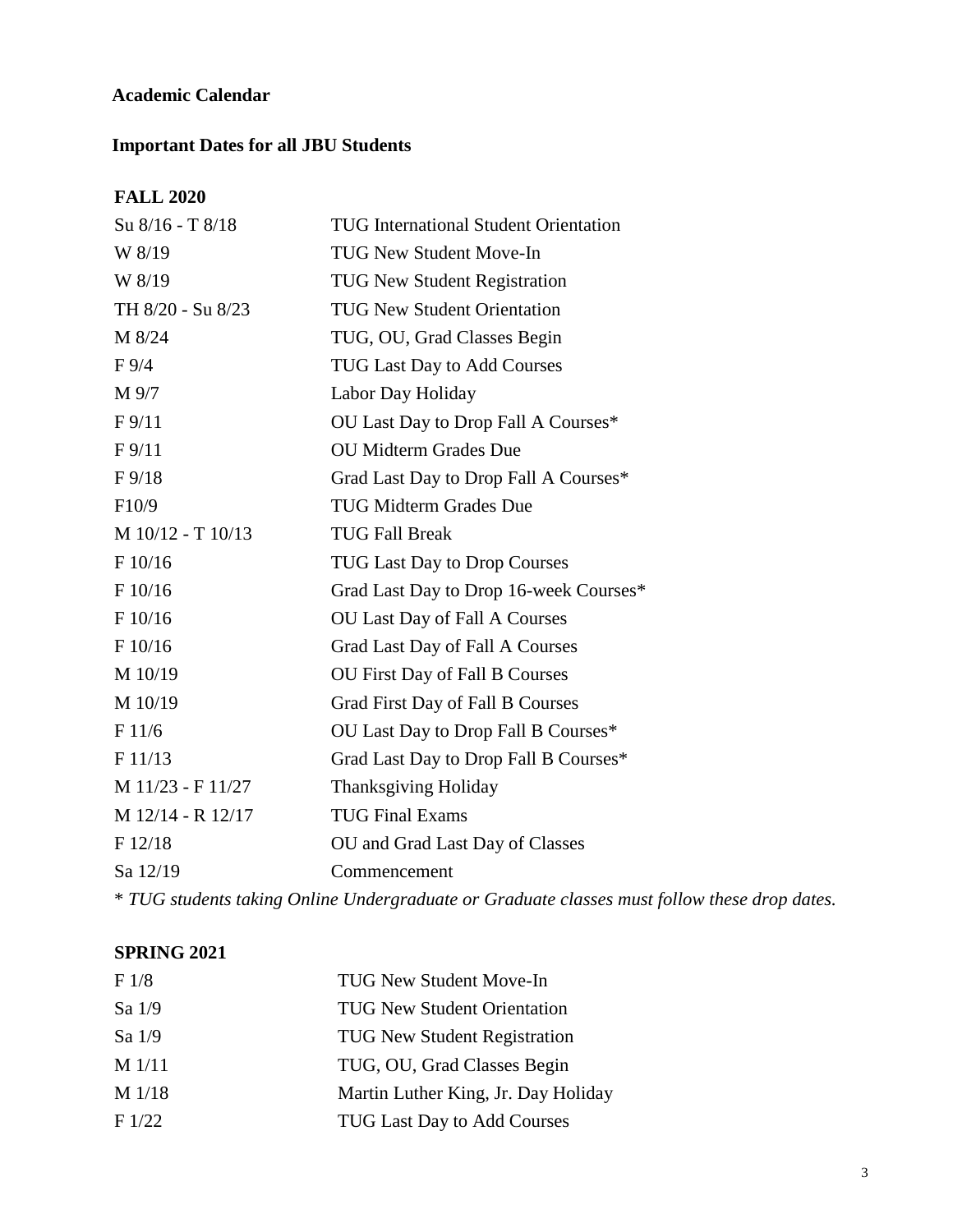#### **Academic Calendar**

#### **Important Dates for all JBU Students**

#### **FALL 2020**

| Su 8/16 - T 8/18    | <b>TUG International Student Orientation</b> |
|---------------------|----------------------------------------------|
| W 8/19              | <b>TUG New Student Move-In</b>               |
| W 8/19              | <b>TUG New Student Registration</b>          |
| TH 8/20 - Su 8/23   | <b>TUG New Student Orientation</b>           |
| M 8/24              | TUG, OU, Grad Classes Begin                  |
| $F\,9/4$            | <b>TUG Last Day to Add Courses</b>           |
| M 9/7               | Labor Day Holiday                            |
| F9/11               | OU Last Day to Drop Fall A Courses*          |
| F9/11               | <b>OU Midterm Grades Due</b>                 |
| $F\frac{9}{18}$     | Grad Last Day to Drop Fall A Courses*        |
| F10/9               | <b>TUG Midterm Grades Due</b>                |
| $M$ 10/12 - T 10/13 | <b>TUG Fall Break</b>                        |
| F 10/16             | <b>TUG Last Day to Drop Courses</b>          |
| F 10/16             | Grad Last Day to Drop 16-week Courses*       |
| F 10/16             | OU Last Day of Fall A Courses                |
| F 10/16             | Grad Last Day of Fall A Courses              |
| M 10/19             | OU First Day of Fall B Courses               |
| M 10/19             | <b>Grad First Day of Fall B Courses</b>      |
| F 11/6              | OU Last Day to Drop Fall B Courses*          |
| F 11/13             | Grad Last Day to Drop Fall B Courses*        |
| M 11/23 - F 11/27   | <b>Thanksgiving Holiday</b>                  |
| M 12/14 - R 12/17   | <b>TUG Final Exams</b>                       |
| F 12/18             | OU and Grad Last Day of Classes              |
| Sa 12/19            | Commencement                                 |
|                     |                                              |

\* *TUG students taking Online Undergraduate or Graduate classes must follow these drop dates.*

#### **SPRING 2021**

| F <sub>1/8</sub> | <b>TUG New Student Move-In</b>      |
|------------------|-------------------------------------|
| Sa 1/9           | <b>TUG New Student Orientation</b>  |
| Sa $1/9$         | <b>TUG New Student Registration</b> |
| $M$ 1/11         | TUG, OU, Grad Classes Begin         |
| $M$ 1/18         | Martin Luther King, Jr. Day Holiday |
| F1/22            | <b>TUG Last Day to Add Courses</b>  |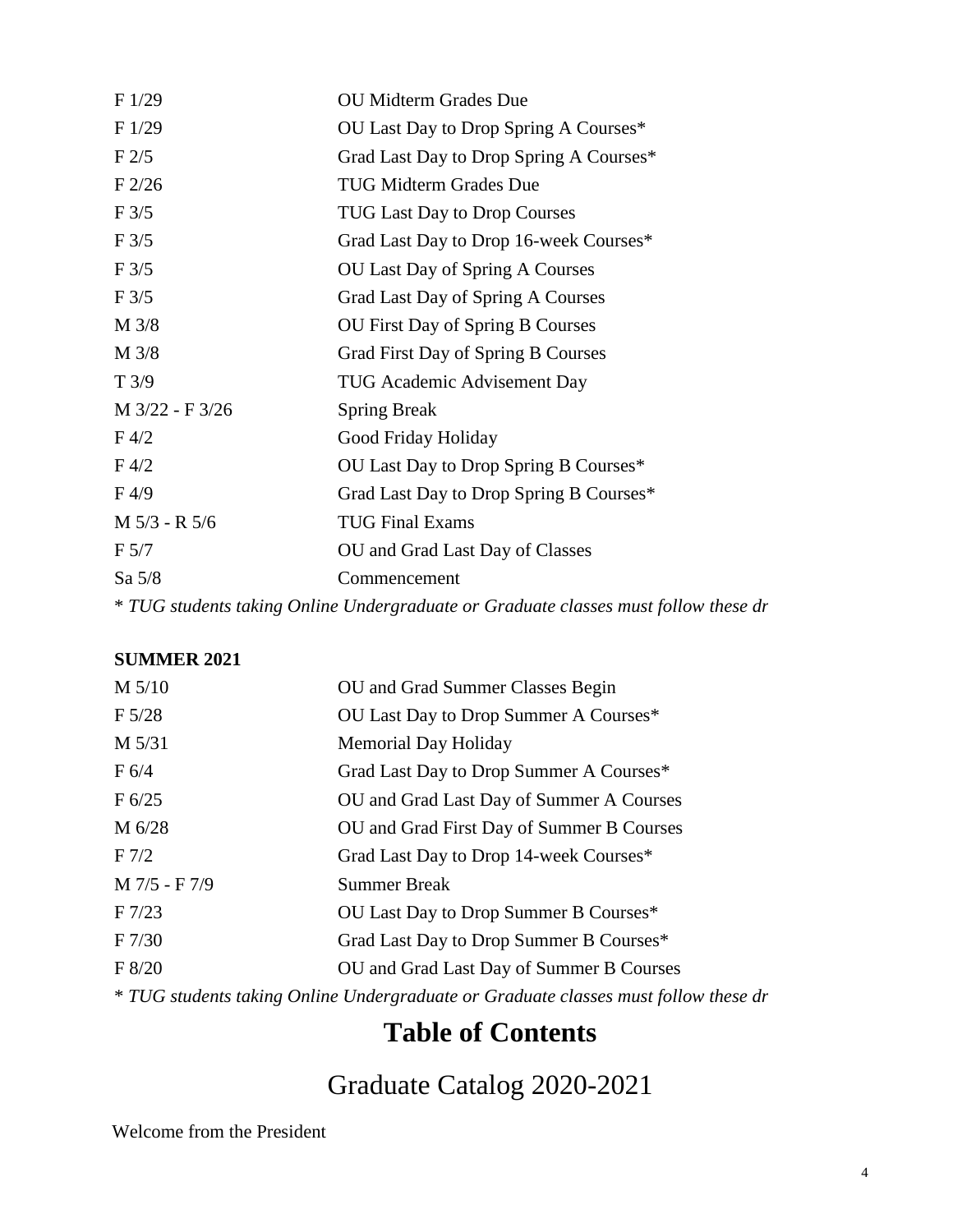| F1/29            | <b>OU Midterm Grades Due</b>                                                        |
|------------------|-------------------------------------------------------------------------------------|
| F1/29            | OU Last Day to Drop Spring A Courses*                                               |
| F2/5             | Grad Last Day to Drop Spring A Courses*                                             |
| $F$ 2/26         | <b>TUG Midterm Grades Due</b>                                                       |
| F3/5             | <b>TUG Last Day to Drop Courses</b>                                                 |
| F3/5             | Grad Last Day to Drop 16-week Courses*                                              |
| F3/5             | OU Last Day of Spring A Courses                                                     |
| $F\frac{3}{5}$   | Grad Last Day of Spring A Courses                                                   |
| M 3/8            | <b>OU First Day of Spring B Courses</b>                                             |
| M 3/8            | Grad First Day of Spring B Courses                                                  |
| T3/9             | <b>TUG Academic Advisement Day</b>                                                  |
| M 3/22 - F 3/26  | <b>Spring Break</b>                                                                 |
| $F\,4/2$         | Good Friday Holiday                                                                 |
| $F\,4/2$         | OU Last Day to Drop Spring B Courses*                                               |
| F <sub>4/9</sub> | Grad Last Day to Drop Spring B Courses*                                             |
| M 5/3 - R 5/6    | <b>TUG Final Exams</b>                                                              |
| F <sub>5/7</sub> | OU and Grad Last Day of Classes                                                     |
| Sa $5/8$         | Commencement                                                                        |
|                  | * TUG students taking Online Undergraduate or Graduate classes must follow these dr |

#### **SUMMER 2021**

| $M$ 5/10          | OU and Grad Summer Classes Begin                                                    |
|-------------------|-------------------------------------------------------------------------------------|
| $F\,5/28$         | OU Last Day to Drop Summer A Courses*                                               |
| $M\,5/31$         | <b>Memorial Day Holiday</b>                                                         |
| F 6/4             | Grad Last Day to Drop Summer A Courses*                                             |
| F 6/25            | OU and Grad Last Day of Summer A Courses                                            |
| $M\,6/28$         | OU and Grad First Day of Summer B Courses                                           |
| F <sub>7/2</sub>  | Grad Last Day to Drop 14-week Courses*                                              |
| M 7/5 - F 7/9     | <b>Summer Break</b>                                                                 |
| $F\ 7/23$         | OU Last Day to Drop Summer B Courses*                                               |
| F <sub>7/30</sub> | Grad Last Day to Drop Summer B Courses*                                             |
| F 8/20            | OU and Grad Last Day of Summer B Courses                                            |
|                   | * TUG students taking Online Undergraduate or Graduate classes must follow these dr |

## **Table of Contents**

## Graduate Catalog 2020-2021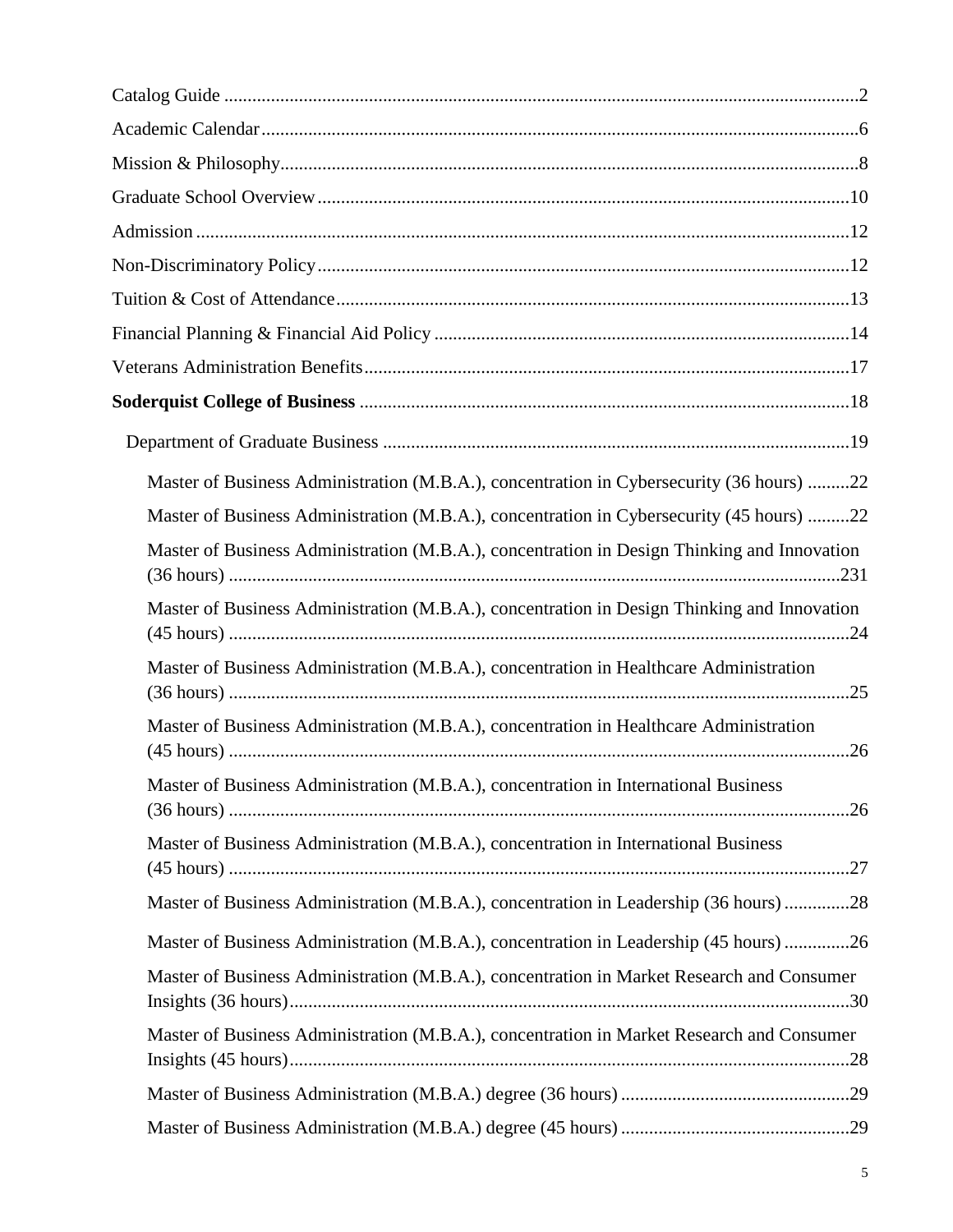| Master of Business Administration (M.B.A.), concentration in Cybersecurity (36 hours) 22    |
|---------------------------------------------------------------------------------------------|
| Master of Business Administration (M.B.A.), concentration in Cybersecurity (45 hours) 22    |
| Master of Business Administration (M.B.A.), concentration in Design Thinking and Innovation |
| Master of Business Administration (M.B.A.), concentration in Design Thinking and Innovation |
| Master of Business Administration (M.B.A.), concentration in Healthcare Administration      |
| Master of Business Administration (M.B.A.), concentration in Healthcare Administration      |
| Master of Business Administration (M.B.A.), concentration in International Business         |
| Master of Business Administration (M.B.A.), concentration in International Business         |
| Master of Business Administration (M.B.A.), concentration in Leadership (36 hours)28        |
| Master of Business Administration (M.B.A.), concentration in Leadership (45 hours)26        |
| Master of Business Administration (M.B.A.), concentration in Market Research and Consumer   |
| Master of Business Administration (M.B.A.), concentration in Market Research and Consumer   |
|                                                                                             |
|                                                                                             |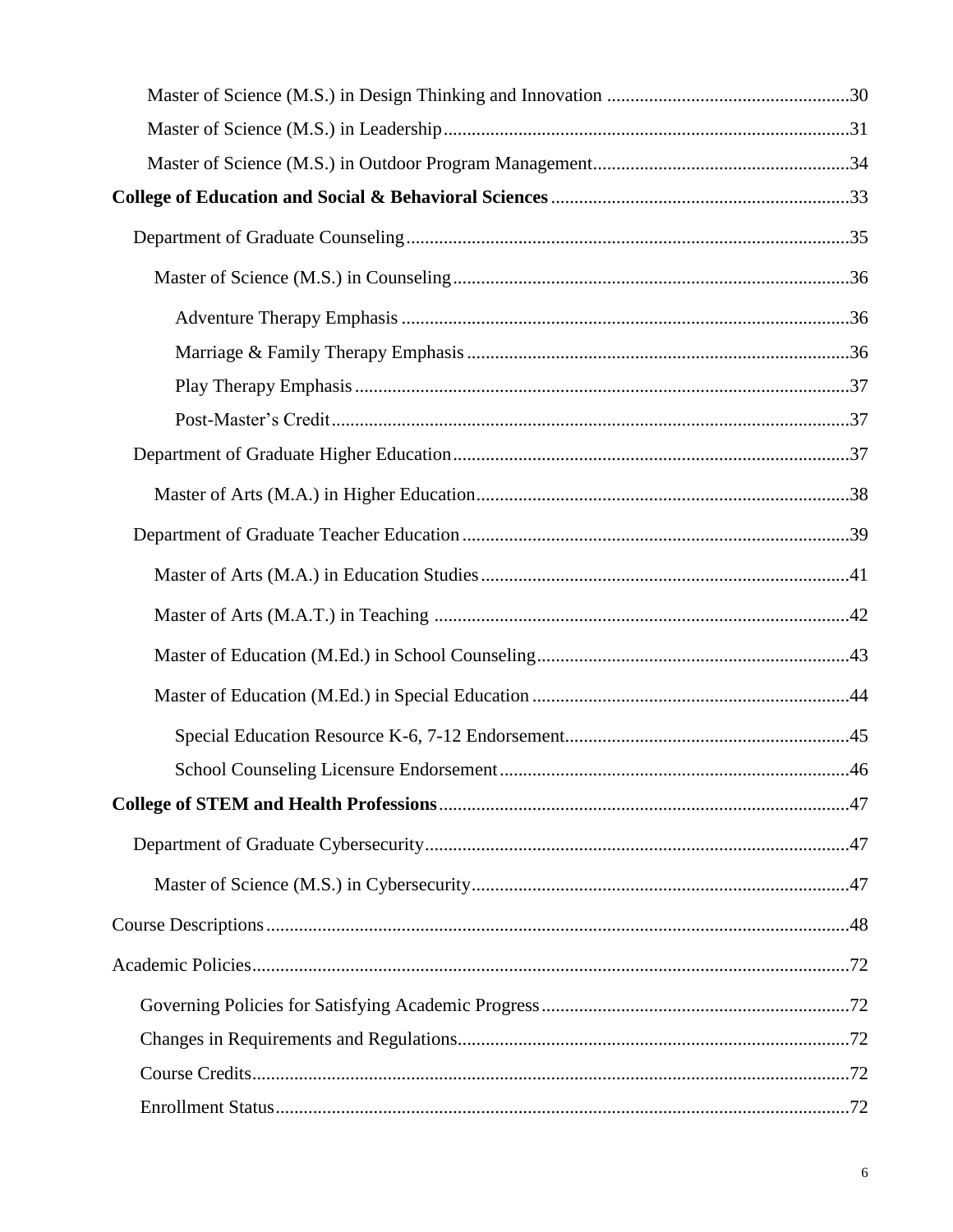| School Counseling Licensure Endorsement | 46 |
|-----------------------------------------|----|
|                                         |    |
|                                         |    |
|                                         |    |
|                                         |    |
|                                         |    |
|                                         |    |
|                                         |    |
|                                         |    |
|                                         |    |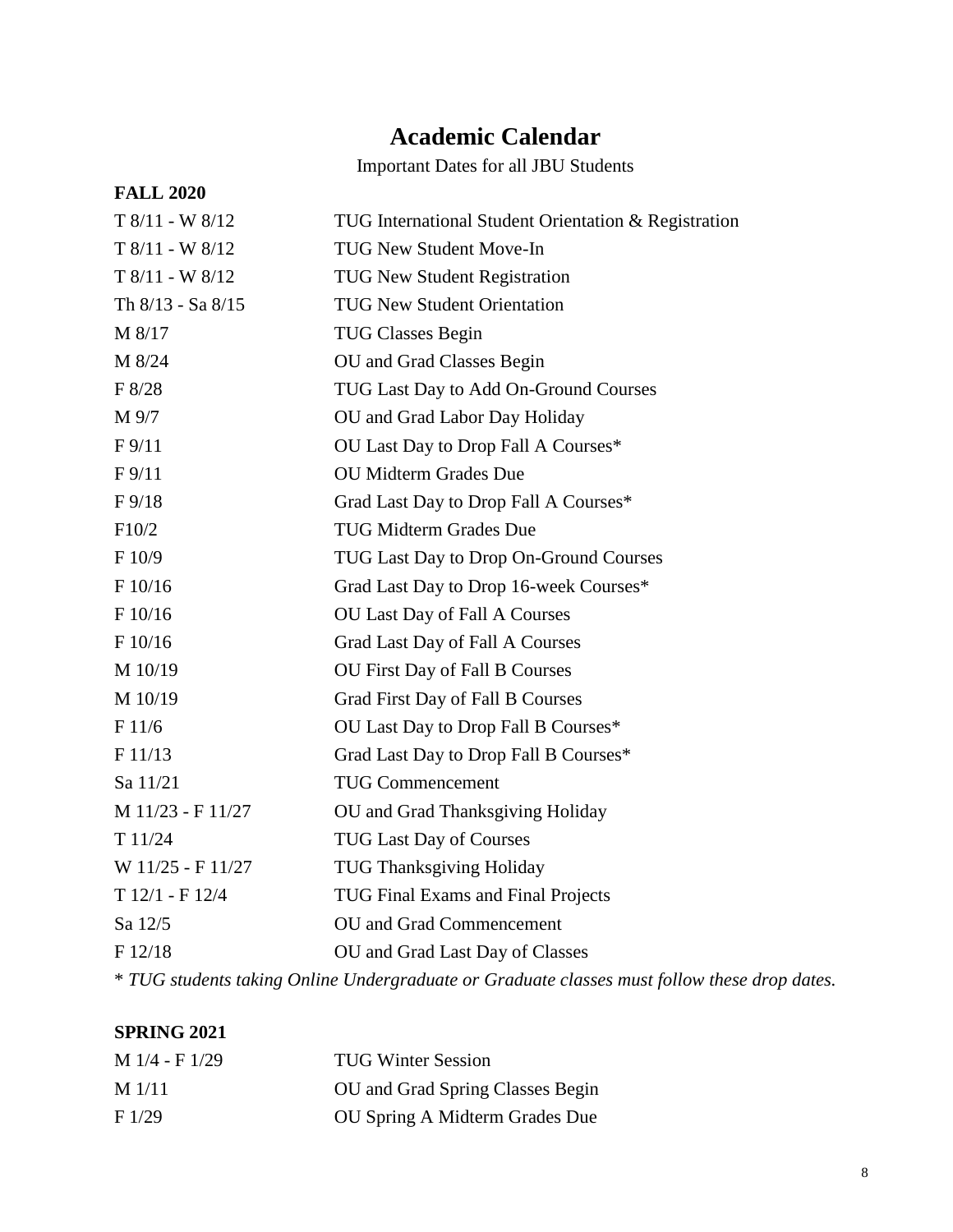## **Academic Calendar**

Important Dates for all JBU Students

| <b>FALL 2020</b>      |                                                                                              |
|-----------------------|----------------------------------------------------------------------------------------------|
| $T 8/11 - W 8/12$     | TUG International Student Orientation & Registration                                         |
| $T 8/11 - W 8/12$     | <b>TUG New Student Move-In</b>                                                               |
| $T 8/11 - W 8/12$     | <b>TUG New Student Registration</b>                                                          |
| Th $8/13$ - Sa $8/15$ | <b>TUG New Student Orientation</b>                                                           |
| M 8/17                | <b>TUG Classes Begin</b>                                                                     |
| M 8/24                | OU and Grad Classes Begin                                                                    |
| F 8/28                | TUG Last Day to Add On-Ground Courses                                                        |
| M 9/7                 | OU and Grad Labor Day Holiday                                                                |
| $F\frac{9}{11}$       | OU Last Day to Drop Fall A Courses*                                                          |
| F <sub>9/11</sub>     | <b>OU Midterm Grades Due</b>                                                                 |
| $F\frac{9}{18}$       | Grad Last Day to Drop Fall A Courses*                                                        |
| F10/2                 | <b>TUG Midterm Grades Due</b>                                                                |
| F 10/9                | TUG Last Day to Drop On-Ground Courses                                                       |
| F 10/16               | Grad Last Day to Drop 16-week Courses*                                                       |
| $\rm F$ 10/16         | <b>OU Last Day of Fall A Courses</b>                                                         |
| F 10/16               | Grad Last Day of Fall A Courses                                                              |
| M 10/19               | OU First Day of Fall B Courses                                                               |
| M 10/19               | Grad First Day of Fall B Courses                                                             |
| F 11/6                | OU Last Day to Drop Fall B Courses*                                                          |
| F 11/13               | Grad Last Day to Drop Fall B Courses*                                                        |
| Sa 11/21              | <b>TUG Commencement</b>                                                                      |
| M 11/23 - F 11/27     | OU and Grad Thanksgiving Holiday                                                             |
| T11/24                | <b>TUG Last Day of Courses</b>                                                               |
| W 11/25 - F 11/27     | <b>TUG Thanksgiving Holiday</b>                                                              |
| $T 12/1 - F 12/4$     | TUG Final Exams and Final Projects                                                           |
| Sa 12/5               | OU and Grad Commencement                                                                     |
| F 12/18               | OU and Grad Last Day of Classes                                                              |
|                       | * TUG students taking Online Undergraduate or Graduate classes must follow these drop dates. |

#### **SPRING 2021**

| $M$ 1/4 - F 1/29 | <b>TUG Winter Session</b>        |
|------------------|----------------------------------|
| $M$ 1/11         | OU and Grad Spring Classes Begin |
| F1/29            | OU Spring A Midterm Grades Due   |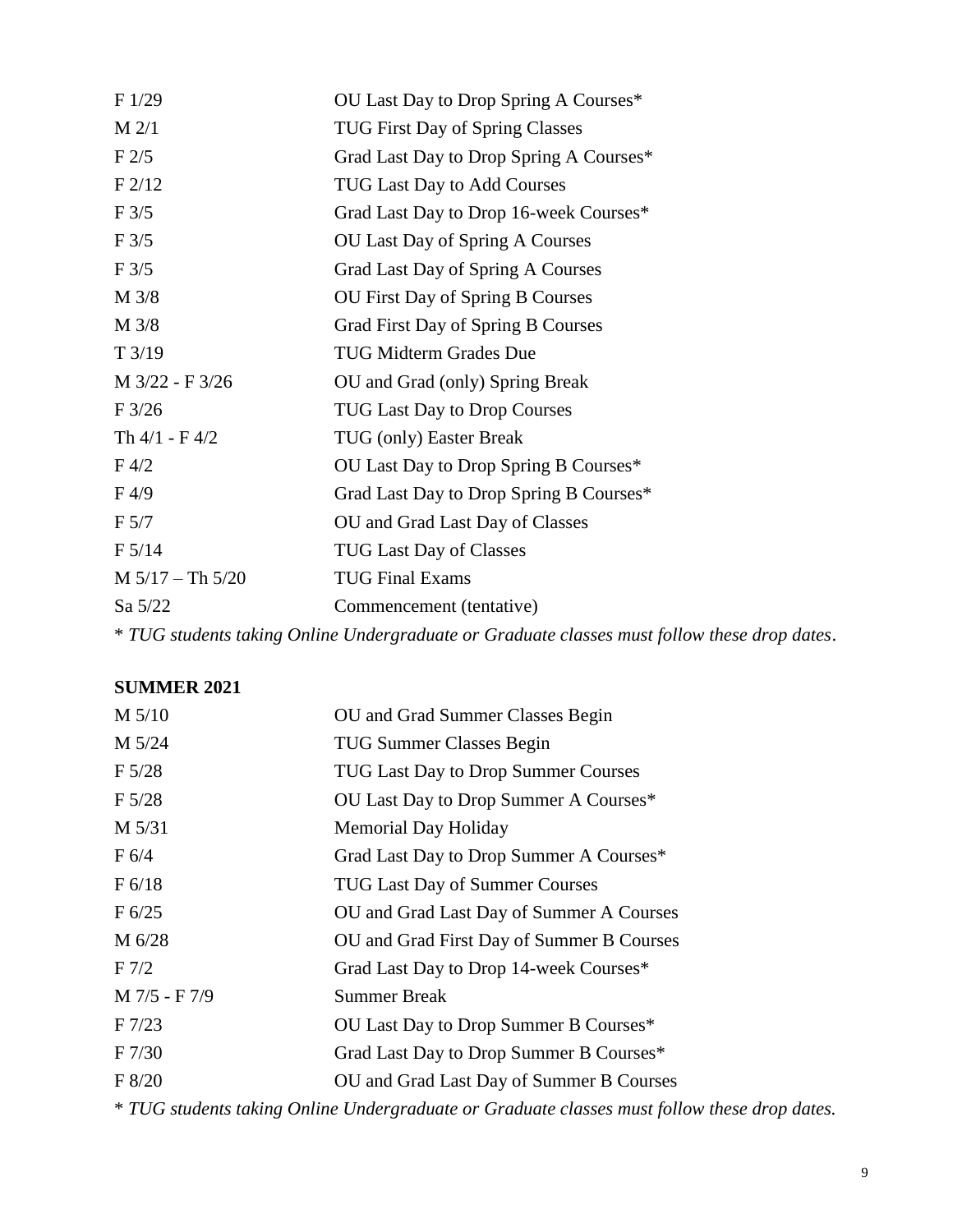| F1/29              | OU Last Day to Drop Spring A Courses*                                                        |
|--------------------|----------------------------------------------------------------------------------------------|
| $M$ 2/1            | <b>TUG First Day of Spring Classes</b>                                                       |
| F2/5               | Grad Last Day to Drop Spring A Courses*                                                      |
| F2/12              | <b>TUG Last Day to Add Courses</b>                                                           |
| F3/5               | Grad Last Day to Drop 16-week Courses*                                                       |
| F3/5               | <b>OU Last Day of Spring A Courses</b>                                                       |
| F3/5               | Grad Last Day of Spring A Courses                                                            |
| M 3/8              | OU First Day of Spring B Courses                                                             |
| M 3/8              | Grad First Day of Spring B Courses                                                           |
| T3/19              | <b>TUG Midterm Grades Due</b>                                                                |
| M 3/22 - F 3/26    | OU and Grad (only) Spring Break                                                              |
| F3/26              | <b>TUG Last Day to Drop Courses</b>                                                          |
| Th $4/1 - F 4/2$   | TUG (only) Easter Break                                                                      |
| $F\,4/2$           | OU Last Day to Drop Spring B Courses*                                                        |
| F4/9               | Grad Last Day to Drop Spring B Courses*                                                      |
| F <sub>5/7</sub>   | OU and Grad Last Day of Classes                                                              |
| F 5/14             | <b>TUG Last Day of Classes</b>                                                               |
| $M 5/17 - Th 5/20$ | <b>TUG Final Exams</b>                                                                       |
| Sa 5/22            | Commencement (tentative)                                                                     |
|                    | * TUG students taking Online Undergraduate or Graduate classes must follow these drop dates. |

#### **SUMMER 2021**

| M 5/10           | OU and Grad Summer Classes Begin          |
|------------------|-------------------------------------------|
| M 5/24           | <b>TUG Summer Classes Begin</b>           |
| $F\,5/28$        | TUG Last Day to Drop Summer Courses       |
| $F\,5/28$        | OU Last Day to Drop Summer A Courses*     |
| M 5/31           | <b>Memorial Day Holiday</b>               |
| F 6/4            | Grad Last Day to Drop Summer A Courses*   |
| F 6/18           | <b>TUG Last Day of Summer Courses</b>     |
| F 6/25           | OU and Grad Last Day of Summer A Courses  |
| M 6/28           | OU and Grad First Day of Summer B Courses |
| F <sub>7/2</sub> | Grad Last Day to Drop 14-week Courses*    |
| M 7/5 - F 7/9    | <b>Summer Break</b>                       |
| $F\ 7/23$        | OU Last Day to Drop Summer B Courses*     |
| F 7/30           | Grad Last Day to Drop Summer B Courses*   |
| F 8/20           | OU and Grad Last Day of Summer B Courses  |
|                  |                                           |

\* *TUG students taking Online Undergraduate or Graduate classes must follow these drop dates.*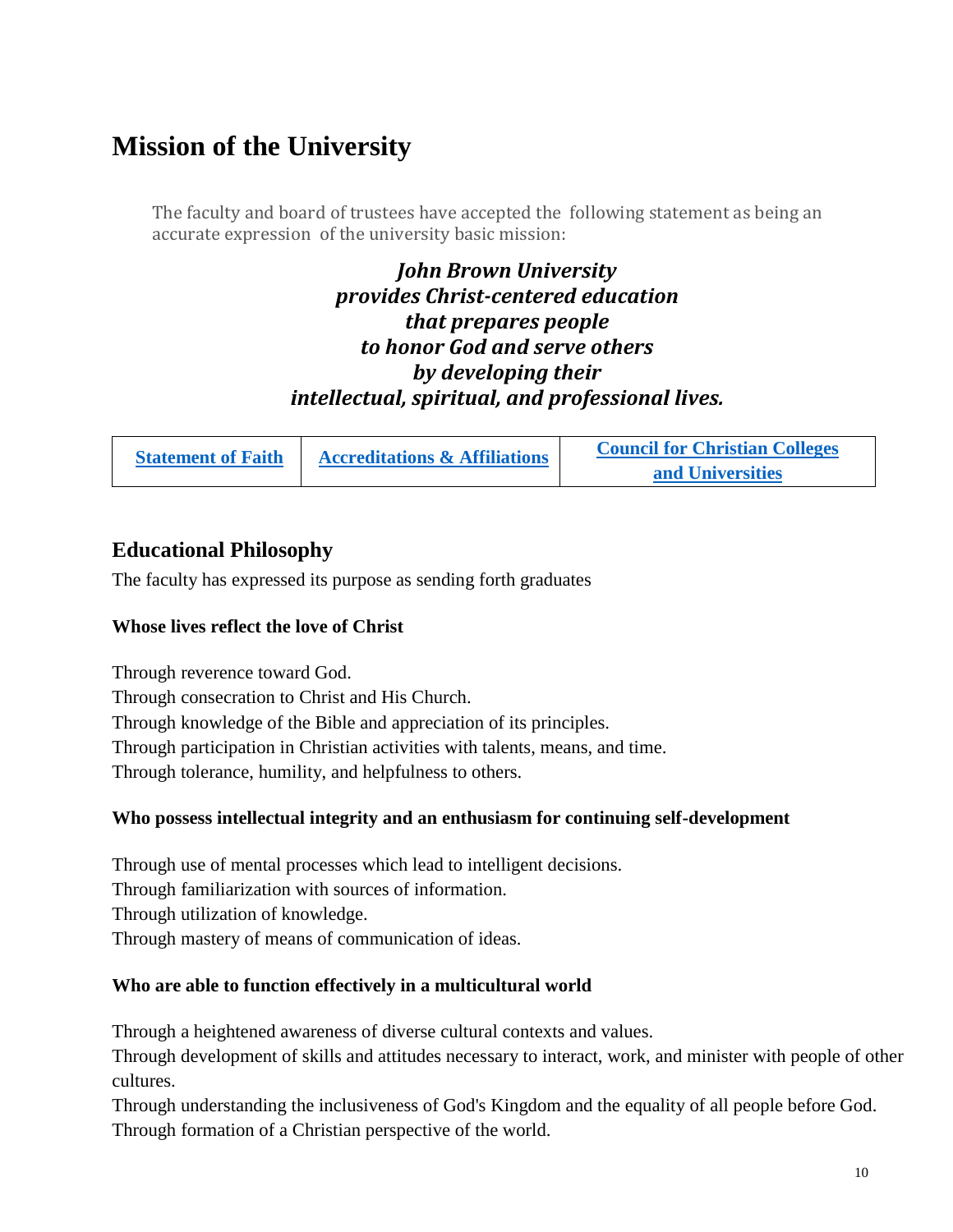## **Mission of the University**

The faculty and board of trustees have accepted the following statement as being an accurate expression of the university basic mission:

> *John Brown University provides Christ-centered education that prepares people to honor God and serve others by developing their intellectual, spiritual, and professional lives.*

|  | <b>Accreditations &amp; Affiliations</b><br><b>Statement of Faith</b> | <b>Council for Christian Colleges</b> |
|--|-----------------------------------------------------------------------|---------------------------------------|
|  |                                                                       | and Universities                      |

#### **Educational Philosophy**

The faculty has expressed its purpose as sending forth graduates

#### **Whose lives reflect the love of Christ**

Through reverence toward God. Through consecration to Christ and His Church. Through knowledge of the Bible and appreciation of its principles. Through participation in Christian activities with talents, means, and time. Through tolerance, humility, and helpfulness to others.

#### **Who possess intellectual integrity and an enthusiasm for continuing self-development**

Through use of mental processes which lead to intelligent decisions. Through familiarization with sources of information. Through utilization of knowledge. Through mastery of means of communication of ideas.

#### **Who are able to function effectively in a multicultural world**

Through a heightened awareness of diverse cultural contexts and values.

Through development of skills and attitudes necessary to interact, work, and minister with people of other cultures.

Through understanding the inclusiveness of God's Kingdom and the equality of all people before God. Through formation of a Christian perspective of the world.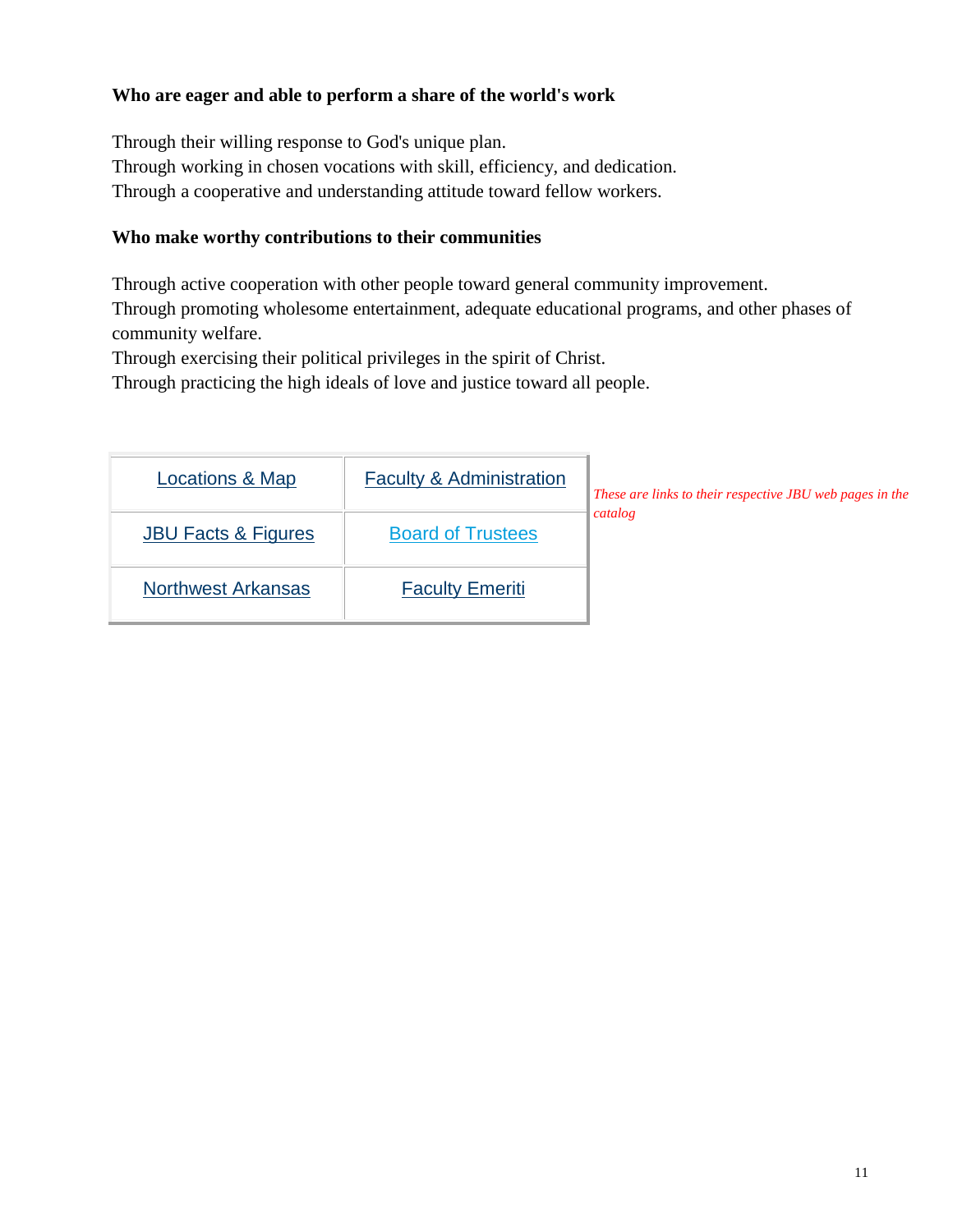#### **Who are eager and able to perform a share of the world's work**

Through their willing response to God's unique plan. Through working in chosen vocations with skill, efficiency, and dedication. Through a cooperative and understanding attitude toward fellow workers.

#### **Who make worthy contributions to their communities**

Through active cooperation with other people toward general community improvement. Through promoting wholesome entertainment, adequate educational programs, and other phases of community welfare.

Through exercising their political privileges in the spirit of Christ.

Through practicing the high ideals of love and justice toward all people.

| Locations & Map                | <b>Faculty &amp; Administration</b> | These are links to their respective JBU web pages in the |
|--------------------------------|-------------------------------------|----------------------------------------------------------|
| <b>JBU Facts &amp; Figures</b> | <b>Board of Trustees</b>            | catalog                                                  |
| <b>Northwest Arkansas</b>      | <b>Faculty Emeriti</b>              |                                                          |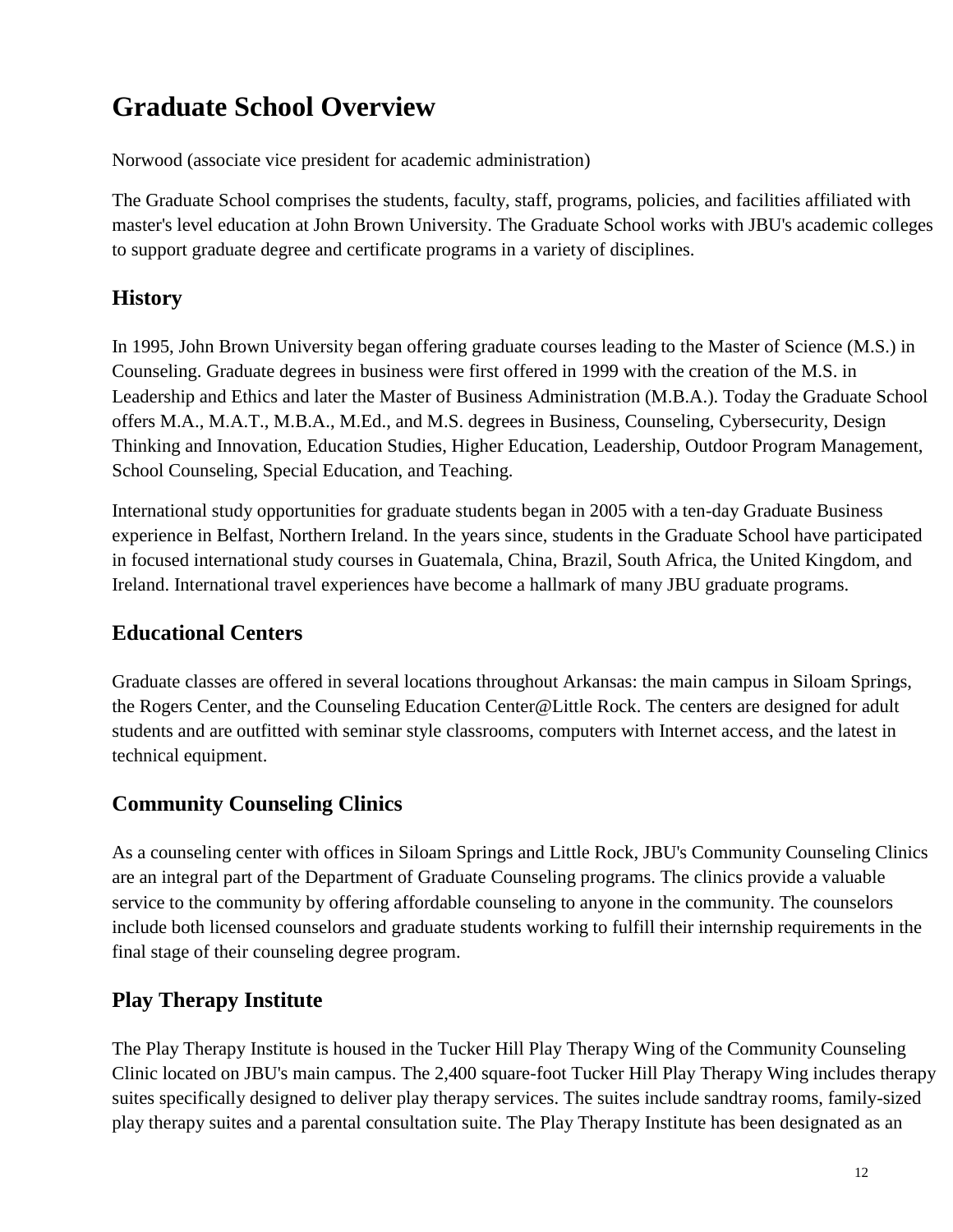## **Graduate School Overview**

Norwood (associate vice president for academic administration)

The Graduate School comprises the students, faculty, staff, programs, policies, and facilities affiliated with master's level education at John Brown University. The Graduate School works with JBU's academic colleges to support graduate degree and certificate programs in a variety of disciplines.

#### **History**

In 1995, John Brown University began offering graduate courses leading to the Master of Science (M.S.) in Counseling. Graduate degrees in business were first offered in 1999 with the creation of the M.S. in Leadership and Ethics and later the Master of Business Administration (M.B.A.). Today the Graduate School offers M.A., M.A.T., M.B.A., M.Ed., and M.S. degrees in Business, Counseling, Cybersecurity, Design Thinking and Innovation, Education Studies, Higher Education, Leadership, Outdoor Program Management, School Counseling, Special Education, and Teaching.

International study opportunities for graduate students began in 2005 with a ten-day Graduate Business experience in Belfast, Northern Ireland. In the years since, students in the Graduate School have participated in focused international study courses in Guatemala, China, Brazil, South Africa, the United Kingdom, and Ireland. International travel experiences have become a hallmark of many JBU graduate programs.

#### **Educational Centers**

Graduate classes are offered in several locations throughout Arkansas: the main campus in Siloam Springs, the Rogers Center, and the Counseling Education Center@Little Rock. The centers are designed for adult students and are outfitted with seminar style classrooms, computers with Internet access, and the latest in technical equipment.

#### **Community Counseling Clinics**

As a counseling center with offices in Siloam Springs and Little Rock, JBU's Community Counseling Clinics are an integral part of the Department of Graduate Counseling programs. The clinics provide a valuable service to the community by offering affordable counseling to anyone in the community. The counselors include both licensed counselors and graduate students working to fulfill their internship requirements in the final stage of their counseling degree program.

#### **Play Therapy Institute**

The Play Therapy Institute is housed in the Tucker Hill Play Therapy Wing of the Community Counseling Clinic located on JBU's main campus. The 2,400 square-foot Tucker Hill Play Therapy Wing includes therapy suites specifically designed to deliver play therapy services. The suites include sandtray rooms, family-sized play therapy suites and a parental consultation suite. The Play Therapy Institute has been designated as an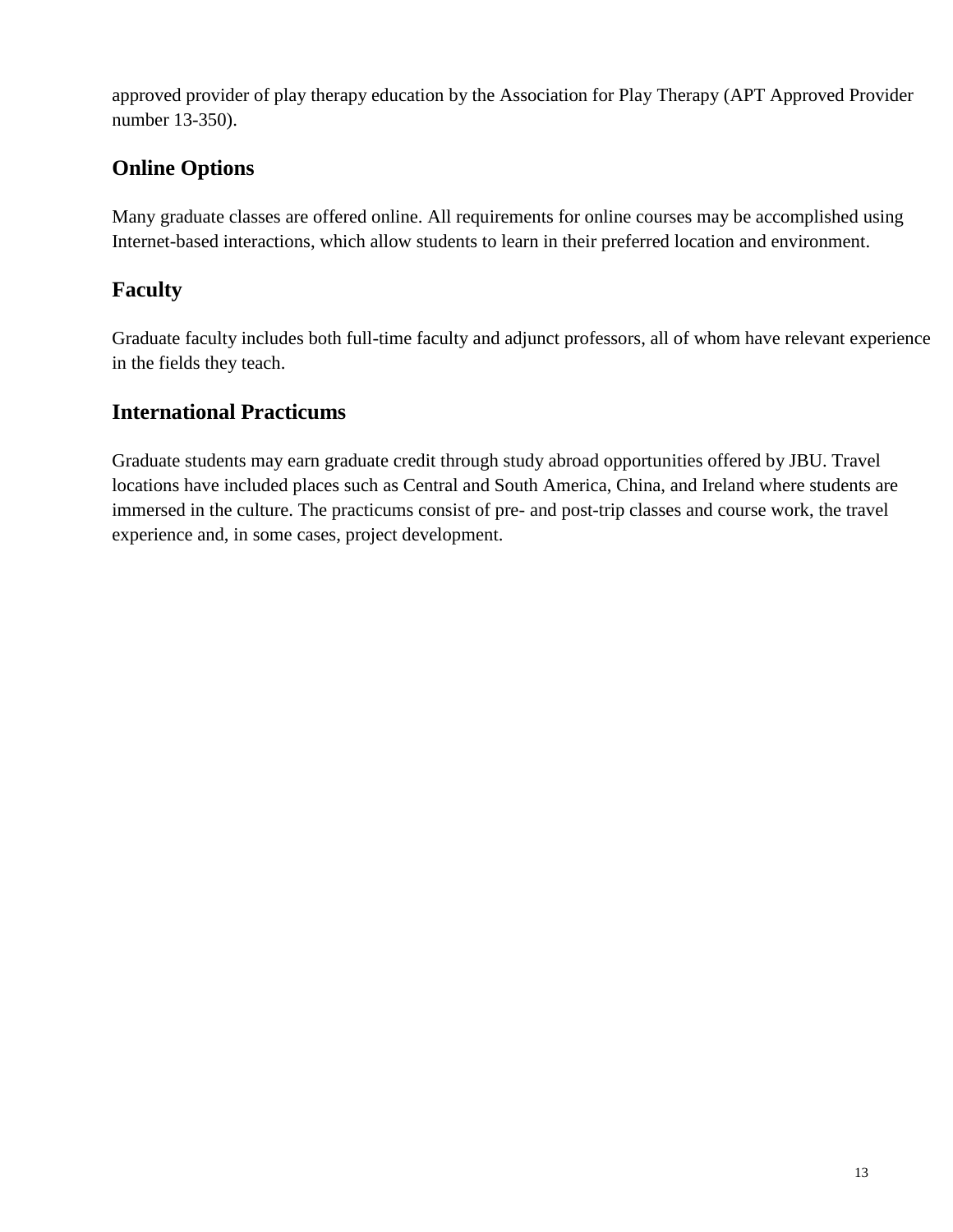approved provider of play therapy education by the Association for Play Therapy (APT Approved Provider number 13-350).

### **Online Options**

Many graduate classes are offered online. All requirements for online courses may be accomplished using Internet-based interactions, which allow students to learn in their preferred location and environment.

#### **Faculty**

Graduate faculty includes both full-time faculty and adjunct professors, all of whom have relevant experience in the fields they teach.

#### **International Practicums**

Graduate students may earn graduate credit through study abroad opportunities offered by JBU. Travel locations have included places such as Central and South America, China, and Ireland where students are immersed in the culture. The practicums consist of pre- and post-trip classes and course work, the travel experience and, in some cases, project development.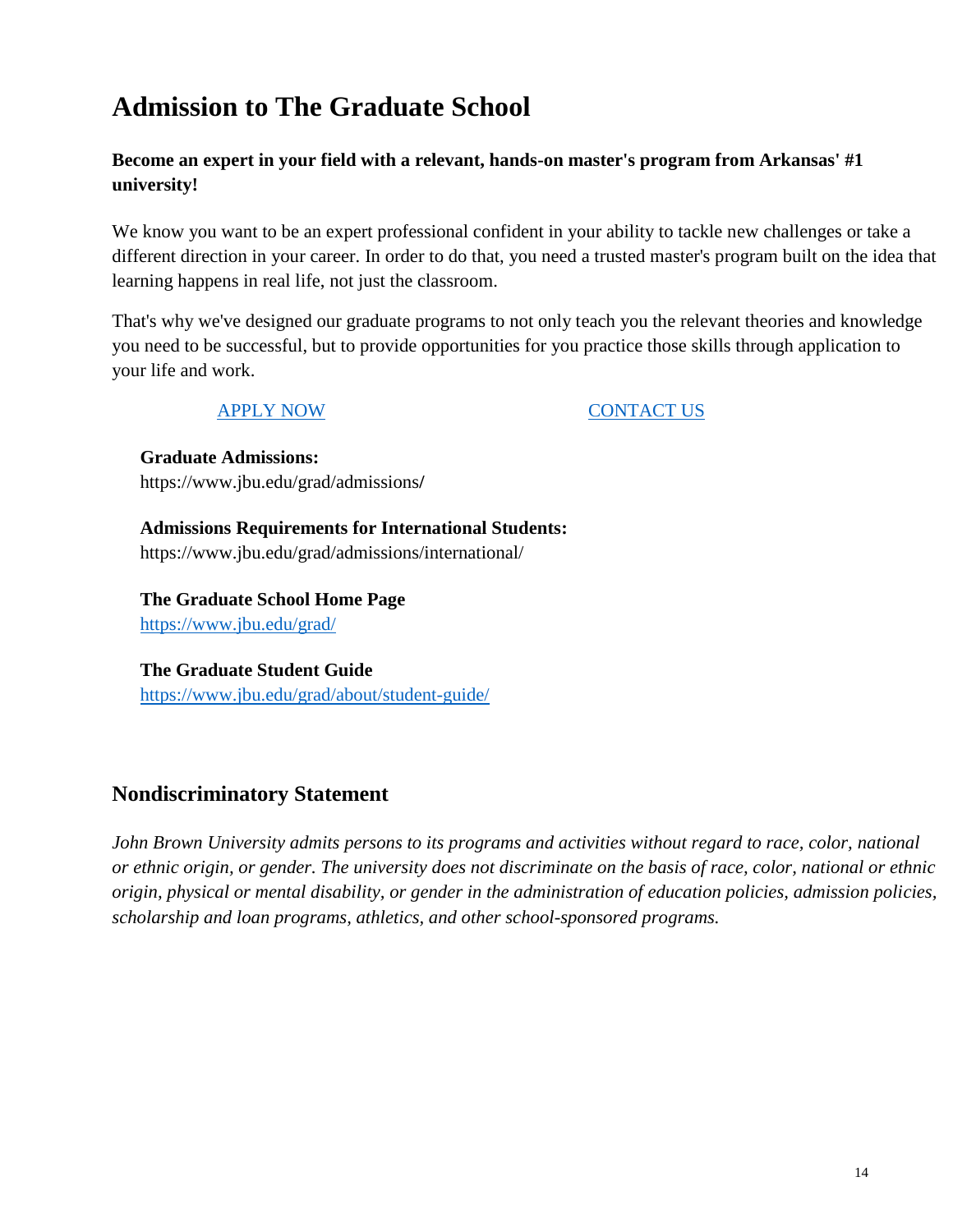## **Admission to The Graduate School**

#### **Become an expert in your field with a relevant, hands-on master's program from Arkansas' #1 university!**

We know you want to be an expert professional confident in your ability to tackle new challenges or take a different direction in your career. In order to do that, you need a trusted master's program built on the idea that learning happens in real life, not just the classroom.

That's why we've designed our graduate programs to not only teach you the relevant theories and knowledge you need to be successful, but to provide opportunities for you practice those skills through application to your life and work.

[APPLY NOW](https://admissions.jbu.edu/apply/?sr=4ef61036-edc2-46b5-bb2f-fc229bca15ae&_ga=2.180956719.948850577.1588598562-1774231816.1584451367&_gac=1.183707092.1585156244.CjwKCAjwguzzBRBiEiwAgU0FTx0JBbE7ppcUwfwaIZLDSARyGgtgk12-l2w6QnwEpFVPiubNrx_yNxoCMX0QAvD_BwE) [CONTACT US](https://www.jbu.edu/grad/about/request-info/)

**Graduate Admissions:** https://www.jbu.edu/grad/admissions**/**

**Admissions Requirements for International Students:** https://www.jbu.edu/grad/admissions/international/

**The Graduate School Home Page** <https://www.jbu.edu/grad/>

**The Graduate Student Guide** <https://www.jbu.edu/grad/about/student-guide/>

#### **Nondiscriminatory Statement**

*John Brown University admits persons to its programs and activities without regard to race, color, national or ethnic origin, or gender. The university does not discriminate on the basis of race, color, national or ethnic origin, physical or mental disability, or gender in the administration of education policies, admission policies, scholarship and loan programs, athletics, and other school-sponsored programs.*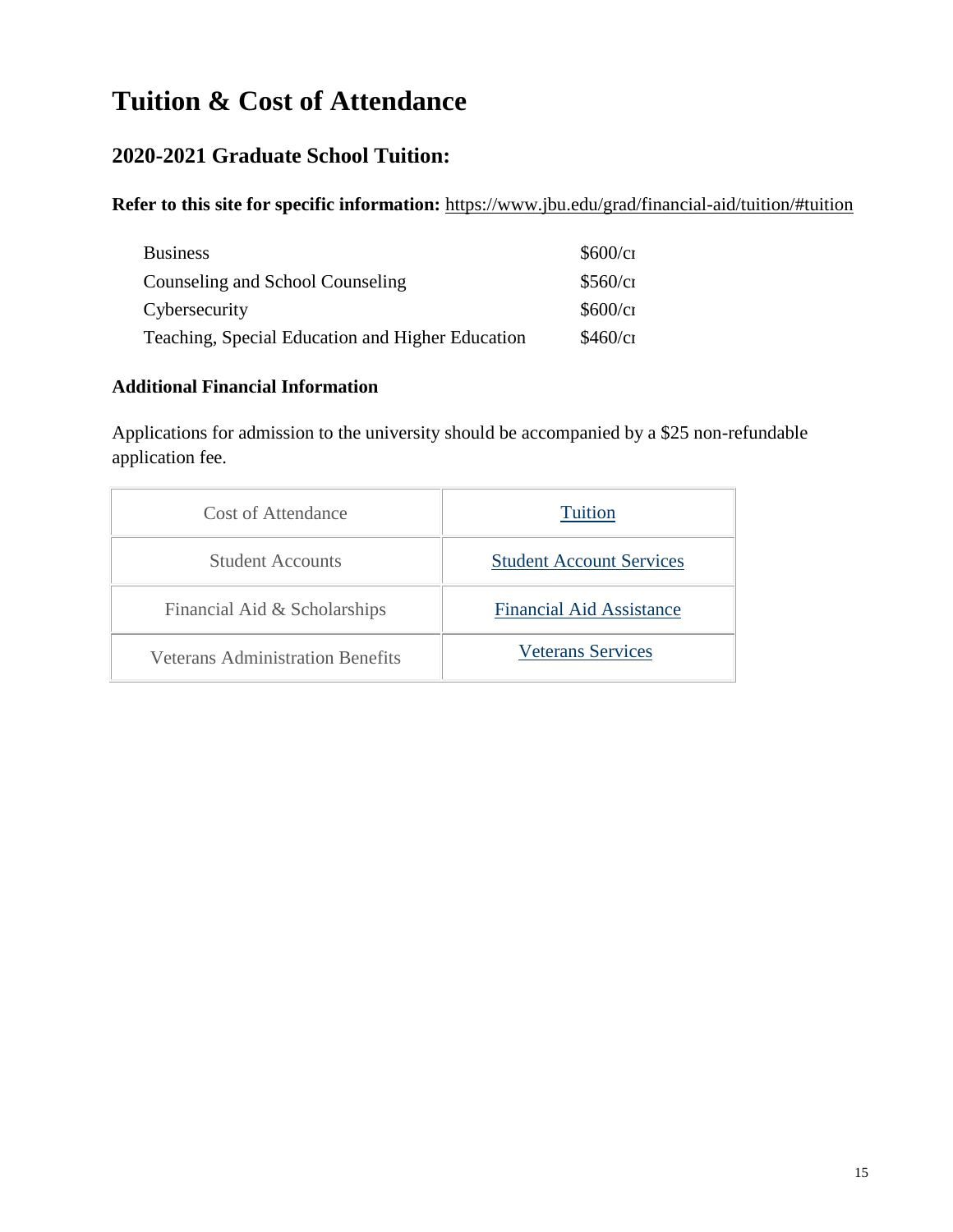## **Tuition & Cost of Attendance**

#### **2020-2021 Graduate School Tuition:**

**Refer to this site for specific information:** <https://www.jbu.edu/grad/financial-aid/tuition/#tuition>

| <b>Business</b>                                  | \$600/c1 |
|--------------------------------------------------|----------|
| Counseling and School Counseling                 | \$560/c1 |
| Cybersecurity                                    | \$600/c1 |
| Teaching, Special Education and Higher Education | \$460/c1 |

#### **Additional Financial Information**

Applications for admission to the university should be accompanied by a \$25 non-refundable application fee.

| Cost of Attendance                      | <b>Tuition</b>                  |
|-----------------------------------------|---------------------------------|
| <b>Student Accounts</b>                 | <b>Student Account Services</b> |
| Financial Aid & Scholarships            | <b>Financial Aid Assistance</b> |
| <b>Veterans Administration Benefits</b> | <b>Veterans Services</b>        |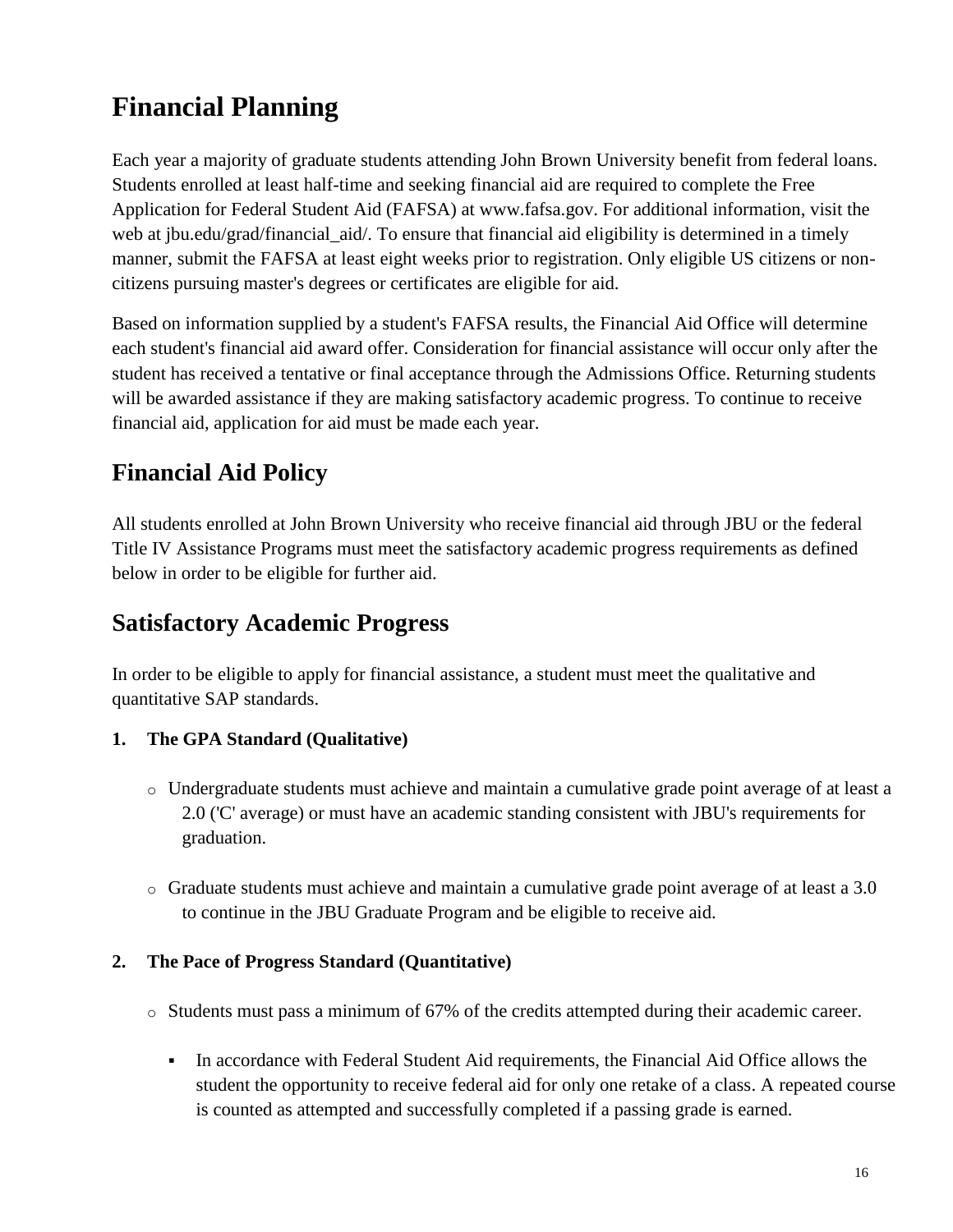## **Financial Planning**

Each year a majority of graduate students attending John Brown University benefit from federal loans. Students enrolled at least half-time and seeking financial aid are required to complete the Free Application for Federal Student Aid (FAFSA) at www.fafsa.gov. For additional information, visit the web at jbu.edu/grad/financial\_aid/. To ensure that financial aid eligibility is determined in a timely manner, submit the FAFSA at least eight weeks prior to registration. Only eligible US citizens or noncitizens pursuing master's degrees or certificates are eligible for aid.

Based on information supplied by a student's FAFSA results, the Financial Aid Office will determine each student's financial aid award offer. Consideration for financial assistance will occur only after the student has received a tentative or final acceptance through the Admissions Office. Returning students will be awarded assistance if they are making satisfactory academic progress. To continue to receive financial aid, application for aid must be made each year.

## **Financial Aid Policy**

All students enrolled at John Brown University who receive financial aid through JBU or the federal Title IV Assistance Programs must meet the satisfactory academic progress requirements as defined below in order to be eligible for further aid.

## **Satisfactory Academic Progress**

In order to be eligible to apply for financial assistance, a student must meet the qualitative and quantitative SAP standards.

#### **1. The GPA Standard (Qualitative)**

- o Undergraduate students must achieve and maintain a cumulative grade point average of at least a 2.0 ('C' average) or must have an academic standing consistent with JBU's requirements for graduation.
- $\circ$  Graduate students must achieve and maintain a cumulative grade point average of at least a 3.0 to continue in the JBU Graduate Program and be eligible to receive aid.

#### **2. The Pace of Progress Standard (Quantitative)**

- o Students must pass a minimum of 67% of the credits attempted during their academic career.
	- In accordance with Federal Student Aid requirements, the Financial Aid Office allows the student the opportunity to receive federal aid for only one retake of a class. A repeated course is counted as attempted and successfully completed if a passing grade is earned.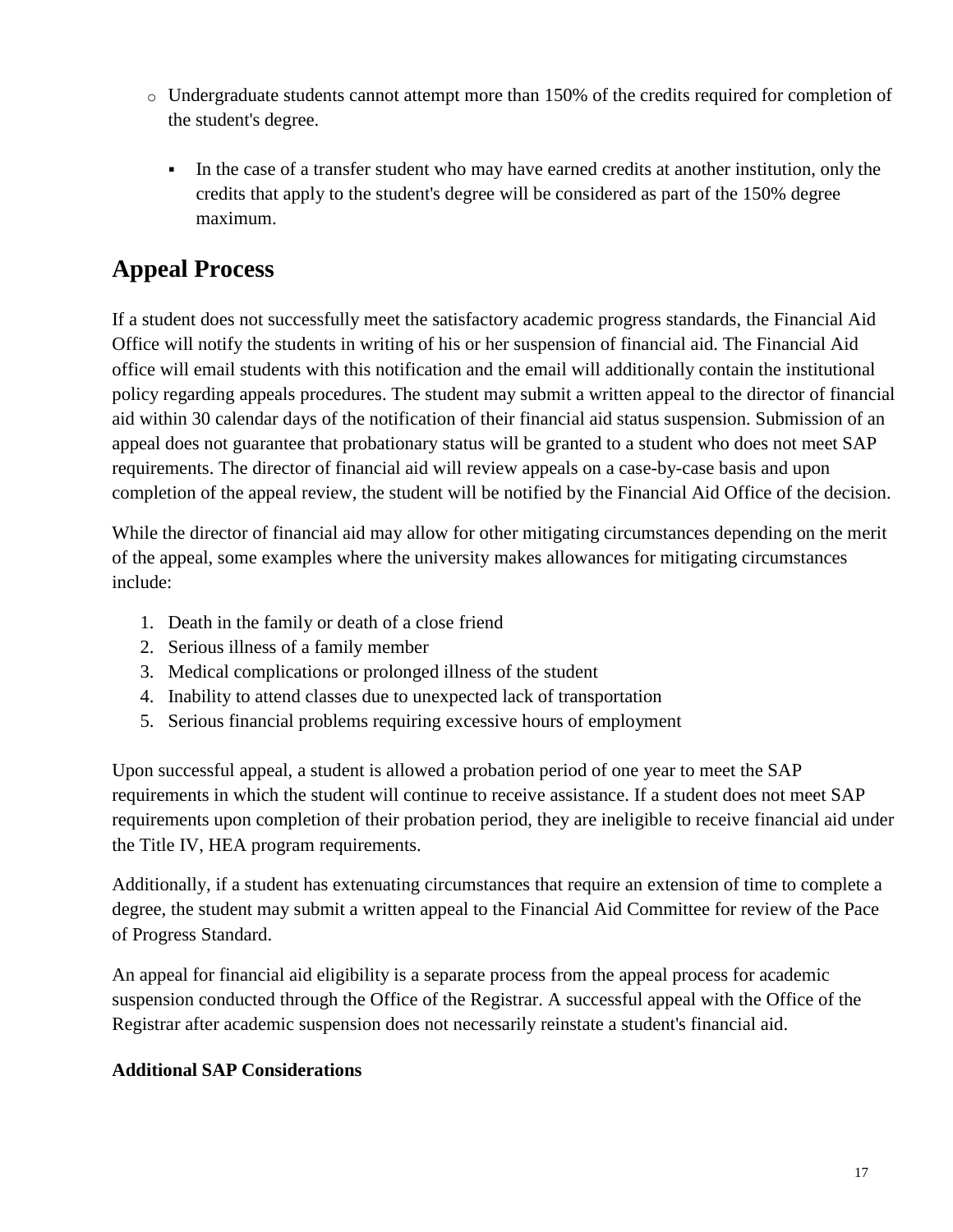- o Undergraduate students cannot attempt more than 150% of the credits required for completion of the student's degree.
	- In the case of a transfer student who may have earned credits at another institution, only the credits that apply to the student's degree will be considered as part of the 150% degree maximum.

## **Appeal Process**

If a student does not successfully meet the satisfactory academic progress standards, the Financial Aid Office will notify the students in writing of his or her suspension of financial aid. The Financial Aid office will email students with this notification and the email will additionally contain the institutional policy regarding appeals procedures. The student may submit a written appeal to the director of financial aid within 30 calendar days of the notification of their financial aid status suspension. Submission of an appeal does not guarantee that probationary status will be granted to a student who does not meet SAP requirements. The director of financial aid will review appeals on a case-by-case basis and upon completion of the appeal review, the student will be notified by the Financial Aid Office of the decision.

While the director of financial aid may allow for other mitigating circumstances depending on the merit of the appeal, some examples where the university makes allowances for mitigating circumstances include:

- 1. Death in the family or death of a close friend
- 2. Serious illness of a family member
- 3. Medical complications or prolonged illness of the student
- 4. Inability to attend classes due to unexpected lack of transportation
- 5. Serious financial problems requiring excessive hours of employment

Upon successful appeal, a student is allowed a probation period of one year to meet the SAP requirements in which the student will continue to receive assistance. If a student does not meet SAP requirements upon completion of their probation period, they are ineligible to receive financial aid under the Title IV, HEA program requirements.

Additionally, if a student has extenuating circumstances that require an extension of time to complete a degree, the student may submit a written appeal to the Financial Aid Committee for review of the Pace of Progress Standard.

An appeal for financial aid eligibility is a separate process from the appeal process for academic suspension conducted through the Office of the Registrar. A successful appeal with the Office of the Registrar after academic suspension does not necessarily reinstate a student's financial aid.

#### **Additional SAP Considerations**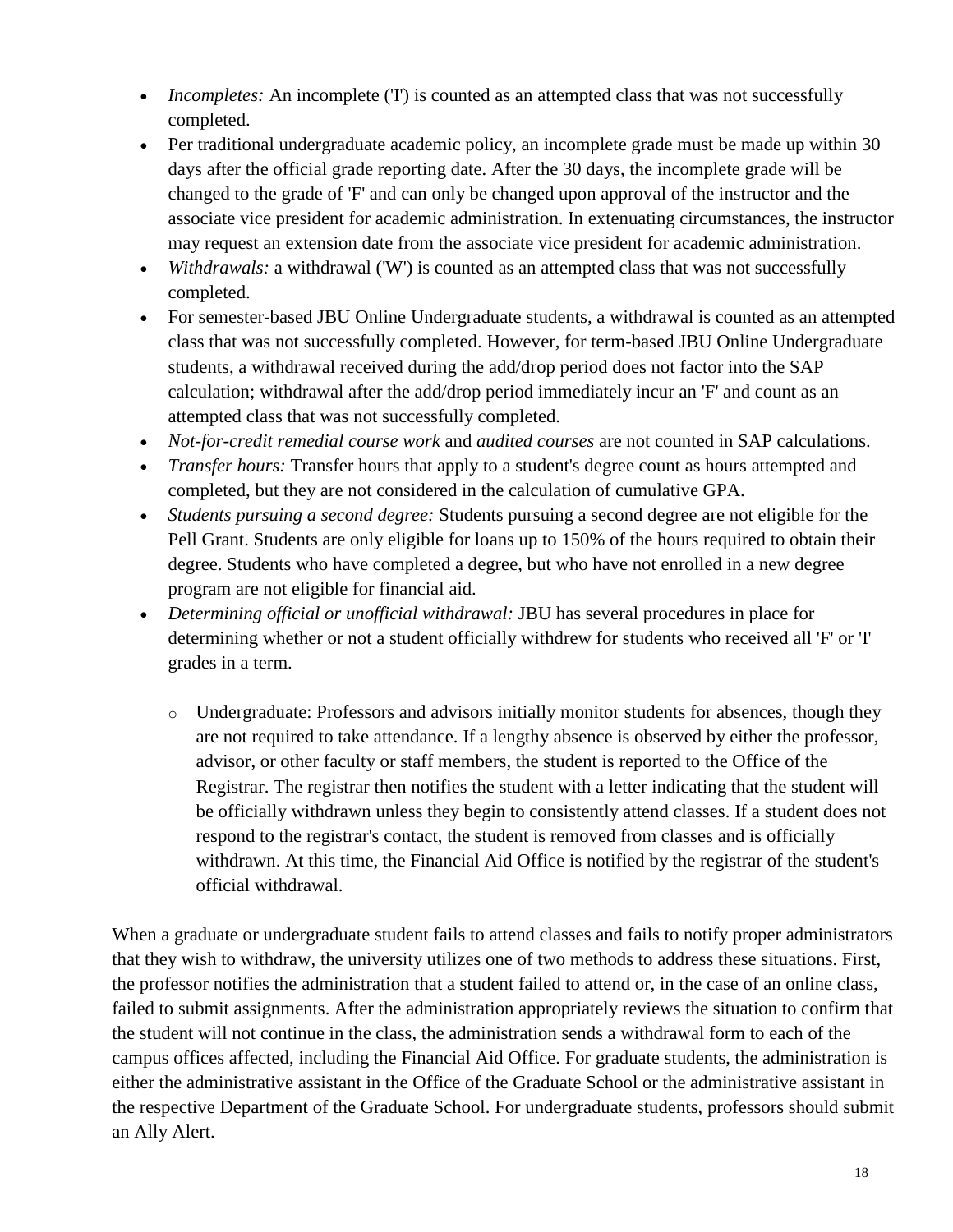- *Incompletes:* An incomplete (T) is counted as an attempted class that was not successfully completed.
- Per traditional undergraduate academic policy, an incomplete grade must be made up within 30 days after the official grade reporting date. After the 30 days, the incomplete grade will be changed to the grade of 'F' and can only be changed upon approval of the instructor and the associate vice president for academic administration. In extenuating circumstances, the instructor may request an extension date from the associate vice president for academic administration.
- *Withdrawals:* a withdrawal ('W') is counted as an attempted class that was not successfully completed.
- For semester-based JBU Online Undergraduate students, a withdrawal is counted as an attempted class that was not successfully completed. However, for term-based JBU Online Undergraduate students, a withdrawal received during the add/drop period does not factor into the SAP calculation; withdrawal after the add/drop period immediately incur an 'F' and count as an attempted class that was not successfully completed.
- *Not-for-credit remedial course work* and *audited courses* are not counted in SAP calculations.
- *Transfer hours:* Transfer hours that apply to a student's degree count as hours attempted and completed, but they are not considered in the calculation of cumulative GPA.
- *Students pursuing a second degree:* Students pursuing a second degree are not eligible for the Pell Grant. Students are only eligible for loans up to 150% of the hours required to obtain their degree. Students who have completed a degree, but who have not enrolled in a new degree program are not eligible for financial aid.
- *Determining official or unofficial withdrawal:* JBU has several procedures in place for determining whether or not a student officially withdrew for students who received all 'F' or 'I' grades in a term.
	- o Undergraduate: Professors and advisors initially monitor students for absences, though they are not required to take attendance. If a lengthy absence is observed by either the professor, advisor, or other faculty or staff members, the student is reported to the Office of the Registrar. The registrar then notifies the student with a letter indicating that the student will be officially withdrawn unless they begin to consistently attend classes. If a student does not respond to the registrar's contact, the student is removed from classes and is officially withdrawn. At this time, the Financial Aid Office is notified by the registrar of the student's official withdrawal.

When a graduate or undergraduate student fails to attend classes and fails to notify proper administrators that they wish to withdraw, the university utilizes one of two methods to address these situations. First, the professor notifies the administration that a student failed to attend or, in the case of an online class, failed to submit assignments. After the administration appropriately reviews the situation to confirm that the student will not continue in the class, the administration sends a withdrawal form to each of the campus offices affected, including the Financial Aid Office. For graduate students, the administration is either the administrative assistant in the Office of the Graduate School or the administrative assistant in the respective Department of the Graduate School. For undergraduate students, professors should submit an Ally Alert.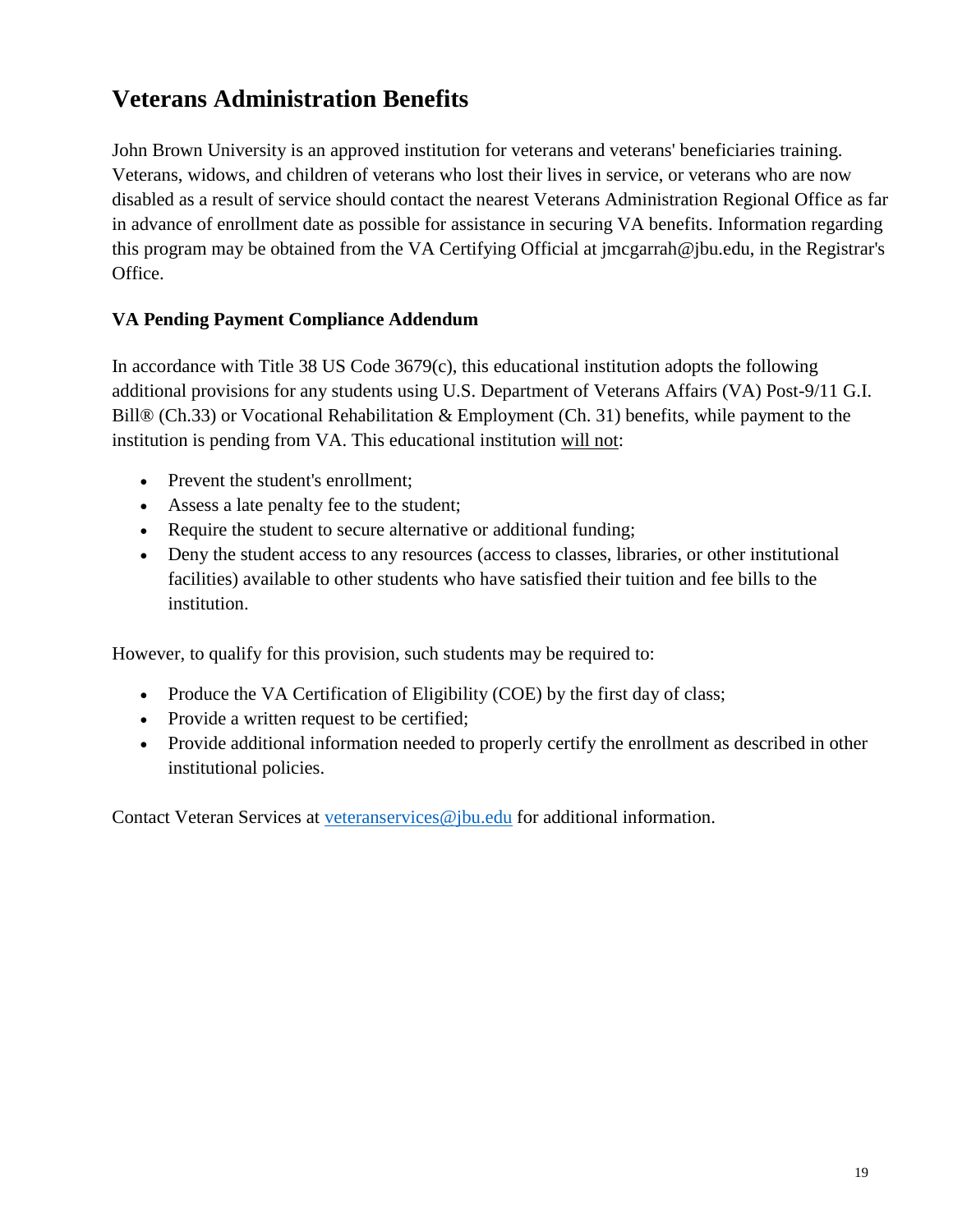## **Veterans Administration Benefits**

John Brown University is an approved institution for veterans and veterans' beneficiaries training. Veterans, widows, and children of veterans who lost their lives in service, or veterans who are now disabled as a result of service should contact the nearest Veterans Administration Regional Office as far in advance of enrollment date as possible for assistance in securing VA benefits. Information regarding this program may be obtained from the VA Certifying Official at jmcgarrah@jbu.edu, in the Registrar's Office.

#### **VA Pending Payment Compliance Addendum**

In accordance with Title 38 US Code 3679(c), this educational institution adopts the following additional provisions for any students using U.S. Department of Veterans Affairs (VA) Post-9/11 G.I. Bill® (Ch.33) or Vocational Rehabilitation & Employment (Ch. 31) benefits, while payment to the institution is pending from VA. This educational institution will not:

- Prevent the student's enrollment;
- Assess a late penalty fee to the student;
- Require the student to secure alternative or additional funding;
- Deny the student access to any resources (access to classes, libraries, or other institutional facilities) available to other students who have satisfied their tuition and fee bills to the institution.

However, to qualify for this provision, such students may be required to:

- Produce the VA Certification of Eligibility (COE) by the first day of class;
- Provide a written request to be certified;
- Provide additional information needed to properly certify the enrollment as described in other institutional policies.

Contact Veteran Services at [veteranservices@jbu.edu](mailto:veteranservices@jbu.edu) for additional information.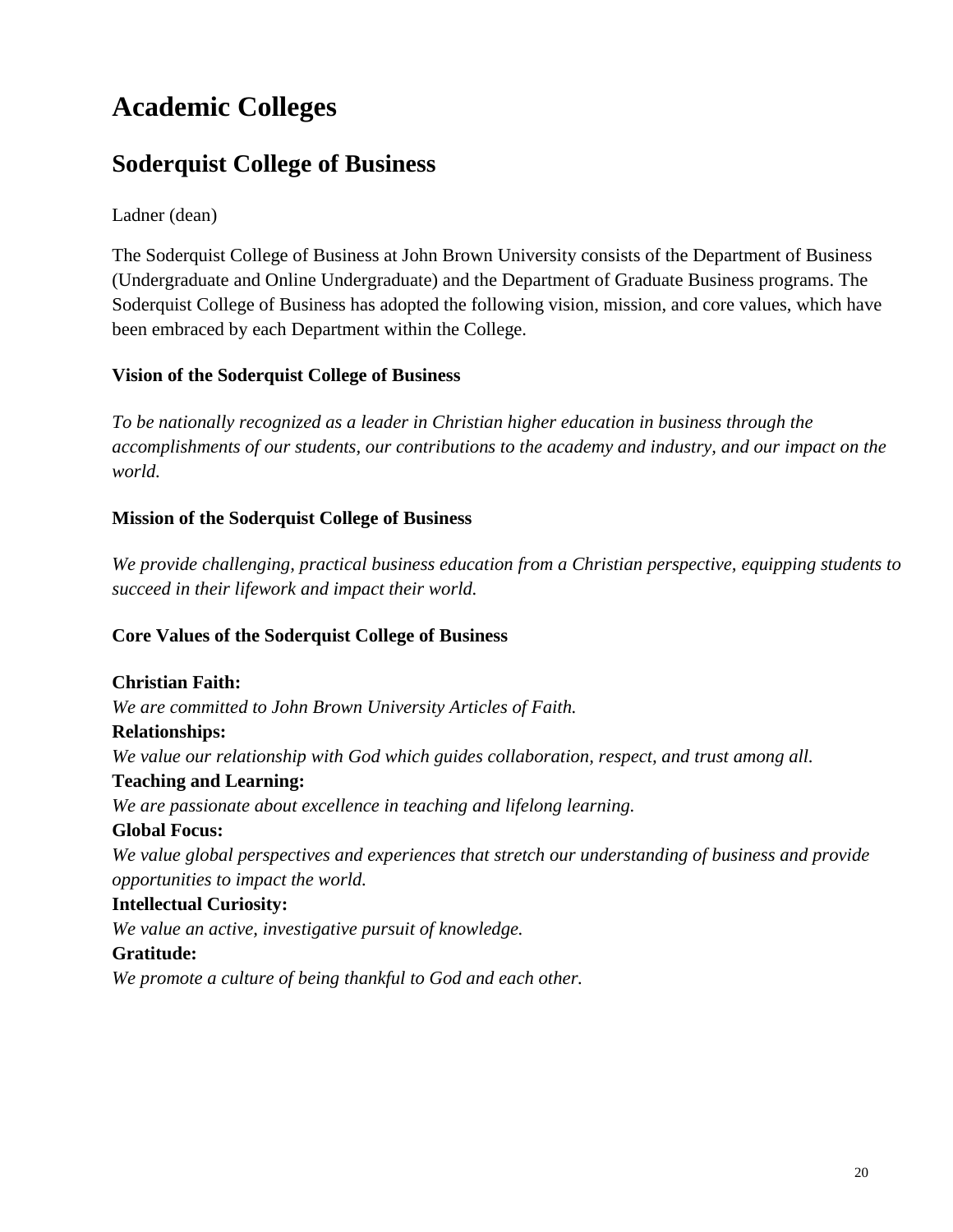## **Academic Colleges**

## **Soderquist College of Business**

#### Ladner (dean)

The Soderquist College of Business at John Brown University consists of the Department of Business (Undergraduate and Online Undergraduate) and the Department of Graduate Business programs. The Soderquist College of Business has adopted the following vision, mission, and core values, which have been embraced by each Department within the College.

#### **Vision of the Soderquist College of Business**

*To be nationally recognized as a leader in Christian higher education in business through the accomplishments of our students, our contributions to the academy and industry, and our impact on the world.*

#### **Mission of the Soderquist College of Business**

*We provide challenging, practical business education from a Christian perspective, equipping students to succeed in their lifework and impact their world.*

#### **Core Values of the Soderquist College of Business**

**Christian Faith:** *We are committed to John Brown University Articles of Faith.* **Relationships:** *We value our relationship with God which guides collaboration, respect, and trust among all.* **Teaching and Learning:** *We are passionate about excellence in teaching and lifelong learning.* **Global Focus:** *We value global perspectives and experiences that stretch our understanding of business and provide opportunities to impact the world.* **Intellectual Curiosity:** *We value an active, investigative pursuit of knowledge.* **Gratitude:**

*We promote a culture of being thankful to God and each other.*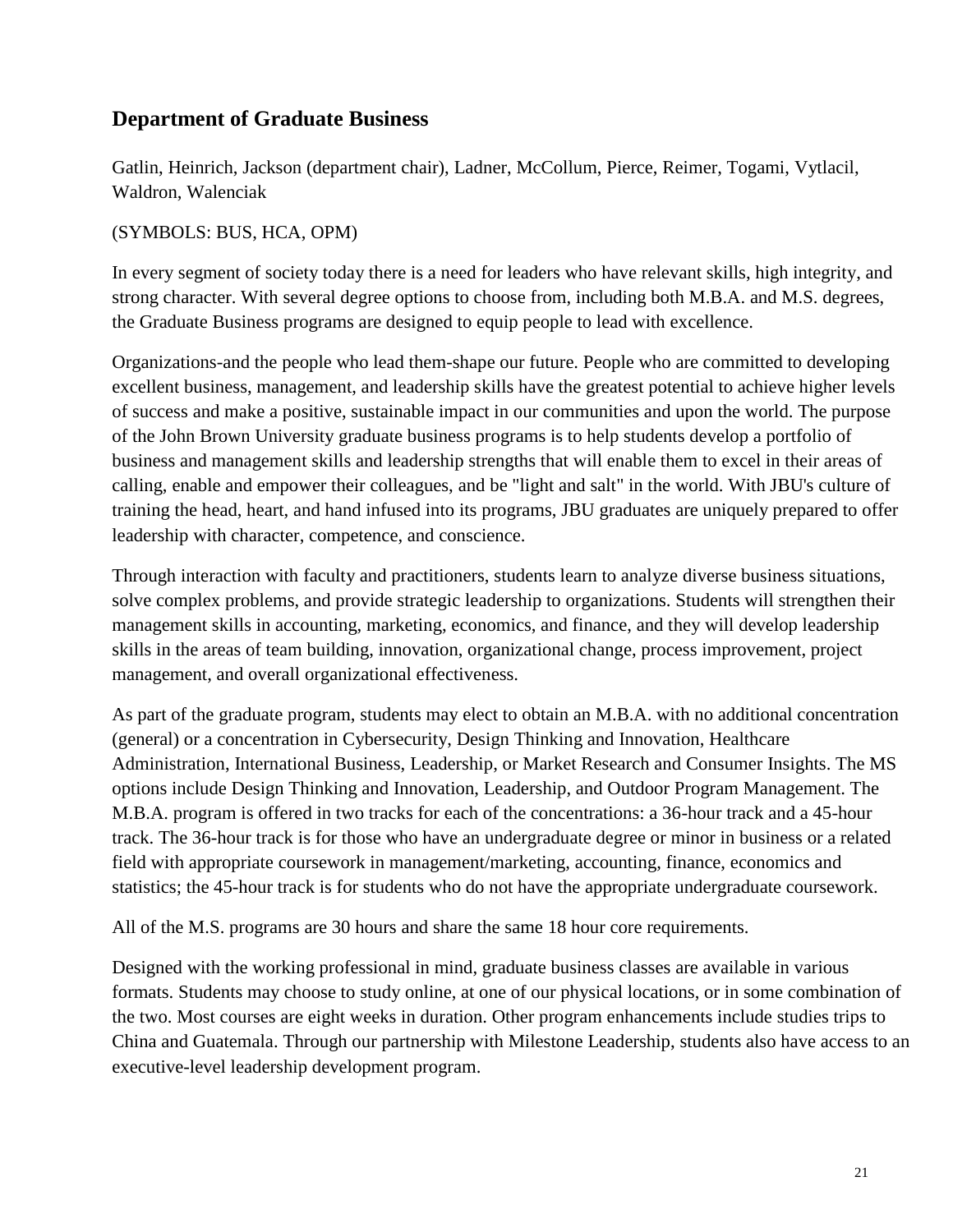#### **Department of Graduate Business**

Gatlin, Heinrich, Jackson (department chair), Ladner, McCollum, Pierce, Reimer, Togami, Vytlacil, Waldron, Walenciak

#### (SYMBOLS: BUS, HCA, OPM)

In every segment of society today there is a need for leaders who have relevant skills, high integrity, and strong character. With several degree options to choose from, including both M.B.A. and M.S. degrees, the Graduate Business programs are designed to equip people to lead with excellence.

Organizations-and the people who lead them-shape our future. People who are committed to developing excellent business, management, and leadership skills have the greatest potential to achieve higher levels of success and make a positive, sustainable impact in our communities and upon the world. The purpose of the John Brown University graduate business programs is to help students develop a portfolio of business and management skills and leadership strengths that will enable them to excel in their areas of calling, enable and empower their colleagues, and be "light and salt" in the world. With JBU's culture of training the head, heart, and hand infused into its programs, JBU graduates are uniquely prepared to offer leadership with character, competence, and conscience.

Through interaction with faculty and practitioners, students learn to analyze diverse business situations, solve complex problems, and provide strategic leadership to organizations. Students will strengthen their management skills in accounting, marketing, economics, and finance, and they will develop leadership skills in the areas of team building, innovation, organizational change, process improvement, project management, and overall organizational effectiveness.

As part of the graduate program, students may elect to obtain an M.B.A. with no additional concentration (general) or a concentration in Cybersecurity, Design Thinking and Innovation, Healthcare Administration, International Business, Leadership, or Market Research and Consumer Insights. The MS options include Design Thinking and Innovation, Leadership, and Outdoor Program Management. The M.B.A. program is offered in two tracks for each of the concentrations: a 36-hour track and a 45-hour track. The 36-hour track is for those who have an undergraduate degree or minor in business or a related field with appropriate coursework in management/marketing, accounting, finance, economics and statistics; the 45-hour track is for students who do not have the appropriate undergraduate coursework.

All of the M.S. programs are 30 hours and share the same 18 hour core requirements.

Designed with the working professional in mind, graduate business classes are available in various formats. Students may choose to study online, at one of our physical locations, or in some combination of the two. Most courses are eight weeks in duration. Other program enhancements include studies trips to China and Guatemala. Through our partnership with Milestone Leadership, students also have access to an executive-level leadership development program.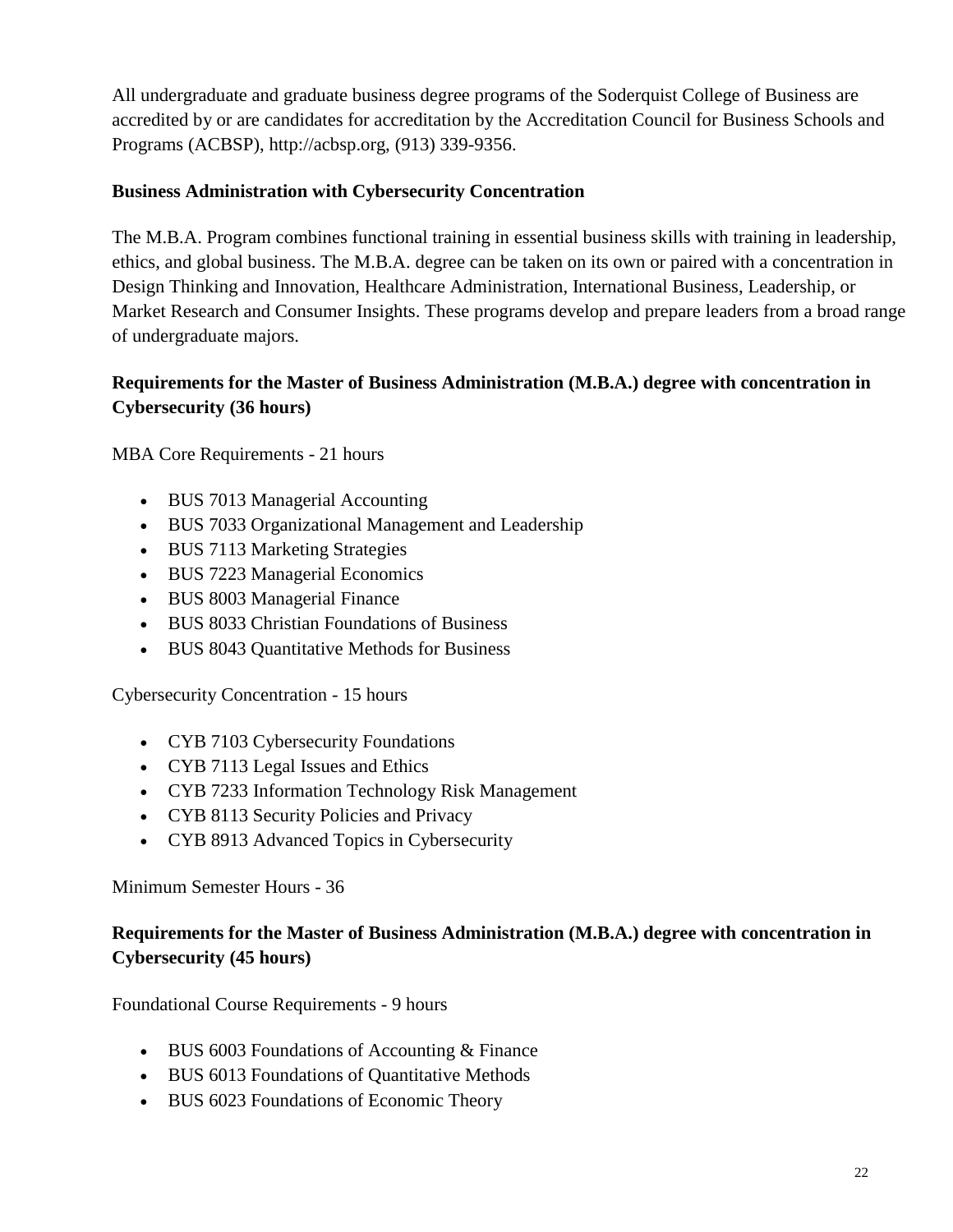All undergraduate and graduate business degree programs of the Soderquist College of Business are accredited by or are candidates for accreditation by the Accreditation Council for Business Schools and Programs (ACBSP), http://acbsp.org, (913) 339-9356.

#### **Business Administration with Cybersecurity Concentration**

The M.B.A. Program combines functional training in essential business skills with training in leadership, ethics, and global business. The M.B.A. degree can be taken on its own or paired with a concentration in Design Thinking and Innovation, Healthcare Administration, International Business, Leadership, or Market Research and Consumer Insights. These programs develop and prepare leaders from a broad range of undergraduate majors.

#### <span id="page-21-0"></span>**Requirements for the Master of Business Administration (M.B.A.) degree with concentration in Cybersecurity (36 hours)**

MBA Core Requirements - 21 hours

- BUS 7013 Managerial Accounting
- BUS 7033 Organizational Management and Leadership
- BUS 7113 Marketing Strategies
- BUS 7223 Managerial Economics
- BUS 8003 Managerial Finance
- BUS 8033 Christian Foundations of Business
- BUS 8043 Quantitative Methods for Business

Cybersecurity Concentration - 15 hours

- CYB 7103 Cybersecurity Foundations
- CYB 7113 Legal Issues and Ethics
- CYB 7233 Information Technology Risk Management
- CYB 8113 Security Policies and Privacy
- CYB 8913 Advanced Topics in Cybersecurity

Minimum Semester Hours - 36

#### <span id="page-21-1"></span>**Requirements for the Master of Business Administration (M.B.A.) degree with concentration in Cybersecurity (45 hours)**

Foundational Course Requirements - 9 hours

- BUS 6003 Foundations of Accounting & Finance
- BUS 6013 Foundations of Quantitative Methods
- BUS 6023 Foundations of Economic Theory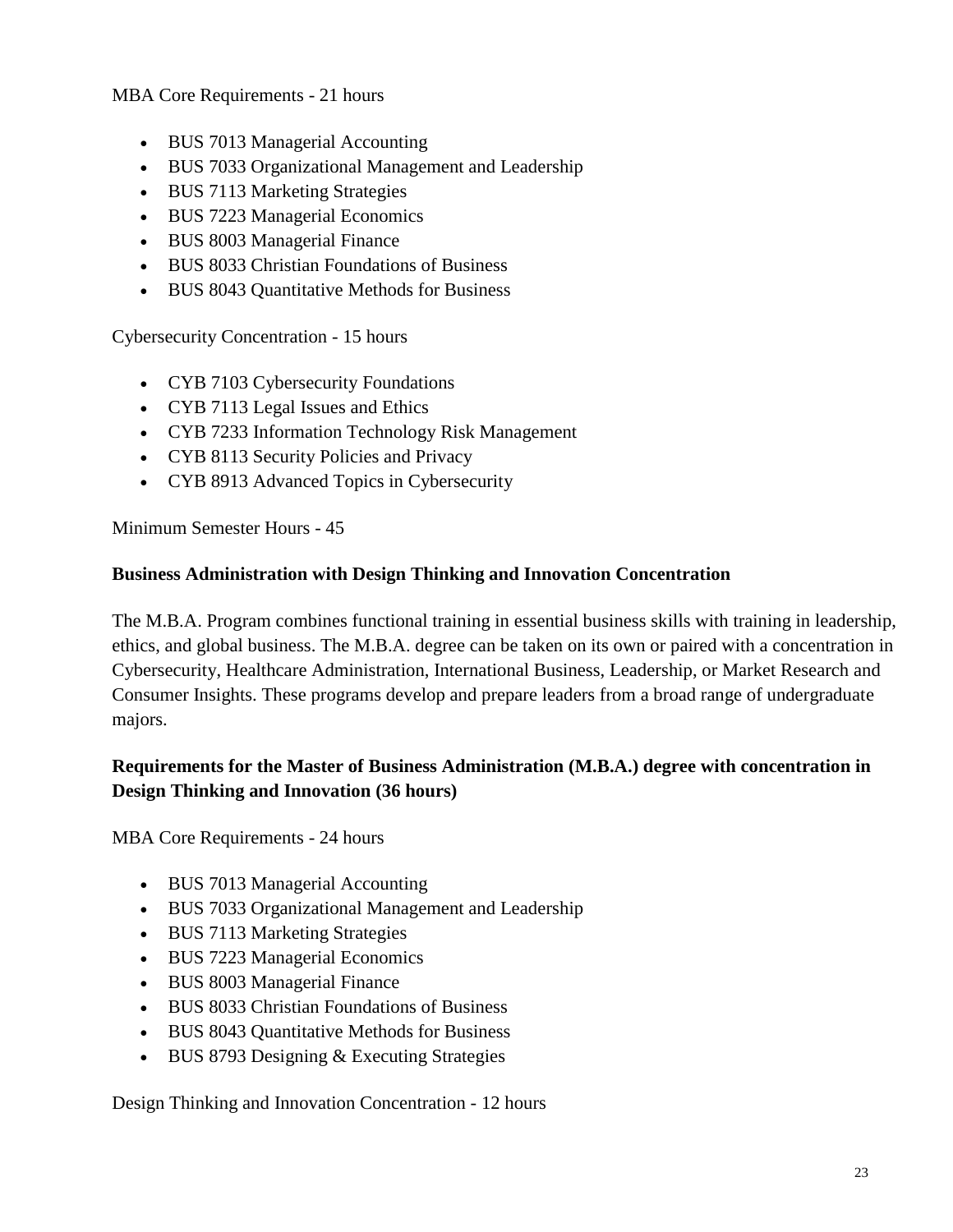MBA Core Requirements - 21 hours

- BUS 7013 Managerial Accounting
- BUS 7033 Organizational Management and Leadership
- BUS 7113 Marketing Strategies
- BUS 7223 Managerial Economics
- BUS 8003 Managerial Finance
- BUS 8033 Christian Foundations of Business
- BUS 8043 Quantitative Methods for Business

Cybersecurity Concentration - 15 hours

- CYB 7103 Cybersecurity Foundations
- CYB 7113 Legal Issues and Ethics
- CYB 7233 Information Technology Risk Management
- CYB 8113 Security Policies and Privacy
- CYB 8913 Advanced Topics in Cybersecurity

Minimum Semester Hours - 45

#### **Business Administration with Design Thinking and Innovation Concentration**

The M.B.A. Program combines functional training in essential business skills with training in leadership, ethics, and global business. The M.B.A. degree can be taken on its own or paired with a concentration in Cybersecurity, Healthcare Administration, International Business, Leadership, or Market Research and Consumer Insights. These programs develop and prepare leaders from a broad range of undergraduate majors.

#### <span id="page-22-0"></span>**Requirements for the Master of Business Administration (M.B.A.) degree with concentration in Design Thinking and Innovation (36 hours)**

MBA Core Requirements - 24 hours

- BUS 7013 Managerial Accounting
- BUS 7033 Organizational Management and Leadership
- BUS 7113 Marketing Strategies
- BUS 7223 Managerial Economics
- BUS 8003 Managerial Finance
- BUS 8033 Christian Foundations of Business
- BUS 8043 Quantitative Methods for Business
- BUS 8793 Designing & Executing Strategies

Design Thinking and Innovation Concentration - 12 hours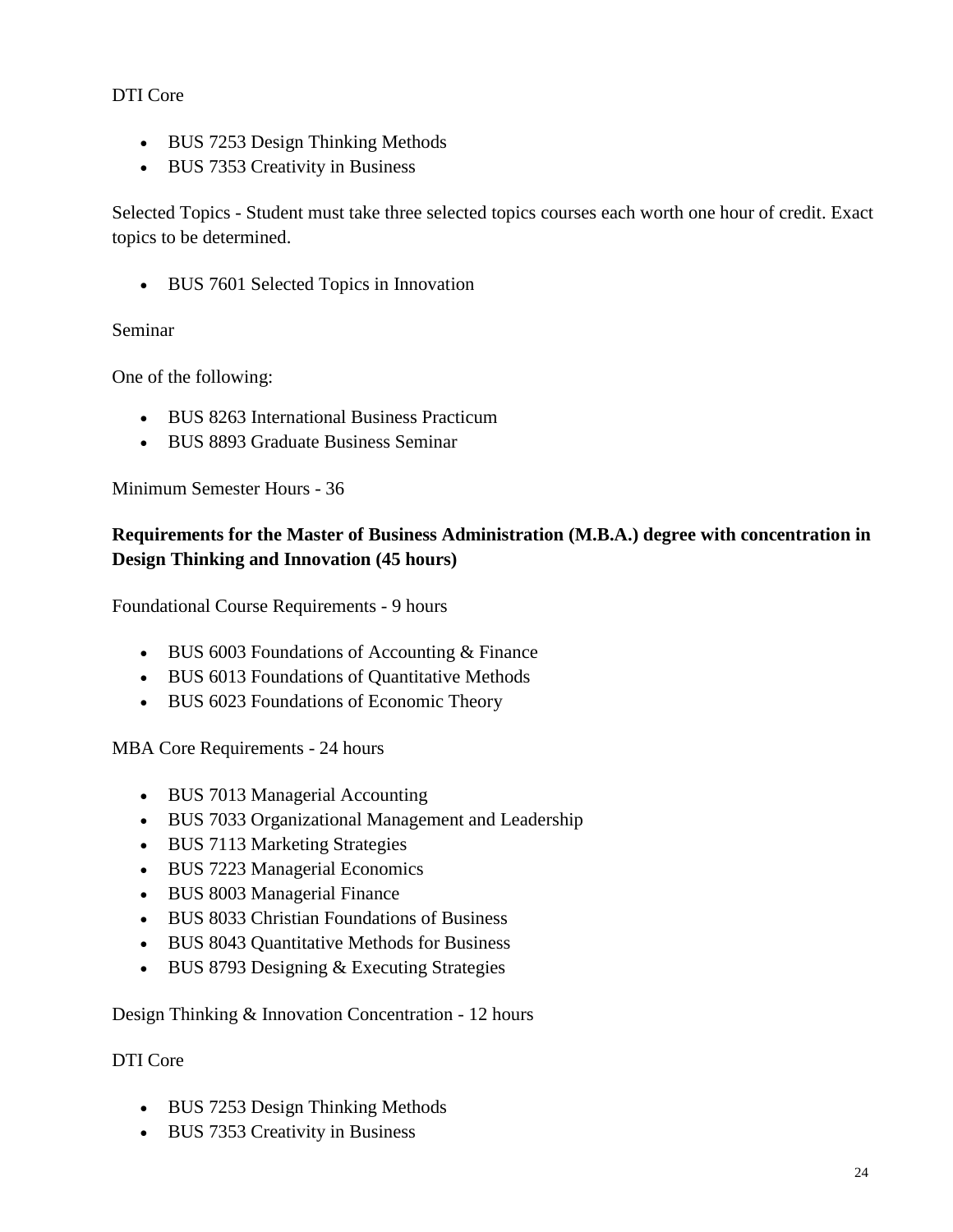#### DTI Core

- BUS 7253 Design Thinking Methods
- BUS 7353 Creativity in Business

Selected Topics - Student must take three selected topics courses each worth one hour of credit. Exact topics to be determined.

• BUS 7601 Selected Topics in Innovation

#### Seminar

One of the following:

- BUS 8263 International Business Practicum
- BUS 8893 Graduate Business Seminar

Minimum Semester Hours - 36

#### <span id="page-23-0"></span>**Requirements for the Master of Business Administration (M.B.A.) degree with concentration in Design Thinking and Innovation (45 hours)**

Foundational Course Requirements - 9 hours

- BUS 6003 Foundations of Accounting & Finance
- BUS 6013 Foundations of Quantitative Methods
- BUS 6023 Foundations of Economic Theory

MBA Core Requirements - 24 hours

- BUS 7013 Managerial Accounting
- BUS 7033 Organizational Management and Leadership
- BUS 7113 Marketing Strategies
- BUS 7223 Managerial Economics
- BUS 8003 Managerial Finance
- BUS 8033 Christian Foundations of Business
- BUS 8043 Quantitative Methods for Business
- BUS 8793 Designing & Executing Strategies

Design Thinking & Innovation Concentration - 12 hours

#### DTI Core

- BUS 7253 Design Thinking Methods
- BUS 7353 Creativity in Business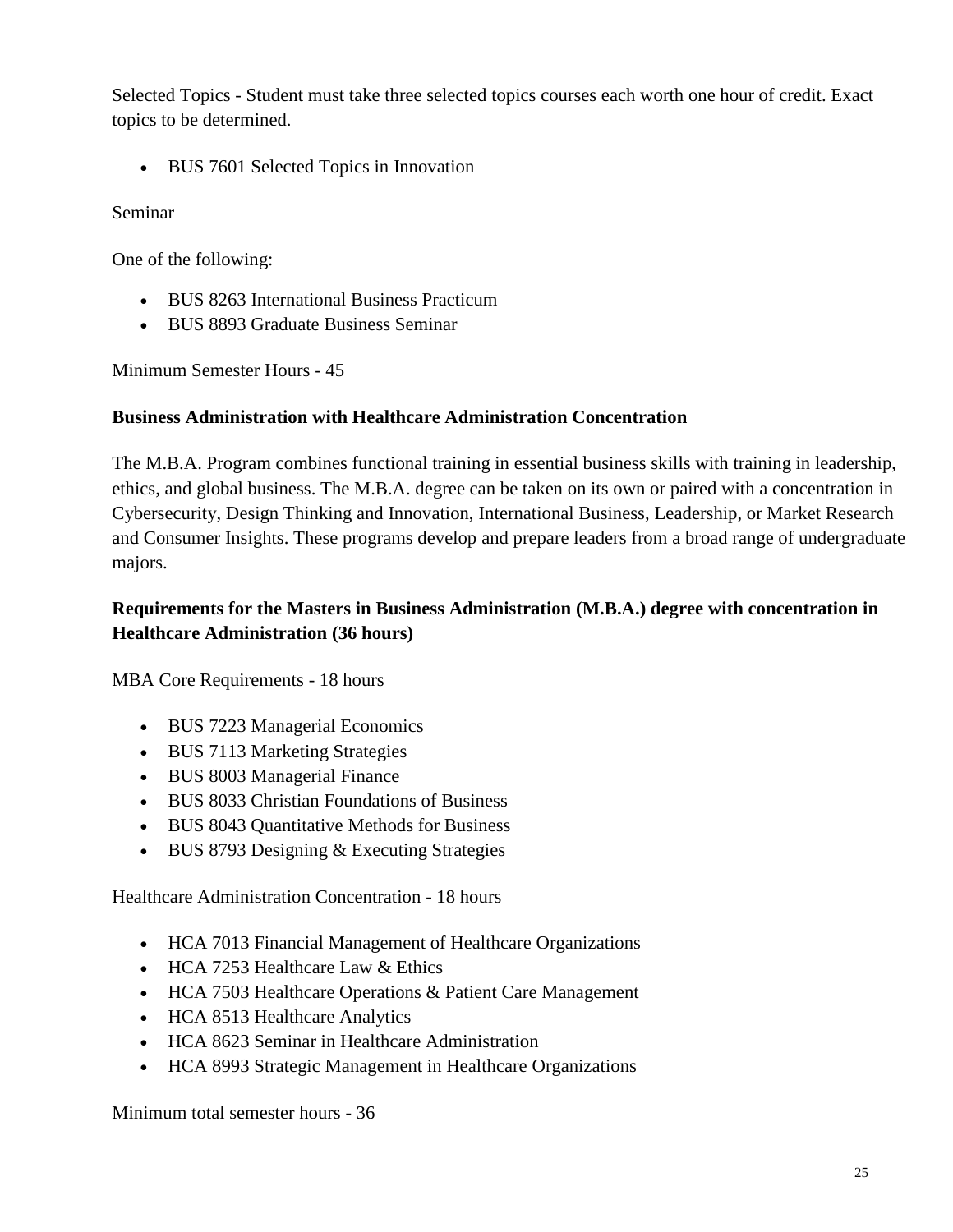Selected Topics - Student must take three selected topics courses each worth one hour of credit. Exact topics to be determined.

• BUS 7601 Selected Topics in Innovation

Seminar

One of the following:

- BUS 8263 International Business Practicum
- BUS 8893 Graduate Business Seminar

Minimum Semester Hours - 45

#### **Business Administration with Healthcare Administration Concentration**

The M.B.A. Program combines functional training in essential business skills with training in leadership, ethics, and global business. The M.B.A. degree can be taken on its own or paired with a concentration in Cybersecurity, Design Thinking and Innovation, International Business, Leadership, or Market Research and Consumer Insights. These programs develop and prepare leaders from a broad range of undergraduate majors.

#### <span id="page-24-0"></span>**Requirements for the Masters in Business Administration (M.B.A.) degree with concentration in Healthcare Administration (36 hours)**

MBA Core Requirements - 18 hours

- BUS 7223 Managerial Economics
- BUS 7113 Marketing Strategies
- BUS 8003 Managerial Finance
- BUS 8033 Christian Foundations of Business
- BUS 8043 Quantitative Methods for Business
- BUS 8793 Designing & Executing Strategies

Healthcare Administration Concentration - 18 hours

- HCA 7013 Financial Management of Healthcare Organizations
- HCA 7253 Healthcare Law & Ethics
- HCA 7503 Healthcare Operations & Patient Care Management
- HCA 8513 Healthcare Analytics
- HCA 8623 Seminar in Healthcare Administration
- HCA 8993 Strategic Management in Healthcare Organizations

Minimum total semester hours - 36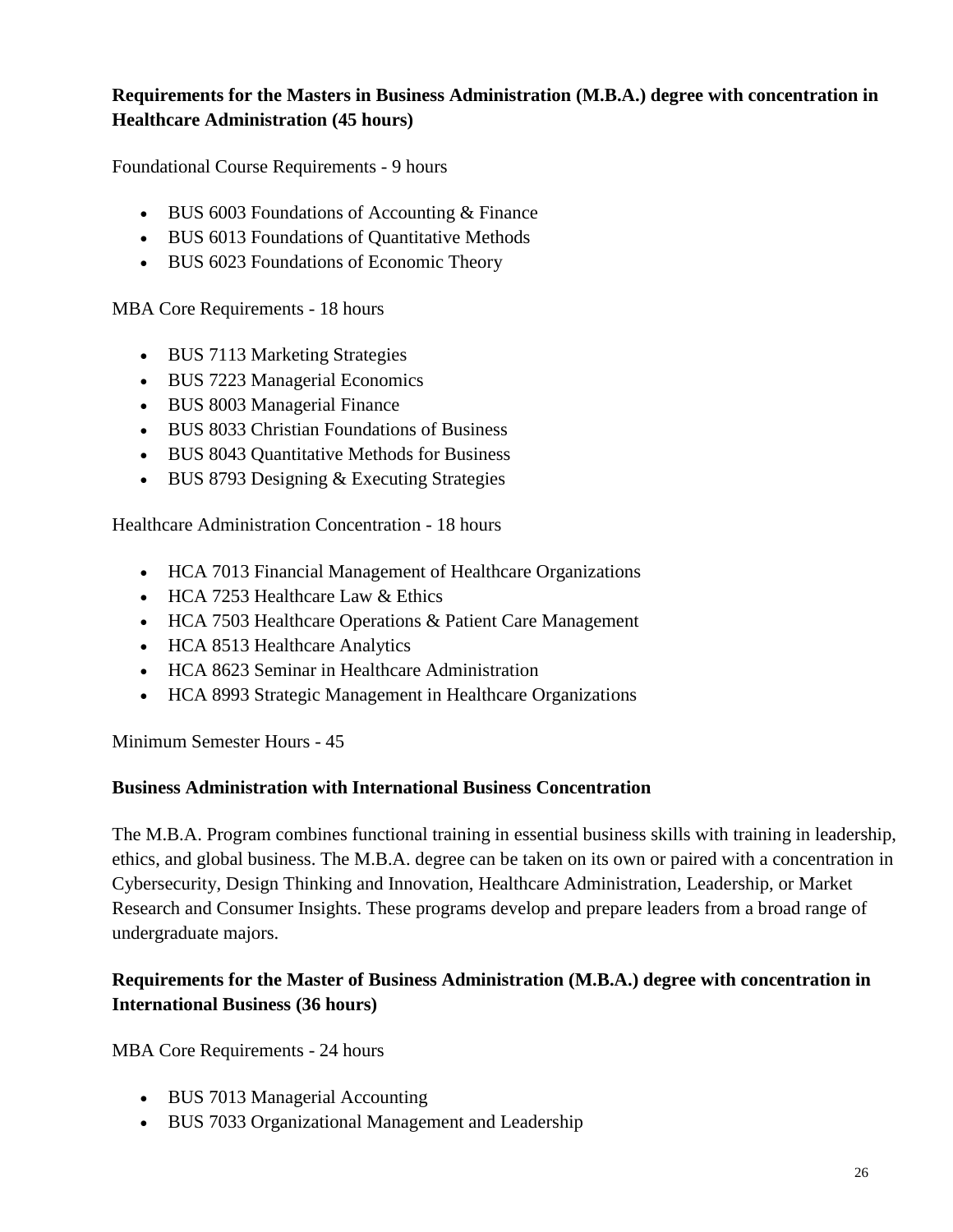#### <span id="page-25-0"></span>**Requirements for the Masters in Business Administration (M.B.A.) degree with concentration in Healthcare Administration (45 hours)**

Foundational Course Requirements - 9 hours

- BUS 6003 Foundations of Accounting & Finance
- BUS 6013 Foundations of Quantitative Methods
- BUS 6023 Foundations of Economic Theory

MBA Core Requirements - 18 hours

- BUS 7113 Marketing Strategies
- BUS 7223 Managerial Economics
- BUS 8003 Managerial Finance
- BUS 8033 Christian Foundations of Business
- BUS 8043 Quantitative Methods for Business
- BUS 8793 Designing & Executing Strategies

Healthcare Administration Concentration - 18 hours

- HCA 7013 Financial Management of Healthcare Organizations
- HCA 7253 Healthcare Law  $&$  Ethics
- HCA 7503 Healthcare Operations & Patient Care Management
- HCA 8513 Healthcare Analytics
- HCA 8623 Seminar in Healthcare Administration
- HCA 8993 Strategic Management in Healthcare Organizations

Minimum Semester Hours - 45

#### **Business Administration with International Business Concentration**

The M.B.A. Program combines functional training in essential business skills with training in leadership, ethics, and global business. The M.B.A. degree can be taken on its own or paired with a concentration in Cybersecurity, Design Thinking and Innovation, Healthcare Administration, Leadership, or Market Research and Consumer Insights. These programs develop and prepare leaders from a broad range of undergraduate majors.

#### <span id="page-25-1"></span>**Requirements for the Master of Business Administration (M.B.A.) degree with concentration in International Business (36 hours)**

MBA Core Requirements - 24 hours

- BUS 7013 Managerial Accounting
- BUS 7033 Organizational Management and Leadership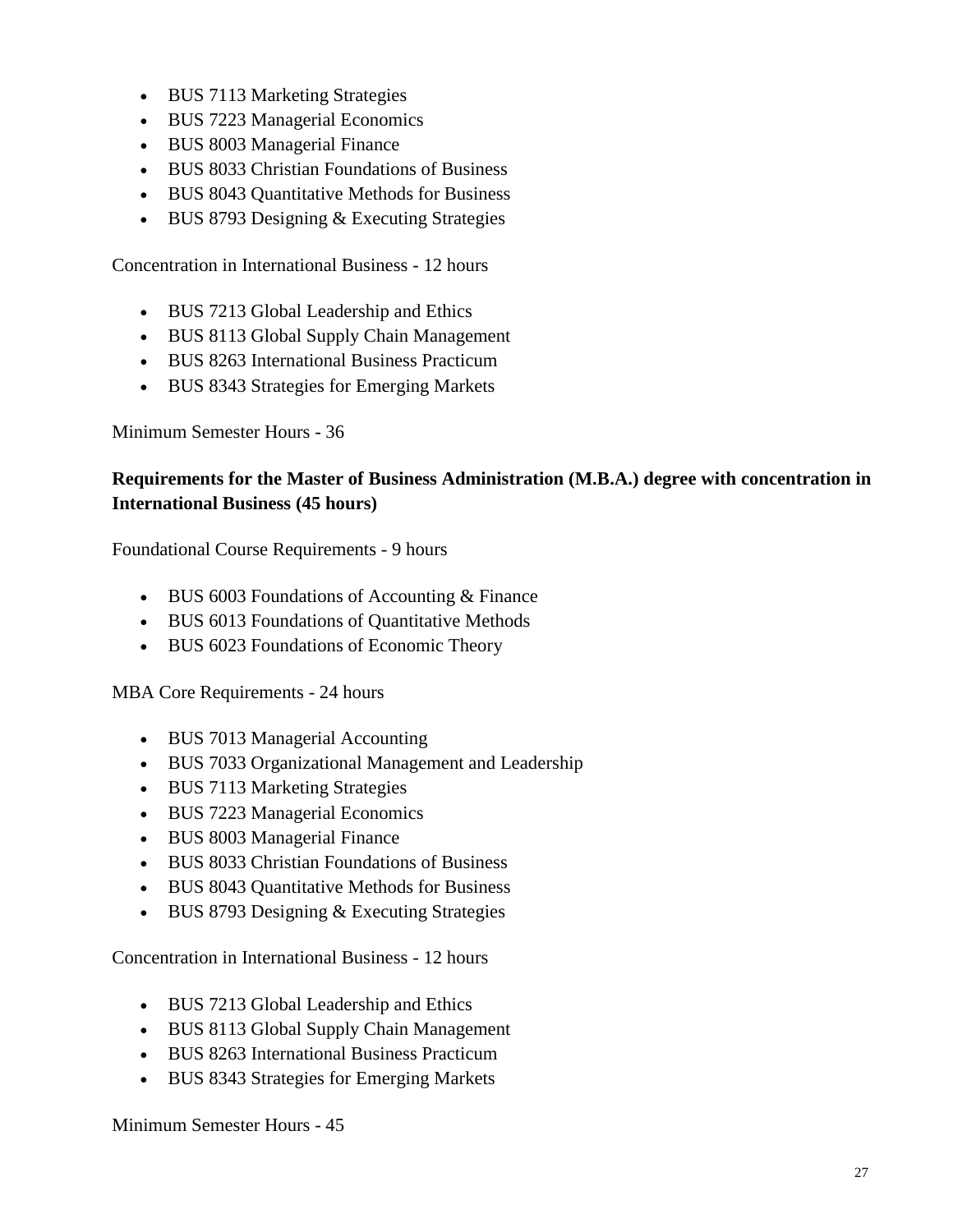- BUS 7113 Marketing Strategies
- BUS 7223 Managerial Economics
- BUS 8003 Managerial Finance
- BUS 8033 Christian Foundations of Business
- BUS 8043 Quantitative Methods for Business
- BUS 8793 Designing & Executing Strategies

Concentration in International Business - 12 hours

- BUS 7213 Global Leadership and Ethics
- BUS 8113 Global Supply Chain Management
- BUS 8263 International Business Practicum
- BUS 8343 Strategies for Emerging Markets

Minimum Semester Hours - 36

#### <span id="page-26-0"></span>**Requirements for the Master of Business Administration (M.B.A.) degree with concentration in International Business (45 hours)**

Foundational Course Requirements - 9 hours

- BUS 6003 Foundations of Accounting & Finance
- BUS 6013 Foundations of Quantitative Methods
- BUS 6023 Foundations of Economic Theory

MBA Core Requirements - 24 hours

- BUS 7013 Managerial Accounting
- BUS 7033 Organizational Management and Leadership
- BUS 7113 Marketing Strategies
- BUS 7223 Managerial Economics
- BUS 8003 Managerial Finance
- BUS 8033 Christian Foundations of Business
- BUS 8043 Quantitative Methods for Business
- BUS 8793 Designing & Executing Strategies

Concentration in International Business - 12 hours

- BUS 7213 Global Leadership and Ethics
- BUS 8113 Global Supply Chain Management
- BUS 8263 International Business Practicum
- BUS 8343 Strategies for Emerging Markets

Minimum Semester Hours - 45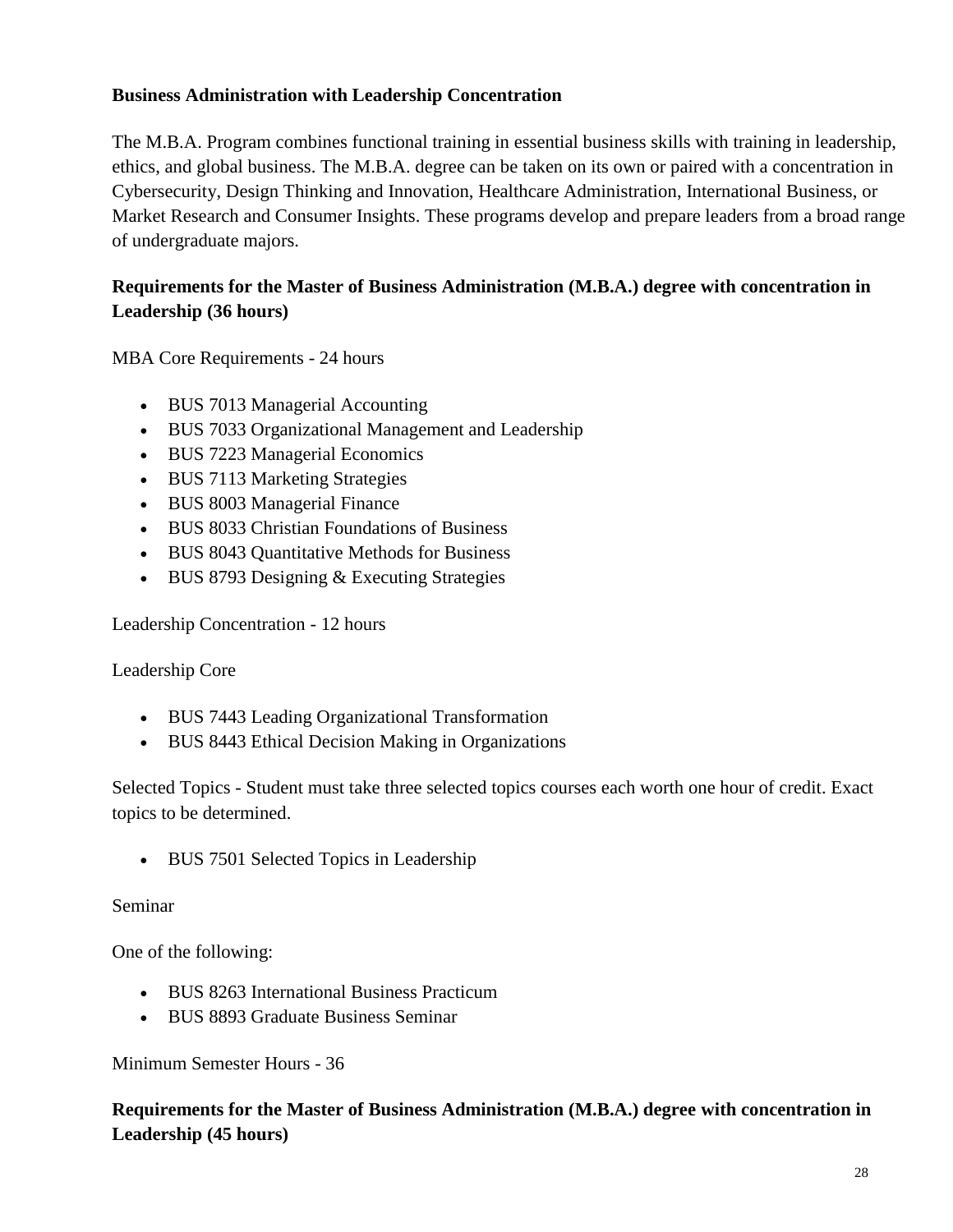#### **Business Administration with Leadership Concentration**

The M.B.A. Program combines functional training in essential business skills with training in leadership, ethics, and global business. The M.B.A. degree can be taken on its own or paired with a concentration in Cybersecurity, Design Thinking and Innovation, Healthcare Administration, International Business, or Market Research and Consumer Insights. These programs develop and prepare leaders from a broad range of undergraduate majors.

#### <span id="page-27-0"></span>**Requirements for the Master of Business Administration (M.B.A.) degree with concentration in Leadership (36 hours)**

MBA Core Requirements - 24 hours

- BUS 7013 Managerial Accounting
- BUS 7033 Organizational Management and Leadership
- BUS 7223 Managerial Economics
- BUS 7113 Marketing Strategies
- BUS 8003 Managerial Finance
- BUS 8033 Christian Foundations of Business
- BUS 8043 Quantitative Methods for Business
- BUS 8793 Designing & Executing Strategies

Leadership Concentration - 12 hours

#### Leadership Core

- BUS 7443 Leading Organizational Transformation
- BUS 8443 Ethical Decision Making in Organizations

Selected Topics - Student must take three selected topics courses each worth one hour of credit. Exact topics to be determined.

• BUS 7501 Selected Topics in Leadership

#### Seminar

One of the following:

- BUS 8263 International Business Practicum
- BUS 8893 Graduate Business Seminar

Minimum Semester Hours - 36

#### **Requirements for the Master of Business Administration (M.B.A.) degree with concentration in Leadership (45 hours)**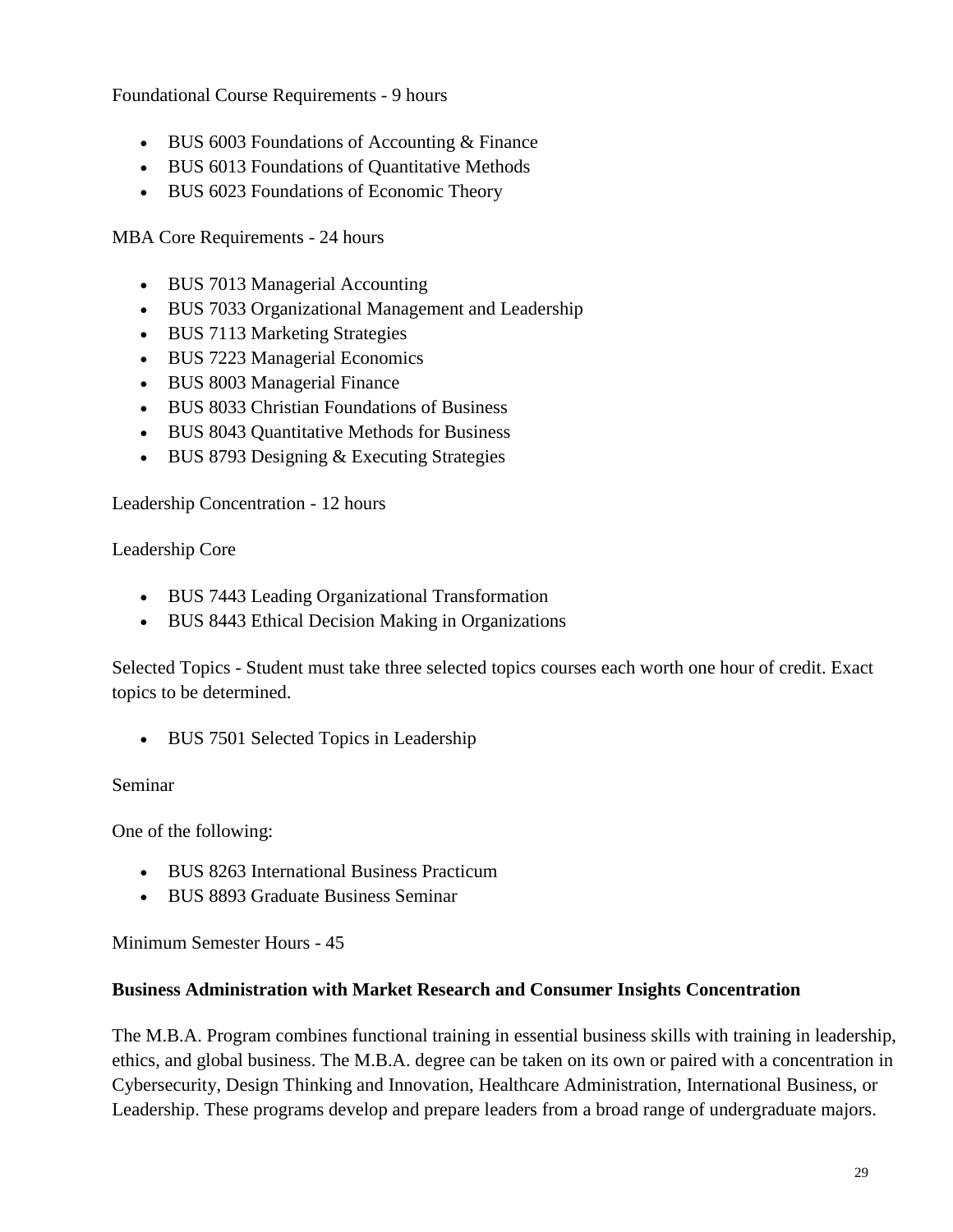Foundational Course Requirements - 9 hours

- BUS 6003 Foundations of Accounting & Finance
- BUS 6013 Foundations of Quantitative Methods
- BUS 6023 Foundations of Economic Theory

MBA Core Requirements - 24 hours

- BUS 7013 Managerial Accounting
- BUS 7033 Organizational Management and Leadership
- BUS 7113 Marketing Strategies
- BUS 7223 Managerial Economics
- BUS 8003 Managerial Finance
- BUS 8033 Christian Foundations of Business
- BUS 8043 Quantitative Methods for Business
- BUS 8793 Designing & Executing Strategies

Leadership Concentration - 12 hours

Leadership Core

- BUS 7443 Leading Organizational Transformation
- BUS 8443 Ethical Decision Making in Organizations

Selected Topics - Student must take three selected topics courses each worth one hour of credit. Exact topics to be determined.

• BUS 7501 Selected Topics in Leadership

#### Seminar

One of the following:

- BUS 8263 International Business Practicum
- BUS 8893 Graduate Business Seminar

Minimum Semester Hours - 45

#### **Business Administration with Market Research and Consumer Insights Concentration**

The M.B.A. Program combines functional training in essential business skills with training in leadership, ethics, and global business. The M.B.A. degree can be taken on its own or paired with a concentration in Cybersecurity, Design Thinking and Innovation, Healthcare Administration, International Business, or Leadership. These programs develop and prepare leaders from a broad range of undergraduate majors.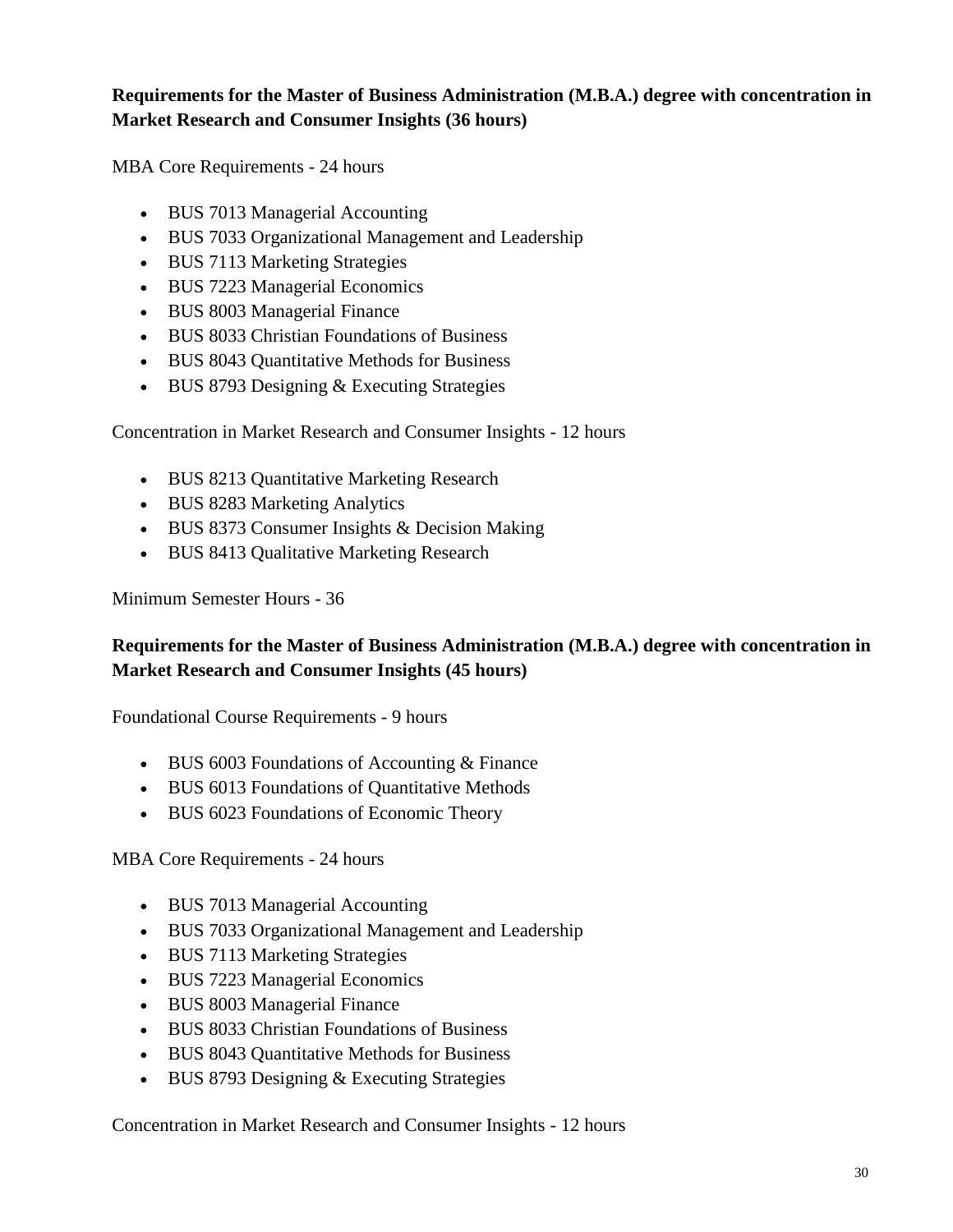#### <span id="page-29-0"></span>**Requirements for the Master of Business Administration (M.B.A.) degree with concentration in Market Research and Consumer Insights (36 hours)**

MBA Core Requirements - 24 hours

- BUS 7013 Managerial Accounting
- BUS 7033 Organizational Management and Leadership
- BUS 7113 Marketing Strategies
- BUS 7223 Managerial Economics
- BUS 8003 Managerial Finance
- BUS 8033 Christian Foundations of Business
- BUS 8043 Quantitative Methods for Business
- BUS 8793 Designing & Executing Strategies

Concentration in Market Research and Consumer Insights - 12 hours

- BUS 8213 Quantitative Marketing Research
- BUS 8283 Marketing Analytics
- BUS 8373 Consumer Insights & Decision Making
- BUS 8413 Qualitative Marketing Research

Minimum Semester Hours - 36

#### **Requirements for the Master of Business Administration (M.B.A.) degree with concentration in Market Research and Consumer Insights (45 hours)**

Foundational Course Requirements - 9 hours

- BUS 6003 Foundations of Accounting & Finance
- BUS 6013 Foundations of Quantitative Methods
- BUS 6023 Foundations of Economic Theory

MBA Core Requirements - 24 hours

- BUS 7013 Managerial Accounting
- BUS 7033 Organizational Management and Leadership
- BUS 7113 Marketing Strategies
- BUS 7223 Managerial Economics
- BUS 8003 Managerial Finance
- BUS 8033 Christian Foundations of Business
- BUS 8043 Quantitative Methods for Business
- BUS 8793 Designing & Executing Strategies

Concentration in Market Research and Consumer Insights - 12 hours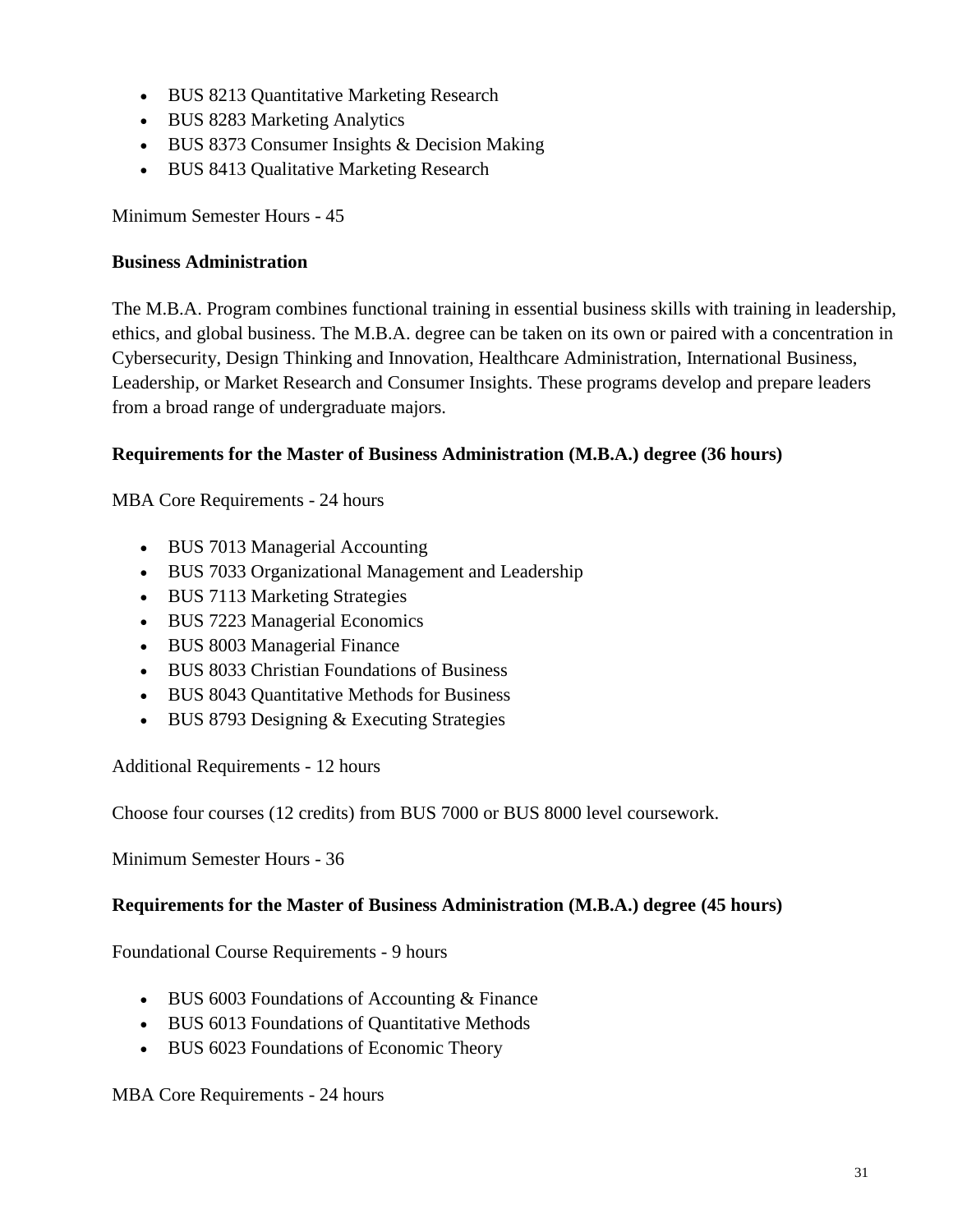- BUS 8213 Quantitative Marketing Research
- BUS 8283 Marketing Analytics
- BUS 8373 Consumer Insights & Decision Making
- BUS 8413 Qualitative Marketing Research

Minimum Semester Hours - 45

#### **Business Administration**

The M.B.A. Program combines functional training in essential business skills with training in leadership, ethics, and global business. The M.B.A. degree can be taken on its own or paired with a concentration in Cybersecurity, Design Thinking and Innovation, Healthcare Administration, International Business, Leadership, or Market Research and Consumer Insights. These programs develop and prepare leaders from a broad range of undergraduate majors.

#### **Requirements for the Master of Business Administration (M.B.A.) degree (36 hours)**

MBA Core Requirements - 24 hours

- BUS 7013 Managerial Accounting
- BUS 7033 Organizational Management and Leadership
- BUS 7113 Marketing Strategies
- BUS 7223 Managerial Economics
- BUS 8003 Managerial Finance
- BUS 8033 Christian Foundations of Business
- BUS 8043 Quantitative Methods for Business
- BUS 8793 Designing & Executing Strategies

Additional Requirements - 12 hours

Choose four courses (12 credits) from BUS 7000 or BUS 8000 level coursework.

Minimum Semester Hours - 36

#### **Requirements for the Master of Business Administration (M.B.A.) degree (45 hours)**

Foundational Course Requirements - 9 hours

- BUS 6003 Foundations of Accounting & Finance
- BUS 6013 Foundations of Quantitative Methods
- BUS 6023 Foundations of Economic Theory

#### MBA Core Requirements - 24 hours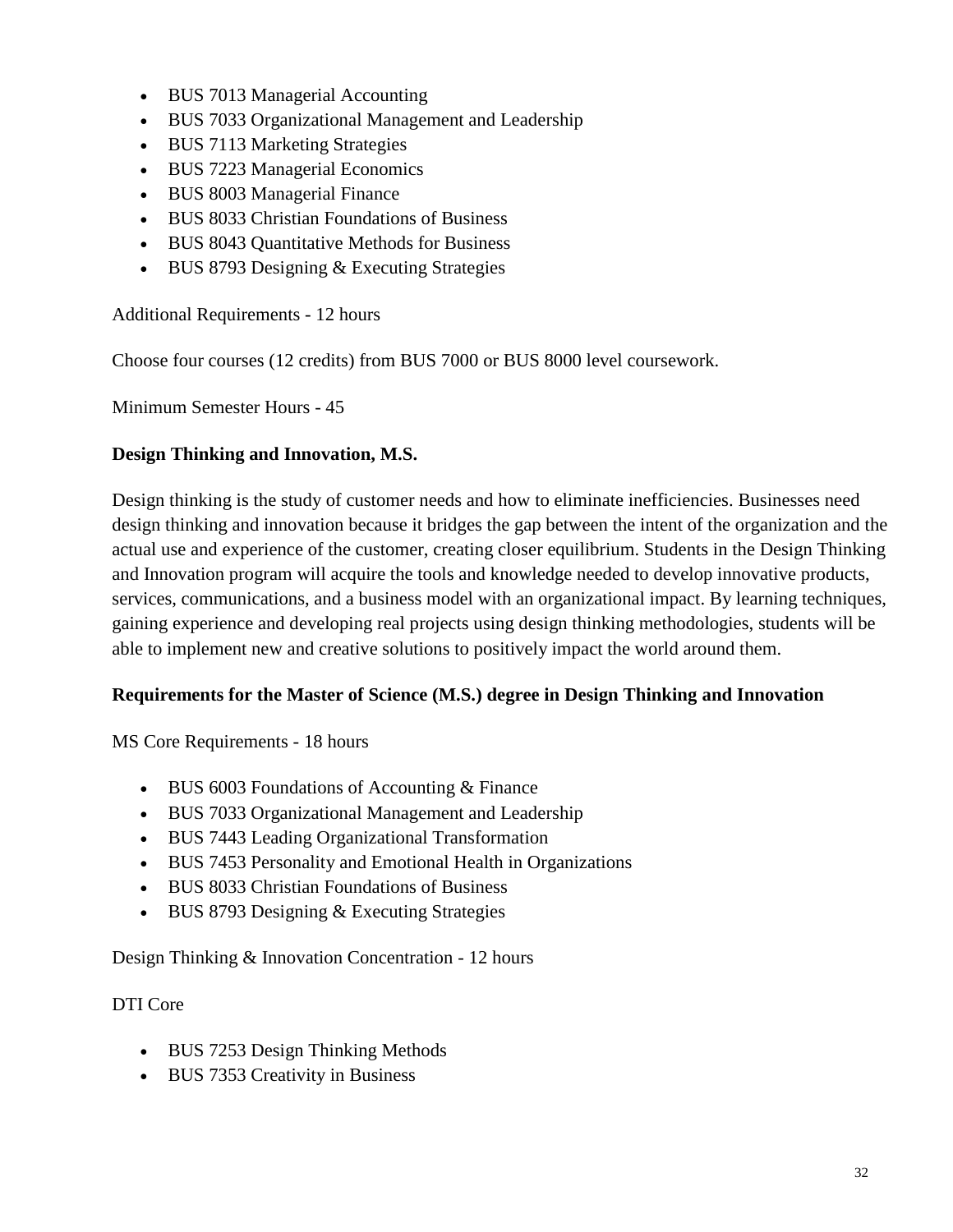- BUS 7013 Managerial Accounting
- BUS 7033 Organizational Management and Leadership
- BUS 7113 Marketing Strategies
- BUS 7223 Managerial Economics
- BUS 8003 Managerial Finance
- BUS 8033 Christian Foundations of Business
- BUS 8043 Quantitative Methods for Business
- BUS 8793 Designing & Executing Strategies

Additional Requirements - 12 hours

Choose four courses (12 credits) from BUS 7000 or BUS 8000 level coursework.

Minimum Semester Hours - 45

#### **Design Thinking and Innovation, M.S.**

Design thinking is the study of customer needs and how to eliminate inefficiencies. Businesses need design thinking and innovation because it bridges the gap between the intent of the organization and the actual use and experience of the customer, creating closer equilibrium. Students in the Design Thinking and Innovation program will acquire the tools and knowledge needed to develop innovative products, services, communications, and a business model with an organizational impact. By learning techniques, gaining experience and developing real projects using design thinking methodologies, students will be able to implement new and creative solutions to positively impact the world around them.

#### **Requirements for the Master of Science (M.S.) degree in Design Thinking and Innovation**

MS Core Requirements - 18 hours

- BUS 6003 Foundations of Accounting & Finance
- BUS 7033 Organizational Management and Leadership
- BUS 7443 Leading Organizational Transformation
- BUS 7453 Personality and Emotional Health in Organizations
- BUS 8033 Christian Foundations of Business
- BUS 8793 Designing & Executing Strategies

Design Thinking & Innovation Concentration - 12 hours

#### DTI Core

- BUS 7253 Design Thinking Methods
- BUS 7353 Creativity in Business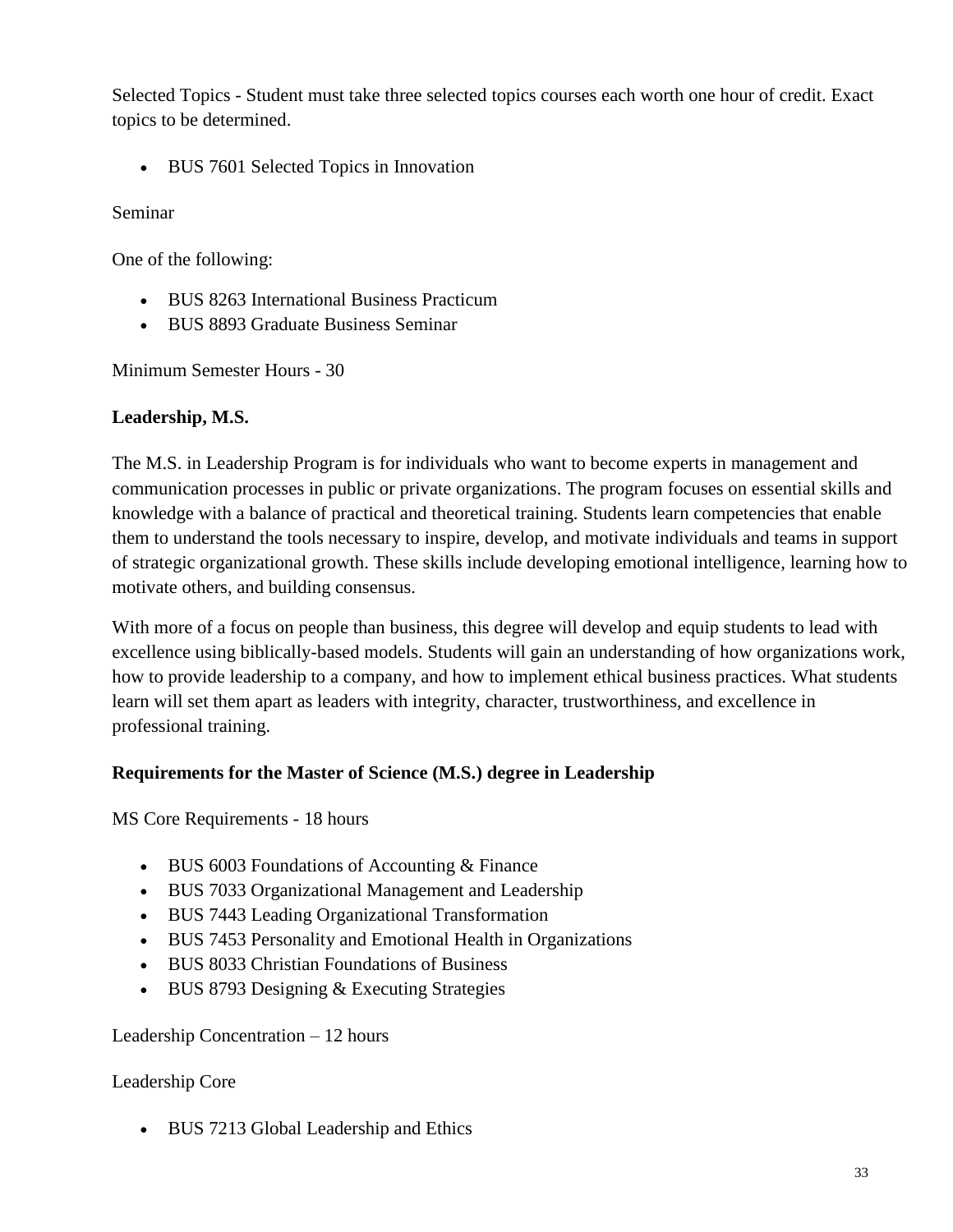Selected Topics - Student must take three selected topics courses each worth one hour of credit. Exact topics to be determined.

• BUS 7601 Selected Topics in Innovation

Seminar

One of the following:

- BUS 8263 International Business Practicum
- BUS 8893 Graduate Business Seminar

Minimum Semester Hours - 30

#### **Leadership, M.S.**

The M.S. in Leadership Program is for individuals who want to become experts in management and communication processes in public or private organizations. The program focuses on essential skills and knowledge with a balance of practical and theoretical training. Students learn competencies that enable them to understand the tools necessary to inspire, develop, and motivate individuals and teams in support of strategic organizational growth. These skills include developing emotional intelligence, learning how to motivate others, and building consensus.

With more of a focus on people than business, this degree will develop and equip students to lead with excellence using biblically-based models. Students will gain an understanding of how organizations work, how to provide leadership to a company, and how to implement ethical business practices. What students learn will set them apart as leaders with integrity, character, trustworthiness, and excellence in professional training.

#### **Requirements for the Master of Science (M.S.) degree in Leadership**

MS Core Requirements - 18 hours

- BUS 6003 Foundations of Accounting & Finance
- BUS 7033 Organizational Management and Leadership
- BUS 7443 Leading Organizational Transformation
- BUS 7453 Personality and Emotional Health in Organizations
- BUS 8033 Christian Foundations of Business
- BUS 8793 Designing & Executing Strategies

#### Leadership Concentration – 12 hours

#### Leadership Core

• BUS 7213 Global Leadership and Ethics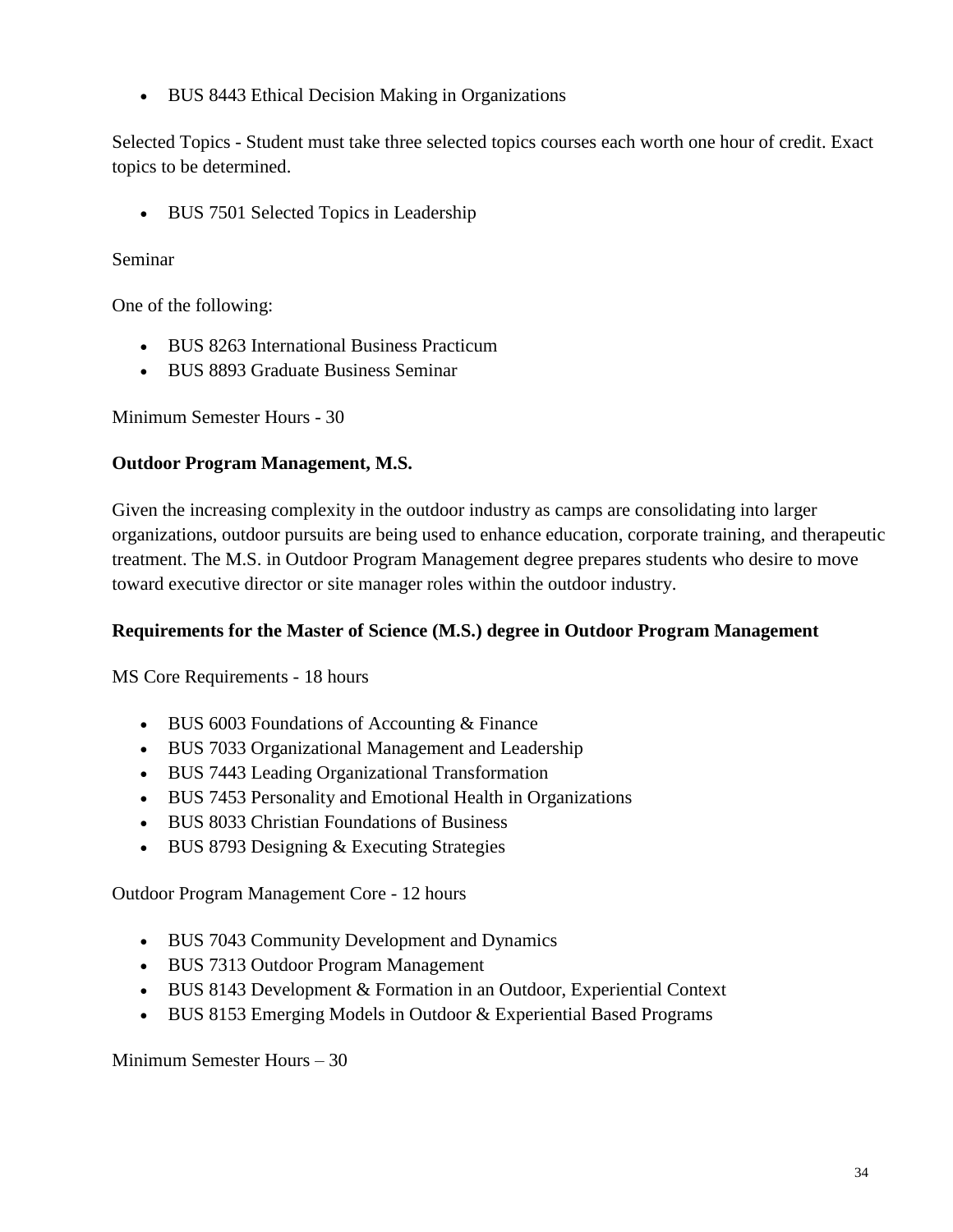• BUS 8443 Ethical Decision Making in Organizations

Selected Topics - Student must take three selected topics courses each worth one hour of credit. Exact topics to be determined.

• BUS 7501 Selected Topics in Leadership

#### Seminar

One of the following:

- BUS 8263 International Business Practicum
- BUS 8893 Graduate Business Seminar

Minimum Semester Hours - 30

#### **Outdoor Program Management, M.S.**

Given the increasing complexity in the outdoor industry as camps are consolidating into larger organizations, outdoor pursuits are being used to enhance education, corporate training, and therapeutic treatment. The M.S. in Outdoor Program Management degree prepares students who desire to move toward executive director or site manager roles within the outdoor industry.

#### <span id="page-33-0"></span>**Requirements for the Master of Science (M.S.) degree in Outdoor Program Management**

MS Core Requirements - 18 hours

- BUS 6003 Foundations of Accounting & Finance
- BUS 7033 Organizational Management and Leadership
- BUS 7443 Leading Organizational Transformation
- BUS 7453 Personality and Emotional Health in Organizations
- BUS 8033 Christian Foundations of Business
- BUS 8793 Designing & Executing Strategies

Outdoor Program Management Core - 12 hours

- BUS 7043 Community Development and Dynamics
- BUS 7313 Outdoor Program Management
- BUS 8143 Development & Formation in an Outdoor, Experiential Context
- BUS 8153 Emerging Models in Outdoor & Experiential Based Programs

Minimum Semester Hours – 30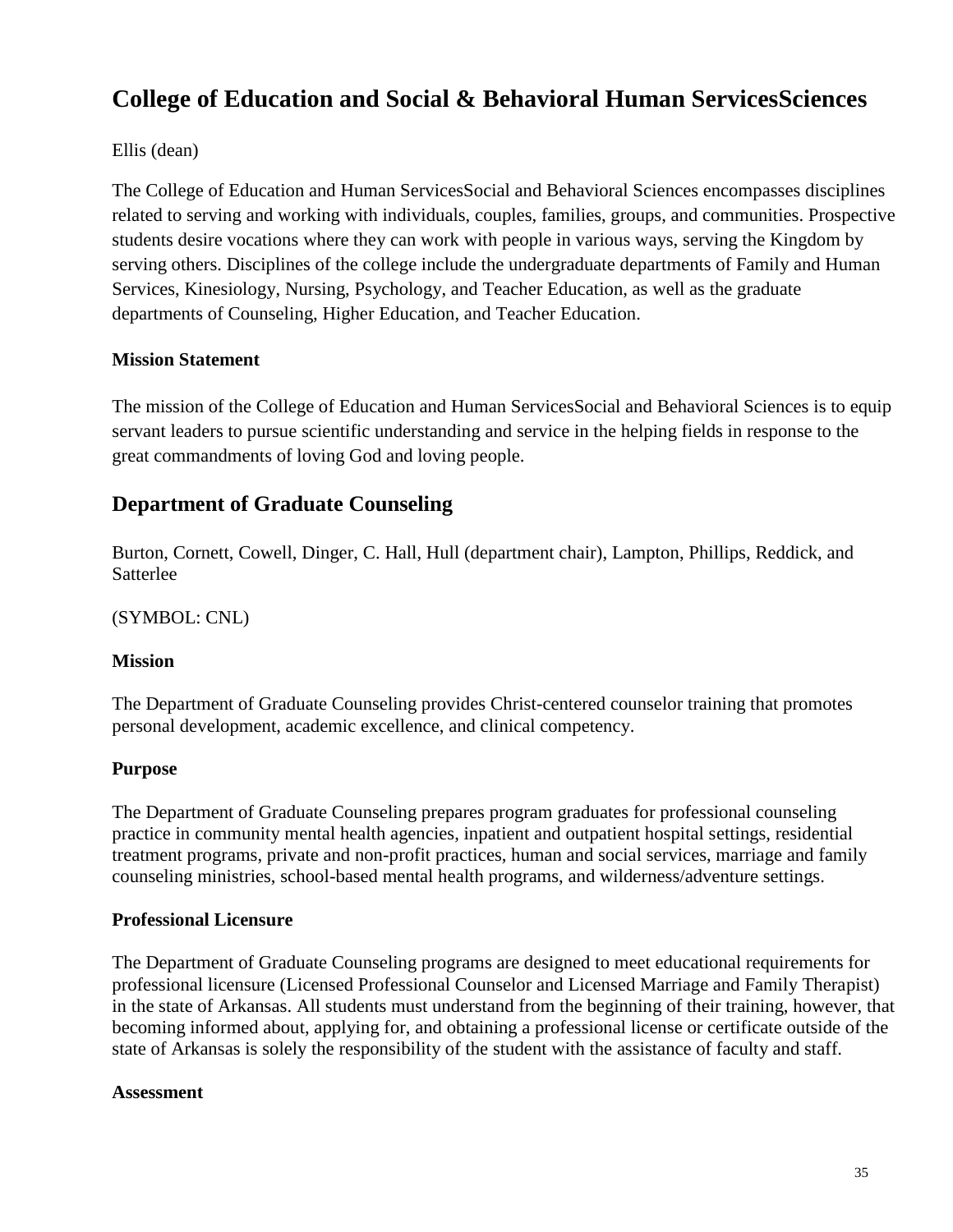## **College of Education and Social & Behavioral Human ServicesSciences**

#### Ellis (dean)

The College of Education and Human ServicesSocial and Behavioral Sciences encompasses disciplines related to serving and working with individuals, couples, families, groups, and communities. Prospective students desire vocations where they can work with people in various ways, serving the Kingdom by serving others. Disciplines of the college include the undergraduate departments of Family and Human Services, Kinesiology, Nursing, Psychology, and Teacher Education, as well as the graduate departments of Counseling, Higher Education, and Teacher Education.

#### **Mission Statement**

The mission of the College of Education and Human ServicesSocial and Behavioral Sciences is to equip servant leaders to pursue scientific understanding and service in the helping fields in response to the great commandments of loving God and loving people.

#### **Department of Graduate Counseling**

Burton, Cornett, Cowell, Dinger, C. Hall, Hull (department chair), Lampton, Phillips, Reddick, and Satterlee

(SYMBOL: CNL)

#### **Mission**

The Department of Graduate Counseling provides Christ-centered counselor training that promotes personal development, academic excellence, and clinical competency.

#### **Purpose**

The Department of Graduate Counseling prepares program graduates for professional counseling practice in community mental health agencies, inpatient and outpatient hospital settings, residential treatment programs, private and non-profit practices, human and social services, marriage and family counseling ministries, school-based mental health programs, and wilderness/adventure settings.

#### **Professional Licensure**

The Department of Graduate Counseling programs are designed to meet educational requirements for professional licensure (Licensed Professional Counselor and Licensed Marriage and Family Therapist) in the state of Arkansas. All students must understand from the beginning of their training, however, that becoming informed about, applying for, and obtaining a professional license or certificate outside of the state of Arkansas is solely the responsibility of the student with the assistance of faculty and staff.

#### **Assessment**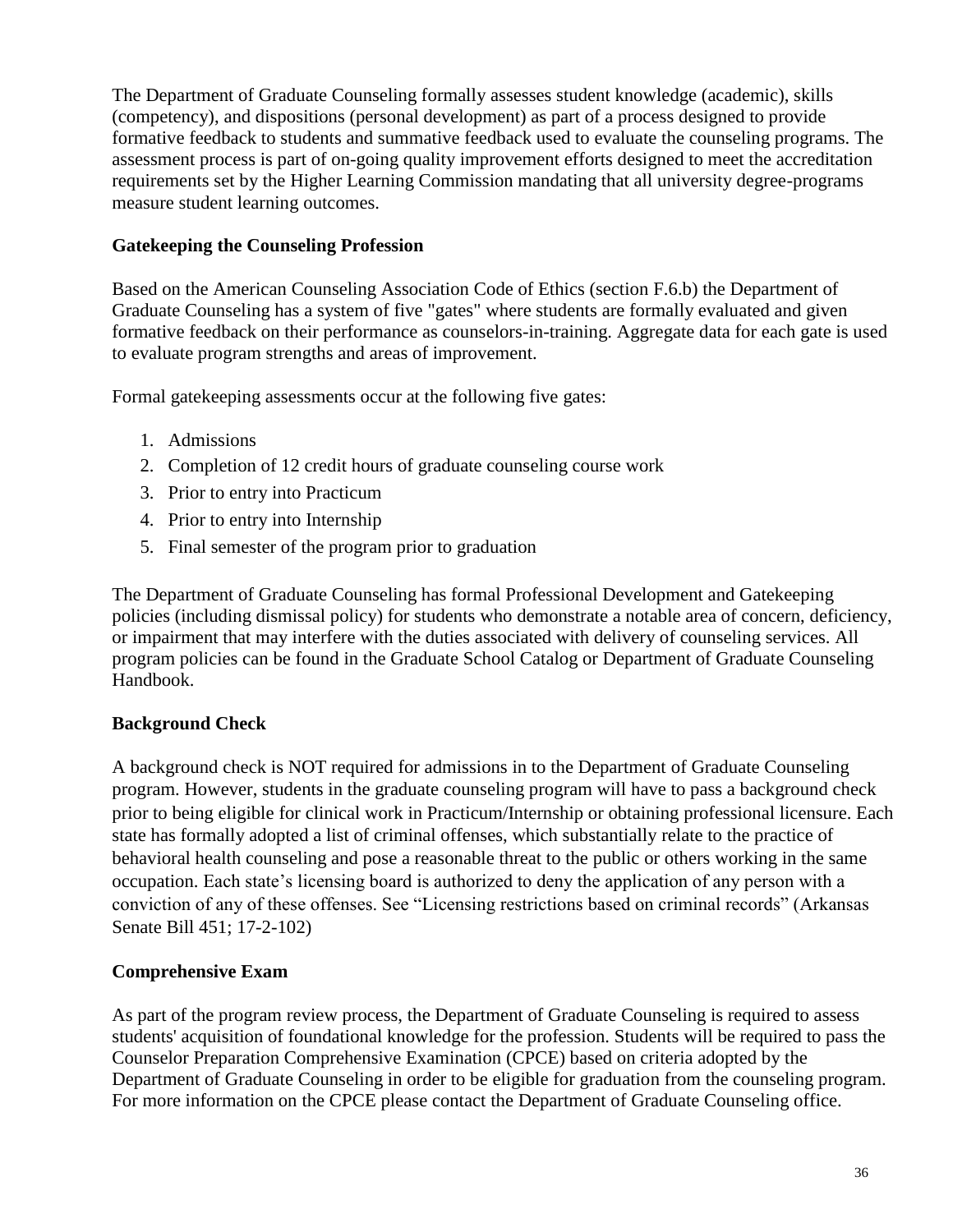The Department of Graduate Counseling formally assesses student knowledge (academic), skills (competency), and dispositions (personal development) as part of a process designed to provide formative feedback to students and summative feedback used to evaluate the counseling programs. The assessment process is part of on-going quality improvement efforts designed to meet the accreditation requirements set by the Higher Learning Commission mandating that all university degree-programs measure student learning outcomes.

#### **Gatekeeping the Counseling Profession**

Based on the American Counseling Association Code of Ethics (section F.6.b) the Department of Graduate Counseling has a system of five "gates" where students are formally evaluated and given formative feedback on their performance as counselors-in-training. Aggregate data for each gate is used to evaluate program strengths and areas of improvement.

Formal gatekeeping assessments occur at the following five gates:

- 1. Admissions
- 2. Completion of 12 credit hours of graduate counseling course work
- 3. Prior to entry into Practicum
- 4. Prior to entry into Internship
- 5. Final semester of the program prior to graduation

The Department of Graduate Counseling has formal Professional Development and Gatekeeping policies (including dismissal policy) for students who demonstrate a notable area of concern, deficiency, or impairment that may interfere with the duties associated with delivery of counseling services. All program policies can be found in the Graduate School Catalog or Department of Graduate Counseling Handbook.

#### **Background Check**

A background check is NOT required for admissions in to the Department of Graduate Counseling program. However, students in the graduate counseling program will have to pass a background check prior to being eligible for clinical work in Practicum/Internship or obtaining professional licensure. Each state has formally adopted a list of criminal offenses, which substantially relate to the practice of behavioral health counseling and pose a reasonable threat to the public or others working in the same occupation. Each state's licensing board is authorized to deny the application of any person with a conviction of any of these offenses. See "Licensing restrictions based on criminal records" (Arkansas Senate Bill 451; 17-2-102)

#### **Comprehensive Exam**

As part of the program review process, the Department of Graduate Counseling is required to assess students' acquisition of foundational knowledge for the profession. Students will be required to pass the Counselor Preparation Comprehensive Examination (CPCE) based on criteria adopted by the Department of Graduate Counseling in order to be eligible for graduation from the counseling program. For more information on the CPCE please contact the Department of Graduate Counseling office.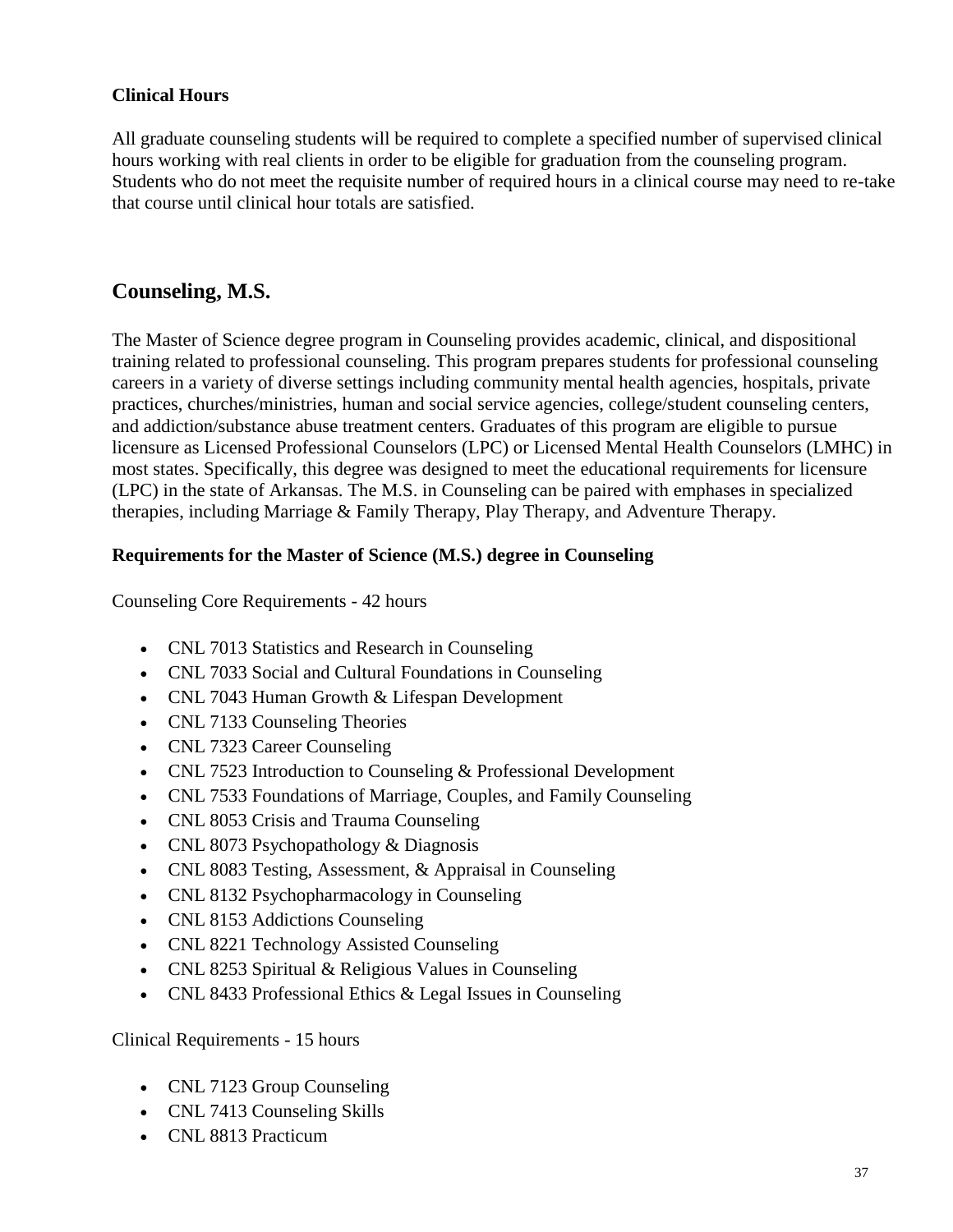# **Clinical Hours**

All graduate counseling students will be required to complete a specified number of supervised clinical hours working with real clients in order to be eligible for graduation from the counseling program. Students who do not meet the requisite number of required hours in a clinical course may need to re-take that course until clinical hour totals are satisfied.

# **Counseling, M.S.**

The Master of Science degree program in Counseling provides academic, clinical, and dispositional training related to professional counseling. This program prepares students for professional counseling careers in a variety of diverse settings including community mental health agencies, hospitals, private practices, churches/ministries, human and social service agencies, college/student counseling centers, and addiction/substance abuse treatment centers. Graduates of this program are eligible to pursue licensure as Licensed Professional Counselors (LPC) or Licensed Mental Health Counselors (LMHC) in most states. Specifically, this degree was designed to meet the educational requirements for licensure (LPC) in the state of Arkansas. The M.S. in Counseling can be paired with emphases in specialized therapies, including Marriage & Family Therapy, Play Therapy, and Adventure Therapy.

## **Requirements for the Master of Science (M.S.) degree in Counseling**

Counseling Core Requirements - 42 hours

- CNL 7013 Statistics and Research in Counseling
- CNL 7033 Social and Cultural Foundations in Counseling
- CNL 7043 Human Growth & Lifespan Development
- CNL 7133 Counseling Theories
- CNL 7323 Career Counseling
- CNL 7523 Introduction to Counseling & Professional Development
- CNL 7533 Foundations of Marriage, Couples, and Family Counseling
- CNL 8053 Crisis and Trauma Counseling
- CNL 8073 Psychopathology & Diagnosis
- CNL 8083 Testing, Assessment, & Appraisal in Counseling
- CNL 8132 Psychopharmacology in Counseling
- CNL 8153 Addictions Counseling
- CNL 8221 Technology Assisted Counseling
- CNL 8253 Spiritual & Religious Values in Counseling
- CNL 8433 Professional Ethics & Legal Issues in Counseling

Clinical Requirements - 15 hours

- CNL 7123 Group Counseling
- CNL 7413 Counseling Skills
- CNL 8813 Practicum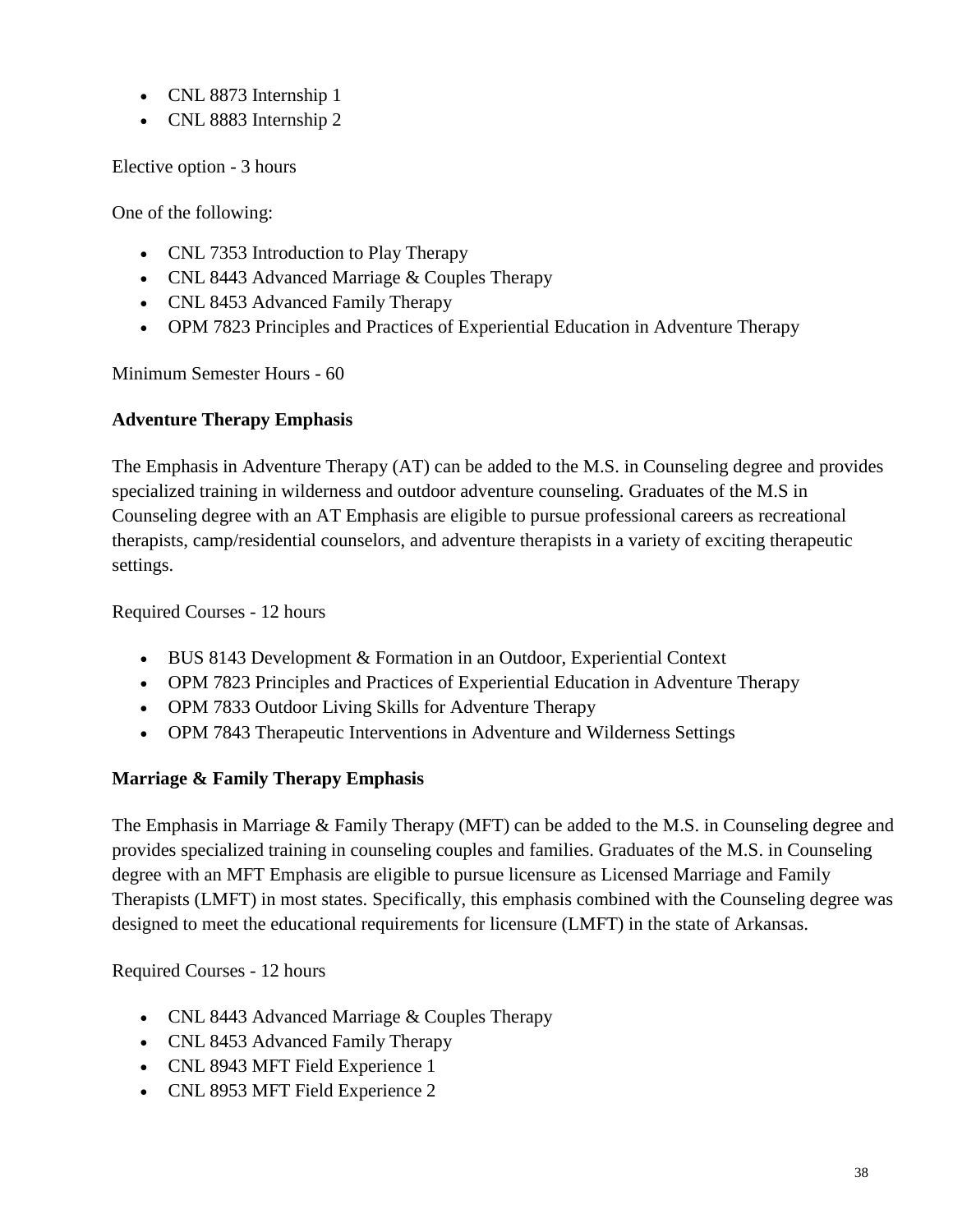- CNL 8873 Internship 1
- CNL 8883 Internship 2

Elective option - 3 hours

One of the following:

- CNL 7353 Introduction to Play Therapy
- CNL 8443 Advanced Marriage & Couples Therapy
- CNL 8453 Advanced Family Therapy
- OPM 7823 Principles and Practices of Experiential Education in Adventure Therapy

Minimum Semester Hours - 60

# **Adventure Therapy Emphasis**

The Emphasis in Adventure Therapy (AT) can be added to the M.S. in Counseling degree and provides specialized training in wilderness and outdoor adventure counseling. Graduates of the M.S in Counseling degree with an AT Emphasis are eligible to pursue professional careers as recreational therapists, camp/residential counselors, and adventure therapists in a variety of exciting therapeutic settings.

Required Courses - 12 hours

- BUS 8143 Development & Formation in an Outdoor, Experiential Context
- OPM 7823 Principles and Practices of Experiential Education in Adventure Therapy
- OPM 7833 Outdoor Living Skills for Adventure Therapy
- OPM 7843 Therapeutic Interventions in Adventure and Wilderness Settings

# **Marriage & Family Therapy Emphasis**

The Emphasis in Marriage & Family Therapy (MFT) can be added to the M.S. in Counseling degree and provides specialized training in counseling couples and families. Graduates of the M.S. in Counseling degree with an MFT Emphasis are eligible to pursue licensure as Licensed Marriage and Family Therapists (LMFT) in most states. Specifically, this emphasis combined with the Counseling degree was designed to meet the educational requirements for licensure (LMFT) in the state of Arkansas.

Required Courses - 12 hours

- CNL 8443 Advanced Marriage & Couples Therapy
- CNL 8453 Advanced Family Therapy
- CNL 8943 MFT Field Experience 1
- CNL 8953 MFT Field Experience 2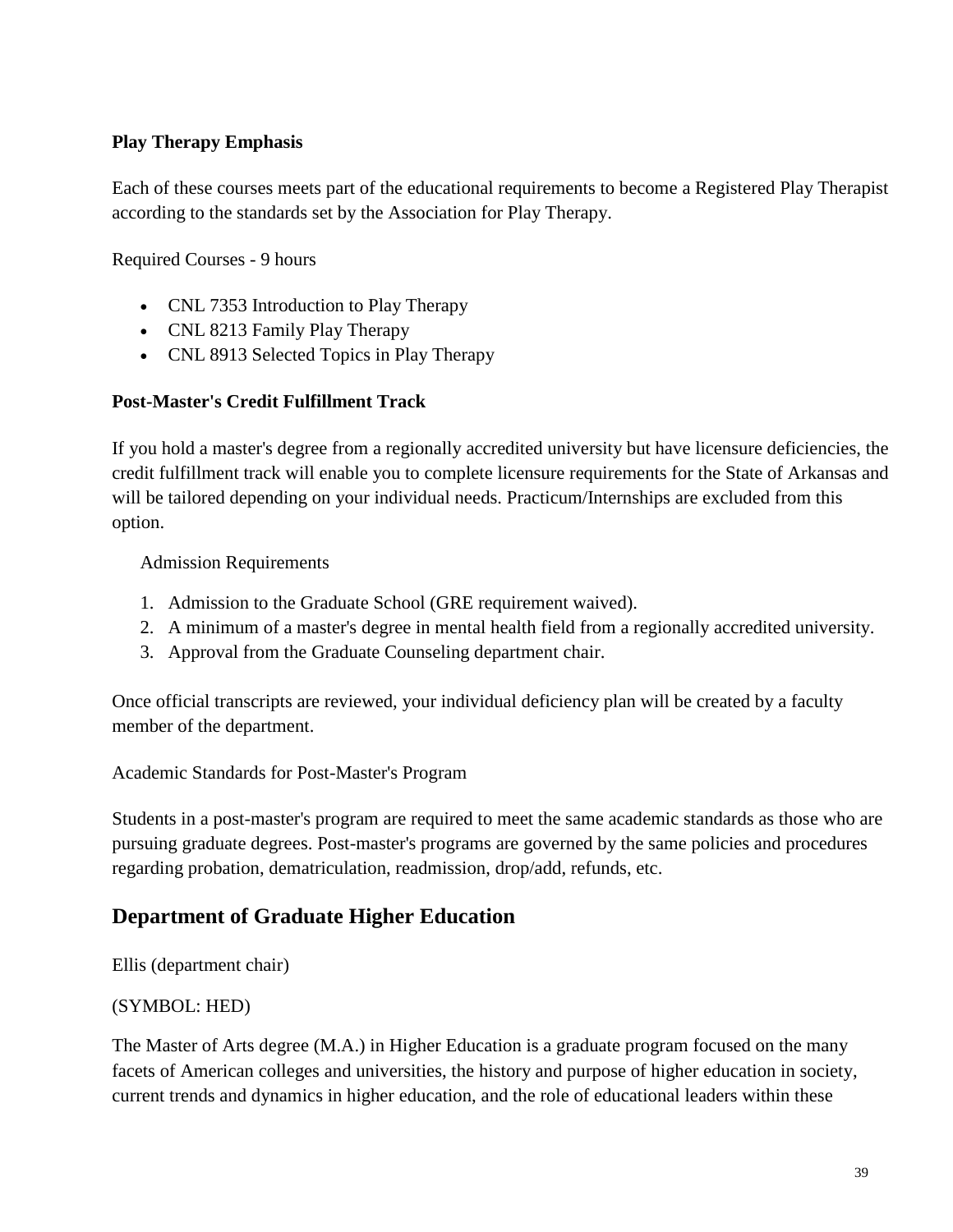# **Play Therapy Emphasis**

Each of these courses meets part of the educational requirements to become a Registered Play Therapist according to the standards set by the Association for Play Therapy.

Required Courses - 9 hours

- CNL 7353 Introduction to Play Therapy
- CNL 8213 Family Play Therapy
- CNL 8913 Selected Topics in Play Therapy

## **Post-Master's Credit Fulfillment Track**

If you hold a master's degree from a regionally accredited university but have licensure deficiencies, the credit fulfillment track will enable you to complete licensure requirements for the State of Arkansas and will be tailored depending on your individual needs. Practicum/Internships are excluded from this option.

Admission Requirements

- 1. Admission to the Graduate School (GRE requirement waived).
- 2. A minimum of a master's degree in mental health field from a regionally accredited university.
- 3. Approval from the Graduate Counseling department chair.

Once official transcripts are reviewed, your individual deficiency plan will be created by a faculty member of the department.

Academic Standards for Post-Master's Program

Students in a post-master's program are required to meet the same academic standards as those who are pursuing graduate degrees. Post-master's programs are governed by the same policies and procedures regarding probation, dematriculation, readmission, drop/add, refunds, etc.

# **Department of Graduate Higher Education**

Ellis (department chair)

#### (SYMBOL: HED)

The Master of Arts degree (M.A.) in Higher Education is a graduate program focused on the many facets of American colleges and universities, the history and purpose of higher education in society, current trends and dynamics in higher education, and the role of educational leaders within these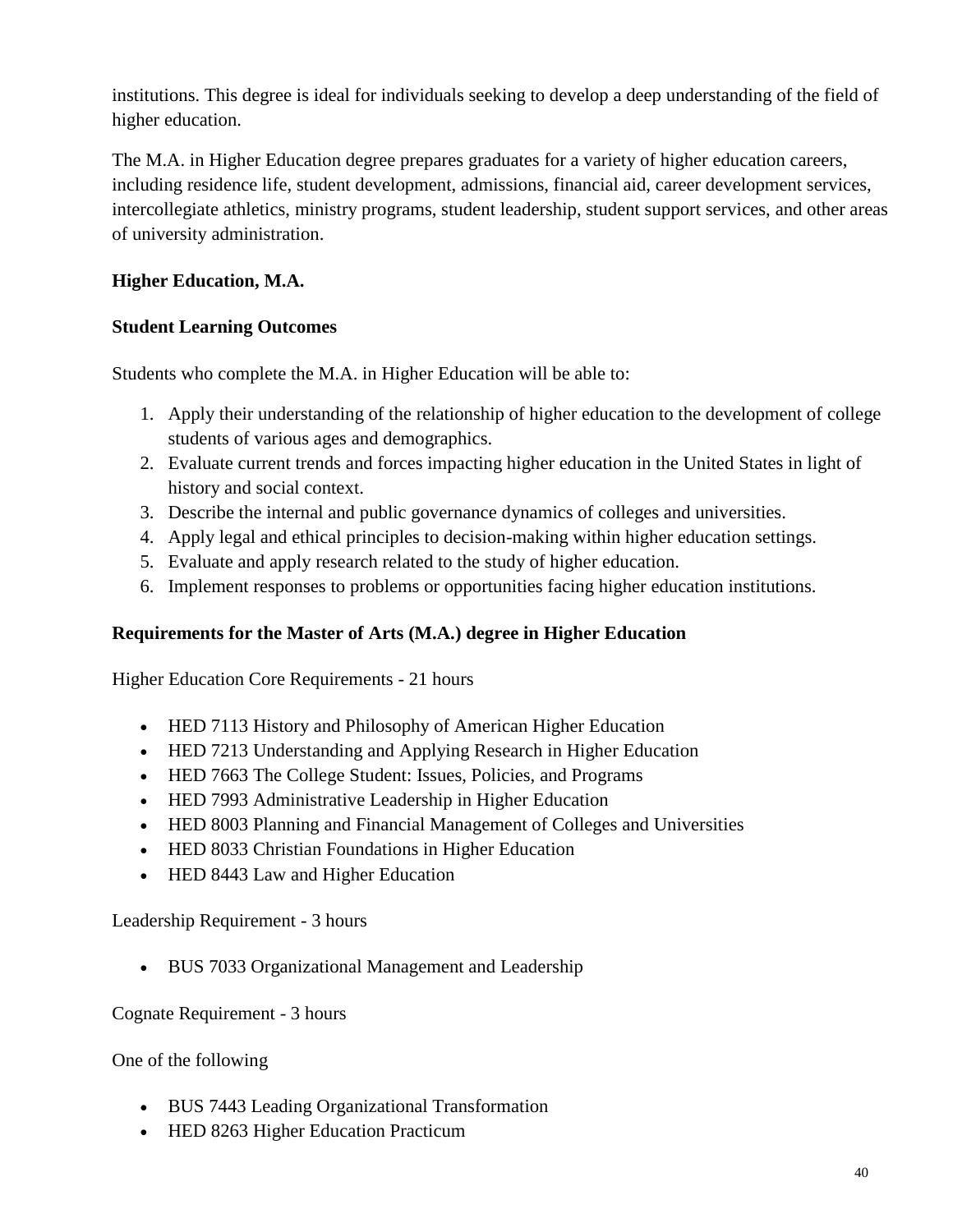institutions. This degree is ideal for individuals seeking to develop a deep understanding of the field of higher education.

The M.A. in Higher Education degree prepares graduates for a variety of higher education careers, including residence life, student development, admissions, financial aid, career development services, intercollegiate athletics, ministry programs, student leadership, student support services, and other areas of university administration.

# **Higher Education, M.A.**

# **Student Learning Outcomes**

Students who complete the M.A. in Higher Education will be able to:

- 1. Apply their understanding of the relationship of higher education to the development of college students of various ages and demographics.
- 2. Evaluate current trends and forces impacting higher education in the United States in light of history and social context.
- 3. Describe the internal and public governance dynamics of colleges and universities.
- 4. Apply legal and ethical principles to decision-making within higher education settings.
- 5. Evaluate and apply research related to the study of higher education.
- 6. Implement responses to problems or opportunities facing higher education institutions.

## **Requirements for the Master of Arts (M.A.) degree in Higher Education**

Higher Education Core Requirements - 21 hours

- HED 7113 History and Philosophy of American Higher Education
- HED 7213 Understanding and Applying Research in Higher Education
- HED 7663 The College Student: Issues, Policies, and Programs
- HED 7993 Administrative Leadership in Higher Education
- HED 8003 Planning and Financial Management of Colleges and Universities
- HED 8033 Christian Foundations in Higher Education
- HED 8443 Law and Higher Education

Leadership Requirement - 3 hours

• BUS 7033 Organizational Management and Leadership

## Cognate Requirement - 3 hours

One of the following

- BUS 7443 Leading Organizational Transformation
- HED 8263 Higher Education Practicum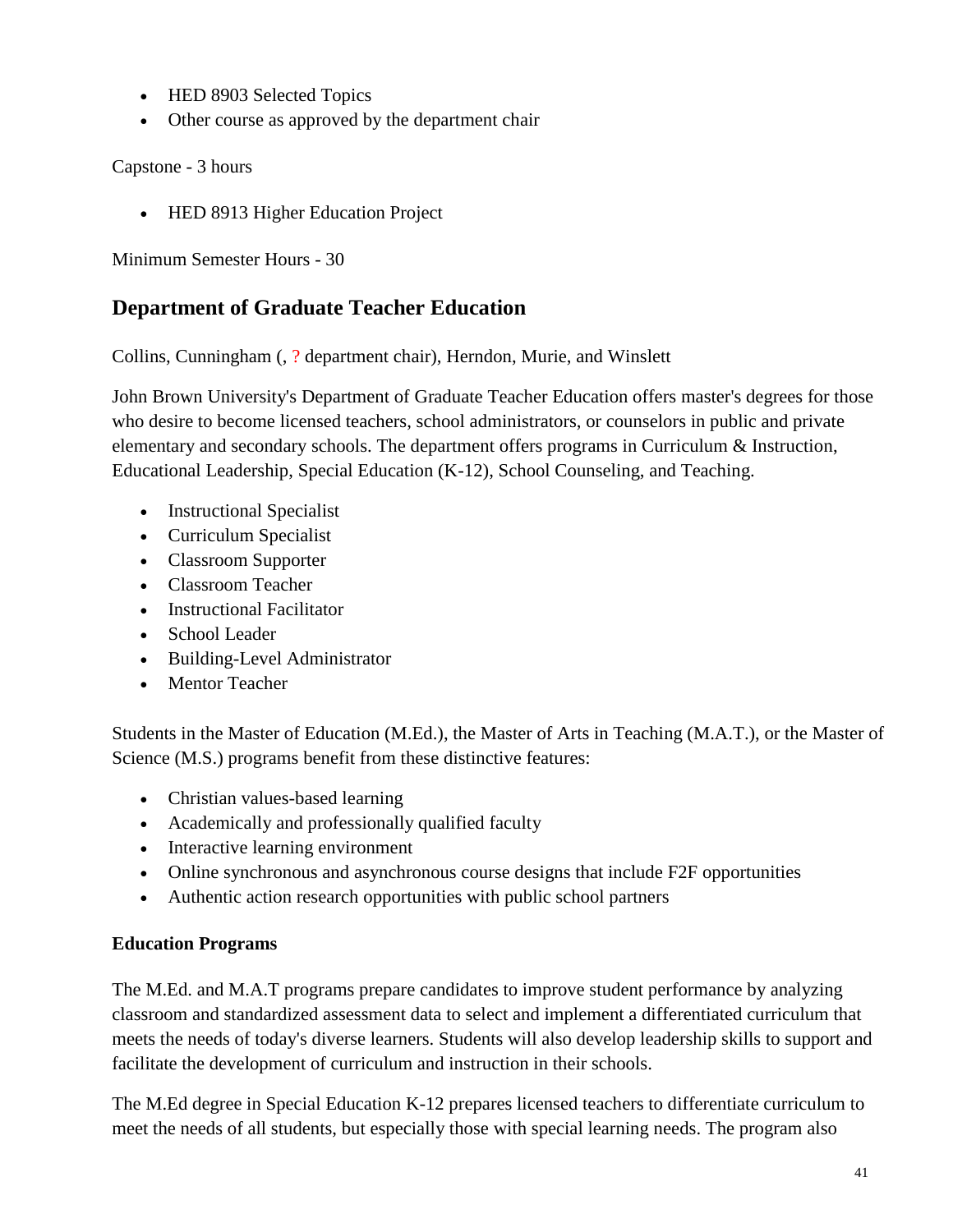- HED 8903 Selected Topics
- Other course as approved by the department chair

Capstone - 3 hours

• HED 8913 Higher Education Project

Minimum Semester Hours - 30

# **Department of Graduate Teacher Education**

Collins, Cunningham (, ? department chair), Herndon, Murie, and Winslett

John Brown University's Department of Graduate Teacher Education offers master's degrees for those who desire to become licensed teachers, school administrators, or counselors in public and private elementary and secondary schools. The department offers programs in Curriculum & Instruction, Educational Leadership, Special Education (K-12), School Counseling, and Teaching.

- Instructional Specialist
- Curriculum Specialist
- Classroom Supporter
- Classroom Teacher
- Instructional Facilitator
- School Leader
- Building-Level Administrator
- Mentor Teacher

Students in the Master of Education (M.Ed.), the Master of Arts in Teaching (M.A.T.), or the Master of Science (M.S.) programs benefit from these distinctive features:

- Christian values-based learning
- Academically and professionally qualified faculty
- Interactive learning environment
- Online synchronous and asynchronous course designs that include F2F opportunities
- Authentic action research opportunities with public school partners

## **Education Programs**

The M.Ed. and M.A.T programs prepare candidates to improve student performance by analyzing classroom and standardized assessment data to select and implement a differentiated curriculum that meets the needs of today's diverse learners. Students will also develop leadership skills to support and facilitate the development of curriculum and instruction in their schools.

The M.Ed degree in Special Education K-12 prepares licensed teachers to differentiate curriculum to meet the needs of all students, but especially those with special learning needs. The program also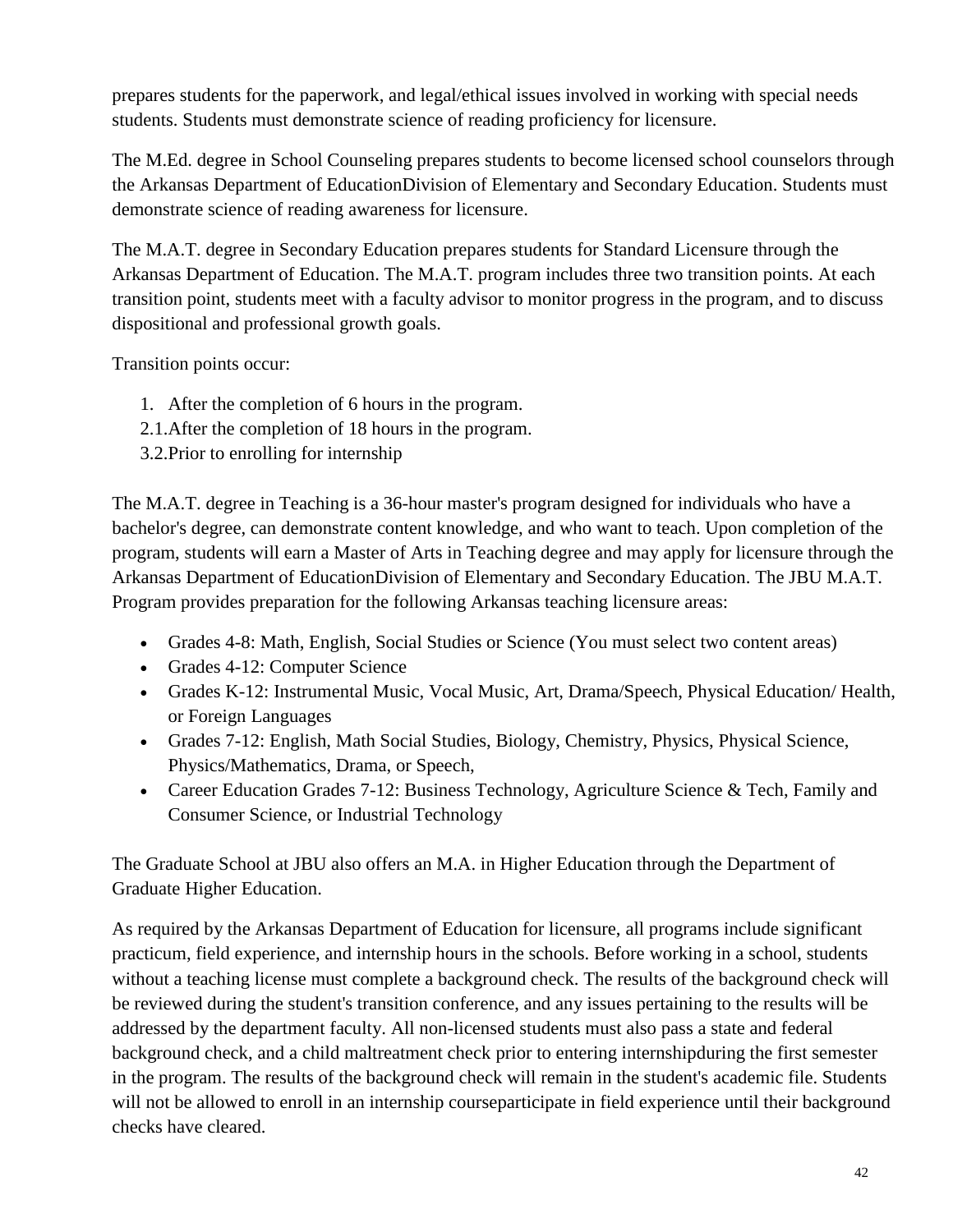prepares students for the paperwork, and legal/ethical issues involved in working with special needs students. Students must demonstrate science of reading proficiency for licensure.

The M.Ed. degree in School Counseling prepares students to become licensed school counselors through the Arkansas Department of EducationDivision of Elementary and Secondary Education. Students must demonstrate science of reading awareness for licensure.

The M.A.T. degree in Secondary Education prepares students for Standard Licensure through the Arkansas Department of Education. The M.A.T. program includes three two transition points. At each transition point, students meet with a faculty advisor to monitor progress in the program, and to discuss dispositional and professional growth goals.

Transition points occur:

- 1. After the completion of 6 hours in the program.
- 2.1.After the completion of 18 hours in the program.
- 3.2.Prior to enrolling for internship

The M.A.T. degree in Teaching is a 36-hour master's program designed for individuals who have a bachelor's degree, can demonstrate content knowledge, and who want to teach. Upon completion of the program, students will earn a Master of Arts in Teaching degree and may apply for licensure through the Arkansas Department of EducationDivision of Elementary and Secondary Education. The JBU M.A.T. Program provides preparation for the following Arkansas teaching licensure areas:

- Grades 4-8: Math, English, Social Studies or Science (You must select two content areas)
- Grades 4-12: Computer Science
- Grades K-12: Instrumental Music, Vocal Music, Art, Drama/Speech, Physical Education/ Health, or Foreign Languages
- Grades 7-12: English, Math Social Studies, Biology, Chemistry, Physics, Physical Science, Physics/Mathematics, Drama, or Speech,
- Career Education Grades 7-12: Business Technology, Agriculture Science & Tech, Family and Consumer Science, or Industrial Technology

The Graduate School at JBU also offers an M.A. in Higher Education through the Department of Graduate Higher Education.

As required by the Arkansas Department of Education for licensure, all programs include significant practicum, field experience, and internship hours in the schools. Before working in a school, students without a teaching license must complete a background check. The results of the background check will be reviewed during the student's transition conference, and any issues pertaining to the results will be addressed by the department faculty. All non-licensed students must also pass a state and federal background check, and a child maltreatment check prior to entering internshipduring the first semester in the program. The results of the background check will remain in the student's academic file. Students will not be allowed to enroll in an internship courseparticipate in field experience until their background checks have cleared.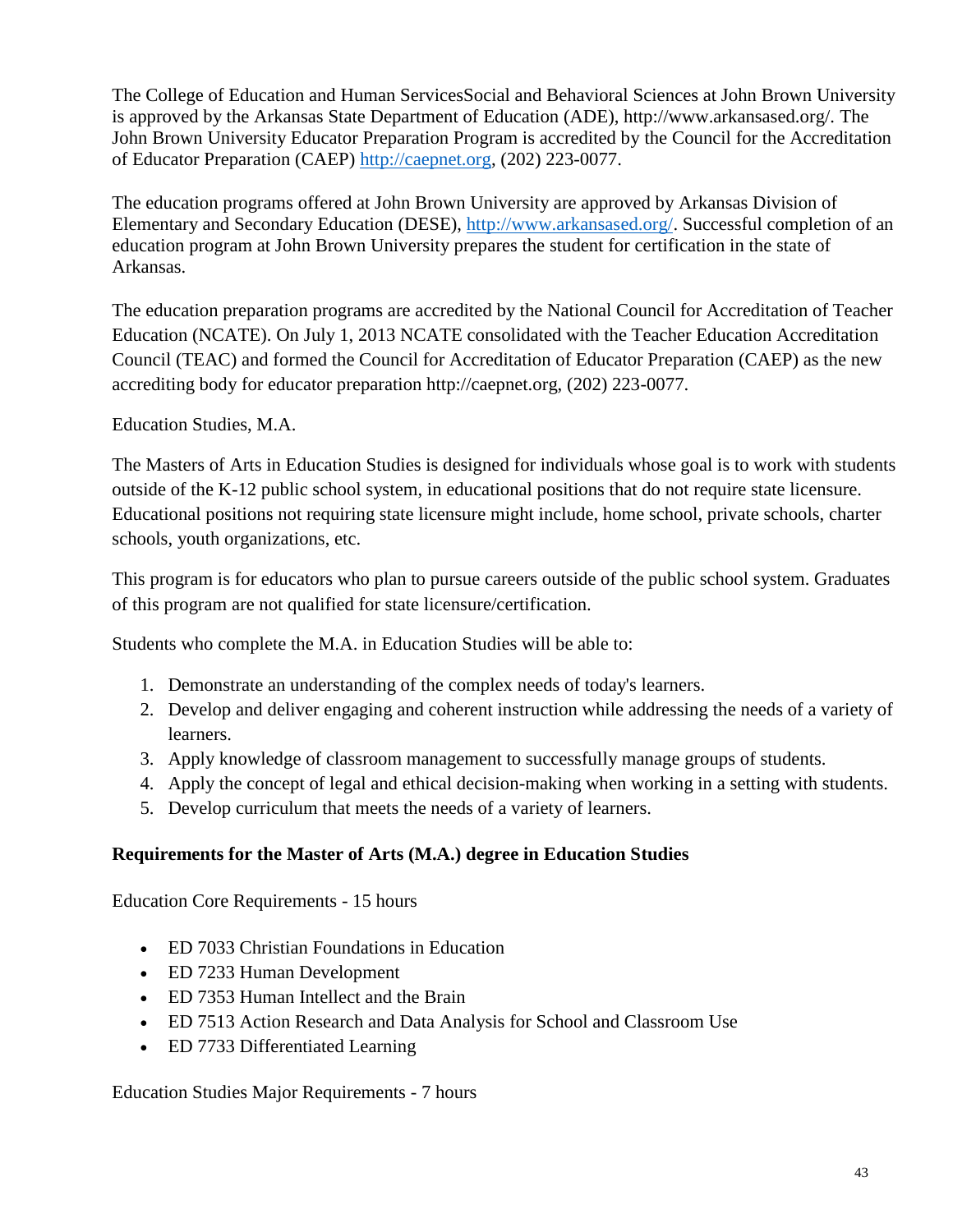The College of Education and Human ServicesSocial and Behavioral Sciences at John Brown University is approved by the Arkansas State Department of Education (ADE), http://www.arkansased.org/. The John Brown University Educator Preparation Program is accredited by the Council for the Accreditation of Educator Preparation (CAEP) [http://caepnet.org,](http://caepnet.org/) (202) 223-0077.

The education programs offered at John Brown University are approved by Arkansas Division of Elementary and Secondary Education (DESE), [http://www.arkansased.org/.](http://www.arkansased.org/) Successful completion of an education program at John Brown University prepares the student for certification in the state of Arkansas.

The education preparation programs are accredited by the National Council for Accreditation of Teacher Education (NCATE). On July 1, 2013 NCATE consolidated with the Teacher Education Accreditation Council (TEAC) and formed the Council for Accreditation of Educator Preparation (CAEP) as the new accrediting body for educator preparation http://caepnet.org, (202) 223-0077.

## Education Studies, M.A.

The Masters of Arts in Education Studies is designed for individuals whose goal is to work with students outside of the K-12 public school system, in educational positions that do not require state licensure. Educational positions not requiring state licensure might include, home school, private schools, charter schools, youth organizations, etc.

This program is for educators who plan to pursue careers outside of the public school system. Graduates of this program are not qualified for state licensure/certification.

Students who complete the M.A. in Education Studies will be able to:

- 1. Demonstrate an understanding of the complex needs of today's learners.
- 2. Develop and deliver engaging and coherent instruction while addressing the needs of a variety of learners.
- 3. Apply knowledge of classroom management to successfully manage groups of students.
- 4. Apply the concept of legal and ethical decision-making when working in a setting with students.
- 5. Develop curriculum that meets the needs of a variety of learners.

## **Requirements for the Master of Arts (M.A.) degree in Education Studies**

Education Core Requirements - 15 hours

- ED 7033 Christian Foundations in Education
- ED 7233 Human Development
- ED 7353 Human Intellect and the Brain
- ED 7513 Action Research and Data Analysis for School and Classroom Use
- ED 7733 Differentiated Learning

Education Studies Major Requirements - 7 hours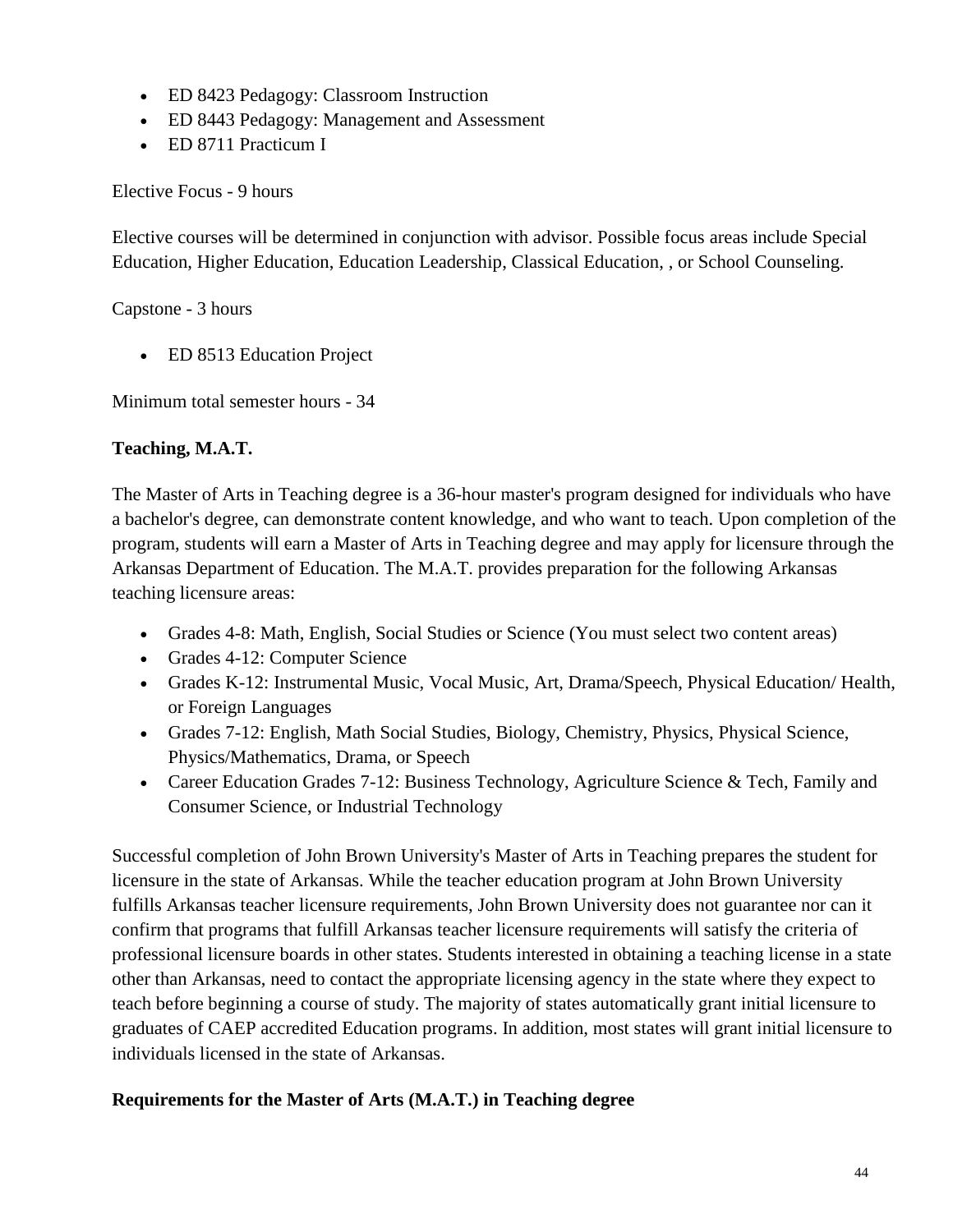- ED 8423 Pedagogy: Classroom Instruction
- ED 8443 Pedagogy: Management and Assessment
- ED 8711 Practicum I

Elective Focus - 9 hours

Elective courses will be determined in conjunction with advisor. Possible focus areas include Special Education, Higher Education, Education Leadership, Classical Education, , or School Counseling.

Capstone - 3 hours

• ED 8513 Education Project

Minimum total semester hours - 34

## **Teaching, M.A.T.**

The Master of Arts in Teaching degree is a 36-hour master's program designed for individuals who have a bachelor's degree, can demonstrate content knowledge, and who want to teach. Upon completion of the program, students will earn a Master of Arts in Teaching degree and may apply for licensure through the Arkansas Department of Education. The M.A.T. provides preparation for the following Arkansas teaching licensure areas:

- Grades 4-8: Math, English, Social Studies or Science (You must select two content areas)
- Grades 4-12: Computer Science
- Grades K-12: Instrumental Music, Vocal Music, Art, Drama/Speech, Physical Education/ Health, or Foreign Languages
- Grades 7-12: English, Math Social Studies, Biology, Chemistry, Physics, Physical Science, Physics/Mathematics, Drama, or Speech
- Career Education Grades 7-12: Business Technology, Agriculture Science & Tech, Family and Consumer Science, or Industrial Technology

Successful completion of John Brown University's Master of Arts in Teaching prepares the student for licensure in the state of Arkansas. While the teacher education program at John Brown University fulfills Arkansas teacher licensure requirements, John Brown University does not guarantee nor can it confirm that programs that fulfill Arkansas teacher licensure requirements will satisfy the criteria of professional licensure boards in other states. Students interested in obtaining a teaching license in a state other than Arkansas, need to contact the appropriate licensing agency in the state where they expect to teach before beginning a course of study. The majority of states automatically grant initial licensure to graduates of CAEP accredited Education programs. In addition, most states will grant initial licensure to individuals licensed in the state of Arkansas.

## **Requirements for the Master of Arts (M.A.T.) in Teaching degree**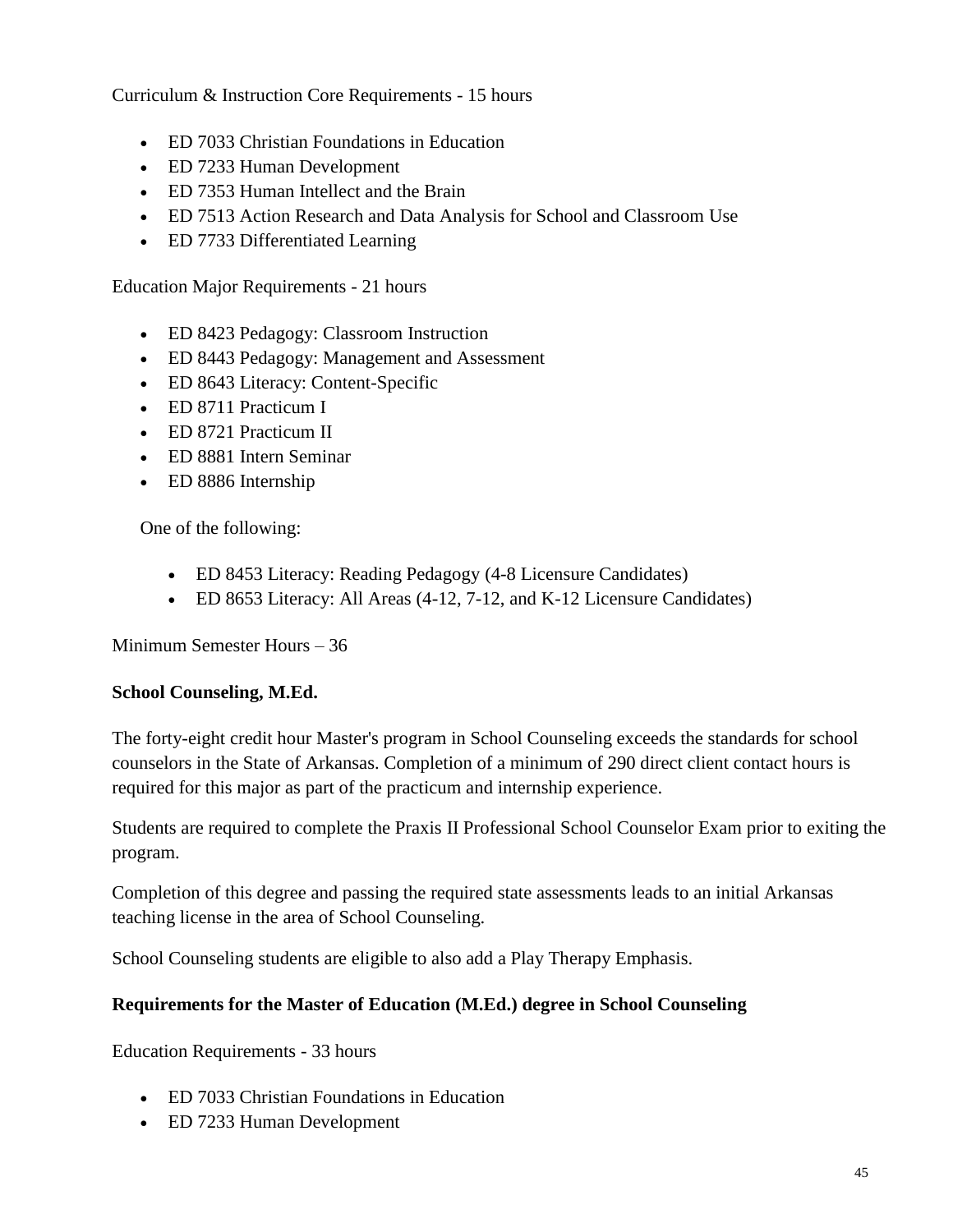Curriculum & Instruction Core Requirements - 15 hours

- ED 7033 Christian Foundations in Education
- ED 7233 Human Development
- ED 7353 Human Intellect and the Brain
- ED 7513 Action Research and Data Analysis for School and Classroom Use
- ED 7733 Differentiated Learning

Education Major Requirements - 21 hours

- ED 8423 Pedagogy: Classroom Instruction
- ED 8443 Pedagogy: Management and Assessment
- ED 8643 Literacy: Content-Specific
- ED 8711 Practicum I
- ED 8721 Practicum II
- ED 8881 Intern Seminar
- ED 8886 Internship

One of the following:

- ED 8453 Literacy: Reading Pedagogy (4-8 Licensure Candidates)
- ED 8653 Literacy: All Areas (4-12, 7-12, and K-12 Licensure Candidates)

Minimum Semester Hours – 36

## **School Counseling, M.Ed.**

The forty-eight credit hour Master's program in School Counseling exceeds the standards for school counselors in the State of Arkansas. Completion of a minimum of 290 direct client contact hours is required for this major as part of the practicum and internship experience.

Students are required to complete the Praxis II Professional School Counselor Exam prior to exiting the program.

Completion of this degree and passing the required state assessments leads to an initial Arkansas teaching license in the area of School Counseling.

School Counseling students are eligible to also add a Play Therapy Emphasis.

## **Requirements for the Master of Education (M.Ed.) degree in School Counseling**

Education Requirements - 33 hours

- ED 7033 Christian Foundations in Education
- ED 7233 Human Development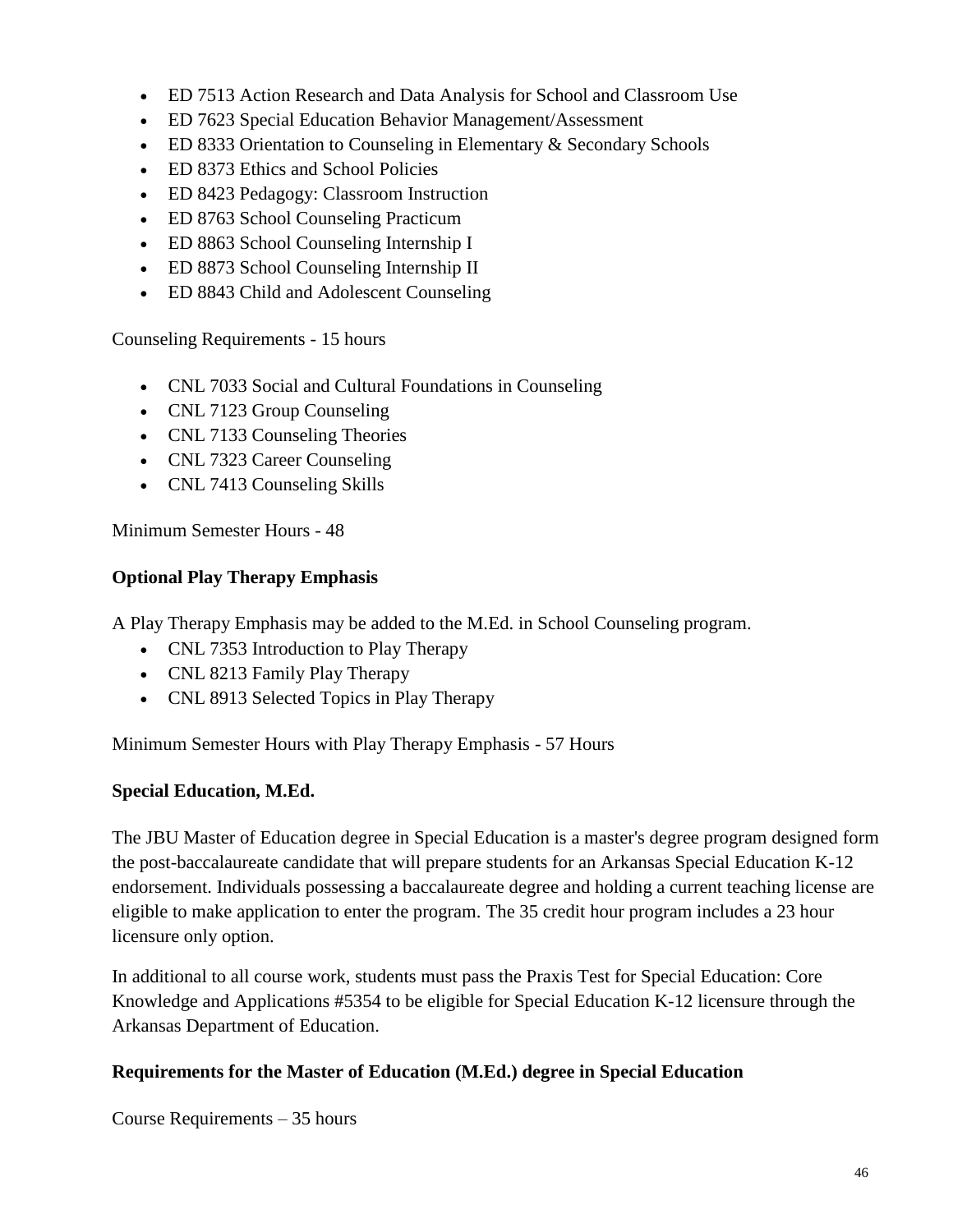- ED 7513 Action Research and Data Analysis for School and Classroom Use
- ED 7623 Special Education Behavior Management/Assessment
- ED 8333 Orientation to Counseling in Elementary & Secondary Schools
- ED 8373 Ethics and School Policies
- ED 8423 Pedagogy: Classroom Instruction
- ED 8763 School Counseling Practicum
- ED 8863 School Counseling Internship I
- ED 8873 School Counseling Internship II
- ED 8843 Child and Adolescent Counseling

Counseling Requirements - 15 hours

- CNL 7033 Social and Cultural Foundations in Counseling
- CNL 7123 Group Counseling
- CNL 7133 Counseling Theories
- CNL 7323 Career Counseling
- CNL 7413 Counseling Skills

Minimum Semester Hours - 48

## **Optional Play Therapy Emphasis**

A Play Therapy Emphasis may be added to the M.Ed. in School Counseling program.

- CNL 7353 Introduction to Play Therapy
- CNL 8213 Family Play Therapy
- CNL 8913 Selected Topics in Play Therapy

Minimum Semester Hours with Play Therapy Emphasis - 57 Hours

## **Special Education, M.Ed.**

The JBU Master of Education degree in Special Education is a master's degree program designed form the post-baccalaureate candidate that will prepare students for an Arkansas Special Education K-12 endorsement. Individuals possessing a baccalaureate degree and holding a current teaching license are eligible to make application to enter the program. The 35 credit hour program includes a 23 hour licensure only option.

In additional to all course work, students must pass the Praxis Test for Special Education: Core Knowledge and Applications #5354 to be eligible for Special Education K-12 licensure through the Arkansas Department of Education.

## **Requirements for the Master of Education (M.Ed.) degree in Special Education**

Course Requirements – 35 hours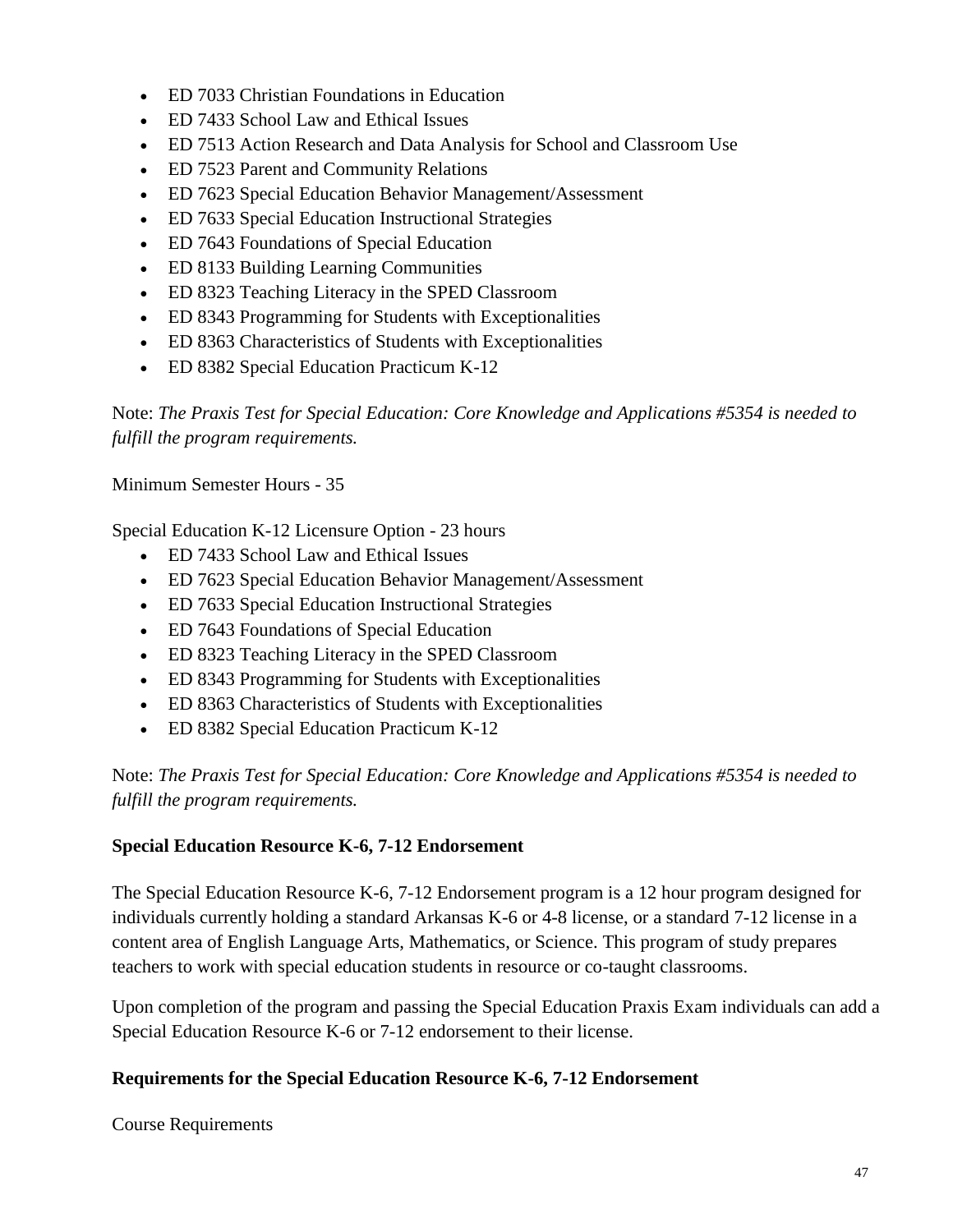- ED 7033 Christian Foundations in Education
- ED 7433 School Law and Ethical Issues
- ED 7513 Action Research and Data Analysis for School and Classroom Use
- ED 7523 Parent and Community Relations
- ED 7623 Special Education Behavior Management/Assessment
- ED 7633 Special Education Instructional Strategies
- ED 7643 Foundations of Special Education
- ED 8133 Building Learning Communities
- ED 8323 Teaching Literacy in the SPED Classroom
- ED 8343 Programming for Students with Exceptionalities
- ED 8363 Characteristics of Students with Exceptionalities
- ED 8382 Special Education Practicum K-12

Note: *The Praxis Test for Special Education: Core Knowledge and Applications #5354 is needed to fulfill the program requirements.*

## Minimum Semester Hours - 35

Special Education K-12 Licensure Option - 23 hours

- ED 7433 School Law and Ethical Issues
- ED 7623 Special Education Behavior Management/Assessment
- ED 7633 Special Education Instructional Strategies
- ED 7643 Foundations of Special Education
- ED 8323 Teaching Literacy in the SPED Classroom
- ED 8343 Programming for Students with Exceptionalities
- ED 8363 Characteristics of Students with Exceptionalities
- ED 8382 Special Education Practicum K-12

Note: *The Praxis Test for Special Education: Core Knowledge and Applications #5354 is needed to fulfill the program requirements.*

## **Special Education Resource K-6, 7-12 Endorsement**

The Special Education Resource K-6, 7-12 Endorsement program is a 12 hour program designed for individuals currently holding a standard Arkansas K-6 or 4-8 license, or a standard 7-12 license in a content area of English Language Arts, Mathematics, or Science. This program of study prepares teachers to work with special education students in resource or co-taught classrooms.

Upon completion of the program and passing the Special Education Praxis Exam individuals can add a Special Education Resource K-6 or 7-12 endorsement to their license.

## **Requirements for the Special Education Resource K-6, 7-12 Endorsement**

Course Requirements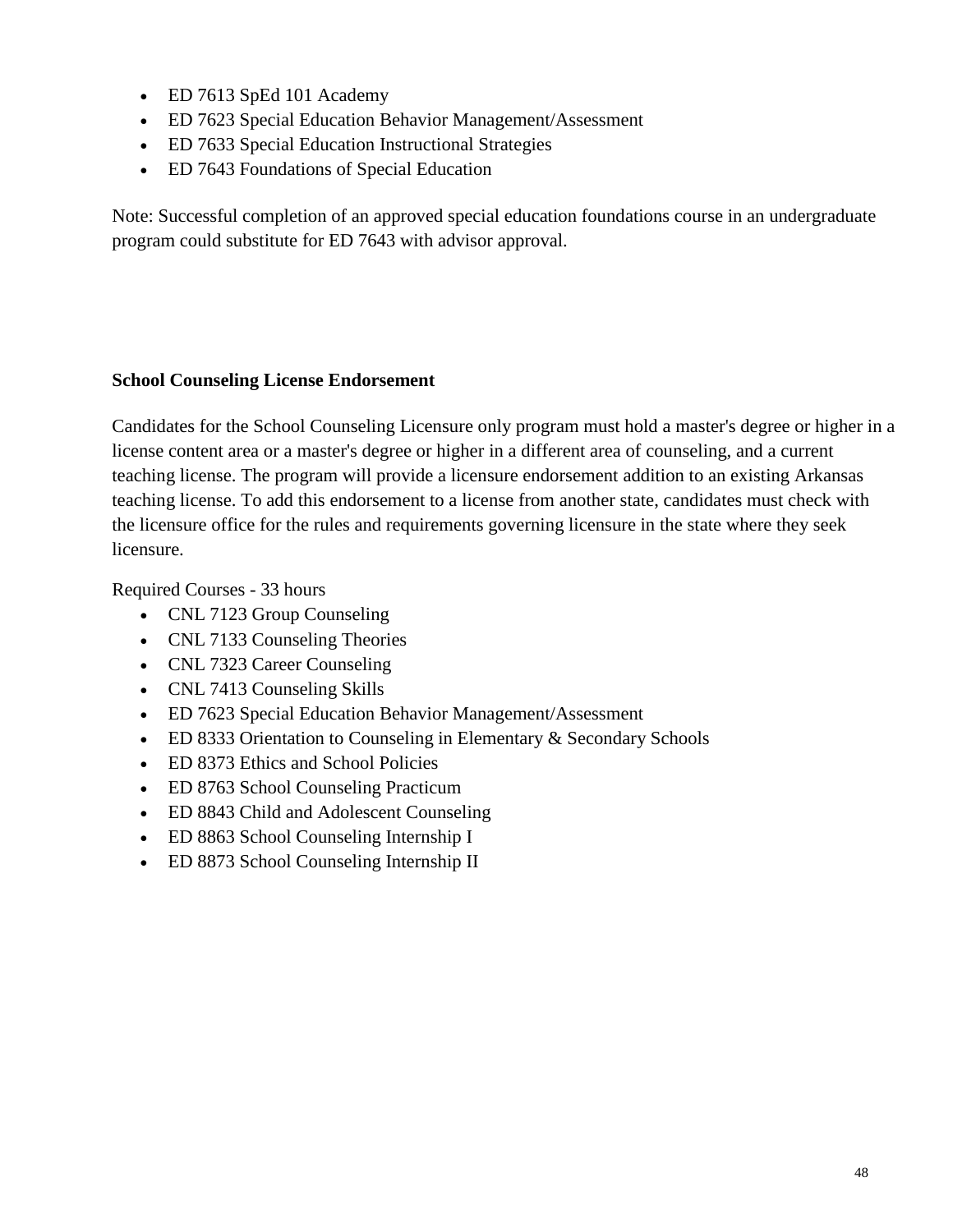- ED 7613 SpEd 101 Academy
- ED 7623 Special Education Behavior Management/Assessment
- ED 7633 Special Education Instructional Strategies
- ED 7643 Foundations of Special Education

Note: Successful completion of an approved special education foundations course in an undergraduate program could substitute for ED 7643 with advisor approval.

# **School Counseling License Endorsement**

Candidates for the School Counseling Licensure only program must hold a master's degree or higher in a license content area or a master's degree or higher in a different area of counseling, and a current teaching license. The program will provide a licensure endorsement addition to an existing Arkansas teaching license. To add this endorsement to a license from another state, candidates must check with the licensure office for the rules and requirements governing licensure in the state where they seek licensure.

Required Courses - 33 hours

- CNL 7123 Group Counseling
- CNL 7133 Counseling Theories
- CNL 7323 Career Counseling
- CNL 7413 Counseling Skills
- ED 7623 Special Education Behavior Management/Assessment
- ED 8333 Orientation to Counseling in Elementary & Secondary Schools
- ED 8373 Ethics and School Policies
- ED 8763 School Counseling Practicum
- ED 8843 Child and Adolescent Counseling
- ED 8863 School Counseling Internship I
- ED 8873 School Counseling Internship II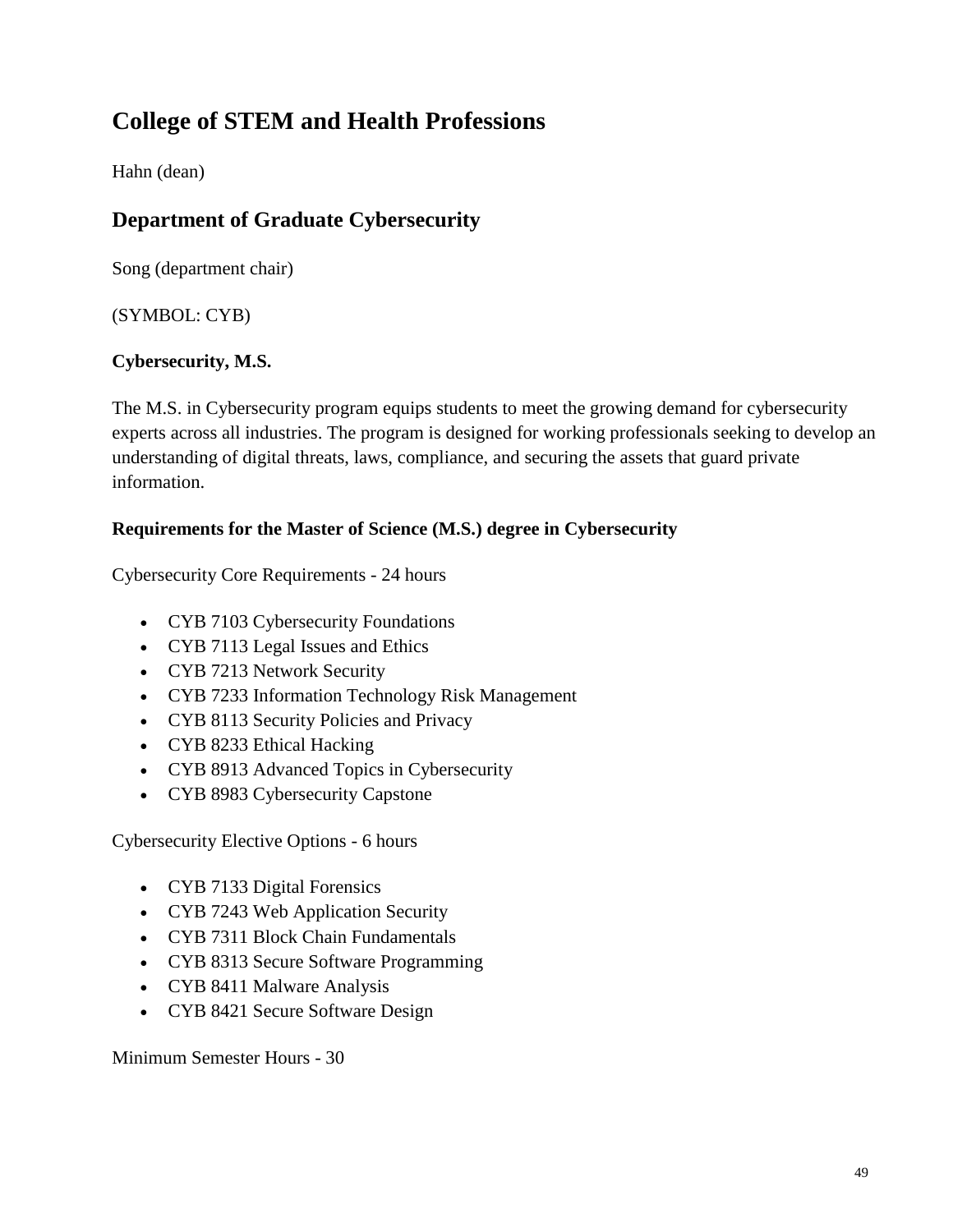# **College of STEM and Health Professions**

Hahn (dean)

# **Department of Graduate Cybersecurity**

Song (department chair)

(SYMBOL: CYB)

# **Cybersecurity, M.S.**

The M.S. in Cybersecurity program equips students to meet the growing demand for cybersecurity experts across all industries. The program is designed for working professionals seeking to develop an understanding of digital threats, laws, compliance, and securing the assets that guard private information.

# **Requirements for the Master of Science (M.S.) degree in Cybersecurity**

Cybersecurity Core Requirements - 24 hours

- CYB 7103 Cybersecurity Foundations
- CYB 7113 Legal Issues and Ethics
- CYB 7213 Network Security
- CYB 7233 Information Technology Risk Management
- CYB 8113 Security Policies and Privacy
- CYB 8233 Ethical Hacking
- CYB 8913 Advanced Topics in Cybersecurity
- CYB 8983 Cybersecurity Capstone

Cybersecurity Elective Options - 6 hours

- CYB 7133 Digital Forensics
- CYB 7243 Web Application Security
- CYB 7311 Block Chain Fundamentals
- CYB 8313 Secure Software Programming
- CYB 8411 Malware Analysis
- CYB 8421 Secure Software Design

Minimum Semester Hours - 30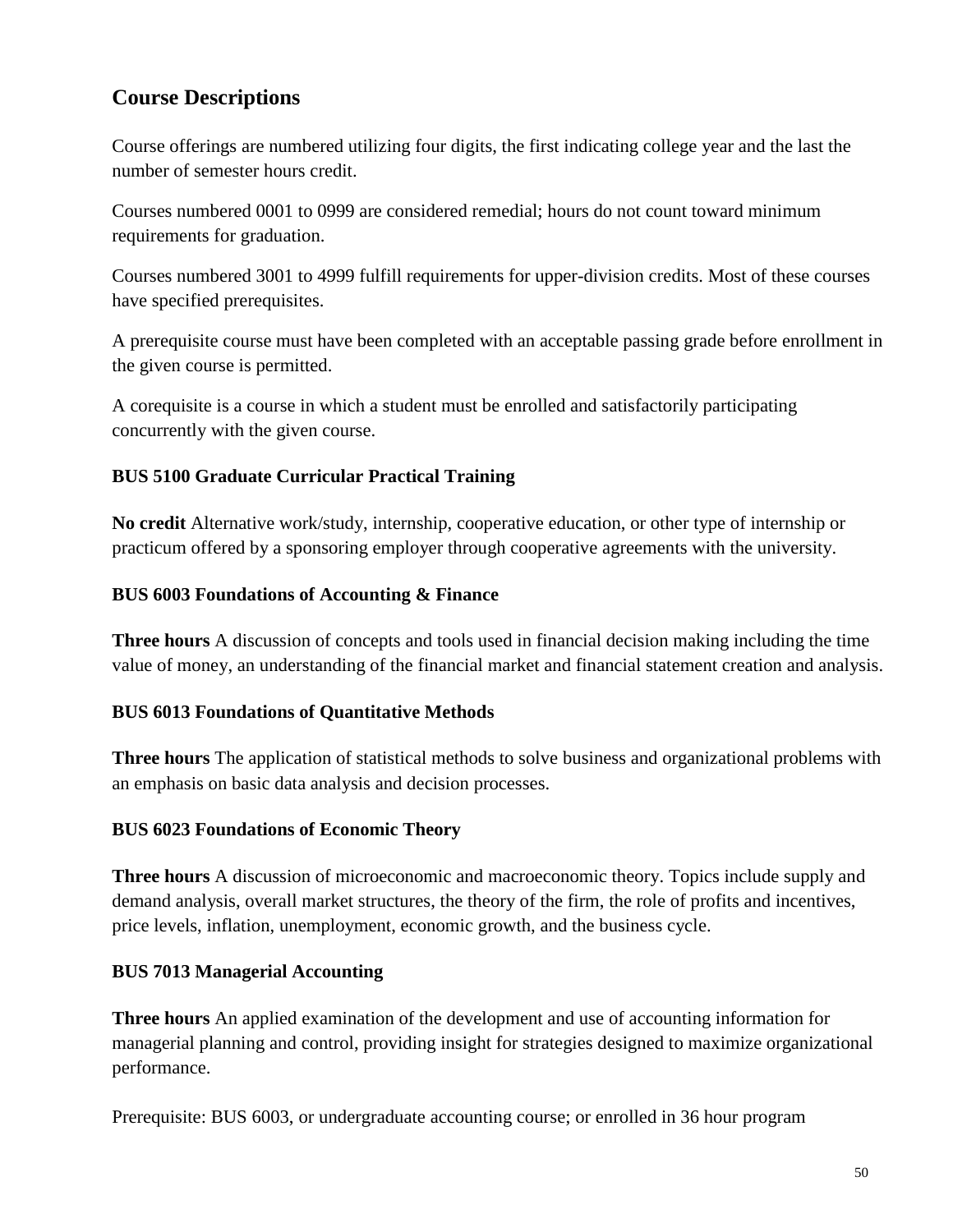# **Course Descriptions**

Course offerings are numbered utilizing four digits, the first indicating college year and the last the number of semester hours credit.

Courses numbered 0001 to 0999 are considered remedial; hours do not count toward minimum requirements for graduation.

Courses numbered 3001 to 4999 fulfill requirements for upper-division credits. Most of these courses have specified prerequisites.

A prerequisite course must have been completed with an acceptable passing grade before enrollment in the given course is permitted.

A corequisite is a course in which a student must be enrolled and satisfactorily participating concurrently with the given course.

# **BUS 5100 Graduate Curricular Practical Training**

**No credit** Alternative work/study, internship, cooperative education, or other type of internship or practicum offered by a sponsoring employer through cooperative agreements with the university.

## **BUS 6003 Foundations of Accounting & Finance**

**Three hours** A discussion of concepts and tools used in financial decision making including the time value of money, an understanding of the financial market and financial statement creation and analysis.

## **BUS 6013 Foundations of Quantitative Methods**

**Three hours** The application of statistical methods to solve business and organizational problems with an emphasis on basic data analysis and decision processes.

## **BUS 6023 Foundations of Economic Theory**

**Three hours** A discussion of microeconomic and macroeconomic theory. Topics include supply and demand analysis, overall market structures, the theory of the firm, the role of profits and incentives, price levels, inflation, unemployment, economic growth, and the business cycle.

# **BUS 7013 Managerial Accounting**

**Three hours** An applied examination of the development and use of accounting information for managerial planning and control, providing insight for strategies designed to maximize organizational performance.

Prerequisite: BUS 6003, or undergraduate accounting course; or enrolled in 36 hour program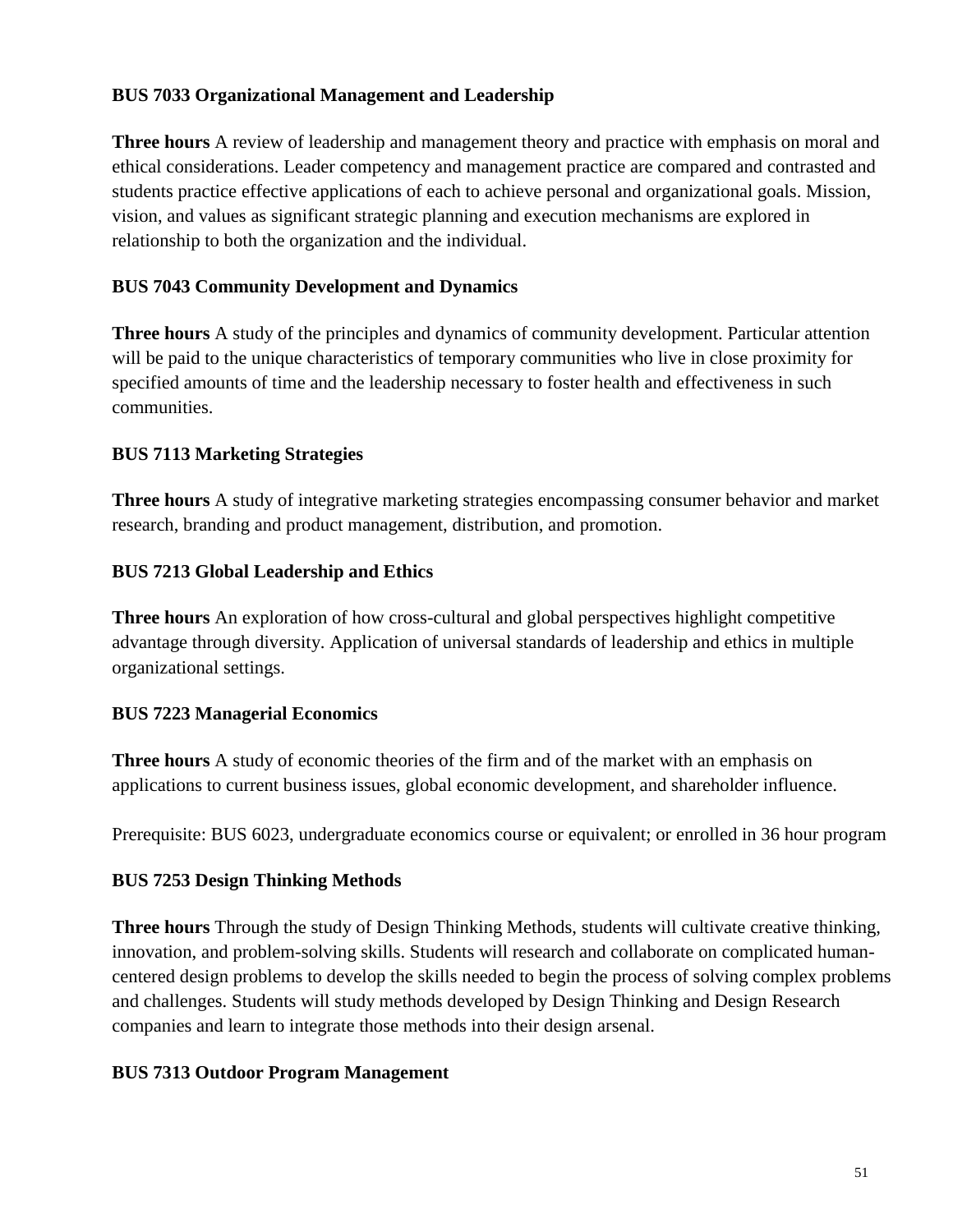## **BUS 7033 Organizational Management and Leadership**

**Three hours** A review of leadership and management theory and practice with emphasis on moral and ethical considerations. Leader competency and management practice are compared and contrasted and students practice effective applications of each to achieve personal and organizational goals. Mission, vision, and values as significant strategic planning and execution mechanisms are explored in relationship to both the organization and the individual.

# **BUS 7043 Community Development and Dynamics**

**Three hours** A study of the principles and dynamics of community development. Particular attention will be paid to the unique characteristics of temporary communities who live in close proximity for specified amounts of time and the leadership necessary to foster health and effectiveness in such communities.

# **BUS 7113 Marketing Strategies**

**Three hours** A study of integrative marketing strategies encompassing consumer behavior and market research, branding and product management, distribution, and promotion.

# **BUS 7213 Global Leadership and Ethics**

**Three hours** An exploration of how cross-cultural and global perspectives highlight competitive advantage through diversity. Application of universal standards of leadership and ethics in multiple organizational settings.

# **BUS 7223 Managerial Economics**

**Three hours** A study of economic theories of the firm and of the market with an emphasis on applications to current business issues, global economic development, and shareholder influence.

Prerequisite: BUS 6023, undergraduate economics course or equivalent; or enrolled in 36 hour program

## **BUS 7253 Design Thinking Methods**

**Three hours** Through the study of Design Thinking Methods, students will cultivate creative thinking, innovation, and problem-solving skills. Students will research and collaborate on complicated humancentered design problems to develop the skills needed to begin the process of solving complex problems and challenges. Students will study methods developed by Design Thinking and Design Research companies and learn to integrate those methods into their design arsenal.

## **BUS 7313 Outdoor Program Management**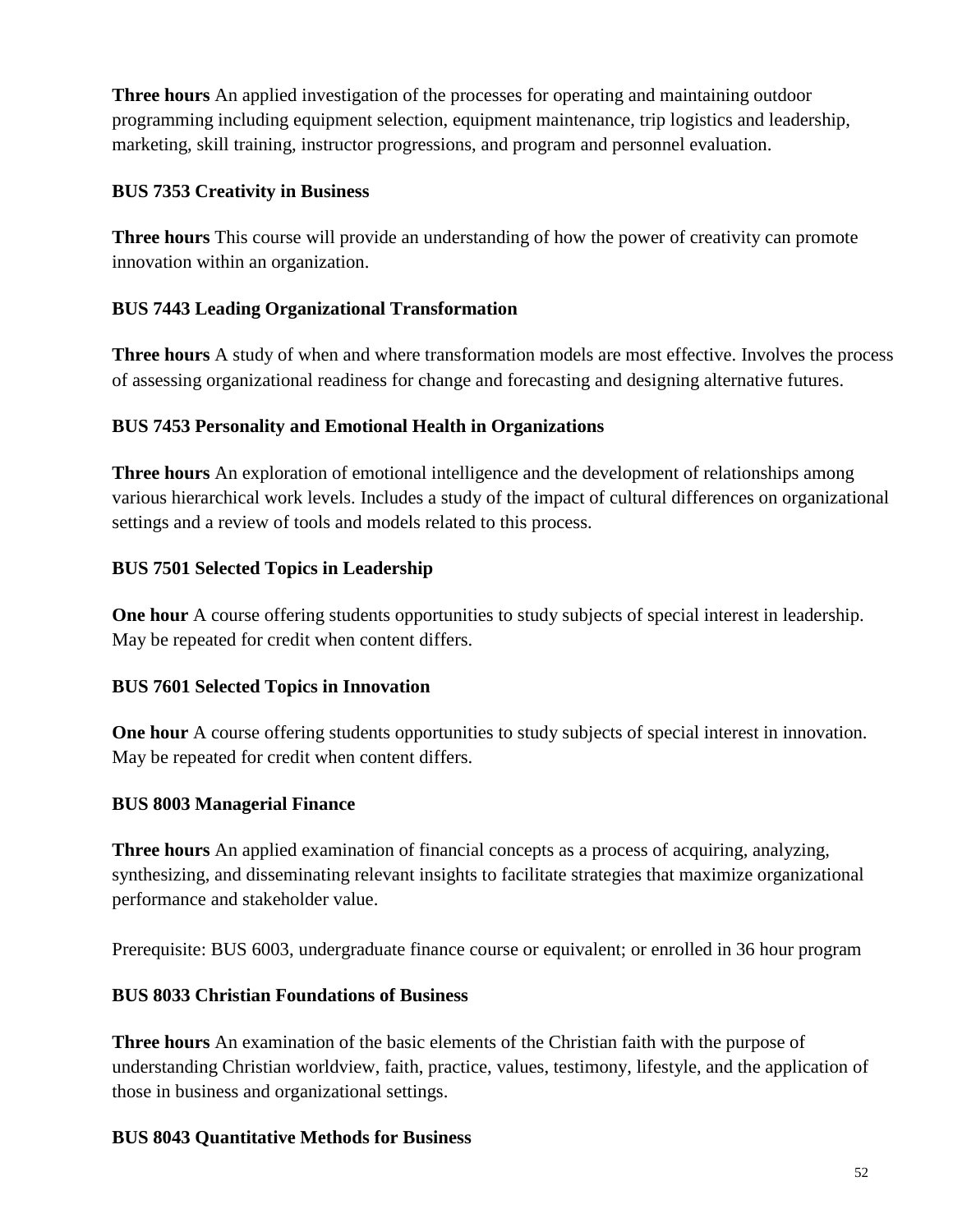**Three hours** An applied investigation of the processes for operating and maintaining outdoor programming including equipment selection, equipment maintenance, trip logistics and leadership, marketing, skill training, instructor progressions, and program and personnel evaluation.

## **BUS 7353 Creativity in Business**

**Three hours** This course will provide an understanding of how the power of creativity can promote innovation within an organization.

# **BUS 7443 Leading Organizational Transformation**

**Three hours** A study of when and where transformation models are most effective. Involves the process of assessing organizational readiness for change and forecasting and designing alternative futures.

# **BUS 7453 Personality and Emotional Health in Organizations**

**Three hours** An exploration of emotional intelligence and the development of relationships among various hierarchical work levels. Includes a study of the impact of cultural differences on organizational settings and a review of tools and models related to this process.

# **BUS 7501 Selected Topics in Leadership**

**One hour** A course offering students opportunities to study subjects of special interest in leadership. May be repeated for credit when content differs.

## **BUS 7601 Selected Topics in Innovation**

**One hour** A course offering students opportunities to study subjects of special interest in innovation. May be repeated for credit when content differs.

# **BUS 8003 Managerial Finance**

**Three hours** An applied examination of financial concepts as a process of acquiring, analyzing, synthesizing, and disseminating relevant insights to facilitate strategies that maximize organizational performance and stakeholder value.

Prerequisite: BUS 6003, undergraduate finance course or equivalent; or enrolled in 36 hour program

# **BUS 8033 Christian Foundations of Business**

**Three hours** An examination of the basic elements of the Christian faith with the purpose of understanding Christian worldview, faith, practice, values, testimony, lifestyle, and the application of those in business and organizational settings.

## **BUS 8043 Quantitative Methods for Business**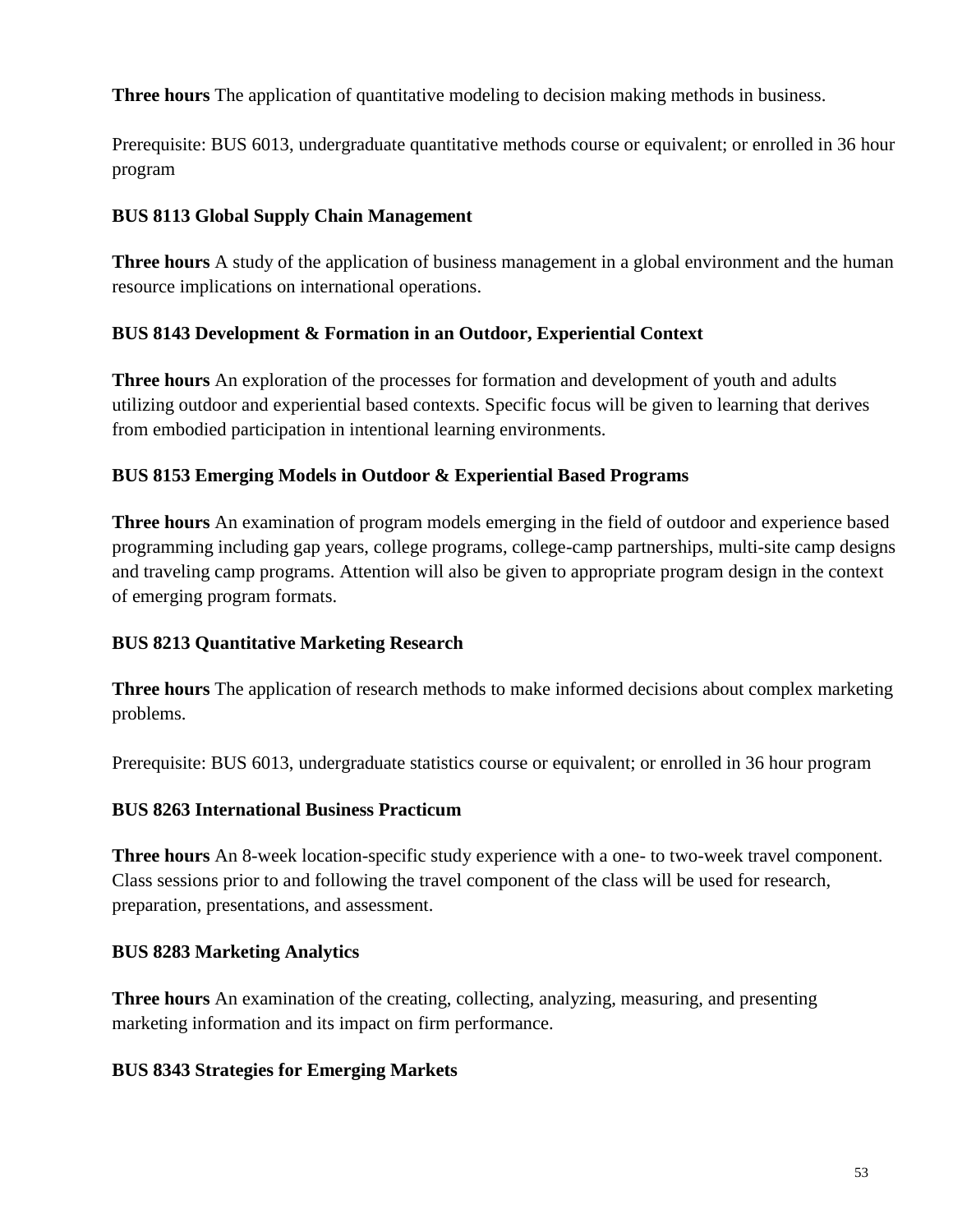**Three hours** The application of quantitative modeling to decision making methods in business.

Prerequisite: BUS 6013, undergraduate quantitative methods course or equivalent; or enrolled in 36 hour program

# **BUS 8113 Global Supply Chain Management**

**Three hours** A study of the application of business management in a global environment and the human resource implications on international operations.

# **BUS 8143 Development & Formation in an Outdoor, Experiential Context**

**Three hours** An exploration of the processes for formation and development of youth and adults utilizing outdoor and experiential based contexts. Specific focus will be given to learning that derives from embodied participation in intentional learning environments.

# **BUS 8153 Emerging Models in Outdoor & Experiential Based Programs**

**Three hours** An examination of program models emerging in the field of outdoor and experience based programming including gap years, college programs, college-camp partnerships, multi-site camp designs and traveling camp programs. Attention will also be given to appropriate program design in the context of emerging program formats.

## **BUS 8213 Quantitative Marketing Research**

**Three hours** The application of research methods to make informed decisions about complex marketing problems.

Prerequisite: BUS 6013, undergraduate statistics course or equivalent; or enrolled in 36 hour program

## **BUS 8263 International Business Practicum**

**Three hours** An 8-week location-specific study experience with a one- to two-week travel component. Class sessions prior to and following the travel component of the class will be used for research, preparation, presentations, and assessment.

## **BUS 8283 Marketing Analytics**

**Three hours** An examination of the creating, collecting, analyzing, measuring, and presenting marketing information and its impact on firm performance.

## **BUS 8343 Strategies for Emerging Markets**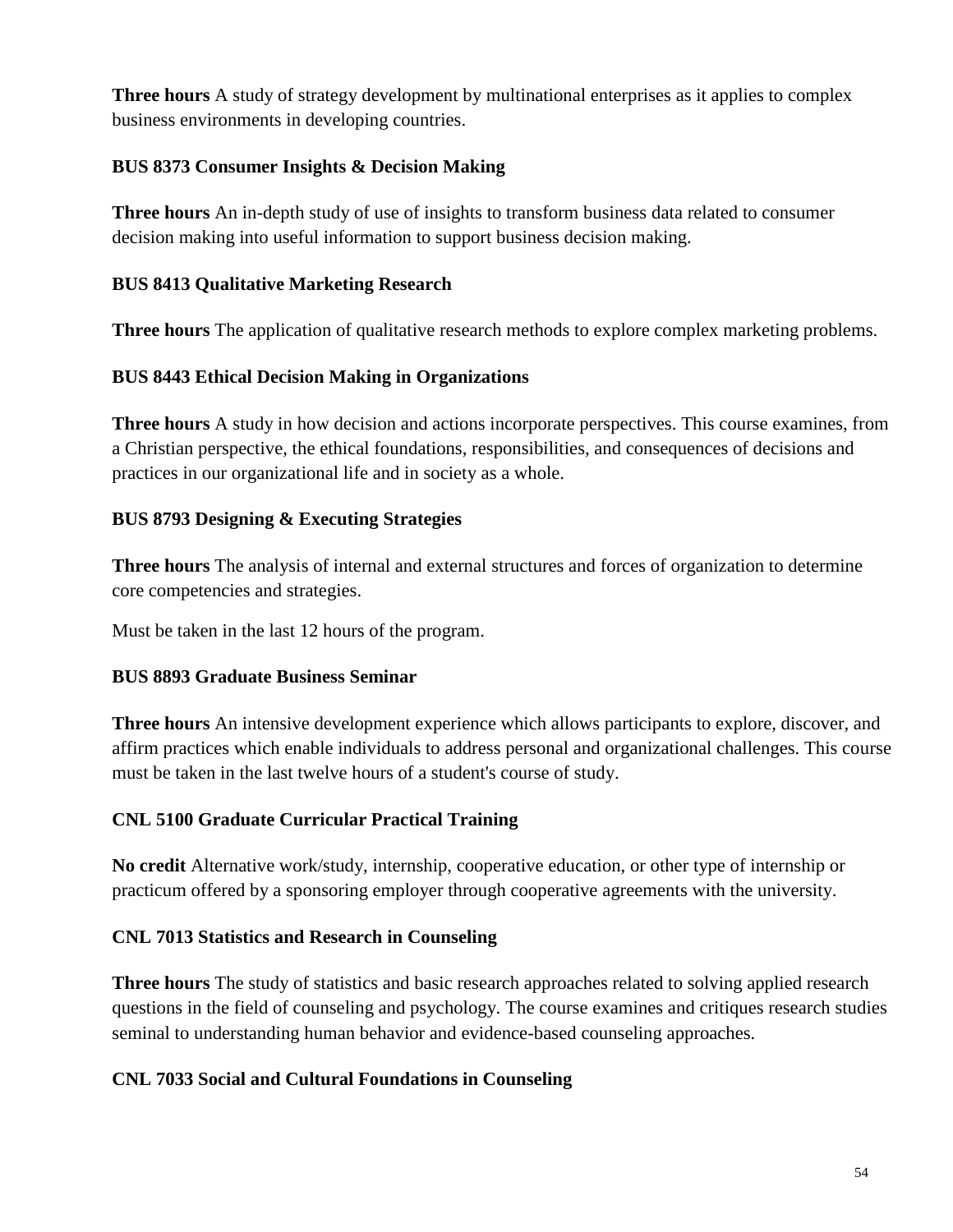**Three hours** A study of strategy development by multinational enterprises as it applies to complex business environments in developing countries.

# **BUS 8373 Consumer Insights & Decision Making**

**Three hours** An in-depth study of use of insights to transform business data related to consumer decision making into useful information to support business decision making.

## **BUS 8413 Qualitative Marketing Research**

**Three hours** The application of qualitative research methods to explore complex marketing problems.

# **BUS 8443 Ethical Decision Making in Organizations**

**Three hours** A study in how decision and actions incorporate perspectives. This course examines, from a Christian perspective, the ethical foundations, responsibilities, and consequences of decisions and practices in our organizational life and in society as a whole.

## **BUS 8793 Designing & Executing Strategies**

**Three hours** The analysis of internal and external structures and forces of organization to determine core competencies and strategies.

Must be taken in the last 12 hours of the program.

## **BUS 8893 Graduate Business Seminar**

**Three hours** An intensive development experience which allows participants to explore, discover, and affirm practices which enable individuals to address personal and organizational challenges. This course must be taken in the last twelve hours of a student's course of study.

## **CNL 5100 Graduate Curricular Practical Training**

**No credit** Alternative work/study, internship, cooperative education, or other type of internship or practicum offered by a sponsoring employer through cooperative agreements with the university.

# **CNL 7013 Statistics and Research in Counseling**

**Three hours** The study of statistics and basic research approaches related to solving applied research questions in the field of counseling and psychology. The course examines and critiques research studies seminal to understanding human behavior and evidence-based counseling approaches.

## **CNL 7033 Social and Cultural Foundations in Counseling**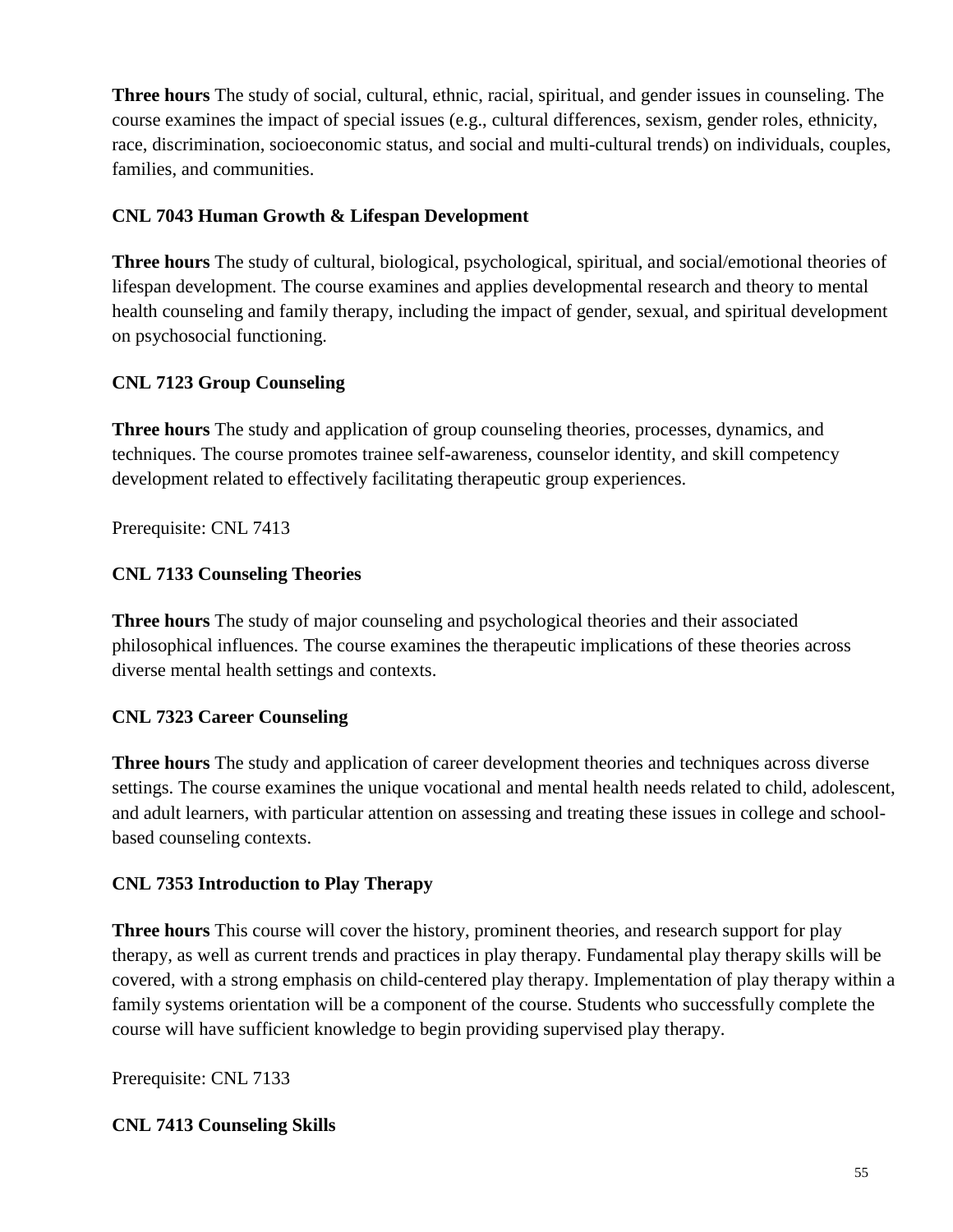**Three hours** The study of social, cultural, ethnic, racial, spiritual, and gender issues in counseling. The course examines the impact of special issues (e.g., cultural differences, sexism, gender roles, ethnicity, race, discrimination, socioeconomic status, and social and multi-cultural trends) on individuals, couples, families, and communities.

# **CNL 7043 Human Growth & Lifespan Development**

**Three hours** The study of cultural, biological, psychological, spiritual, and social/emotional theories of lifespan development. The course examines and applies developmental research and theory to mental health counseling and family therapy, including the impact of gender, sexual, and spiritual development on psychosocial functioning.

# **CNL 7123 Group Counseling**

**Three hours** The study and application of group counseling theories, processes, dynamics, and techniques. The course promotes trainee self-awareness, counselor identity, and skill competency development related to effectively facilitating therapeutic group experiences.

Prerequisite: CNL 7413

## **CNL 7133 Counseling Theories**

**Three hours** The study of major counseling and psychological theories and their associated philosophical influences. The course examines the therapeutic implications of these theories across diverse mental health settings and contexts.

## **CNL 7323 Career Counseling**

**Three hours** The study and application of career development theories and techniques across diverse settings. The course examines the unique vocational and mental health needs related to child, adolescent, and adult learners, with particular attention on assessing and treating these issues in college and schoolbased counseling contexts.

## **CNL 7353 Introduction to Play Therapy**

**Three hours** This course will cover the history, prominent theories, and research support for play therapy, as well as current trends and practices in play therapy. Fundamental play therapy skills will be covered, with a strong emphasis on child-centered play therapy. Implementation of play therapy within a family systems orientation will be a component of the course. Students who successfully complete the course will have sufficient knowledge to begin providing supervised play therapy.

Prerequisite: CNL 7133

## **CNL 7413 Counseling Skills**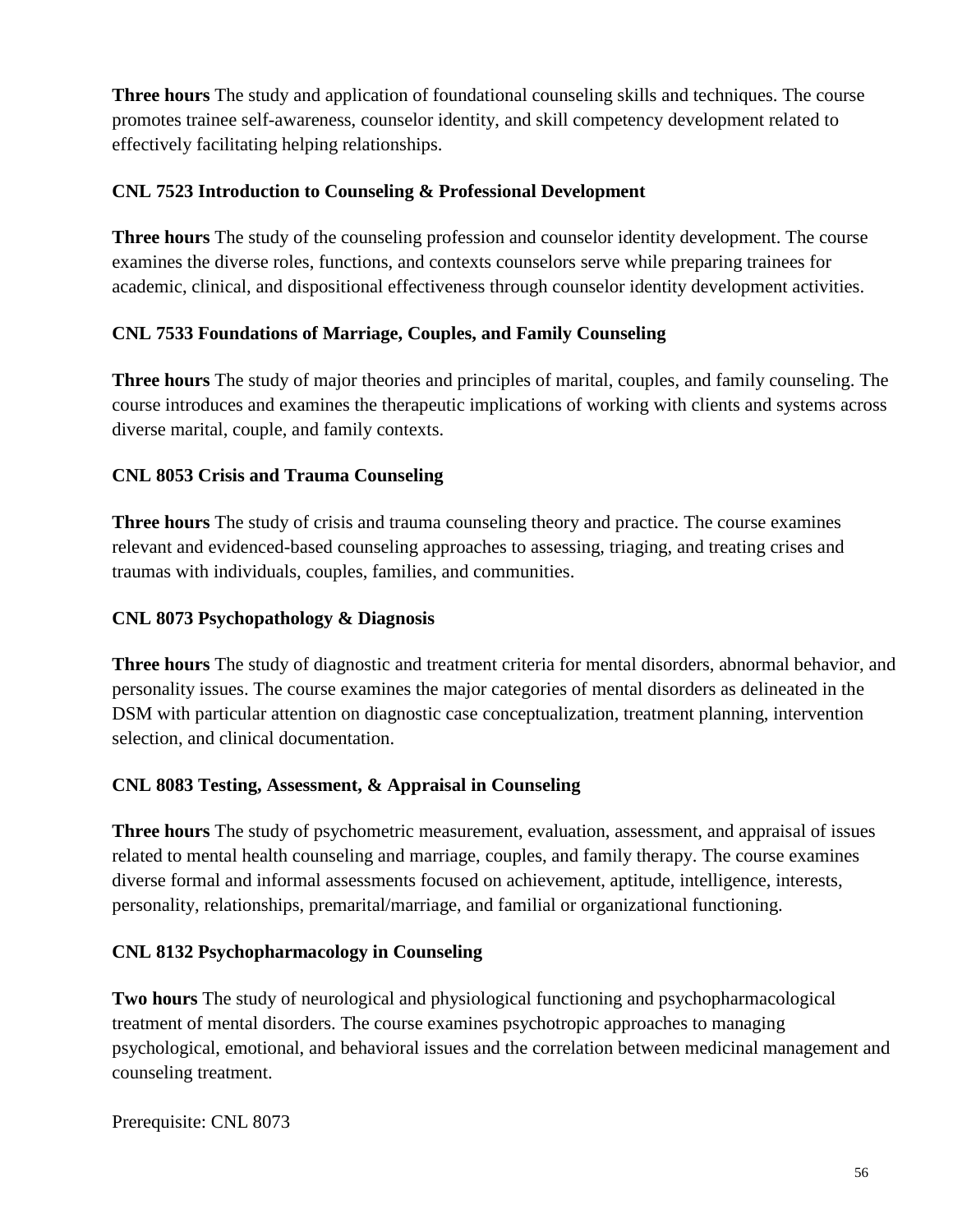**Three hours** The study and application of foundational counseling skills and techniques. The course promotes trainee self-awareness, counselor identity, and skill competency development related to effectively facilitating helping relationships.

## **CNL 7523 Introduction to Counseling & Professional Development**

**Three hours** The study of the counseling profession and counselor identity development. The course examines the diverse roles, functions, and contexts counselors serve while preparing trainees for academic, clinical, and dispositional effectiveness through counselor identity development activities.

# **CNL 7533 Foundations of Marriage, Couples, and Family Counseling**

**Three hours** The study of major theories and principles of marital, couples, and family counseling. The course introduces and examines the therapeutic implications of working with clients and systems across diverse marital, couple, and family contexts.

# **CNL 8053 Crisis and Trauma Counseling**

**Three hours** The study of crisis and trauma counseling theory and practice. The course examines relevant and evidenced-based counseling approaches to assessing, triaging, and treating crises and traumas with individuals, couples, families, and communities.

## **CNL 8073 Psychopathology & Diagnosis**

**Three hours** The study of diagnostic and treatment criteria for mental disorders, abnormal behavior, and personality issues. The course examines the major categories of mental disorders as delineated in the DSM with particular attention on diagnostic case conceptualization, treatment planning, intervention selection, and clinical documentation.

## **CNL 8083 Testing, Assessment, & Appraisal in Counseling**

**Three hours** The study of psychometric measurement, evaluation, assessment, and appraisal of issues related to mental health counseling and marriage, couples, and family therapy. The course examines diverse formal and informal assessments focused on achievement, aptitude, intelligence, interests, personality, relationships, premarital/marriage, and familial or organizational functioning.

## **CNL 8132 Psychopharmacology in Counseling**

**Two hours** The study of neurological and physiological functioning and psychopharmacological treatment of mental disorders. The course examines psychotropic approaches to managing psychological, emotional, and behavioral issues and the correlation between medicinal management and counseling treatment.

Prerequisite: CNL 8073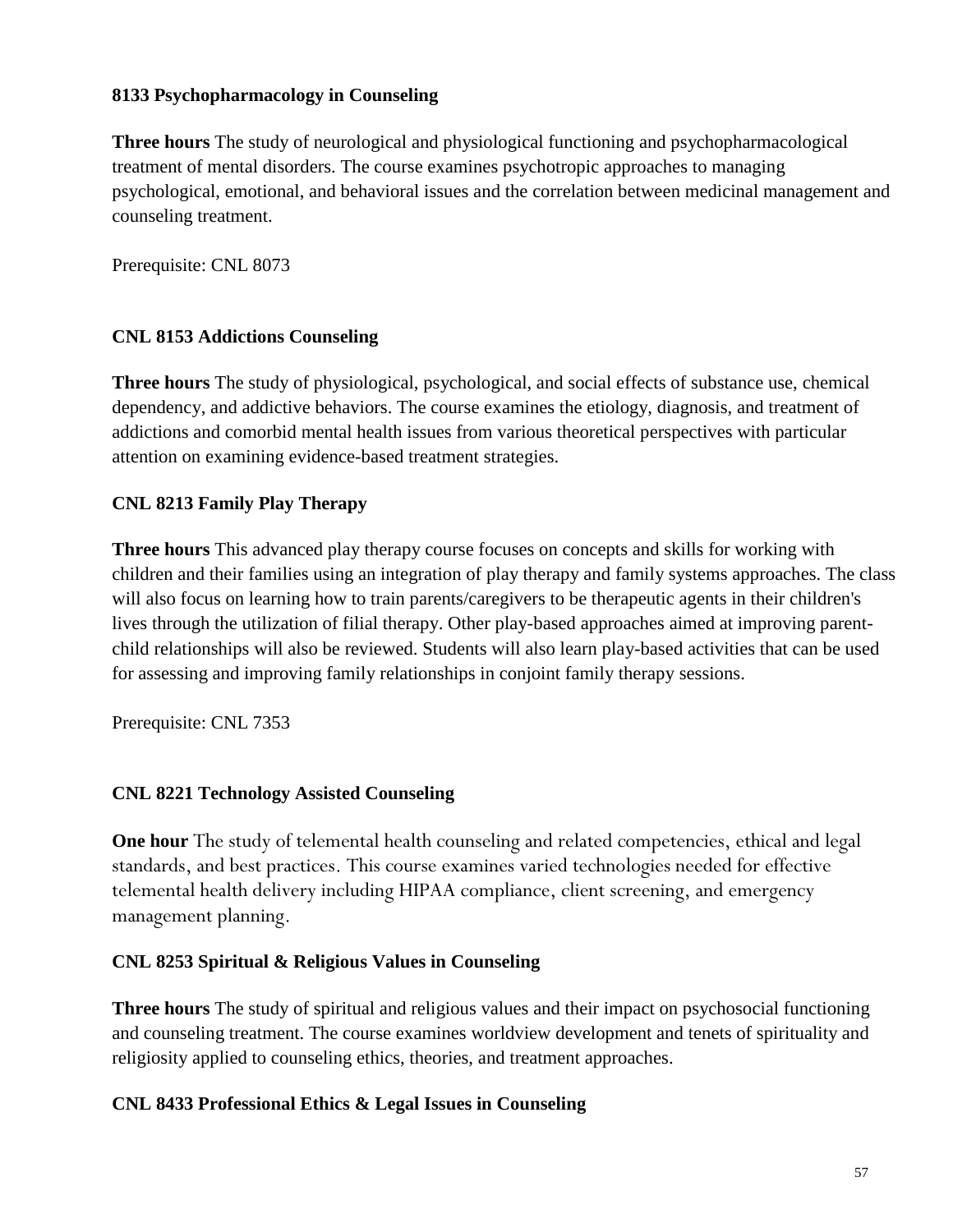# **8133 Psychopharmacology in Counseling**

**Three hours** The study of neurological and physiological functioning and psychopharmacological treatment of mental disorders. The course examines psychotropic approaches to managing psychological, emotional, and behavioral issues and the correlation between medicinal management and counseling treatment.

Prerequisite: CNL 8073

# **CNL 8153 Addictions Counseling**

**Three hours** The study of physiological, psychological, and social effects of substance use, chemical dependency, and addictive behaviors. The course examines the etiology, diagnosis, and treatment of addictions and comorbid mental health issues from various theoretical perspectives with particular attention on examining evidence-based treatment strategies.

# **CNL 8213 Family Play Therapy**

**Three hours** This advanced play therapy course focuses on concepts and skills for working with children and their families using an integration of play therapy and family systems approaches. The class will also focus on learning how to train parents/caregivers to be therapeutic agents in their children's lives through the utilization of filial therapy. Other play-based approaches aimed at improving parentchild relationships will also be reviewed. Students will also learn play-based activities that can be used for assessing and improving family relationships in conjoint family therapy sessions.

Prerequisite: CNL 7353

# **CNL 8221 Technology Assisted Counseling**

**One hour** The study of telemental health counseling and related competencies, ethical and legal standards, and best practices. This course examines varied technologies needed for effective telemental health delivery including HIPAA compliance, client screening, and emergency management planning.

## **CNL 8253 Spiritual & Religious Values in Counseling**

**Three hours** The study of spiritual and religious values and their impact on psychosocial functioning and counseling treatment. The course examines worldview development and tenets of spirituality and religiosity applied to counseling ethics, theories, and treatment approaches.

## **CNL 8433 Professional Ethics & Legal Issues in Counseling**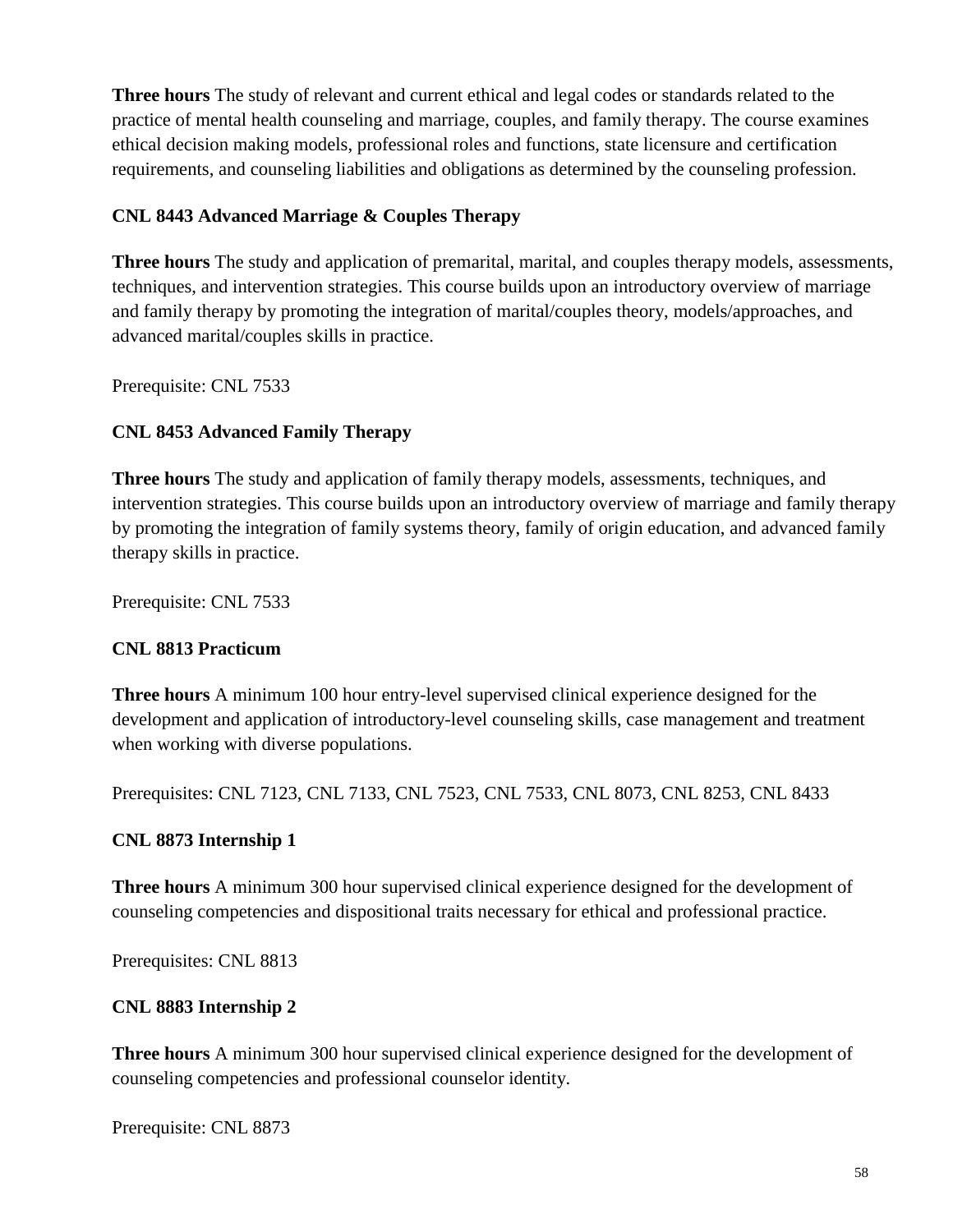**Three hours** The study of relevant and current ethical and legal codes or standards related to the practice of mental health counseling and marriage, couples, and family therapy. The course examines ethical decision making models, professional roles and functions, state licensure and certification requirements, and counseling liabilities and obligations as determined by the counseling profession.

# **CNL 8443 Advanced Marriage & Couples Therapy**

**Three hours** The study and application of premarital, marital, and couples therapy models, assessments, techniques, and intervention strategies. This course builds upon an introductory overview of marriage and family therapy by promoting the integration of marital/couples theory, models/approaches, and advanced marital/couples skills in practice.

Prerequisite: CNL 7533

# **CNL 8453 Advanced Family Therapy**

**Three hours** The study and application of family therapy models, assessments, techniques, and intervention strategies. This course builds upon an introductory overview of marriage and family therapy by promoting the integration of family systems theory, family of origin education, and advanced family therapy skills in practice.

Prerequisite: CNL 7533

## **CNL 8813 Practicum**

**Three hours** A minimum 100 hour entry-level supervised clinical experience designed for the development and application of introductory-level counseling skills, case management and treatment when working with diverse populations.

Prerequisites: CNL 7123, CNL 7133, CNL 7523, CNL 7533, CNL 8073, CNL 8253, CNL 8433

## **CNL 8873 Internship 1**

**Three hours** A minimum 300 hour supervised clinical experience designed for the development of counseling competencies and dispositional traits necessary for ethical and professional practice.

Prerequisites: CNL 8813

## **CNL 8883 Internship 2**

**Three hours** A minimum 300 hour supervised clinical experience designed for the development of counseling competencies and professional counselor identity.

Prerequisite: CNL 8873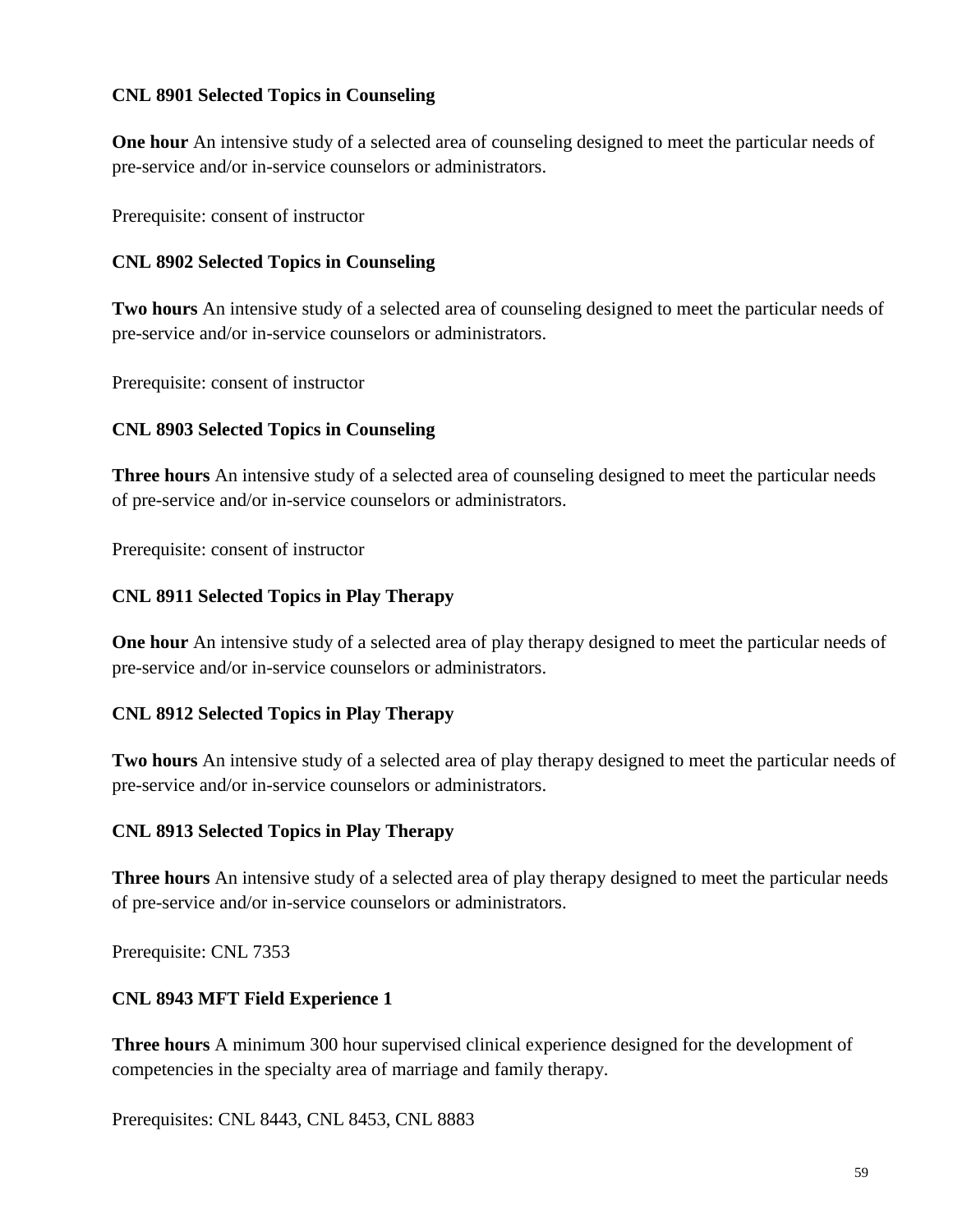## **CNL 8901 Selected Topics in Counseling**

**One hour** An intensive study of a selected area of counseling designed to meet the particular needs of pre-service and/or in-service counselors or administrators.

Prerequisite: consent of instructor

# **CNL 8902 Selected Topics in Counseling**

**Two hours** An intensive study of a selected area of counseling designed to meet the particular needs of pre-service and/or in-service counselors or administrators.

Prerequisite: consent of instructor

# **CNL 8903 Selected Topics in Counseling**

**Three hours** An intensive study of a selected area of counseling designed to meet the particular needs of pre-service and/or in-service counselors or administrators.

Prerequisite: consent of instructor

# **CNL 8911 Selected Topics in Play Therapy**

**One hour** An intensive study of a selected area of play therapy designed to meet the particular needs of pre-service and/or in-service counselors or administrators.

# **CNL 8912 Selected Topics in Play Therapy**

**Two hours** An intensive study of a selected area of play therapy designed to meet the particular needs of pre-service and/or in-service counselors or administrators.

# **CNL 8913 Selected Topics in Play Therapy**

**Three hours** An intensive study of a selected area of play therapy designed to meet the particular needs of pre-service and/or in-service counselors or administrators.

Prerequisite: CNL 7353

# **CNL 8943 MFT Field Experience 1**

**Three hours** A minimum 300 hour supervised clinical experience designed for the development of competencies in the specialty area of marriage and family therapy.

Prerequisites: CNL 8443, CNL 8453, CNL 8883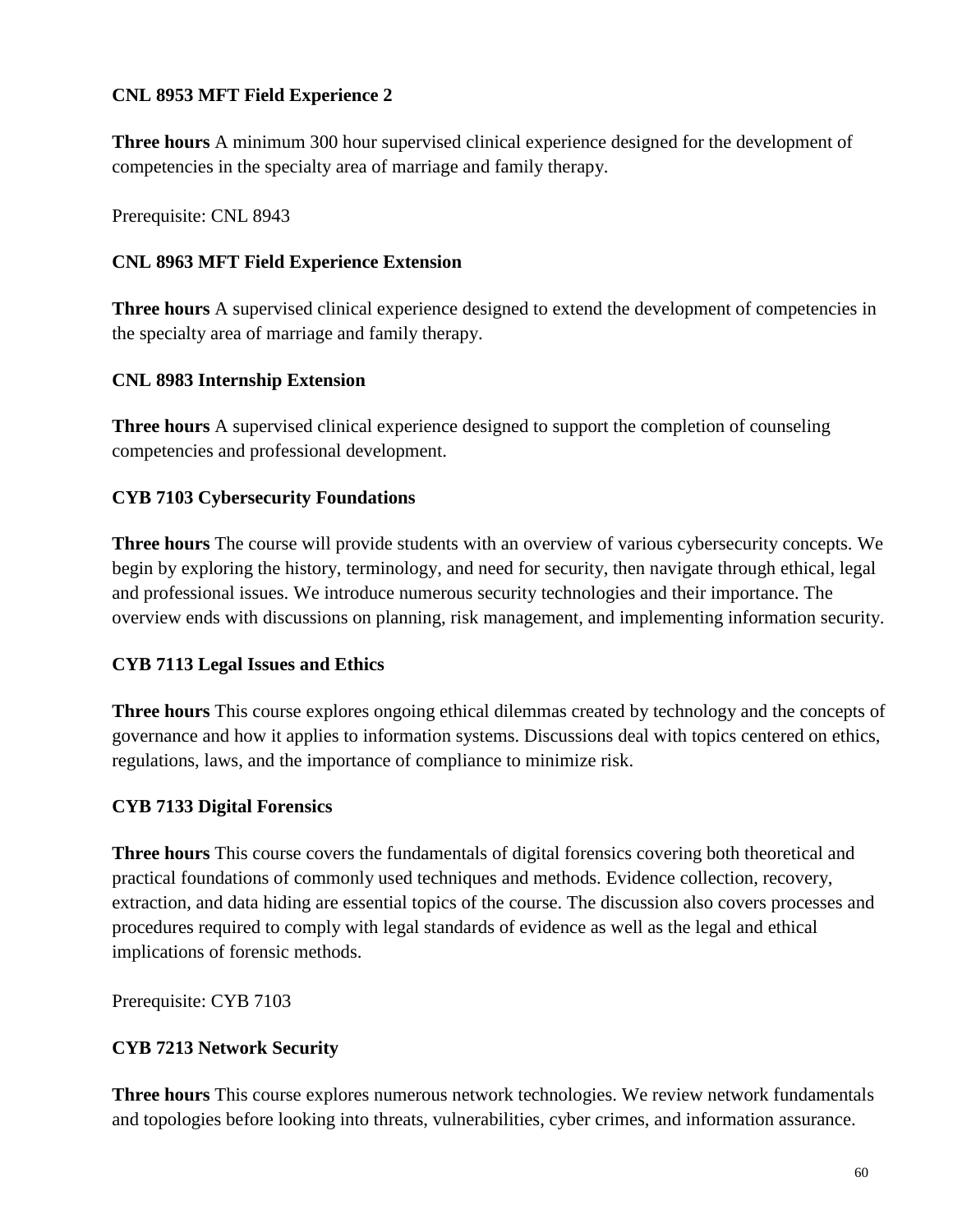# **CNL 8953 MFT Field Experience 2**

**Three hours** A minimum 300 hour supervised clinical experience designed for the development of competencies in the specialty area of marriage and family therapy.

Prerequisite: CNL 8943

# **CNL 8963 MFT Field Experience Extension**

**Three hours** A supervised clinical experience designed to extend the development of competencies in the specialty area of marriage and family therapy.

# **CNL 8983 Internship Extension**

**Three hours** A supervised clinical experience designed to support the completion of counseling competencies and professional development.

# **CYB 7103 Cybersecurity Foundations**

**Three hours** The course will provide students with an overview of various cybersecurity concepts. We begin by exploring the history, terminology, and need for security, then navigate through ethical, legal and professional issues. We introduce numerous security technologies and their importance. The overview ends with discussions on planning, risk management, and implementing information security.

## **CYB 7113 Legal Issues and Ethics**

**Three hours** This course explores ongoing ethical dilemmas created by technology and the concepts of governance and how it applies to information systems. Discussions deal with topics centered on ethics, regulations, laws, and the importance of compliance to minimize risk.

## **CYB 7133 Digital Forensics**

**Three hours** This course covers the fundamentals of digital forensics covering both theoretical and practical foundations of commonly used techniques and methods. Evidence collection, recovery, extraction, and data hiding are essential topics of the course. The discussion also covers processes and procedures required to comply with legal standards of evidence as well as the legal and ethical implications of forensic methods.

Prerequisite: CYB 7103

# **CYB 7213 Network Security**

**Three hours** This course explores numerous network technologies. We review network fundamentals and topologies before looking into threats, vulnerabilities, cyber crimes, and information assurance.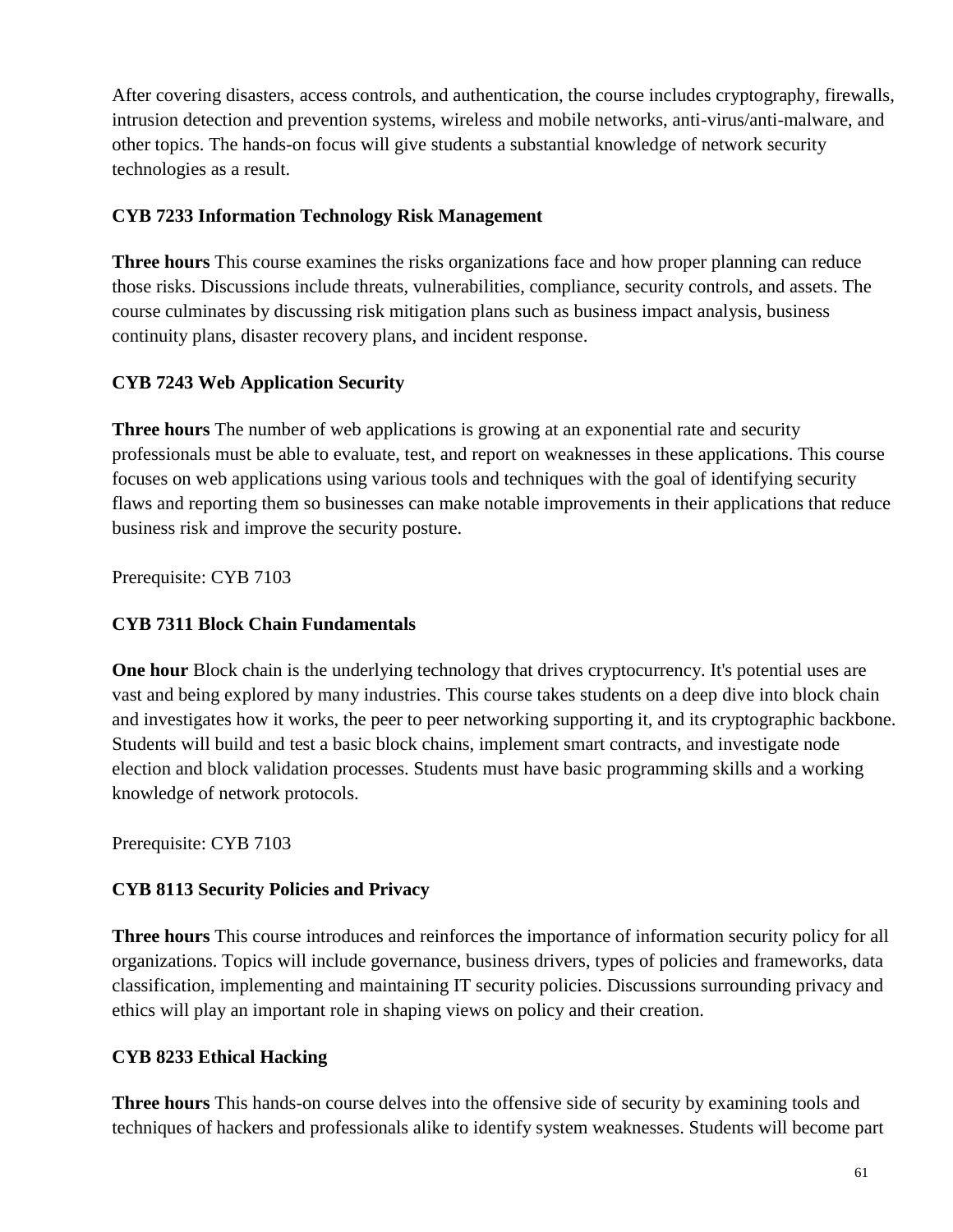After covering disasters, access controls, and authentication, the course includes cryptography, firewalls, intrusion detection and prevention systems, wireless and mobile networks, anti-virus/anti-malware, and other topics. The hands-on focus will give students a substantial knowledge of network security technologies as a result.

# **CYB 7233 Information Technology Risk Management**

**Three hours** This course examines the risks organizations face and how proper planning can reduce those risks. Discussions include threats, vulnerabilities, compliance, security controls, and assets. The course culminates by discussing risk mitigation plans such as business impact analysis, business continuity plans, disaster recovery plans, and incident response.

# **CYB 7243 Web Application Security**

**Three hours** The number of web applications is growing at an exponential rate and security professionals must be able to evaluate, test, and report on weaknesses in these applications. This course focuses on web applications using various tools and techniques with the goal of identifying security flaws and reporting them so businesses can make notable improvements in their applications that reduce business risk and improve the security posture.

Prerequisite: CYB 7103

# **CYB 7311 Block Chain Fundamentals**

**One hour** Block chain is the underlying technology that drives cryptocurrency. It's potential uses are vast and being explored by many industries. This course takes students on a deep dive into block chain and investigates how it works, the peer to peer networking supporting it, and its cryptographic backbone. Students will build and test a basic block chains, implement smart contracts, and investigate node election and block validation processes. Students must have basic programming skills and a working knowledge of network protocols.

Prerequisite: CYB 7103

# **CYB 8113 Security Policies and Privacy**

**Three hours** This course introduces and reinforces the importance of information security policy for all organizations. Topics will include governance, business drivers, types of policies and frameworks, data classification, implementing and maintaining IT security policies. Discussions surrounding privacy and ethics will play an important role in shaping views on policy and their creation.

# **CYB 8233 Ethical Hacking**

**Three hours** This hands-on course delves into the offensive side of security by examining tools and techniques of hackers and professionals alike to identify system weaknesses. Students will become part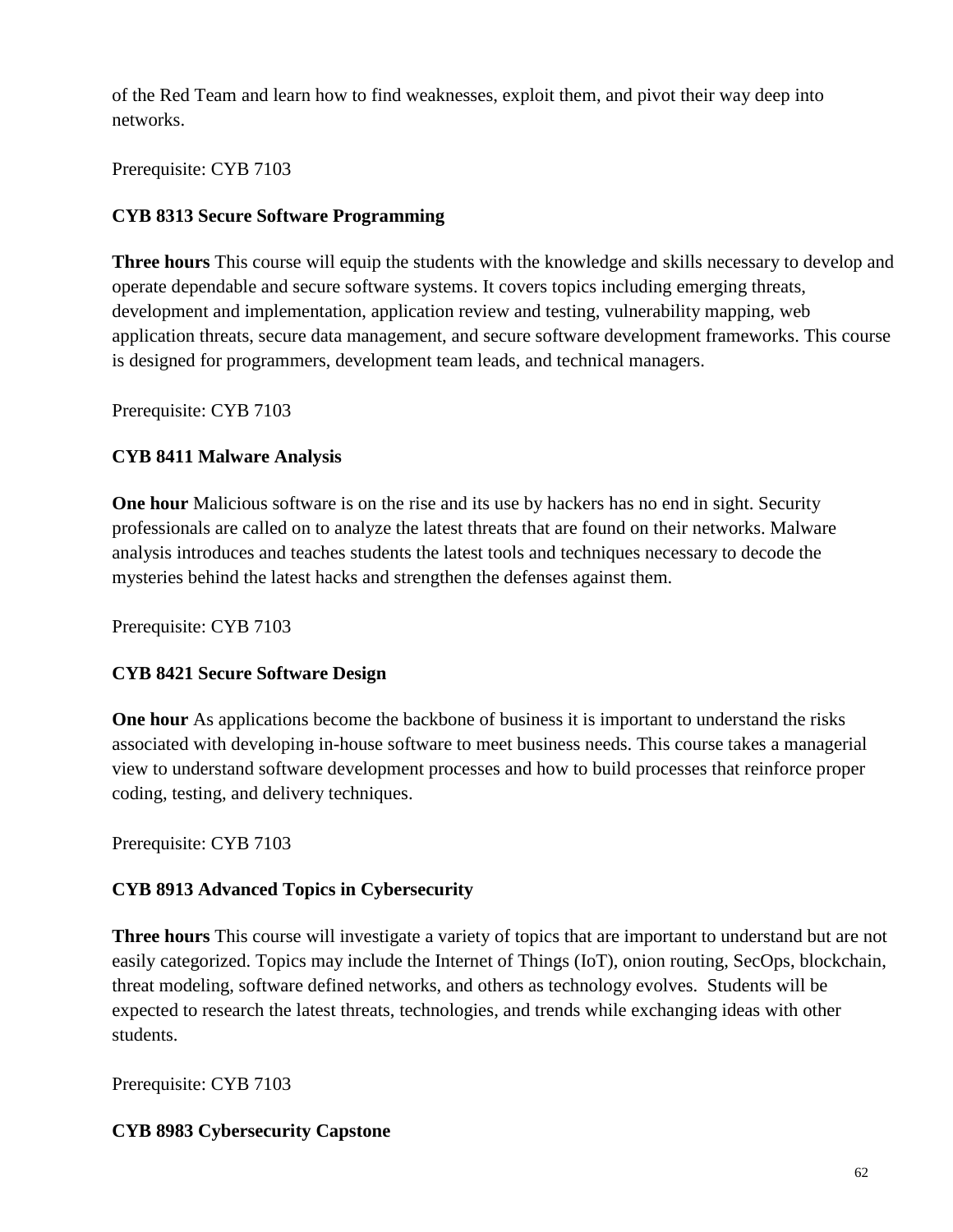of the Red Team and learn how to find weaknesses, exploit them, and pivot their way deep into networks.

Prerequisite: CYB 7103

# **CYB 8313 Secure Software Programming**

**Three hours** This course will equip the students with the knowledge and skills necessary to develop and operate dependable and secure software systems. It covers topics including emerging threats, development and implementation, application review and testing, vulnerability mapping, web application threats, secure data management, and secure software development frameworks. This course is designed for programmers, development team leads, and technical managers.

Prerequisite: CYB 7103

## **CYB 8411 Malware Analysis**

**One hour** Malicious software is on the rise and its use by hackers has no end in sight. Security professionals are called on to analyze the latest threats that are found on their networks. Malware analysis introduces and teaches students the latest tools and techniques necessary to decode the mysteries behind the latest hacks and strengthen the defenses against them.

Prerequisite: CYB 7103

## **CYB 8421 Secure Software Design**

**One hour** As applications become the backbone of business it is important to understand the risks associated with developing in-house software to meet business needs. This course takes a managerial view to understand software development processes and how to build processes that reinforce proper coding, testing, and delivery techniques.

Prerequisite: CYB 7103

# **CYB 8913 Advanced Topics in Cybersecurity**

**Three hours** This course will investigate a variety of topics that are important to understand but are not easily categorized. Topics may include the Internet of Things (IoT), onion routing, SecOps, blockchain, threat modeling, software defined networks, and others as technology evolves. Students will be expected to research the latest threats, technologies, and trends while exchanging ideas with other students.

Prerequisite: CYB 7103

## **CYB 8983 Cybersecurity Capstone**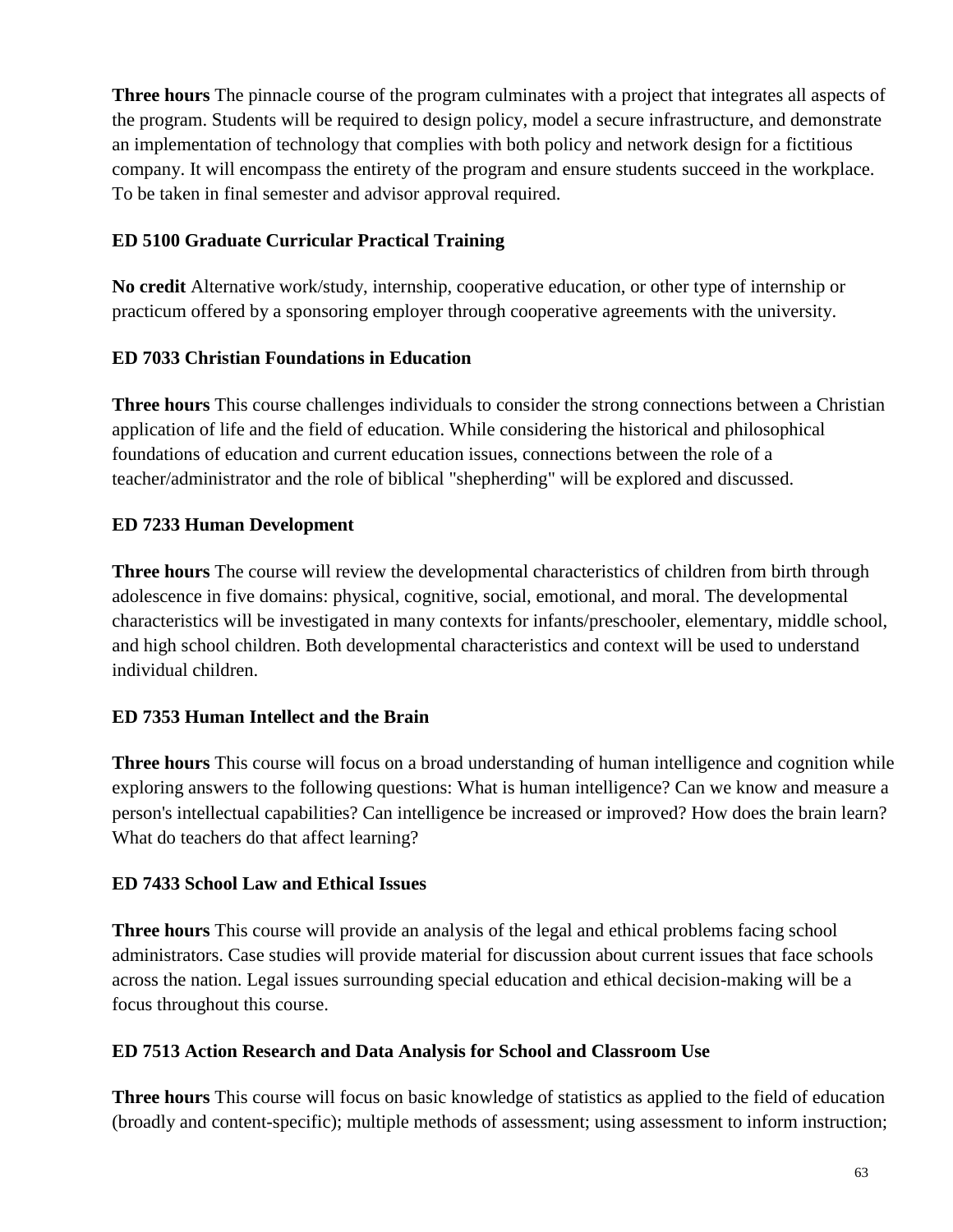**Three hours** The pinnacle course of the program culminates with a project that integrates all aspects of the program. Students will be required to design policy, model a secure infrastructure, and demonstrate an implementation of technology that complies with both policy and network design for a fictitious company. It will encompass the entirety of the program and ensure students succeed in the workplace. To be taken in final semester and advisor approval required.

# **ED 5100 Graduate Curricular Practical Training**

**No credit** Alternative work/study, internship, cooperative education, or other type of internship or practicum offered by a sponsoring employer through cooperative agreements with the university.

# **ED 7033 Christian Foundations in Education**

**Three hours** This course challenges individuals to consider the strong connections between a Christian application of life and the field of education. While considering the historical and philosophical foundations of education and current education issues, connections between the role of a teacher/administrator and the role of biblical "shepherding" will be explored and discussed.

# **ED 7233 Human Development**

**Three hours** The course will review the developmental characteristics of children from birth through adolescence in five domains: physical, cognitive, social, emotional, and moral. The developmental characteristics will be investigated in many contexts for infants/preschooler, elementary, middle school, and high school children. Both developmental characteristics and context will be used to understand individual children.

# **ED 7353 Human Intellect and the Brain**

**Three hours** This course will focus on a broad understanding of human intelligence and cognition while exploring answers to the following questions: What is human intelligence? Can we know and measure a person's intellectual capabilities? Can intelligence be increased or improved? How does the brain learn? What do teachers do that affect learning?

## **ED 7433 School Law and Ethical Issues**

**Three hours** This course will provide an analysis of the legal and ethical problems facing school administrators. Case studies will provide material for discussion about current issues that face schools across the nation. Legal issues surrounding special education and ethical decision-making will be a focus throughout this course.

## **ED 7513 Action Research and Data Analysis for School and Classroom Use**

**Three hours** This course will focus on basic knowledge of statistics as applied to the field of education (broadly and content-specific); multiple methods of assessment; using assessment to inform instruction;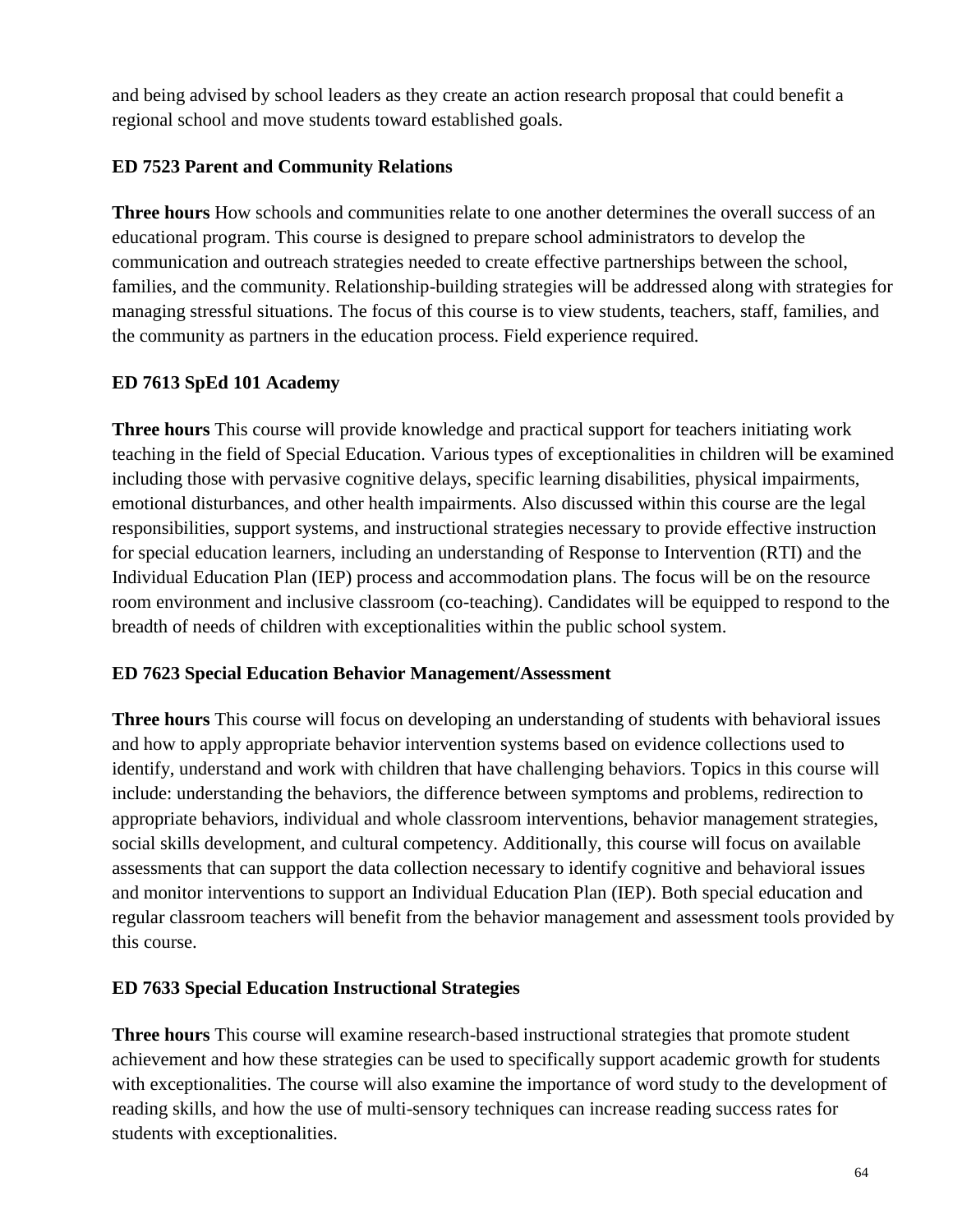and being advised by school leaders as they create an action research proposal that could benefit a regional school and move students toward established goals.

# **ED 7523 Parent and Community Relations**

**Three hours** How schools and communities relate to one another determines the overall success of an educational program. This course is designed to prepare school administrators to develop the communication and outreach strategies needed to create effective partnerships between the school, families, and the community. Relationship-building strategies will be addressed along with strategies for managing stressful situations. The focus of this course is to view students, teachers, staff, families, and the community as partners in the education process. Field experience required.

# **ED 7613 SpEd 101 Academy**

**Three hours** This course will provide knowledge and practical support for teachers initiating work teaching in the field of Special Education. Various types of exceptionalities in children will be examined including those with pervasive cognitive delays, specific learning disabilities, physical impairments, emotional disturbances, and other health impairments. Also discussed within this course are the legal responsibilities, support systems, and instructional strategies necessary to provide effective instruction for special education learners, including an understanding of Response to Intervention (RTI) and the Individual Education Plan (IEP) process and accommodation plans. The focus will be on the resource room environment and inclusive classroom (co-teaching). Candidates will be equipped to respond to the breadth of needs of children with exceptionalities within the public school system.

# **ED 7623 Special Education Behavior Management/Assessment**

**Three hours** This course will focus on developing an understanding of students with behavioral issues and how to apply appropriate behavior intervention systems based on evidence collections used to identify, understand and work with children that have challenging behaviors. Topics in this course will include: understanding the behaviors, the difference between symptoms and problems, redirection to appropriate behaviors, individual and whole classroom interventions, behavior management strategies, social skills development, and cultural competency. Additionally, this course will focus on available assessments that can support the data collection necessary to identify cognitive and behavioral issues and monitor interventions to support an Individual Education Plan (IEP). Both special education and regular classroom teachers will benefit from the behavior management and assessment tools provided by this course.

# **ED 7633 Special Education Instructional Strategies**

**Three hours** This course will examine research-based instructional strategies that promote student achievement and how these strategies can be used to specifically support academic growth for students with exceptionalities. The course will also examine the importance of word study to the development of reading skills, and how the use of multi-sensory techniques can increase reading success rates for students with exceptionalities.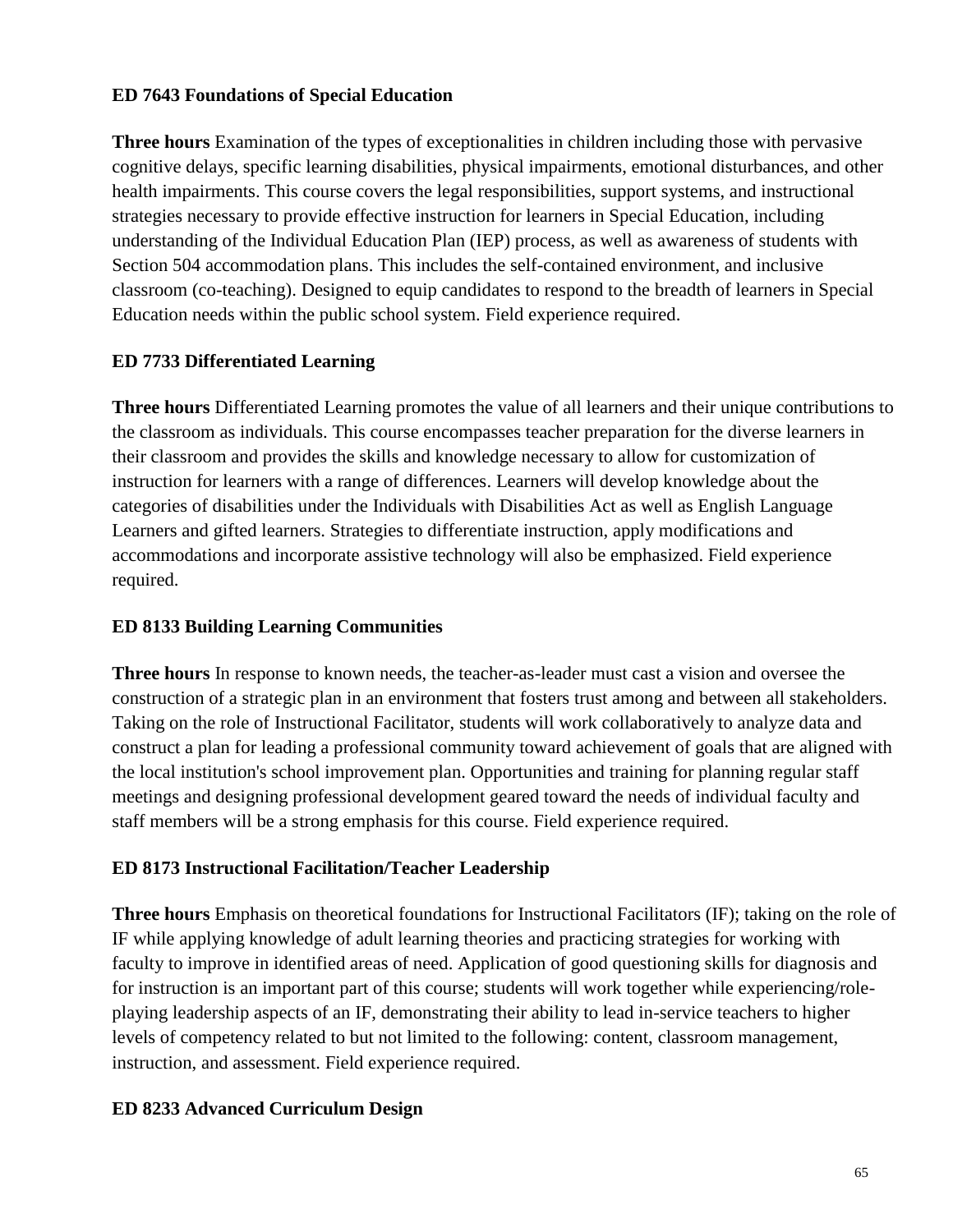# **ED 7643 Foundations of Special Education**

**Three hours** Examination of the types of exceptionalities in children including those with pervasive cognitive delays, specific learning disabilities, physical impairments, emotional disturbances, and other health impairments. This course covers the legal responsibilities, support systems, and instructional strategies necessary to provide effective instruction for learners in Special Education, including understanding of the Individual Education Plan (IEP) process, as well as awareness of students with Section 504 accommodation plans. This includes the self-contained environment, and inclusive classroom (co-teaching). Designed to equip candidates to respond to the breadth of learners in Special Education needs within the public school system. Field experience required.

# **ED 7733 Differentiated Learning**

**Three hours** Differentiated Learning promotes the value of all learners and their unique contributions to the classroom as individuals. This course encompasses teacher preparation for the diverse learners in their classroom and provides the skills and knowledge necessary to allow for customization of instruction for learners with a range of differences. Learners will develop knowledge about the categories of disabilities under the Individuals with Disabilities Act as well as English Language Learners and gifted learners. Strategies to differentiate instruction, apply modifications and accommodations and incorporate assistive technology will also be emphasized. Field experience required.

## **ED 8133 Building Learning Communities**

**Three hours** In response to known needs, the teacher-as-leader must cast a vision and oversee the construction of a strategic plan in an environment that fosters trust among and between all stakeholders. Taking on the role of Instructional Facilitator, students will work collaboratively to analyze data and construct a plan for leading a professional community toward achievement of goals that are aligned with the local institution's school improvement plan. Opportunities and training for planning regular staff meetings and designing professional development geared toward the needs of individual faculty and staff members will be a strong emphasis for this course. Field experience required.

## **ED 8173 Instructional Facilitation/Teacher Leadership**

**Three hours** Emphasis on theoretical foundations for Instructional Facilitators (IF); taking on the role of IF while applying knowledge of adult learning theories and practicing strategies for working with faculty to improve in identified areas of need. Application of good questioning skills for diagnosis and for instruction is an important part of this course; students will work together while experiencing/roleplaying leadership aspects of an IF, demonstrating their ability to lead in-service teachers to higher levels of competency related to but not limited to the following: content, classroom management, instruction, and assessment. Field experience required.

## **ED 8233 Advanced Curriculum Design**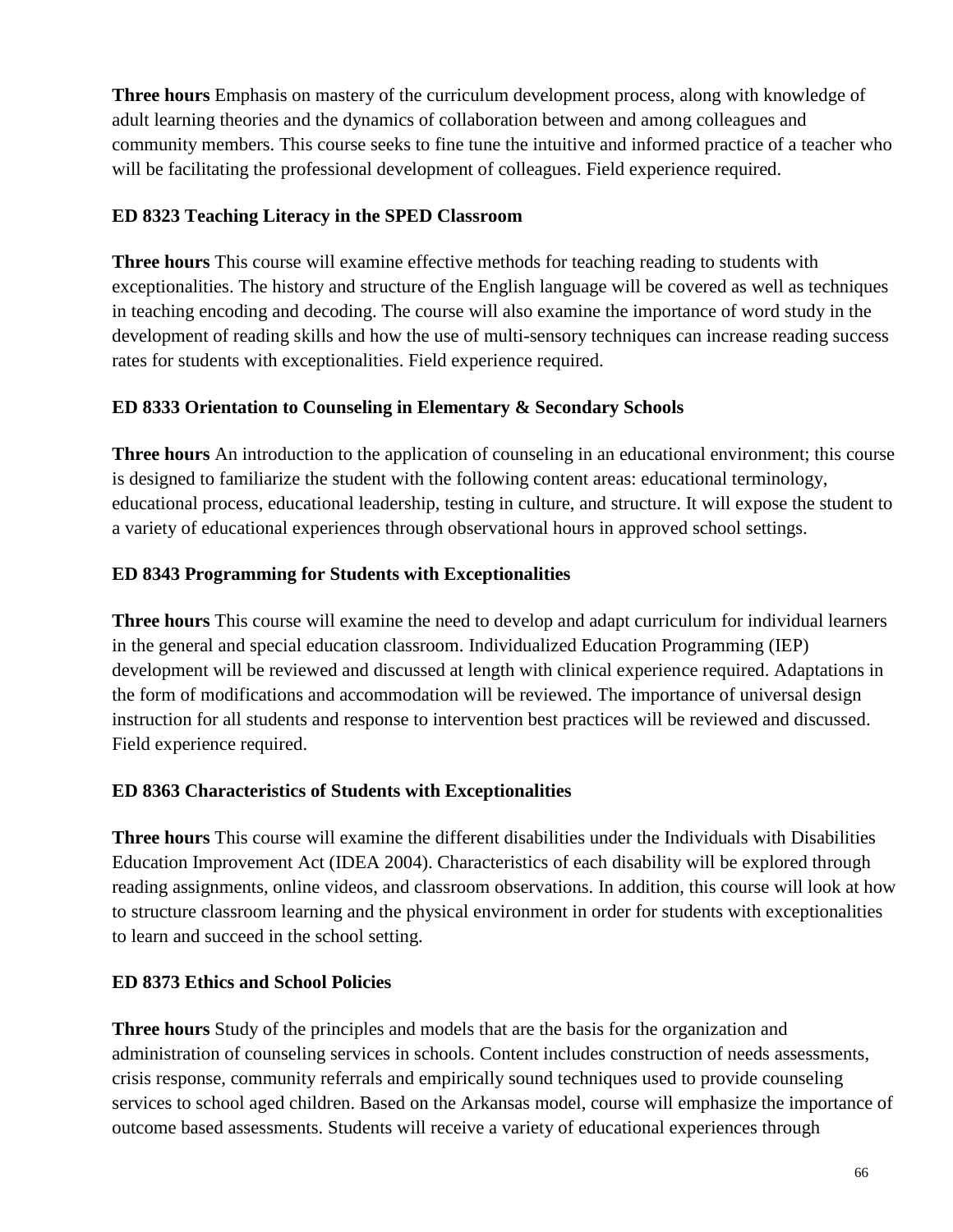**Three hours** Emphasis on mastery of the curriculum development process, along with knowledge of adult learning theories and the dynamics of collaboration between and among colleagues and community members. This course seeks to fine tune the intuitive and informed practice of a teacher who will be facilitating the professional development of colleagues. Field experience required.

# **ED 8323 Teaching Literacy in the SPED Classroom**

**Three hours** This course will examine effective methods for teaching reading to students with exceptionalities. The history and structure of the English language will be covered as well as techniques in teaching encoding and decoding. The course will also examine the importance of word study in the development of reading skills and how the use of multi-sensory techniques can increase reading success rates for students with exceptionalities. Field experience required.

# **ED 8333 Orientation to Counseling in Elementary & Secondary Schools**

**Three hours** An introduction to the application of counseling in an educational environment; this course is designed to familiarize the student with the following content areas: educational terminology, educational process, educational leadership, testing in culture, and structure. It will expose the student to a variety of educational experiences through observational hours in approved school settings.

# **ED 8343 Programming for Students with Exceptionalities**

**Three hours** This course will examine the need to develop and adapt curriculum for individual learners in the general and special education classroom. Individualized Education Programming (IEP) development will be reviewed and discussed at length with clinical experience required. Adaptations in the form of modifications and accommodation will be reviewed. The importance of universal design instruction for all students and response to intervention best practices will be reviewed and discussed. Field experience required.

# **ED 8363 Characteristics of Students with Exceptionalities**

**Three hours** This course will examine the different disabilities under the Individuals with Disabilities Education Improvement Act (IDEA 2004). Characteristics of each disability will be explored through reading assignments, online videos, and classroom observations. In addition, this course will look at how to structure classroom learning and the physical environment in order for students with exceptionalities to learn and succeed in the school setting.

## **ED 8373 Ethics and School Policies**

**Three hours** Study of the principles and models that are the basis for the organization and administration of counseling services in schools. Content includes construction of needs assessments, crisis response, community referrals and empirically sound techniques used to provide counseling services to school aged children. Based on the Arkansas model, course will emphasize the importance of outcome based assessments. Students will receive a variety of educational experiences through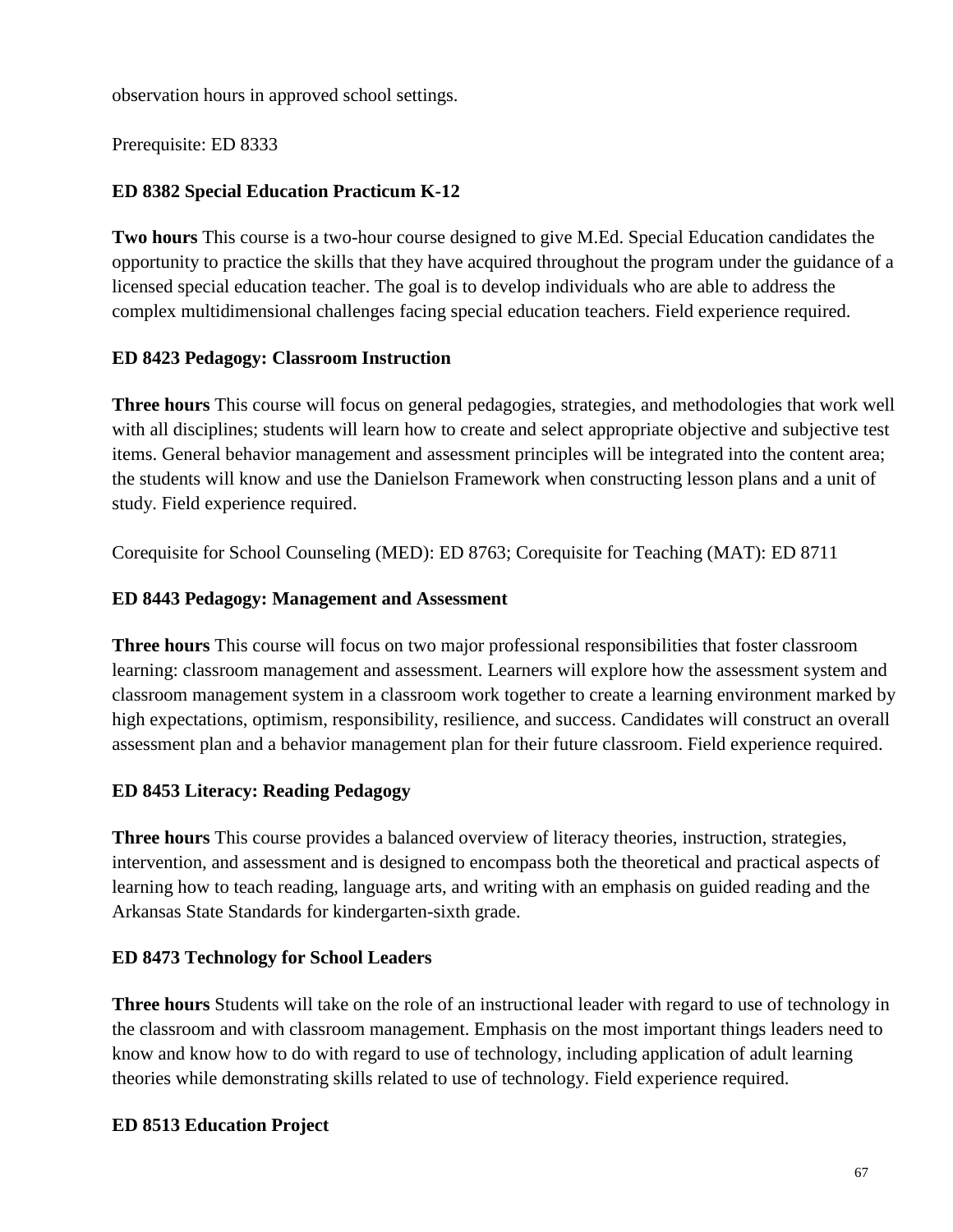observation hours in approved school settings.

Prerequisite: ED 8333

# **ED 8382 Special Education Practicum K-12**

**Two hours** This course is a two-hour course designed to give M.Ed. Special Education candidates the opportunity to practice the skills that they have acquired throughout the program under the guidance of a licensed special education teacher. The goal is to develop individuals who are able to address the complex multidimensional challenges facing special education teachers. Field experience required.

# **ED 8423 Pedagogy: Classroom Instruction**

**Three hours** This course will focus on general pedagogies, strategies, and methodologies that work well with all disciplines; students will learn how to create and select appropriate objective and subjective test items. General behavior management and assessment principles will be integrated into the content area; the students will know and use the Danielson Framework when constructing lesson plans and a unit of study. Field experience required.

Corequisite for School Counseling (MED): ED 8763; Corequisite for Teaching (MAT): ED 8711

# **ED 8443 Pedagogy: Management and Assessment**

**Three hours** This course will focus on two major professional responsibilities that foster classroom learning: classroom management and assessment. Learners will explore how the assessment system and classroom management system in a classroom work together to create a learning environment marked by high expectations, optimism, responsibility, resilience, and success. Candidates will construct an overall assessment plan and a behavior management plan for their future classroom. Field experience required.

# **ED 8453 Literacy: Reading Pedagogy**

**Three hours** This course provides a balanced overview of literacy theories, instruction, strategies, intervention, and assessment and is designed to encompass both the theoretical and practical aspects of learning how to teach reading, language arts, and writing with an emphasis on guided reading and the Arkansas State Standards for kindergarten-sixth grade.

## **ED 8473 Technology for School Leaders**

**Three hours** Students will take on the role of an instructional leader with regard to use of technology in the classroom and with classroom management. Emphasis on the most important things leaders need to know and know how to do with regard to use of technology, including application of adult learning theories while demonstrating skills related to use of technology. Field experience required.

# **ED 8513 Education Project**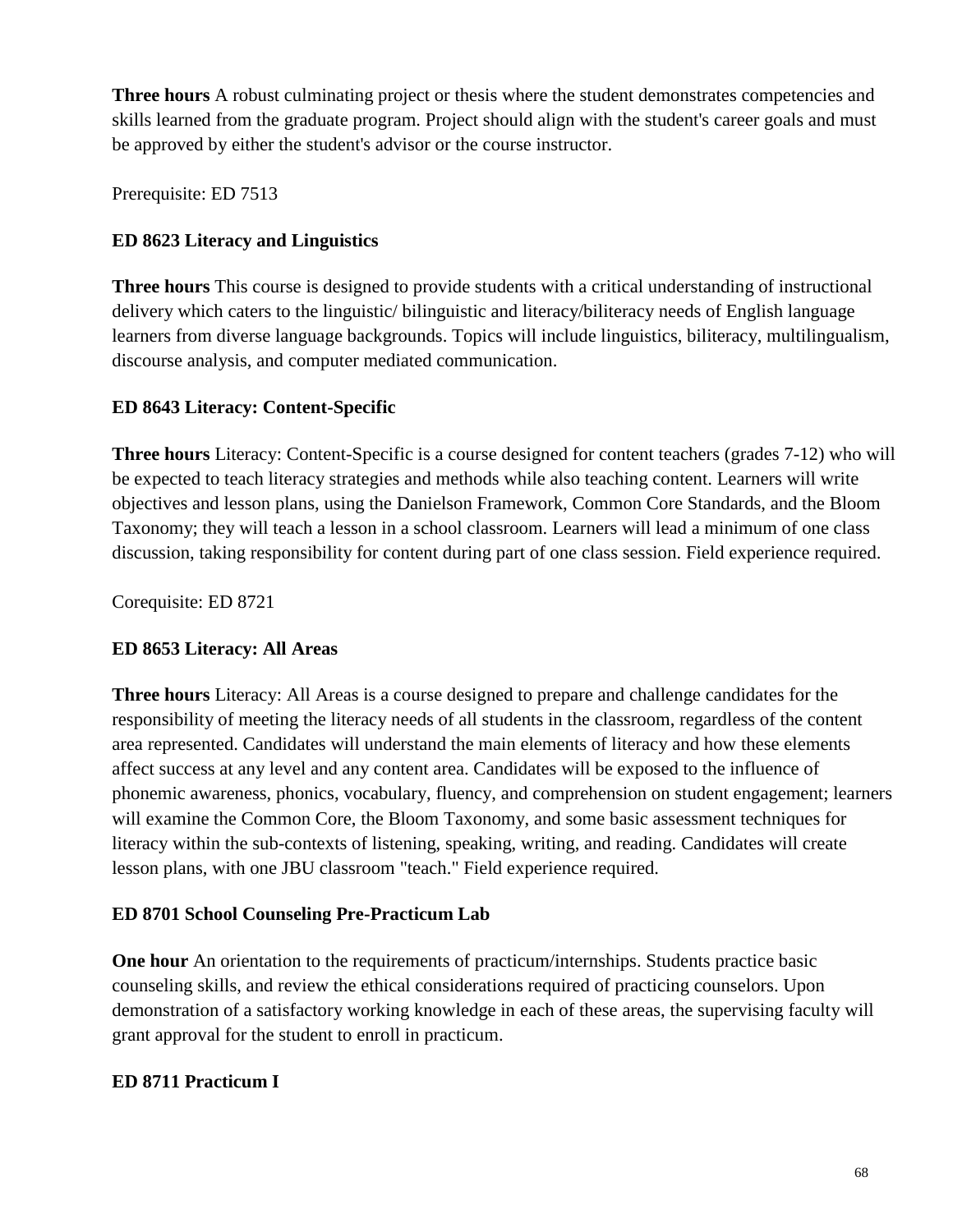**Three hours** A robust culminating project or thesis where the student demonstrates competencies and skills learned from the graduate program. Project should align with the student's career goals and must be approved by either the student's advisor or the course instructor.

Prerequisite: ED 7513

# **ED 8623 Literacy and Linguistics**

**Three hours** This course is designed to provide students with a critical understanding of instructional delivery which caters to the linguistic/ bilinguistic and literacy/biliteracy needs of English language learners from diverse language backgrounds. Topics will include linguistics, biliteracy, multilingualism, discourse analysis, and computer mediated communication.

# **ED 8643 Literacy: Content-Specific**

**Three hours** Literacy: Content-Specific is a course designed for content teachers (grades 7-12) who will be expected to teach literacy strategies and methods while also teaching content. Learners will write objectives and lesson plans, using the Danielson Framework, Common Core Standards, and the Bloom Taxonomy; they will teach a lesson in a school classroom. Learners will lead a minimum of one class discussion, taking responsibility for content during part of one class session. Field experience required.

Corequisite: ED 8721

# **ED 8653 Literacy: All Areas**

**Three hours** Literacy: All Areas is a course designed to prepare and challenge candidates for the responsibility of meeting the literacy needs of all students in the classroom, regardless of the content area represented. Candidates will understand the main elements of literacy and how these elements affect success at any level and any content area. Candidates will be exposed to the influence of phonemic awareness, phonics, vocabulary, fluency, and comprehension on student engagement; learners will examine the Common Core, the Bloom Taxonomy, and some basic assessment techniques for literacy within the sub-contexts of listening, speaking, writing, and reading. Candidates will create lesson plans, with one JBU classroom "teach." Field experience required.

# **ED 8701 School Counseling Pre-Practicum Lab**

**One hour** An orientation to the requirements of practicum/internships. Students practice basic counseling skills, and review the ethical considerations required of practicing counselors. Upon demonstration of a satisfactory working knowledge in each of these areas, the supervising faculty will grant approval for the student to enroll in practicum.

# **ED 8711 Practicum I**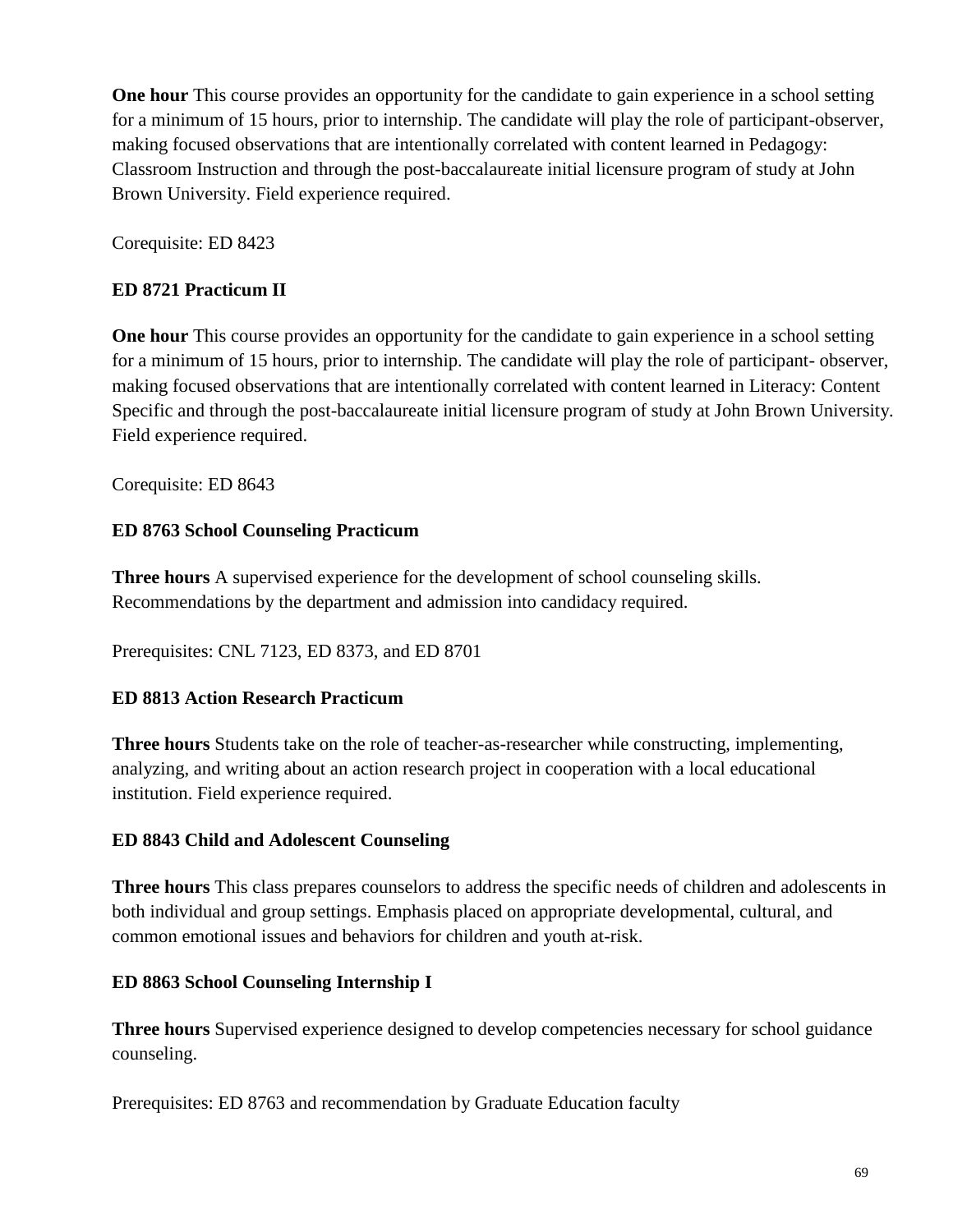**One hour** This course provides an opportunity for the candidate to gain experience in a school setting for a minimum of 15 hours, prior to internship. The candidate will play the role of participant-observer, making focused observations that are intentionally correlated with content learned in Pedagogy: Classroom Instruction and through the post-baccalaureate initial licensure program of study at John Brown University. Field experience required.

Corequisite: ED 8423

# **ED 8721 Practicum II**

**One hour** This course provides an opportunity for the candidate to gain experience in a school setting for a minimum of 15 hours, prior to internship. The candidate will play the role of participant- observer, making focused observations that are intentionally correlated with content learned in Literacy: Content Specific and through the post-baccalaureate initial licensure program of study at John Brown University. Field experience required.

Corequisite: ED 8643

# **ED 8763 School Counseling Practicum**

**Three hours** A supervised experience for the development of school counseling skills. Recommendations by the department and admission into candidacy required.

Prerequisites: CNL 7123, ED 8373, and ED 8701

# **ED 8813 Action Research Practicum**

**Three hours** Students take on the role of teacher-as-researcher while constructing, implementing, analyzing, and writing about an action research project in cooperation with a local educational institution. Field experience required.

# **ED 8843 Child and Adolescent Counseling**

**Three hours** This class prepares counselors to address the specific needs of children and adolescents in both individual and group settings. Emphasis placed on appropriate developmental, cultural, and common emotional issues and behaviors for children and youth at-risk.

# **ED 8863 School Counseling Internship I**

**Three hours** Supervised experience designed to develop competencies necessary for school guidance counseling.

Prerequisites: ED 8763 and recommendation by Graduate Education faculty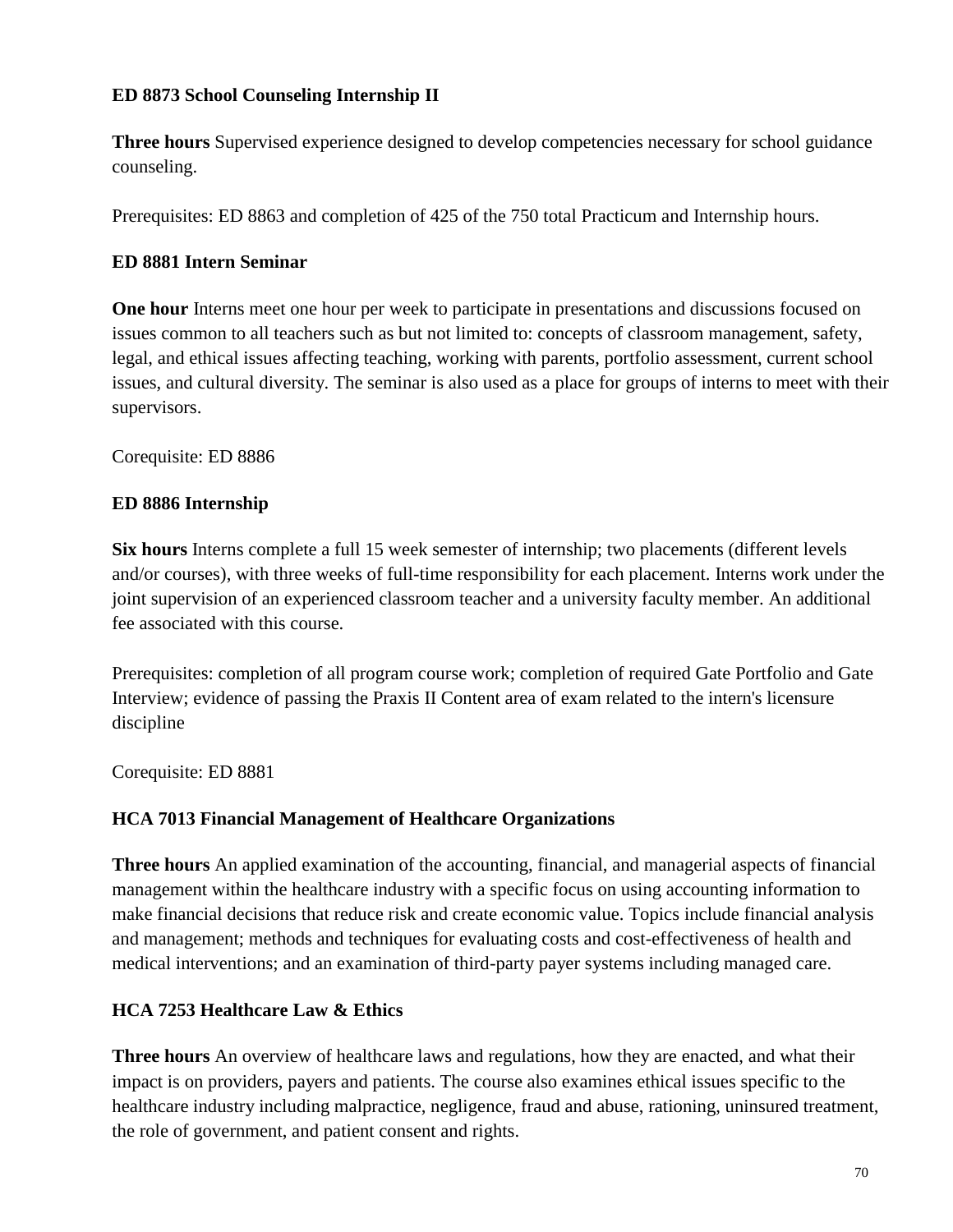# **ED 8873 School Counseling Internship II**

**Three hours** Supervised experience designed to develop competencies necessary for school guidance counseling.

Prerequisites: ED 8863 and completion of 425 of the 750 total Practicum and Internship hours.

## **ED 8881 Intern Seminar**

**One hour** Interns meet one hour per week to participate in presentations and discussions focused on issues common to all teachers such as but not limited to: concepts of classroom management, safety, legal, and ethical issues affecting teaching, working with parents, portfolio assessment, current school issues, and cultural diversity. The seminar is also used as a place for groups of interns to meet with their supervisors.

Corequisite: ED 8886

## **ED 8886 Internship**

**Six hours** Interns complete a full 15 week semester of internship; two placements (different levels and/or courses), with three weeks of full-time responsibility for each placement. Interns work under the joint supervision of an experienced classroom teacher and a university faculty member. An additional fee associated with this course.

Prerequisites: completion of all program course work; completion of required Gate Portfolio and Gate Interview; evidence of passing the Praxis II Content area of exam related to the intern's licensure discipline

Corequisite: ED 8881

## **HCA 7013 Financial Management of Healthcare Organizations**

**Three hours** An applied examination of the accounting, financial, and managerial aspects of financial management within the healthcare industry with a specific focus on using accounting information to make financial decisions that reduce risk and create economic value. Topics include financial analysis and management; methods and techniques for evaluating costs and cost-effectiveness of health and medical interventions; and an examination of third-party payer systems including managed care.

## **HCA 7253 Healthcare Law & Ethics**

**Three hours** An overview of healthcare laws and regulations, how they are enacted, and what their impact is on providers, payers and patients. The course also examines ethical issues specific to the healthcare industry including malpractice, negligence, fraud and abuse, rationing, uninsured treatment, the role of government, and patient consent and rights.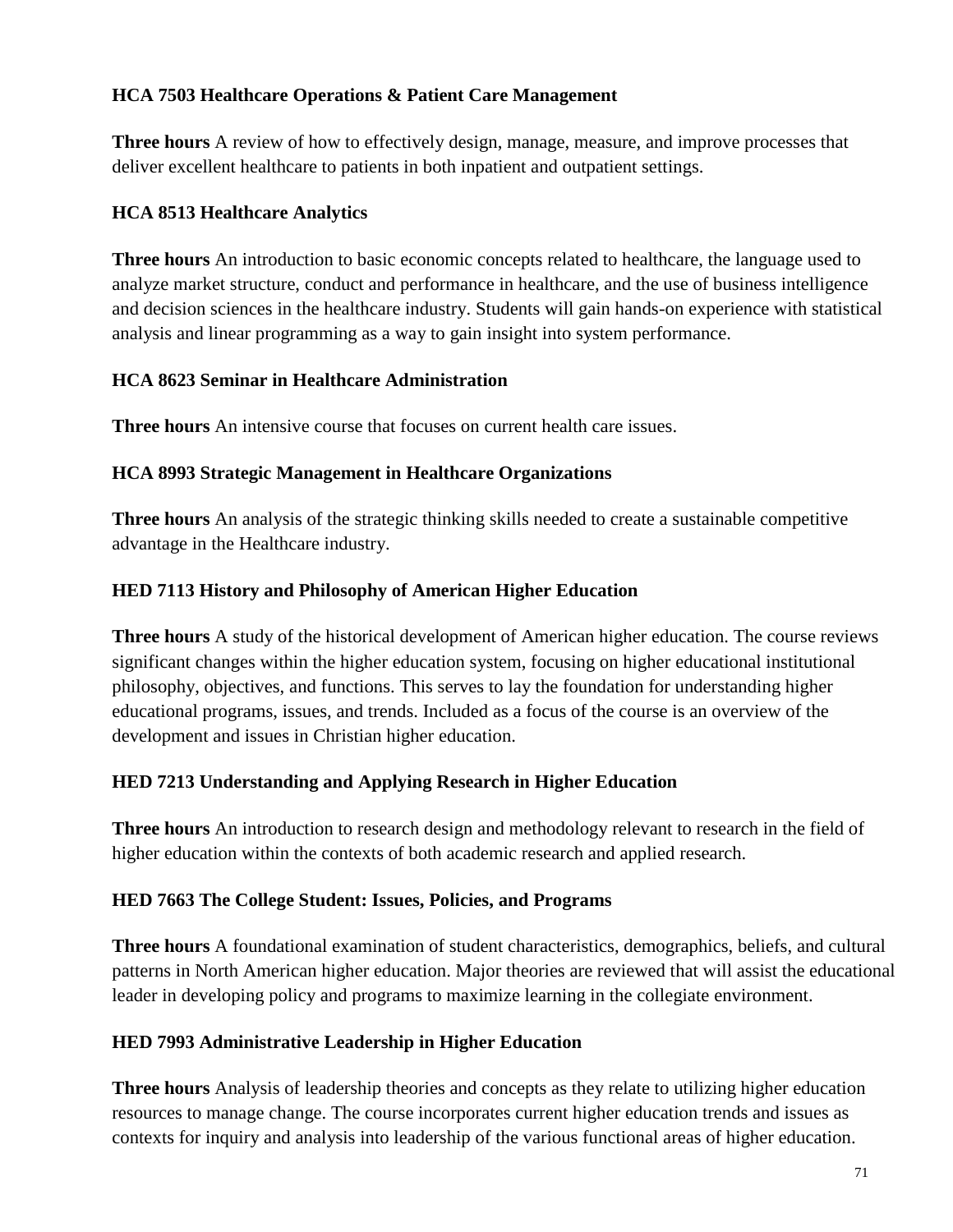# **HCA 7503 Healthcare Operations & Patient Care Management**

**Three hours** A review of how to effectively design, manage, measure, and improve processes that deliver excellent healthcare to patients in both inpatient and outpatient settings.

# **HCA 8513 Healthcare Analytics**

**Three hours** An introduction to basic economic concepts related to healthcare, the language used to analyze market structure, conduct and performance in healthcare, and the use of business intelligence and decision sciences in the healthcare industry. Students will gain hands-on experience with statistical analysis and linear programming as a way to gain insight into system performance.

# **HCA 8623 Seminar in Healthcare Administration**

**Three hours** An intensive course that focuses on current health care issues.

# **HCA 8993 Strategic Management in Healthcare Organizations**

**Three hours** An analysis of the strategic thinking skills needed to create a sustainable competitive advantage in the Healthcare industry.

# **HED 7113 History and Philosophy of American Higher Education**

**Three hours** A study of the historical development of American higher education. The course reviews significant changes within the higher education system, focusing on higher educational institutional philosophy, objectives, and functions. This serves to lay the foundation for understanding higher educational programs, issues, and trends. Included as a focus of the course is an overview of the development and issues in Christian higher education.

# **HED 7213 Understanding and Applying Research in Higher Education**

**Three hours** An introduction to research design and methodology relevant to research in the field of higher education within the contexts of both academic research and applied research.

## **HED 7663 The College Student: Issues, Policies, and Programs**

**Three hours** A foundational examination of student characteristics, demographics, beliefs, and cultural patterns in North American higher education. Major theories are reviewed that will assist the educational leader in developing policy and programs to maximize learning in the collegiate environment.

## **HED 7993 Administrative Leadership in Higher Education**

**Three hours** Analysis of leadership theories and concepts as they relate to utilizing higher education resources to manage change. The course incorporates current higher education trends and issues as contexts for inquiry and analysis into leadership of the various functional areas of higher education.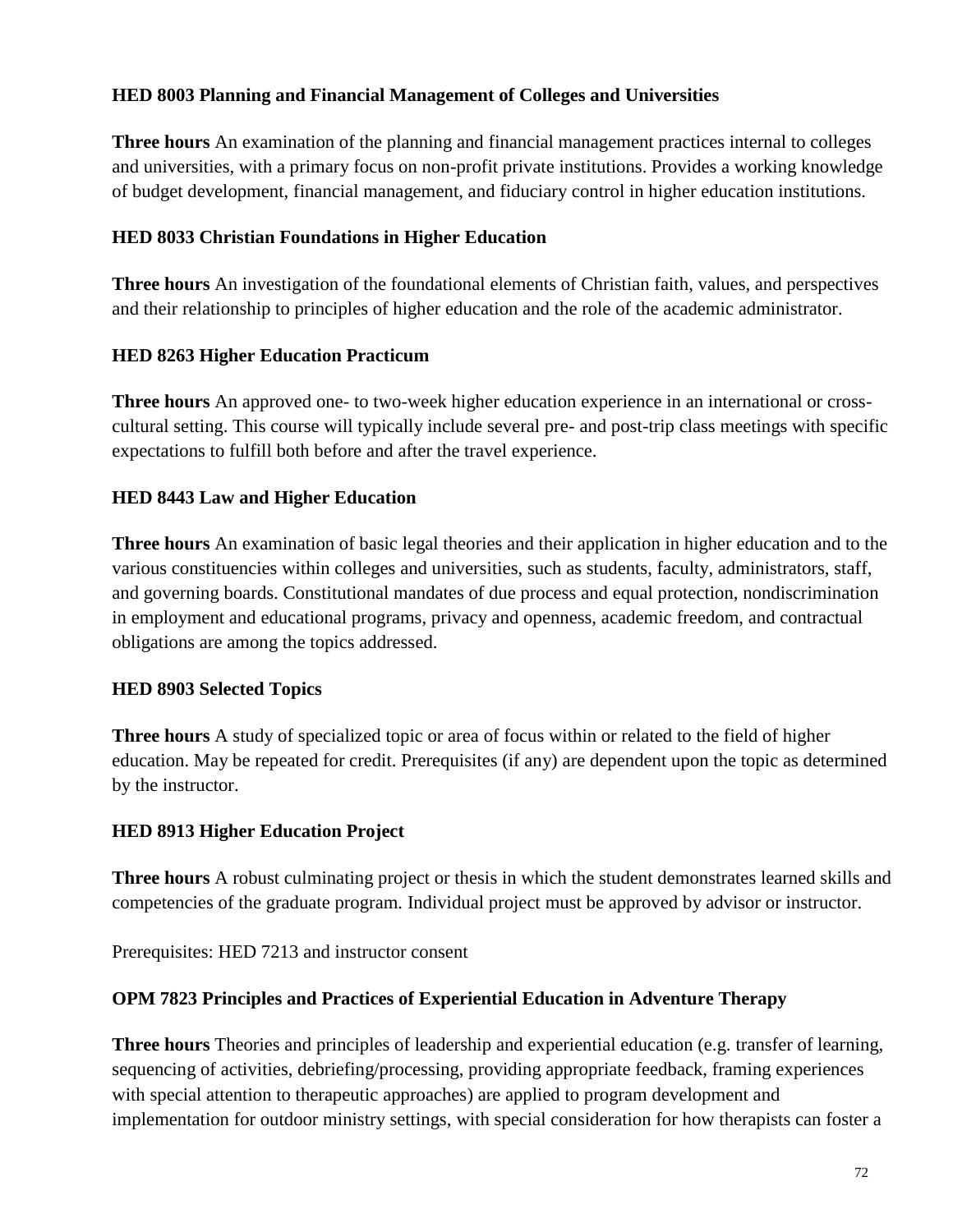# **HED 8003 Planning and Financial Management of Colleges and Universities**

**Three hours** An examination of the planning and financial management practices internal to colleges and universities, with a primary focus on non-profit private institutions. Provides a working knowledge of budget development, financial management, and fiduciary control in higher education institutions.

## **HED 8033 Christian Foundations in Higher Education**

**Three hours** An investigation of the foundational elements of Christian faith, values, and perspectives and their relationship to principles of higher education and the role of the academic administrator.

# **HED 8263 Higher Education Practicum**

**Three hours** An approved one- to two-week higher education experience in an international or crosscultural setting. This course will typically include several pre- and post-trip class meetings with specific expectations to fulfill both before and after the travel experience.

# **HED 8443 Law and Higher Education**

**Three hours** An examination of basic legal theories and their application in higher education and to the various constituencies within colleges and universities, such as students, faculty, administrators, staff, and governing boards. Constitutional mandates of due process and equal protection, nondiscrimination in employment and educational programs, privacy and openness, academic freedom, and contractual obligations are among the topics addressed.

## **HED 8903 Selected Topics**

**Three hours** A study of specialized topic or area of focus within or related to the field of higher education. May be repeated for credit. Prerequisites (if any) are dependent upon the topic as determined by the instructor.

## **HED 8913 Higher Education Project**

**Three hours** A robust culminating project or thesis in which the student demonstrates learned skills and competencies of the graduate program. Individual project must be approved by advisor or instructor.

Prerequisites: HED 7213 and instructor consent

## **OPM 7823 Principles and Practices of Experiential Education in Adventure Therapy**

**Three hours** Theories and principles of leadership and experiential education (e.g. transfer of learning, sequencing of activities, debriefing/processing, providing appropriate feedback, framing experiences with special attention to therapeutic approaches) are applied to program development and implementation for outdoor ministry settings, with special consideration for how therapists can foster a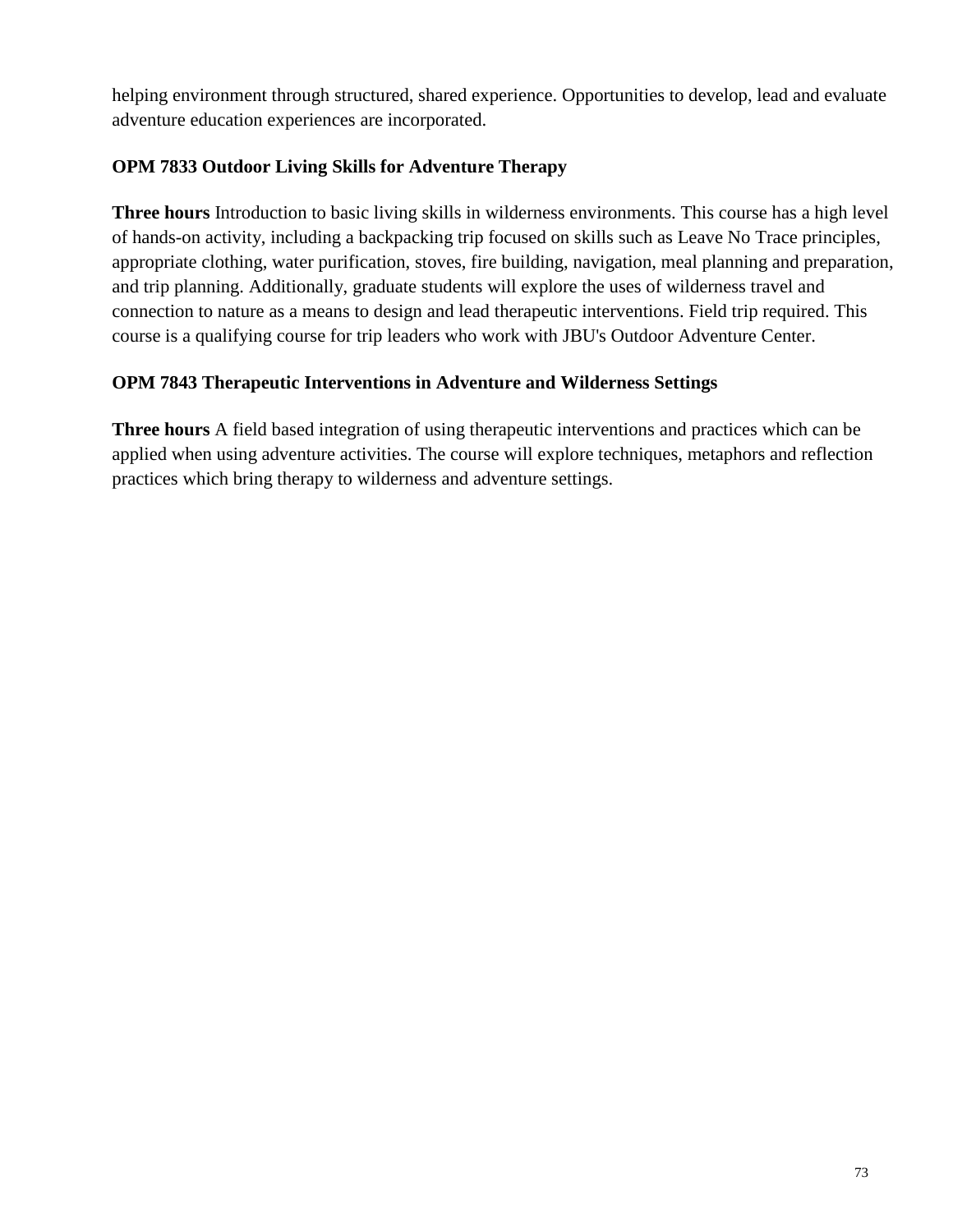helping environment through structured, shared experience. Opportunities to develop, lead and evaluate adventure education experiences are incorporated.

## **OPM 7833 Outdoor Living Skills for Adventure Therapy**

**Three hours** Introduction to basic living skills in wilderness environments. This course has a high level of hands-on activity, including a backpacking trip focused on skills such as Leave No Trace principles, appropriate clothing, water purification, stoves, fire building, navigation, meal planning and preparation, and trip planning. Additionally, graduate students will explore the uses of wilderness travel and connection to nature as a means to design and lead therapeutic interventions. Field trip required. This course is a qualifying course for trip leaders who work with JBU's Outdoor Adventure Center.

## **OPM 7843 Therapeutic Interventions in Adventure and Wilderness Settings**

**Three hours** A field based integration of using therapeutic interventions and practices which can be applied when using adventure activities. The course will explore techniques, metaphors and reflection practices which bring therapy to wilderness and adventure settings.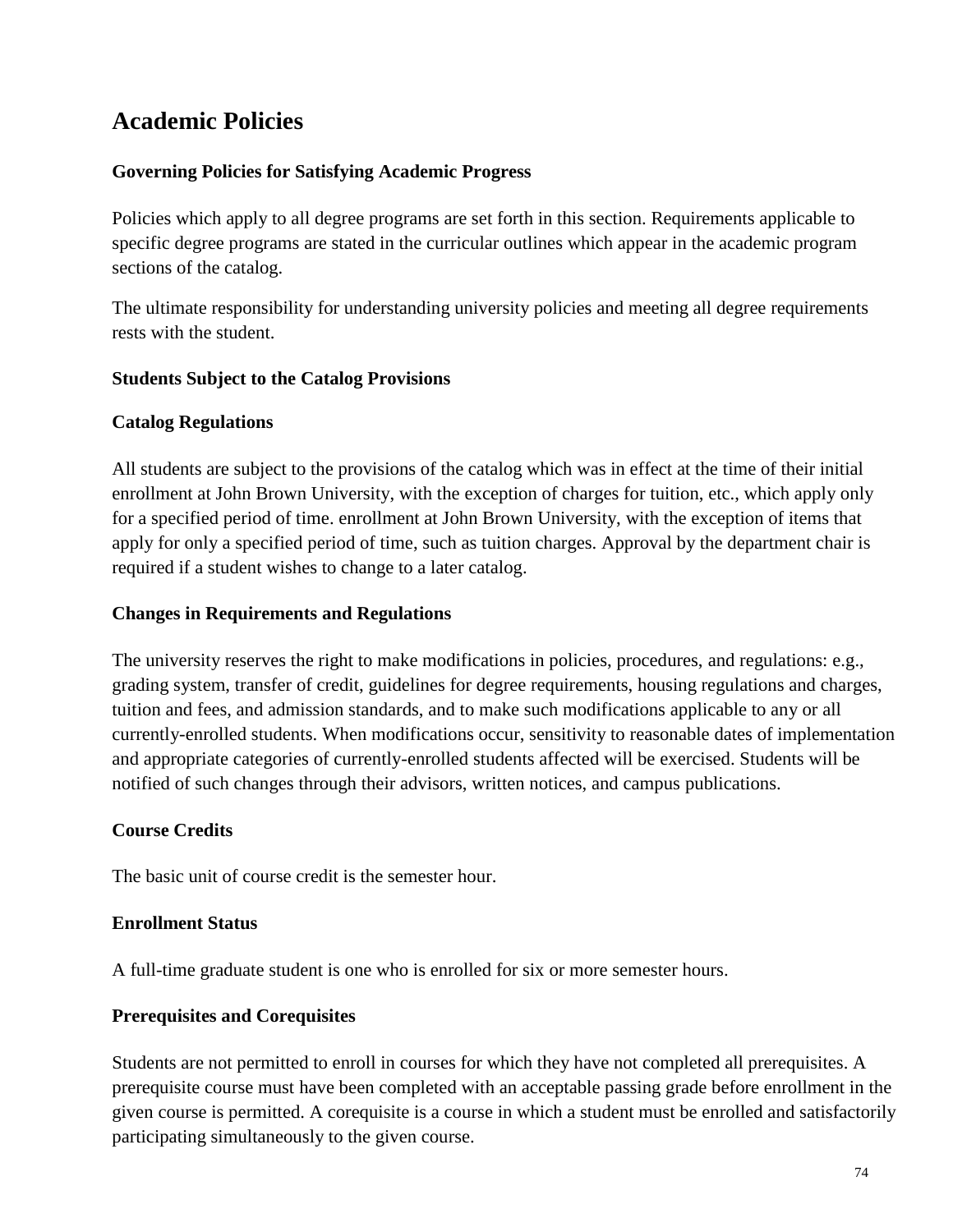# **Academic Policies**

## **Governing Policies for Satisfying Academic Progress**

Policies which apply to all degree programs are set forth in this section. Requirements applicable to specific degree programs are stated in the curricular outlines which appear in the academic program sections of the catalog.

The ultimate responsibility for understanding university policies and meeting all degree requirements rests with the student.

### **Students Subject to the Catalog Provisions**

### **Catalog Regulations**

All students are subject to the provisions of the catalog which was in effect at the time of their initial enrollment at John Brown University, with the exception of charges for tuition, etc., which apply only for a specified period of time. enrollment at John Brown University, with the exception of items that apply for only a specified period of time, such as tuition charges. Approval by the department chair is required if a student wishes to change to a later catalog.

### **Changes in Requirements and Regulations**

The university reserves the right to make modifications in policies, procedures, and regulations: e.g., grading system, transfer of credit, guidelines for degree requirements, housing regulations and charges, tuition and fees, and admission standards, and to make such modifications applicable to any or all currently-enrolled students. When modifications occur, sensitivity to reasonable dates of implementation and appropriate categories of currently-enrolled students affected will be exercised. Students will be notified of such changes through their advisors, written notices, and campus publications.

## **Course Credits**

The basic unit of course credit is the semester hour.

### **Enrollment Status**

A full-time graduate student is one who is enrolled for six or more semester hours.

### **Prerequisites and Corequisites**

Students are not permitted to enroll in courses for which they have not completed all prerequisites. A prerequisite course must have been completed with an acceptable passing grade before enrollment in the given course is permitted. A corequisite is a course in which a student must be enrolled and satisfactorily participating simultaneously to the given course.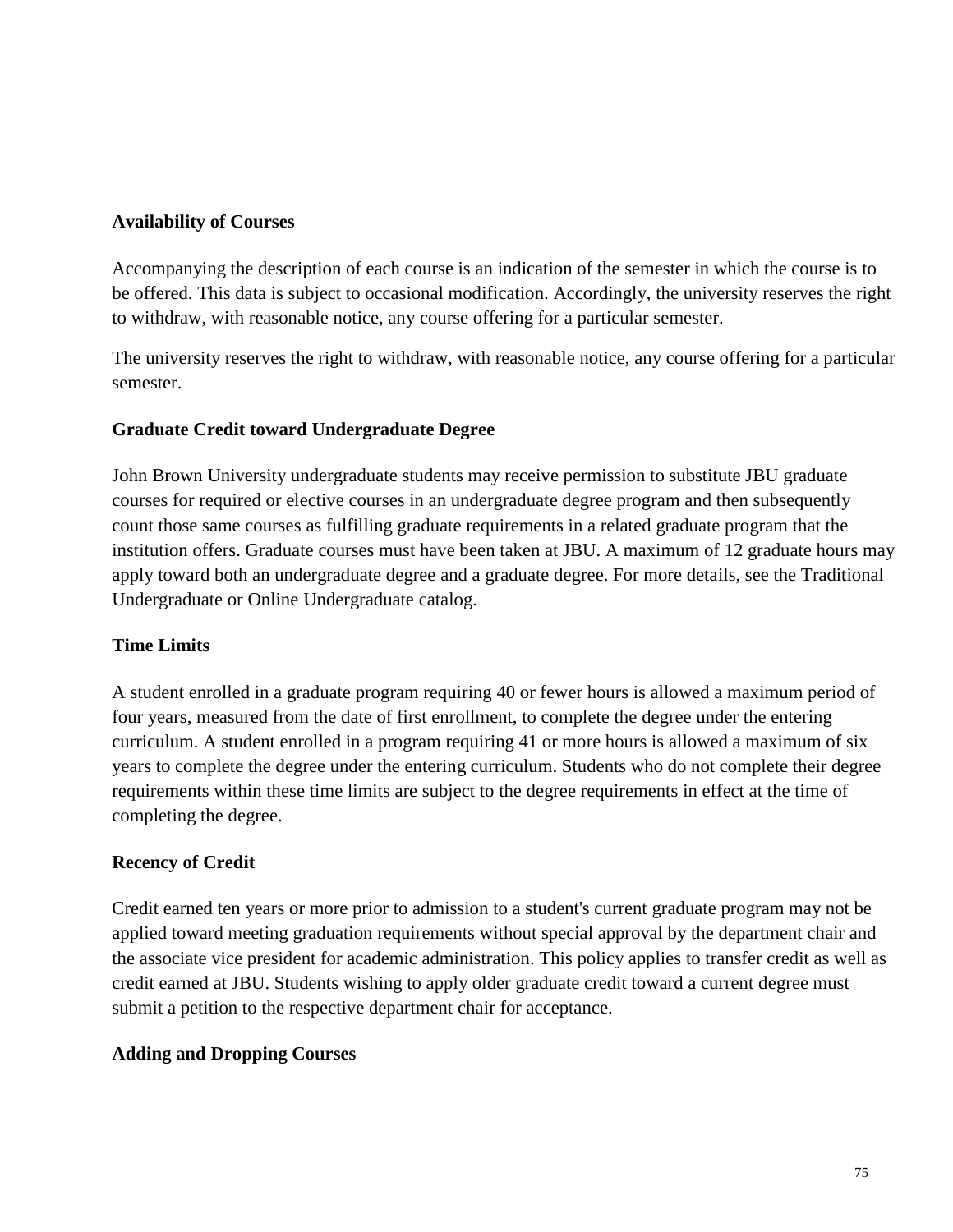#### **Availability of Courses**

Accompanying the description of each course is an indication of the semester in which the course is to be offered. This data is subject to occasional modification. Accordingly, the university reserves the right to withdraw, with reasonable notice, any course offering for a particular semester.

The university reserves the right to withdraw, with reasonable notice, any course offering for a particular semester.

### **Graduate Credit toward Undergraduate Degree**

John Brown University undergraduate students may receive permission to substitute JBU graduate courses for required or elective courses in an undergraduate degree program and then subsequently count those same courses as fulfilling graduate requirements in a related graduate program that the institution offers. Graduate courses must have been taken at JBU. A maximum of 12 graduate hours may apply toward both an undergraduate degree and a graduate degree. For more details, see the Traditional Undergraduate or Online Undergraduate catalog.

### **Time Limits**

A student enrolled in a graduate program requiring 40 or fewer hours is allowed a maximum period of four years, measured from the date of first enrollment, to complete the degree under the entering curriculum. A student enrolled in a program requiring 41 or more hours is allowed a maximum of six years to complete the degree under the entering curriculum. Students who do not complete their degree requirements within these time limits are subject to the degree requirements in effect at the time of completing the degree.

#### **Recency of Credit**

Credit earned ten years or more prior to admission to a student's current graduate program may not be applied toward meeting graduation requirements without special approval by the department chair and the associate vice president for academic administration. This policy applies to transfer credit as well as credit earned at JBU. Students wishing to apply older graduate credit toward a current degree must submit a petition to the respective department chair for acceptance.

### **Adding and Dropping Courses**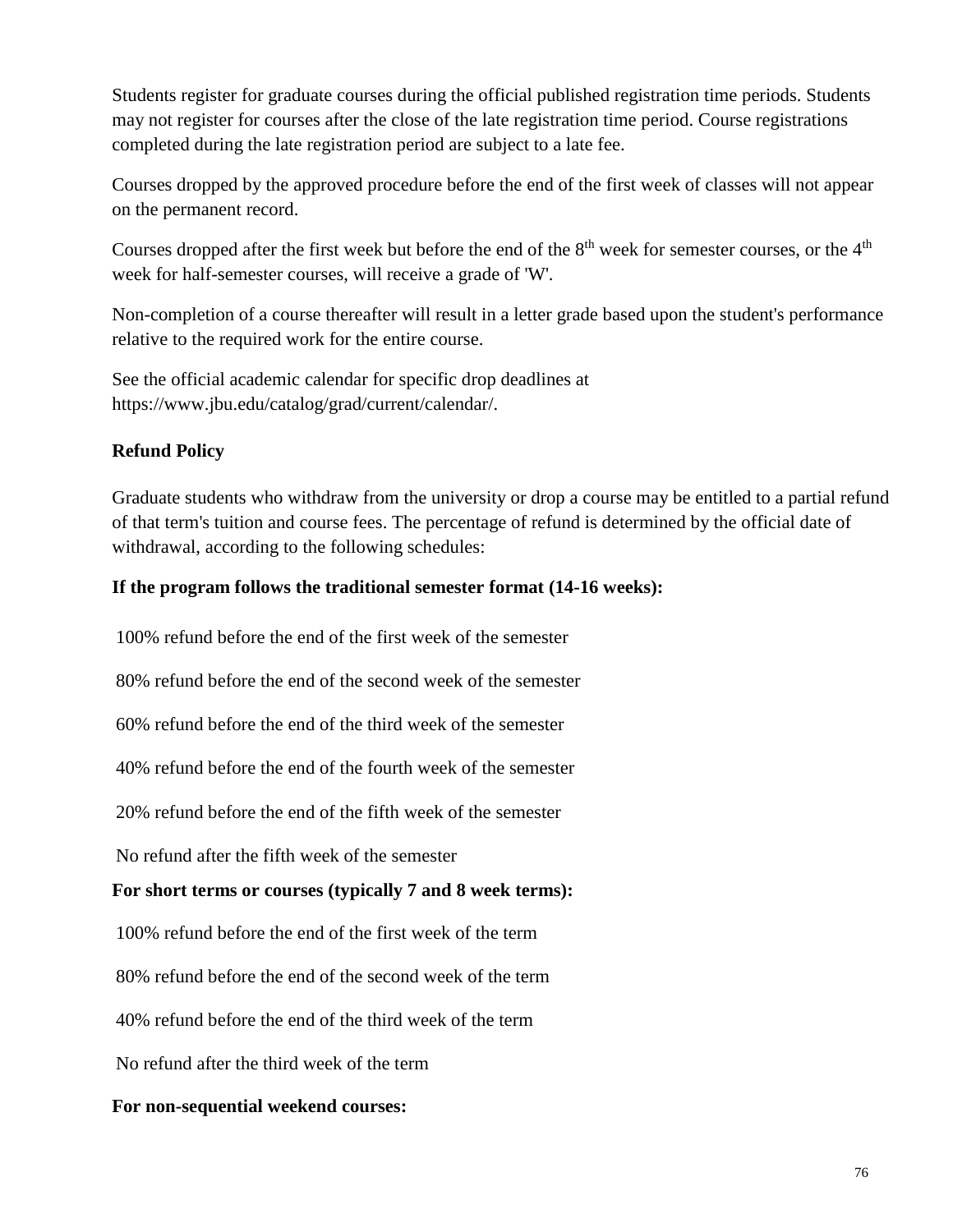Students register for graduate courses during the official published registration time periods. Students may not register for courses after the close of the late registration time period. Course registrations completed during the late registration period are subject to a late fee.

Courses dropped by the approved procedure before the end of the first week of classes will not appear on the permanent record.

Courses dropped after the first week but before the end of the 8<sup>th</sup> week for semester courses, or the 4<sup>th</sup> week for half-semester courses, will receive a grade of 'W'.

Non-completion of a course thereafter will result in a letter grade based upon the student's performance relative to the required work for the entire course.

See the official academic calendar for specific drop deadlines at https://www.jbu.edu/catalog/grad/current/calendar/.

## **Refund Policy**

Graduate students who withdraw from the university or drop a course may be entitled to a partial refund of that term's tuition and course fees. The percentage of refund is determined by the official date of withdrawal, according to the following schedules:

### **If the program follows the traditional semester format (14-16 weeks):**

100% refund before the end of the first week of the semester

80% refund before the end of the second week of the semester

60% refund before the end of the third week of the semester

40% refund before the end of the fourth week of the semester

20% refund before the end of the fifth week of the semester

No refund after the fifth week of the semester

## **For short terms or courses (typically 7 and 8 week terms):**

100% refund before the end of the first week of the term

80% refund before the end of the second week of the term

40% refund before the end of the third week of the term

No refund after the third week of the term

#### **For non-sequential weekend courses:**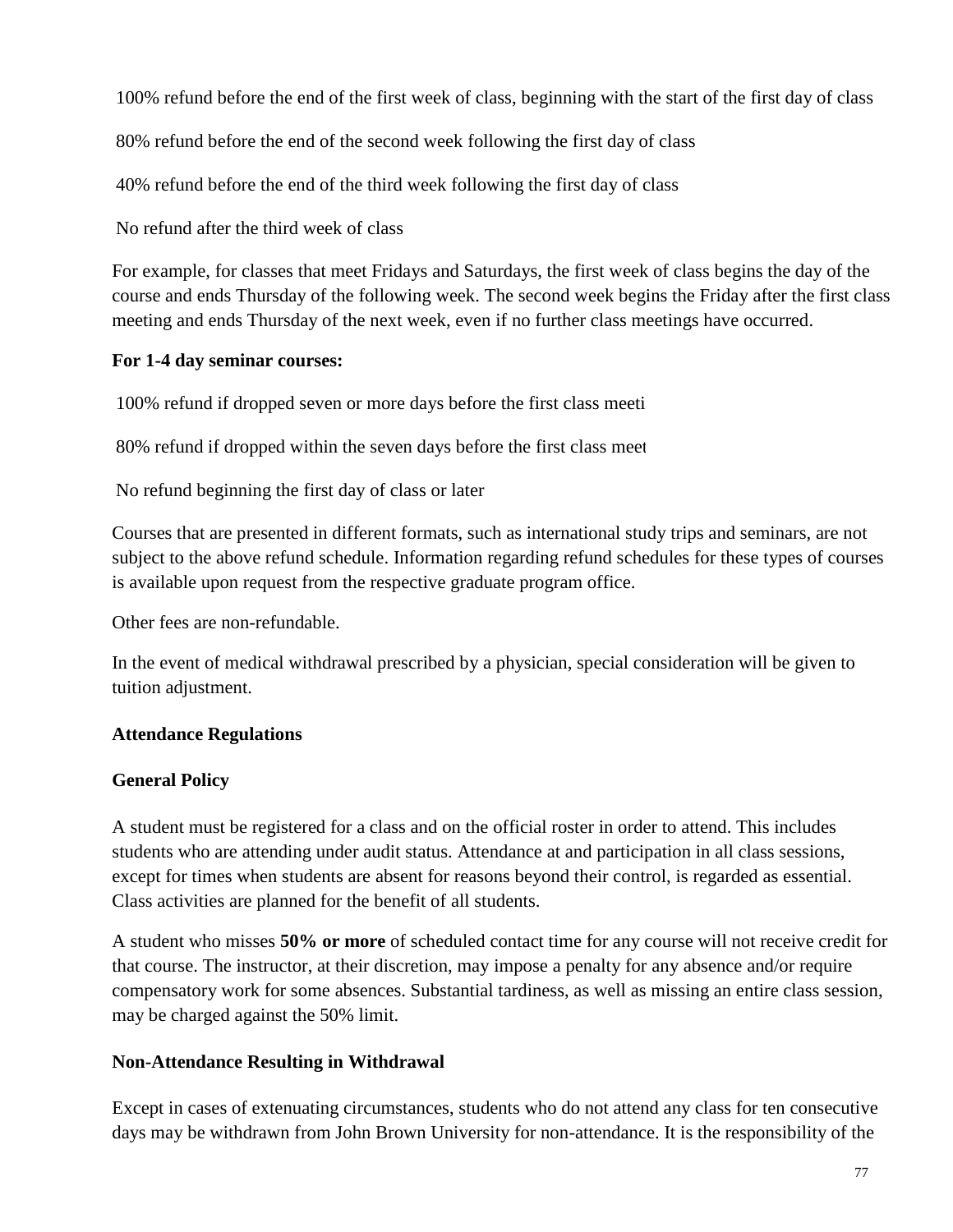100% refund before the end of the first week of class, beginning with the start of the first day of class

80% refund before the end of the second week following the first day of class

40% refund before the end of the third week following the first day of class

No refund after the third week of class

For example, for classes that meet Fridays and Saturdays, the first week of class begins the day of the course and ends Thursday of the following week. The second week begins the Friday after the first class meeting and ends Thursday of the next week, even if no further class meetings have occurred.

### **For 1-4 day seminar courses:**

100% refund if dropped seven or more days before the first class meeting

80% refund if dropped within the seven days before the first class meet

No refund beginning the first day of class or later

Courses that are presented in different formats, such as international study trips and seminars, are not subject to the above refund schedule. Information regarding refund schedules for these types of courses is available upon request from the respective graduate program office.

Other fees are non-refundable.

In the event of medical withdrawal prescribed by a physician, special consideration will be given to tuition adjustment.

### **Attendance Regulations**

### **General Policy**

A student must be registered for a class and on the official roster in order to attend. This includes students who are attending under audit status. Attendance at and participation in all class sessions, except for times when students are absent for reasons beyond their control, is regarded as essential. Class activities are planned for the benefit of all students.

A student who misses **50% or more** of scheduled contact time for any course will not receive credit for that course. The instructor, at their discretion, may impose a penalty for any absence and/or require compensatory work for some absences. Substantial tardiness, as well as missing an entire class session, may be charged against the 50% limit.

## **Non-Attendance Resulting in Withdrawal**

Except in cases of extenuating circumstances, students who do not attend any class for ten consecutive days may be withdrawn from John Brown University for non-attendance. It is the responsibility of the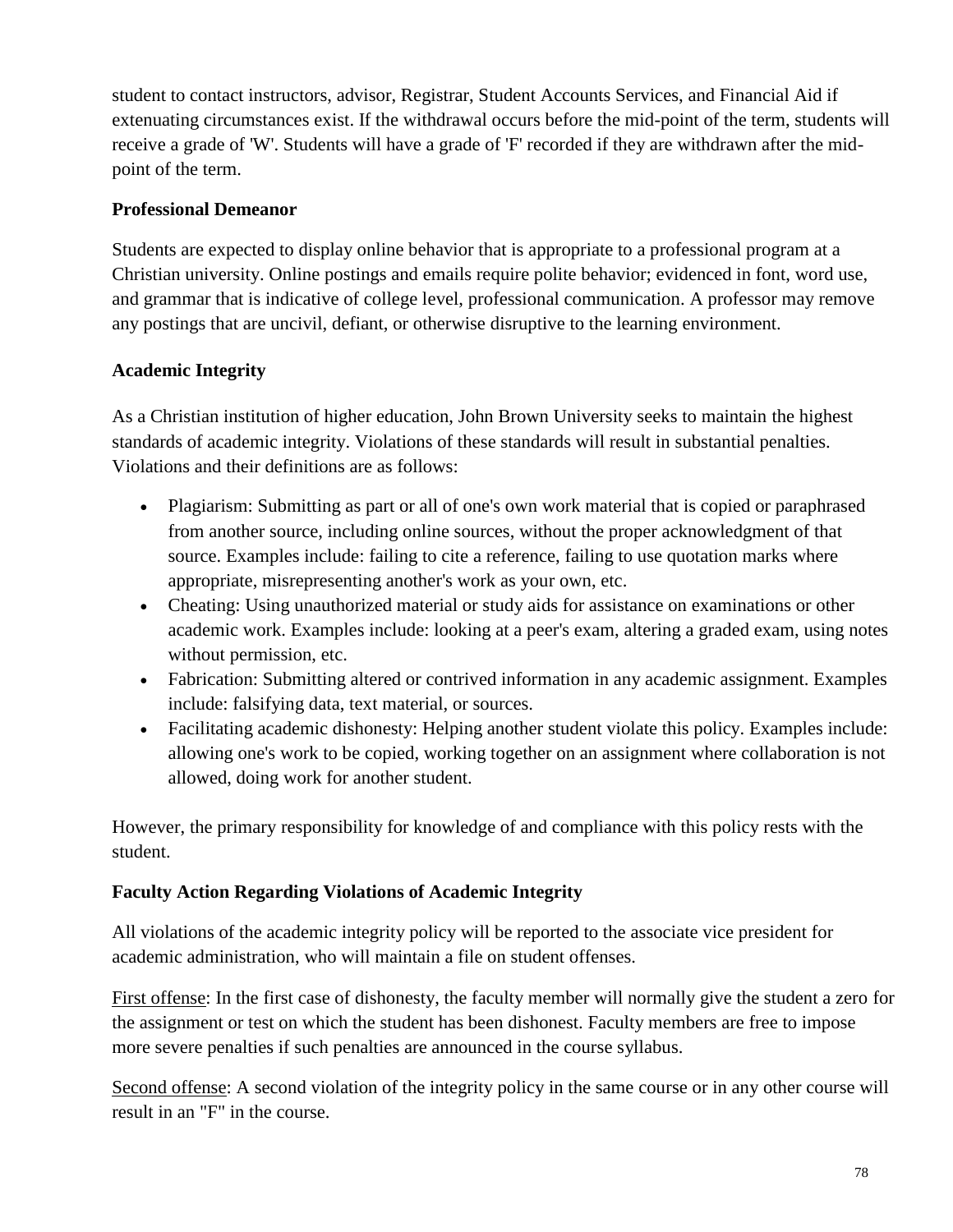student to contact instructors, advisor, Registrar, Student Accounts Services, and Financial Aid if extenuating circumstances exist. If the withdrawal occurs before the mid-point of the term, students will receive a grade of 'W'. Students will have a grade of 'F' recorded if they are withdrawn after the midpoint of the term.

## **Professional Demeanor**

Students are expected to display online behavior that is appropriate to a professional program at a Christian university. Online postings and emails require polite behavior; evidenced in font, word use, and grammar that is indicative of college level, professional communication. A professor may remove any postings that are uncivil, defiant, or otherwise disruptive to the learning environment.

## **Academic Integrity**

As a Christian institution of higher education, John Brown University seeks to maintain the highest standards of academic integrity. Violations of these standards will result in substantial penalties. Violations and their definitions are as follows:

- Plagiarism: Submitting as part or all of one's own work material that is copied or paraphrased from another source, including online sources, without the proper acknowledgment of that source. Examples include: failing to cite a reference, failing to use quotation marks where appropriate, misrepresenting another's work as your own, etc.
- Cheating: Using unauthorized material or study aids for assistance on examinations or other academic work. Examples include: looking at a peer's exam, altering a graded exam, using notes without permission, etc.
- Fabrication: Submitting altered or contrived information in any academic assignment. Examples include: falsifying data, text material, or sources.
- Facilitating academic dishonesty: Helping another student violate this policy. Examples include: allowing one's work to be copied, working together on an assignment where collaboration is not allowed, doing work for another student.

However, the primary responsibility for knowledge of and compliance with this policy rests with the student.

## **Faculty Action Regarding Violations of Academic Integrity**

All violations of the academic integrity policy will be reported to the associate vice president for academic administration, who will maintain a file on student offenses.

First offense: In the first case of dishonesty, the faculty member will normally give the student a zero for the assignment or test on which the student has been dishonest. Faculty members are free to impose more severe penalties if such penalties are announced in the course syllabus.

Second offense: A second violation of the integrity policy in the same course or in any other course will result in an "F" in the course.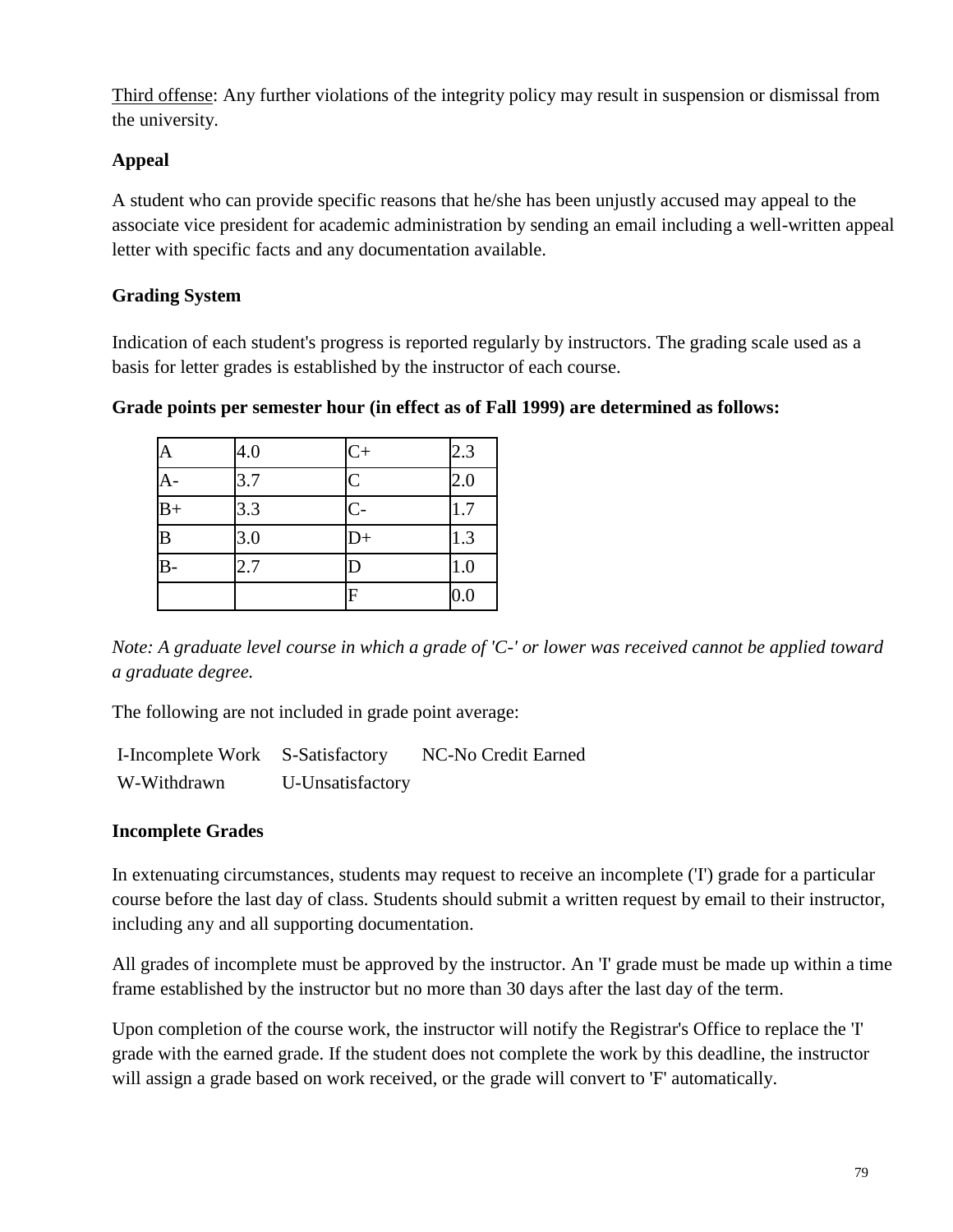Third offense: Any further violations of the integrity policy may result in suspension or dismissal from the university.

## **Appeal**

A student who can provide specific reasons that he/she has been unjustly accused may appeal to the associate vice president for academic administration by sending an email including a well-written appeal letter with specific facts and any documentation available.

## **Grading System**

Indication of each student's progress is reported regularly by instructors. The grading scale used as a basis for letter grades is established by the instructor of each course.

| A              | 4.0 | $C+$                  | 2.3 |
|----------------|-----|-----------------------|-----|
| $A -$          | 3.7 | $\overline{C}$        | 2.0 |
| $B+$           | 3.3 | $C -$                 | 1.7 |
| B              | 3.0 | $D+$                  | 1.3 |
| $\overline{B}$ | 2.7 | $\overline{\text{D}}$ | 1.0 |
|                |     | F                     | 0.0 |

#### **Grade points per semester hour (in effect as of Fall 1999) are determined as follows:**

*Note: A graduate level course in which a grade of 'C-' or lower was received cannot be applied toward a graduate degree.*

The following are not included in grade point average:

| I-Incomplete Work | S-Satisfactory   | NC-No Credit Earned |
|-------------------|------------------|---------------------|
| W-Withdrawn       | U-Unsatisfactory |                     |

### **Incomplete Grades**

In extenuating circumstances, students may request to receive an incomplete ('I') grade for a particular course before the last day of class. Students should submit a written request by email to their instructor, including any and all supporting documentation.

All grades of incomplete must be approved by the instructor. An 'I' grade must be made up within a time frame established by the instructor but no more than 30 days after the last day of the term.

Upon completion of the course work, the instructor will notify the Registrar's Office to replace the 'I' grade with the earned grade. If the student does not complete the work by this deadline, the instructor will assign a grade based on work received, or the grade will convert to  $F'$  automatically.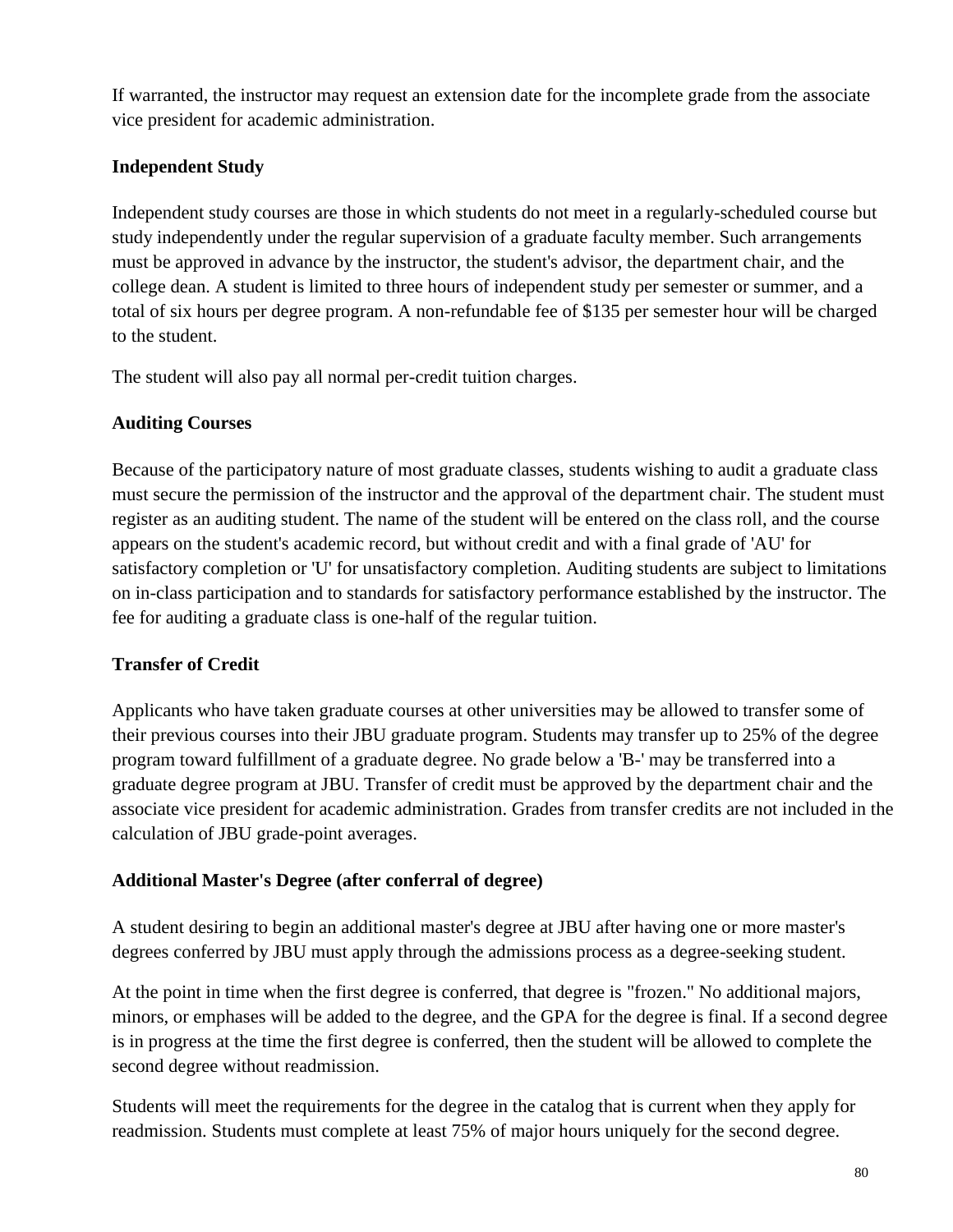If warranted, the instructor may request an extension date for the incomplete grade from the associate vice president for academic administration.

## **Independent Study**

Independent study courses are those in which students do not meet in a regularly-scheduled course but study independently under the regular supervision of a graduate faculty member. Such arrangements must be approved in advance by the instructor, the student's advisor, the department chair, and the college dean. A student is limited to three hours of independent study per semester or summer, and a total of six hours per degree program. A non-refundable fee of \$135 per semester hour will be charged to the student.

The student will also pay all normal per-credit tuition charges.

## **Auditing Courses**

Because of the participatory nature of most graduate classes, students wishing to audit a graduate class must secure the permission of the instructor and the approval of the department chair. The student must register as an auditing student. The name of the student will be entered on the class roll, and the course appears on the student's academic record, but without credit and with a final grade of 'AU' for satisfactory completion or 'U' for unsatisfactory completion. Auditing students are subject to limitations on in-class participation and to standards for satisfactory performance established by the instructor. The fee for auditing a graduate class is one-half of the regular tuition.

## **Transfer of Credit**

Applicants who have taken graduate courses at other universities may be allowed to transfer some of their previous courses into their JBU graduate program. Students may transfer up to 25% of the degree program toward fulfillment of a graduate degree. No grade below a 'B-' may be transferred into a graduate degree program at JBU. Transfer of credit must be approved by the department chair and the associate vice president for academic administration. Grades from transfer credits are not included in the calculation of JBU grade-point averages.

## **Additional Master's Degree (after conferral of degree)**

A student desiring to begin an additional master's degree at JBU after having one or more master's degrees conferred by JBU must apply through the admissions process as a degree-seeking student.

At the point in time when the first degree is conferred, that degree is "frozen." No additional majors, minors, or emphases will be added to the degree, and the GPA for the degree is final. If a second degree is in progress at the time the first degree is conferred, then the student will be allowed to complete the second degree without readmission.

Students will meet the requirements for the degree in the catalog that is current when they apply for readmission. Students must complete at least 75% of major hours uniquely for the second degree.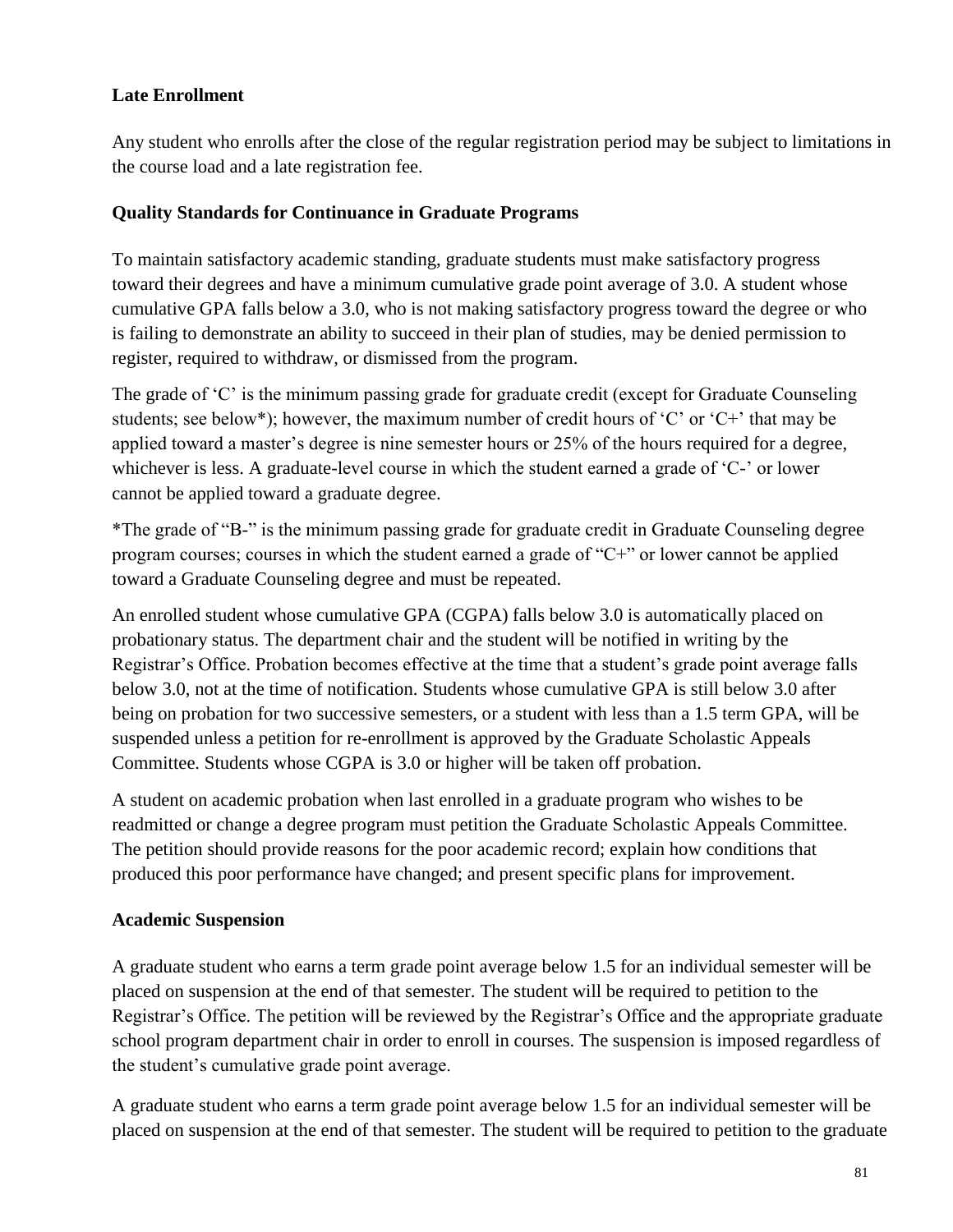## **Late Enrollment**

Any student who enrolls after the close of the regular registration period may be subject to limitations in the course load and a late registration fee.

## **Quality Standards for Continuance in Graduate Programs**

To maintain satisfactory academic standing, graduate students must make satisfactory progress toward their degrees and have a minimum cumulative grade point average of 3.0. A student whose cumulative GPA falls below a 3.0, who is not making satisfactory progress toward the degree or who is failing to demonstrate an ability to succeed in their plan of studies, may be denied permission to register, required to withdraw, or dismissed from the program.

The grade of 'C' is the minimum passing grade for graduate credit (except for Graduate Counseling students; see below\*); however, the maximum number of credit hours of 'C' or 'C+' that may be applied toward a master's degree is nine semester hours or 25% of the hours required for a degree, whichever is less. A graduate-level course in which the student earned a grade of 'C-' or lower cannot be applied toward a graduate degree.

\*The grade of "B-" is the minimum passing grade for graduate credit in Graduate Counseling degree program courses; courses in which the student earned a grade of "C+" or lower cannot be applied toward a Graduate Counseling degree and must be repeated.

An enrolled student whose cumulative GPA (CGPA) falls below 3.0 is automatically placed on probationary status. The department chair and the student will be notified in writing by the Registrar's Office. Probation becomes effective at the time that a student's grade point average falls below 3.0, not at the time of notification. Students whose cumulative GPA is still below 3.0 after being on probation for two successive semesters, or a student with less than a 1.5 term GPA, will be suspended unless a petition for re-enrollment is approved by the Graduate Scholastic Appeals Committee. Students whose CGPA is 3.0 or higher will be taken off probation.

A student on academic probation when last enrolled in a graduate program who wishes to be readmitted or change a degree program must petition the Graduate Scholastic Appeals Committee. The petition should provide reasons for the poor academic record; explain how conditions that produced this poor performance have changed; and present specific plans for improvement.

### **Academic Suspension**

A graduate student who earns a term grade point average below 1.5 for an individual semester will be placed on suspension at the end of that semester. The student will be required to petition to the Registrar's Office. The petition will be reviewed by the Registrar's Office and the appropriate graduate school program department chair in order to enroll in courses. The suspension is imposed regardless of the student's cumulative grade point average.

A graduate student who earns a term grade point average below 1.5 for an individual semester will be placed on suspension at the end of that semester. The student will be required to petition to the graduate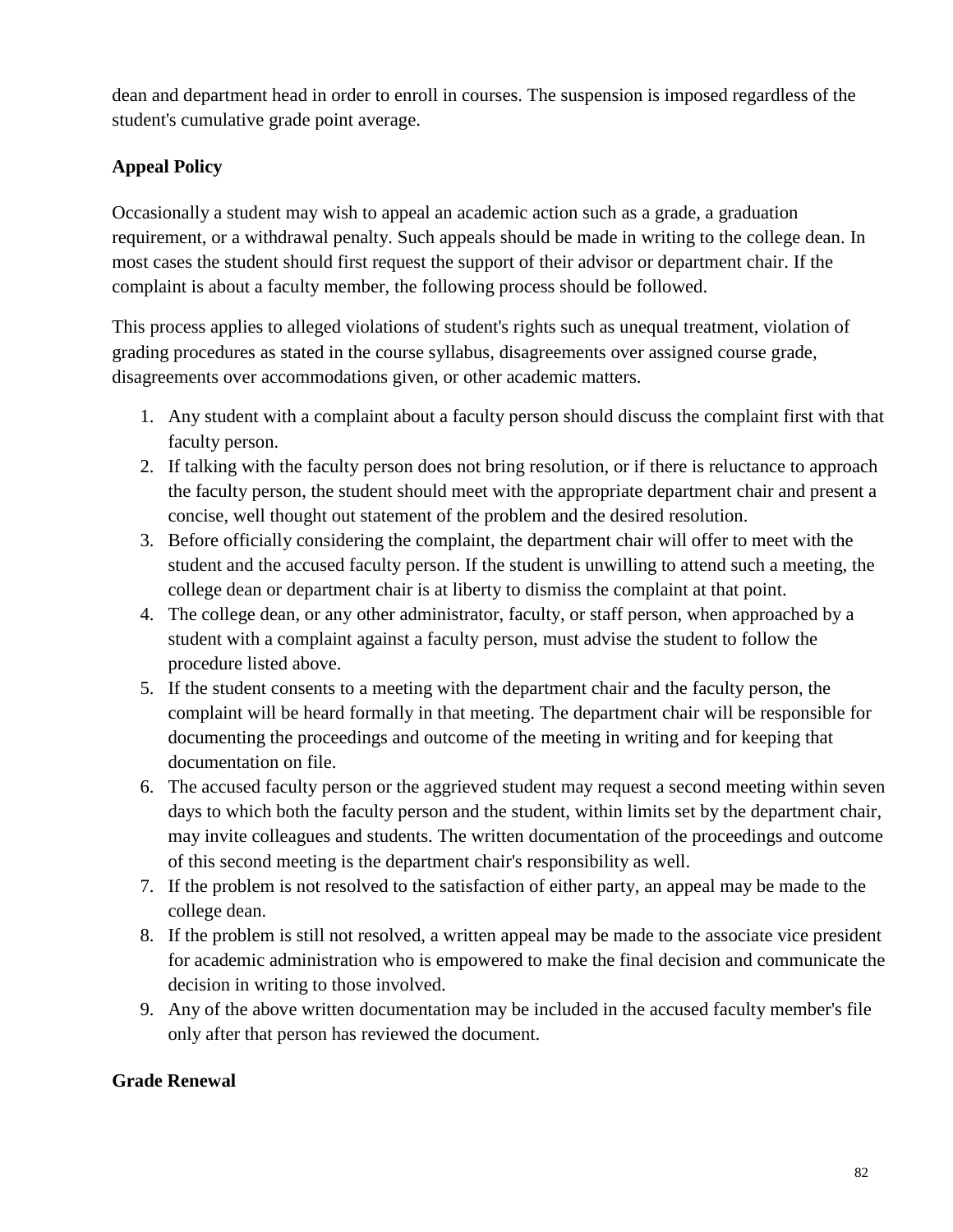dean and department head in order to enroll in courses. The suspension is imposed regardless of the student's cumulative grade point average.

## **Appeal Policy**

Occasionally a student may wish to appeal an academic action such as a grade, a graduation requirement, or a withdrawal penalty. Such appeals should be made in writing to the college dean. In most cases the student should first request the support of their advisor or department chair. If the complaint is about a faculty member, the following process should be followed.

This process applies to alleged violations of student's rights such as unequal treatment, violation of grading procedures as stated in the course syllabus, disagreements over assigned course grade, disagreements over accommodations given, or other academic matters.

- 1. Any student with a complaint about a faculty person should discuss the complaint first with that faculty person.
- 2. If talking with the faculty person does not bring resolution, or if there is reluctance to approach the faculty person, the student should meet with the appropriate department chair and present a concise, well thought out statement of the problem and the desired resolution.
- 3. Before officially considering the complaint, the department chair will offer to meet with the student and the accused faculty person. If the student is unwilling to attend such a meeting, the college dean or department chair is at liberty to dismiss the complaint at that point.
- 4. The college dean, or any other administrator, faculty, or staff person, when approached by a student with a complaint against a faculty person, must advise the student to follow the procedure listed above.
- 5. If the student consents to a meeting with the department chair and the faculty person, the complaint will be heard formally in that meeting. The department chair will be responsible for documenting the proceedings and outcome of the meeting in writing and for keeping that documentation on file.
- 6. The accused faculty person or the aggrieved student may request a second meeting within seven days to which both the faculty person and the student, within limits set by the department chair, may invite colleagues and students. The written documentation of the proceedings and outcome of this second meeting is the department chair's responsibility as well.
- 7. If the problem is not resolved to the satisfaction of either party, an appeal may be made to the college dean.
- 8. If the problem is still not resolved, a written appeal may be made to the associate vice president for academic administration who is empowered to make the final decision and communicate the decision in writing to those involved.
- 9. Any of the above written documentation may be included in the accused faculty member's file only after that person has reviewed the document.

### **Grade Renewal**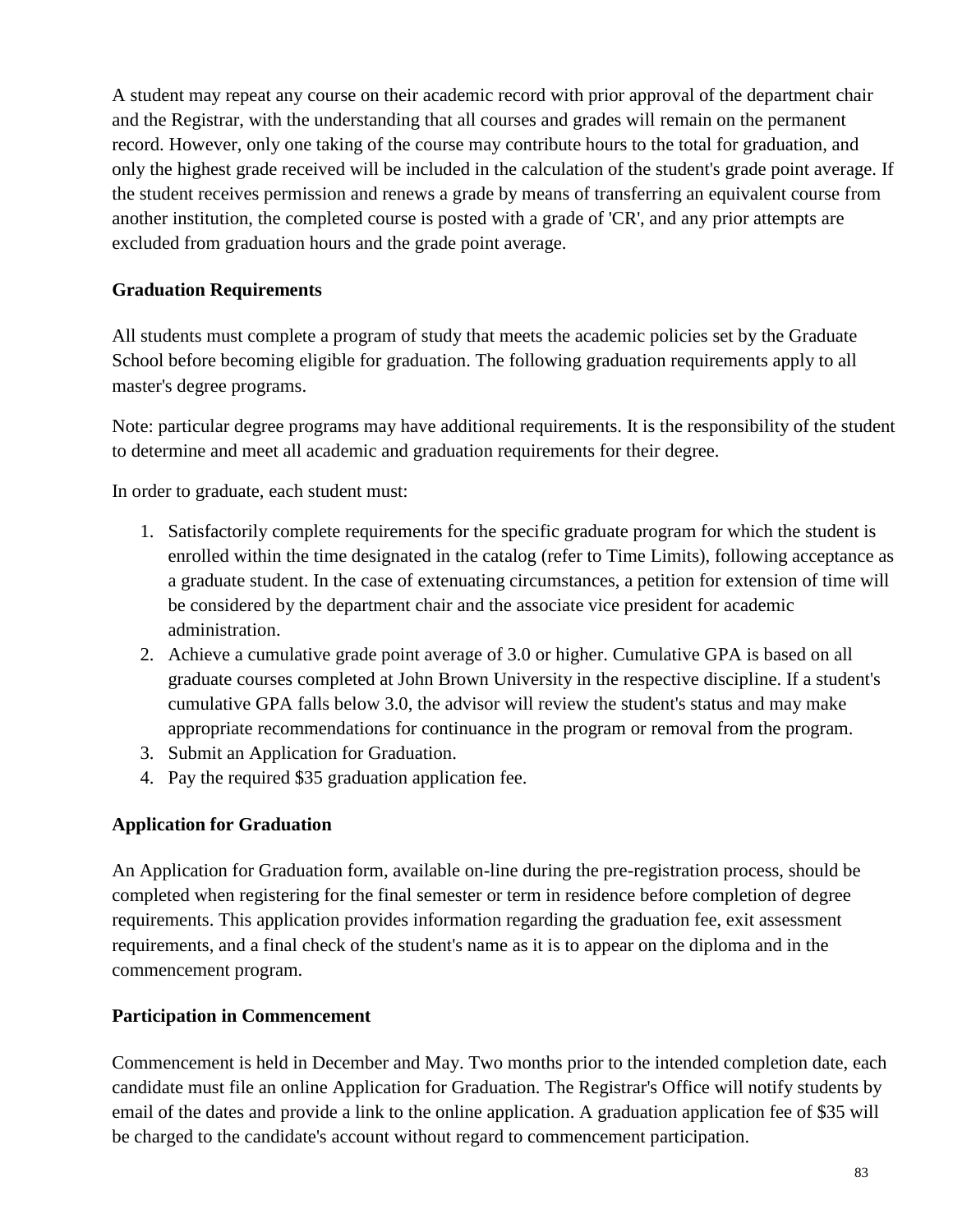A student may repeat any course on their academic record with prior approval of the department chair and the Registrar, with the understanding that all courses and grades will remain on the permanent record. However, only one taking of the course may contribute hours to the total for graduation, and only the highest grade received will be included in the calculation of the student's grade point average. If the student receives permission and renews a grade by means of transferring an equivalent course from another institution, the completed course is posted with a grade of 'CR', and any prior attempts are excluded from graduation hours and the grade point average.

## **Graduation Requirements**

All students must complete a program of study that meets the academic policies set by the Graduate School before becoming eligible for graduation. The following graduation requirements apply to all master's degree programs.

Note: particular degree programs may have additional requirements. It is the responsibility of the student to determine and meet all academic and graduation requirements for their degree.

In order to graduate, each student must:

- 1. Satisfactorily complete requirements for the specific graduate program for which the student is enrolled within the time designated in the catalog (refer to Time Limits), following acceptance as a graduate student. In the case of extenuating circumstances, a petition for extension of time will be considered by the department chair and the associate vice president for academic administration.
- 2. Achieve a cumulative grade point average of 3.0 or higher. Cumulative GPA is based on all graduate courses completed at John Brown University in the respective discipline. If a student's cumulative GPA falls below 3.0, the advisor will review the student's status and may make appropriate recommendations for continuance in the program or removal from the program.
- 3. Submit an Application for Graduation.
- 4. Pay the required \$35 graduation application fee.

### **Application for Graduation**

An Application for Graduation form, available on-line during the pre-registration process, should be completed when registering for the final semester or term in residence before completion of degree requirements. This application provides information regarding the graduation fee, exit assessment requirements, and a final check of the student's name as it is to appear on the diploma and in the commencement program.

### **Participation in Commencement**

Commencement is held in December and May. Two months prior to the intended completion date, each candidate must file an online Application for Graduation. The Registrar's Office will notify students by email of the dates and provide a link to the online application. A graduation application fee of \$35 will be charged to the candidate's account without regard to commencement participation.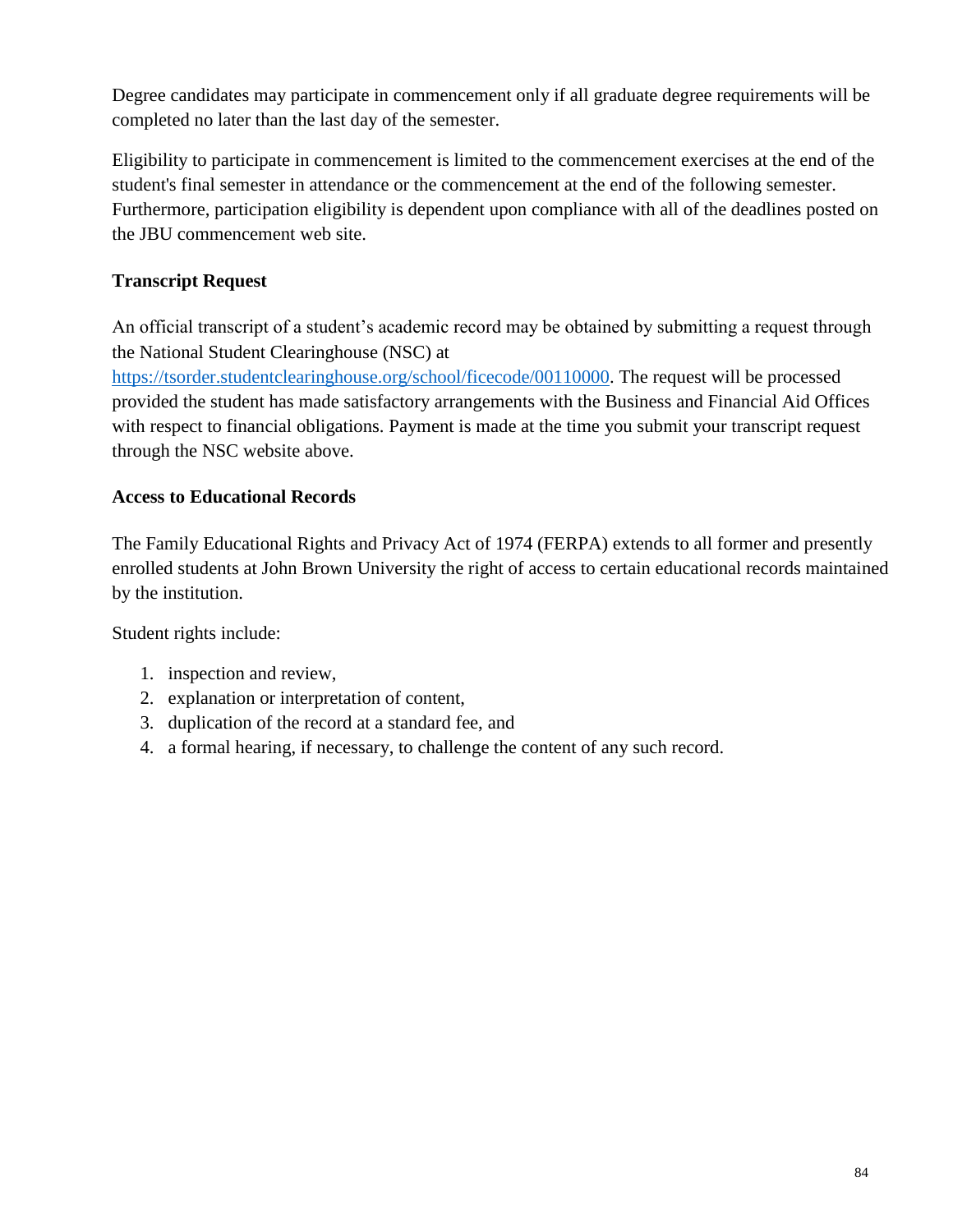Degree candidates may participate in commencement only if all graduate degree requirements will be completed no later than the last day of the semester.

Eligibility to participate in commencement is limited to the commencement exercises at the end of the student's final semester in attendance or the commencement at the end of the following semester. Furthermore, participation eligibility is dependent upon compliance with all of the deadlines posted on the JBU commencement web site.

## **Transcript Request**

An official transcript of a student's academic record may be obtained by submitting a request through the National Student Clearinghouse (NSC) at

[https://tsorder.studentclearinghouse.org/school/ficecode/00110000.](https://tsorder.studentclearinghouse.org/school/ficecode/00110000) The request will be processed provided the student has made satisfactory arrangements with the Business and Financial Aid Offices with respect to financial obligations. Payment is made at the time you submit your transcript request through the NSC website above.

## **Access to Educational Records**

The Family Educational Rights and Privacy Act of 1974 (FERPA) extends to all former and presently enrolled students at John Brown University the right of access to certain educational records maintained by the institution.

Student rights include:

- 1. inspection and review,
- 2. explanation or interpretation of content,
- 3. duplication of the record at a standard fee, and
- 4. a formal hearing, if necessary, to challenge the content of any such record.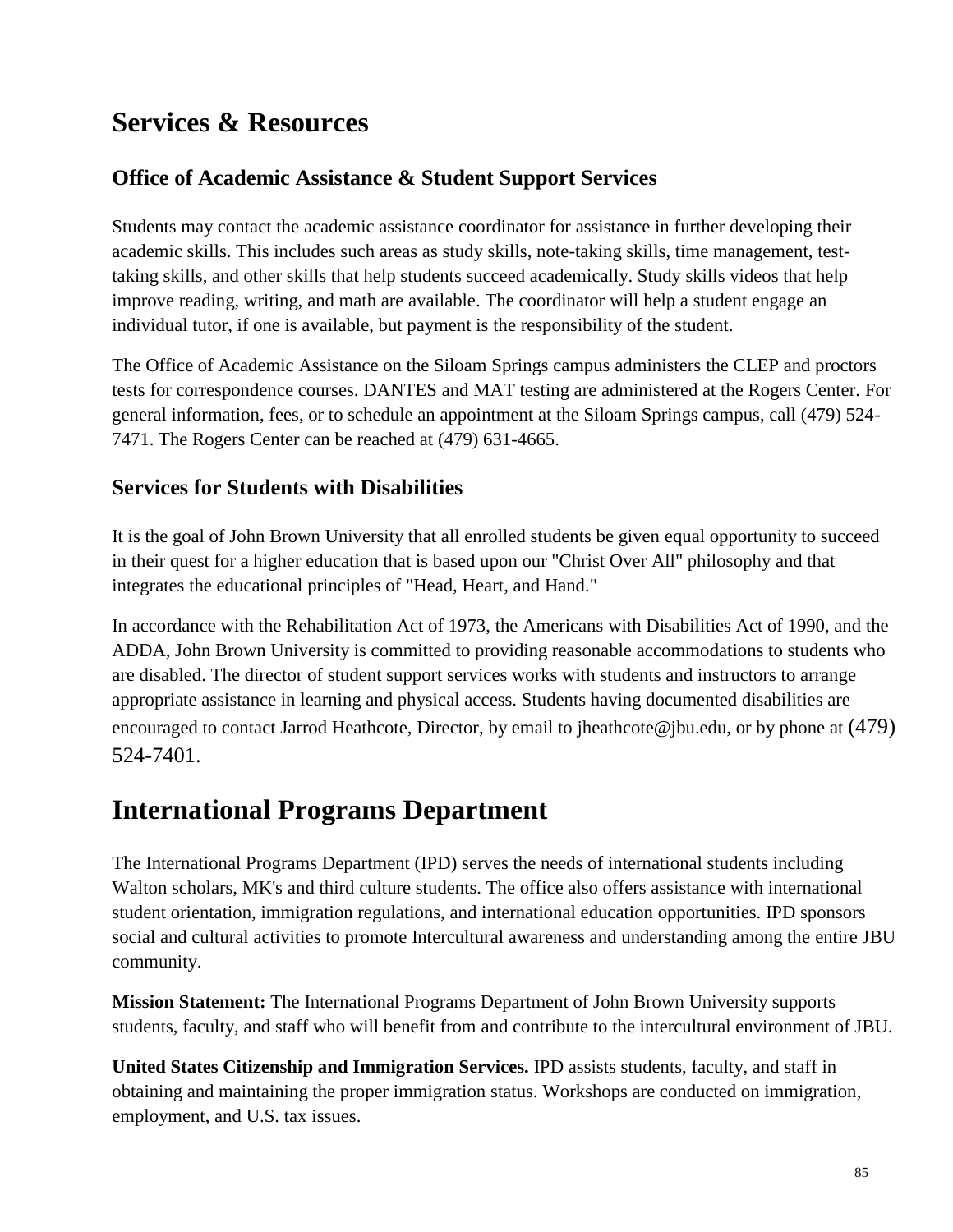# **Services & Resources**

# **Office of Academic Assistance & Student Support Services**

Students may contact the academic assistance coordinator for assistance in further developing their academic skills. This includes such areas as study skills, note-taking skills, time management, testtaking skills, and other skills that help students succeed academically. Study skills videos that help improve reading, writing, and math are available. The coordinator will help a student engage an individual tutor, if one is available, but payment is the responsibility of the student.

The Office of Academic Assistance on the Siloam Springs campus administers the CLEP and proctors tests for correspondence courses. DANTES and MAT testing are administered at the Rogers Center. For general information, fees, or to schedule an appointment at the Siloam Springs campus, call (479) 524- 7471. The Rogers Center can be reached at (479) 631-4665.

## **Services for Students with Disabilities**

It is the goal of John Brown University that all enrolled students be given equal opportunity to succeed in their quest for a higher education that is based upon our "Christ Over All" philosophy and that integrates the educational principles of "Head, Heart, and Hand."

In accordance with the Rehabilitation Act of 1973, the Americans with Disabilities Act of 1990, and the ADDA, John Brown University is committed to providing reasonable accommodations to students who are disabled. The director of student support services works with students and instructors to arrange appropriate assistance in learning and physical access. Students having documented disabilities are encouraged to contact Jarrod Heathcote, Director, by email to jheathcote @jbu.edu, or by phone at  $(479)$ 524-7401.

# **International Programs Department**

The International Programs Department (IPD) serves the needs of international students including Walton scholars, MK's and third culture students. The office also offers assistance with international student orientation, immigration regulations, and international education opportunities. IPD sponsors social and cultural activities to promote Intercultural awareness and understanding among the entire JBU community.

**Mission Statement:** The International Programs Department of John Brown University supports students, faculty, and staff who will benefit from and contribute to the intercultural environment of JBU.

**United States Citizenship and Immigration Services.** IPD assists students, faculty, and staff in obtaining and maintaining the proper immigration status. Workshops are conducted on immigration, employment, and U.S. tax issues.